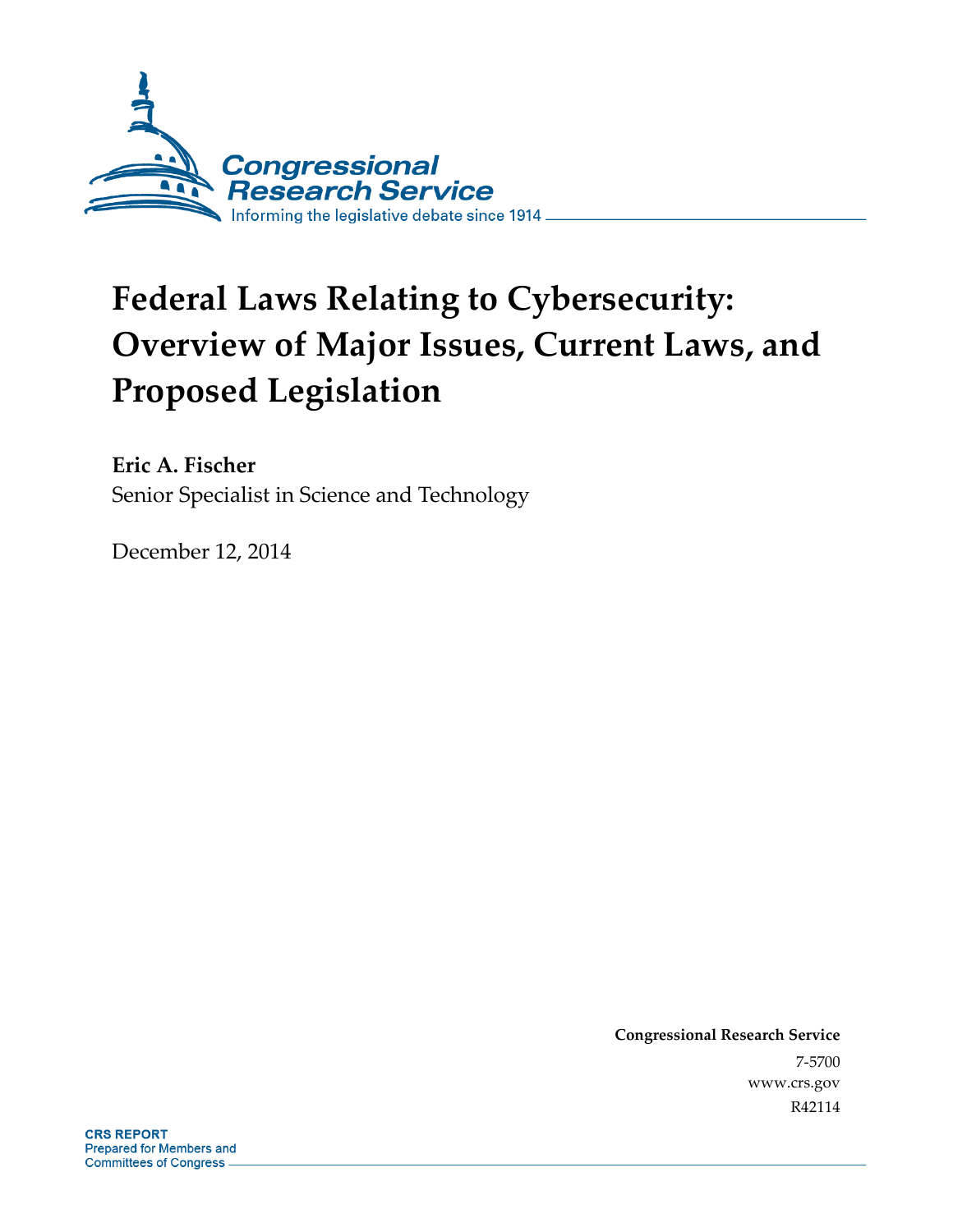

# **Federal Laws Relating to Cybersecurity: Overview of Major Issues, Current Laws, and Proposed Legislation**

**Eric A. Fischer**  Senior Specialist in Science and Technology

December 12, 2014

**Congressional Research Service**  7-5700 www.crs.gov R42114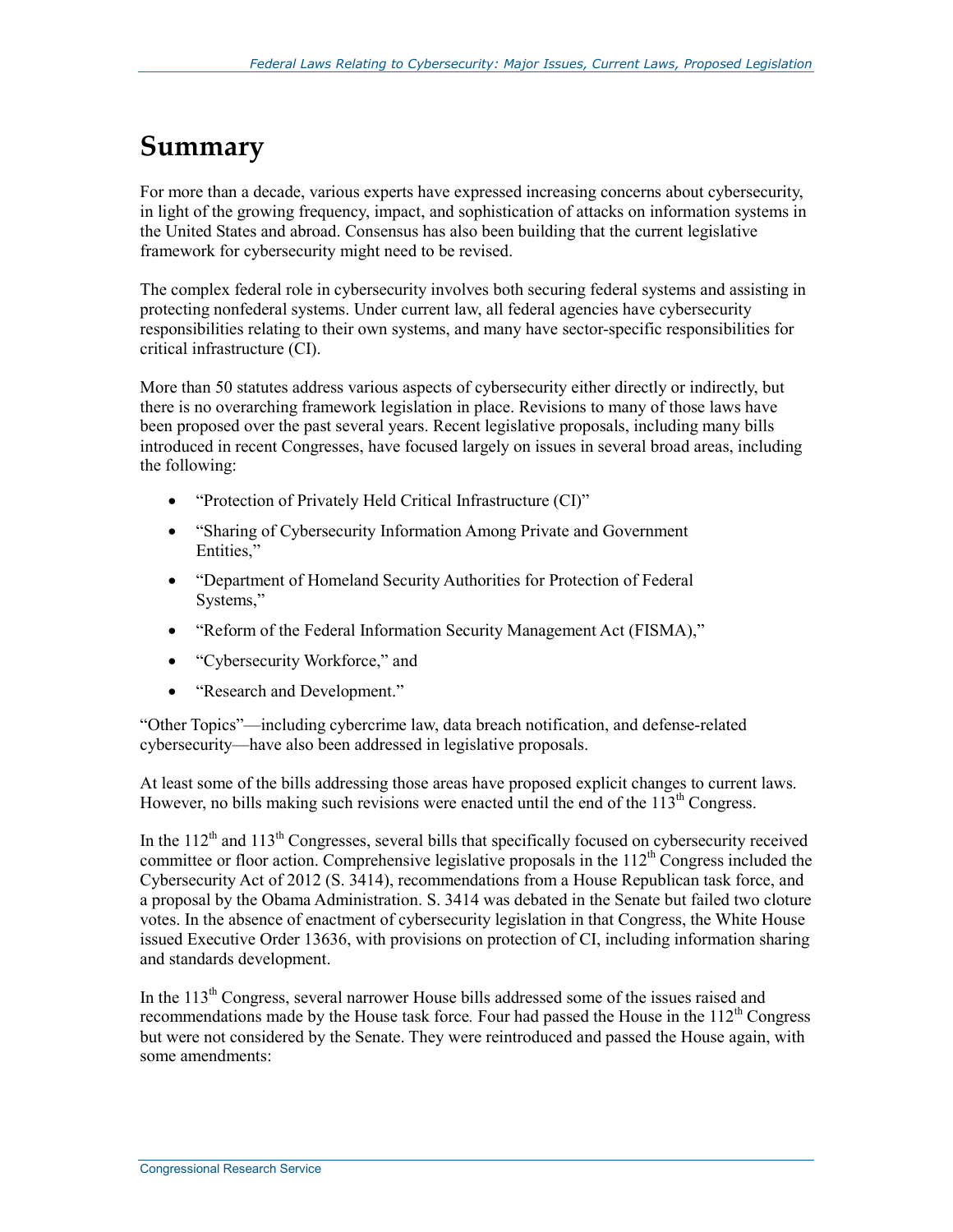# **Summary**

For more than a decade, various experts have expressed increasing concerns about cybersecurity, in light of the growing frequency, impact, and sophistication of attacks on information systems in the United States and abroad. Consensus has also been building that the current legislative framework for cybersecurity might need to be revised.

The complex federal role in cybersecurity involves both securing federal systems and assisting in protecting nonfederal systems. Under current law, all federal agencies have cybersecurity responsibilities relating to their own systems, and many have sector-specific responsibilities for critical infrastructure (CI).

More than 50 statutes address various aspects of cybersecurity either directly or indirectly, but there is no overarching framework legislation in place. Revisions to many of those laws have been proposed over the past several years. Recent legislative proposals, including many bills introduced in recent Congresses, have focused largely on issues in several broad areas, including the following:

- "Protection of Privately Held Critical Infrastructure (CI)"
- "Sharing of Cybersecurity Information Among Private and Government Entities,"
- "Department of Homeland Security Authorities for Protection of Federal Systems,"
- "Reform of the Federal Information Security Management Act (FISMA),"
- "Cybersecurity Workforce," and
- "Research and Development."

"Other Topics"—including cybercrime law, data breach notification, and defense-related cybersecurity—have also been addressed in legislative proposals.

At least some of the bills addressing those areas have proposed explicit changes to current laws. However, no bills making such revisions were enacted until the end of the  $113<sup>th</sup>$  Congress.

In the  $112<sup>th</sup>$  and  $113<sup>th</sup>$  Congresses, several bills that specifically focused on cybersecurity received committee or floor action. Comprehensive legislative proposals in the  $112<sup>th</sup>$  Congress included the Cybersecurity Act of 2012 (S. 3414), recommendations from a House Republican task force, and a proposal by the Obama Administration. S. 3414 was debated in the Senate but failed two cloture votes. In the absence of enactment of cybersecurity legislation in that Congress, the White House issued Executive Order 13636, with provisions on protection of CI, including information sharing and standards development.

In the 113<sup>th</sup> Congress, several narrower House bills addressed some of the issues raised and recommendations made by the House task force. Four had passed the House in the 112<sup>th</sup> Congress but were not considered by the Senate. They were reintroduced and passed the House again, with some amendments: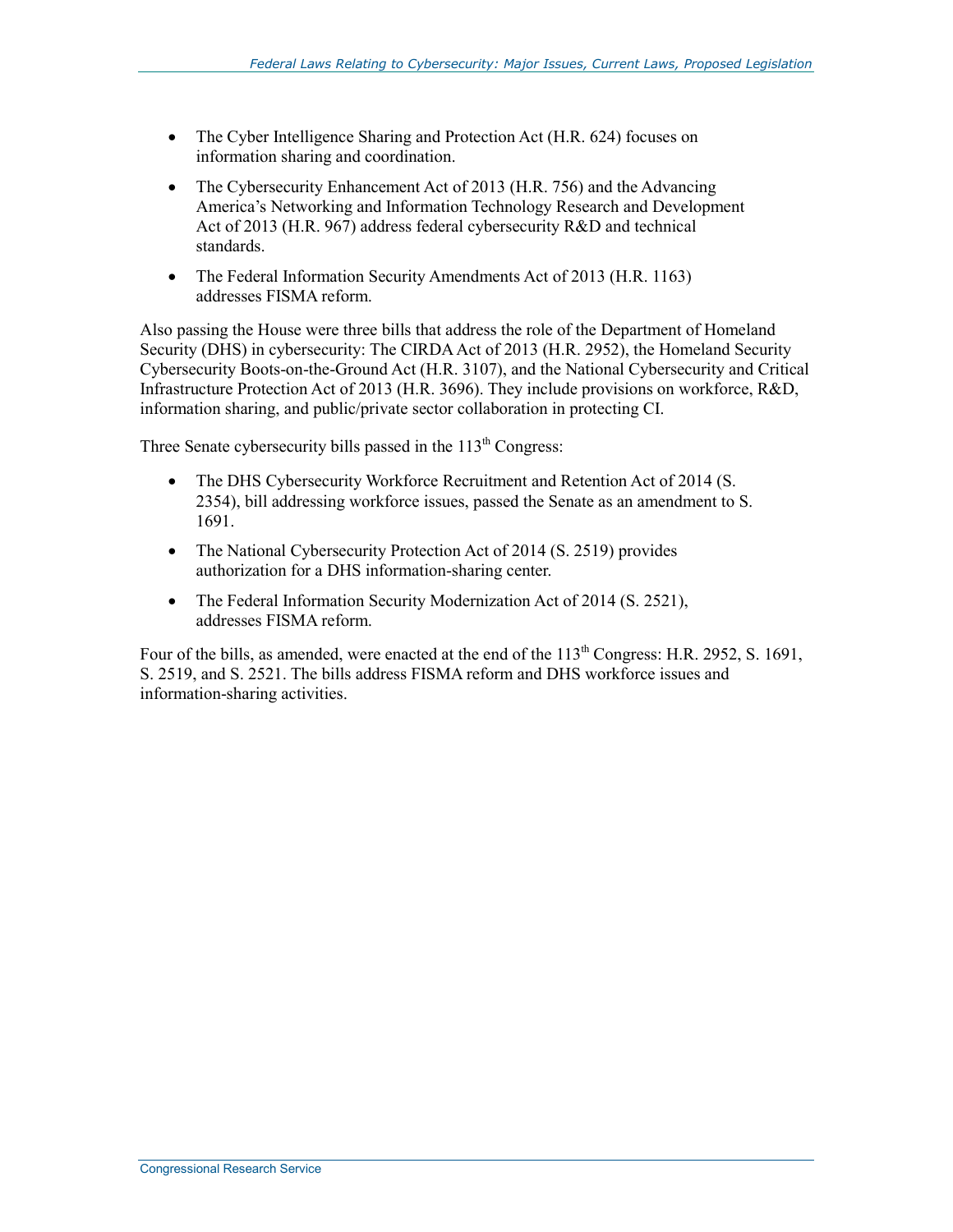- The Cyber Intelligence Sharing and Protection Act (H.R. 624) focuses on information sharing and coordination.
- The Cybersecurity Enhancement Act of 2013 (H.R. 756) and the Advancing America's Networking and Information Technology Research and Development Act of 2013 (H.R. 967) address federal cybersecurity R&D and technical standards.
- The Federal Information Security Amendments Act of 2013 (H.R. 1163) addresses FISMA reform.

Also passing the House were three bills that address the role of the Department of Homeland Security (DHS) in cybersecurity: The CIRDA Act of 2013 (H.R. 2952), the Homeland Security Cybersecurity Boots-on-the-Ground Act (H.R. 3107), and the National Cybersecurity and Critical Infrastructure Protection Act of 2013 (H.R. 3696). They include provisions on workforce, R&D, information sharing, and public/private sector collaboration in protecting CI.

Three Senate cybersecurity bills passed in the  $113<sup>th</sup>$  Congress:

- The DHS Cybersecurity Workforce Recruitment and Retention Act of 2014 (S. 2354), bill addressing workforce issues, passed the Senate as an amendment to S. 1691.
- The National Cybersecurity Protection Act of 2014 (S. 2519) provides authorization for a DHS information-sharing center.
- The Federal Information Security Modernization Act of 2014 (S. 2521), addresses FISMA reform.

Four of the bills, as amended, were enacted at the end of the  $113<sup>th</sup>$  Congress: H.R. 2952, S. 1691, S. 2519, and S. 2521. The bills address FISMA reform and DHS workforce issues and information-sharing activities.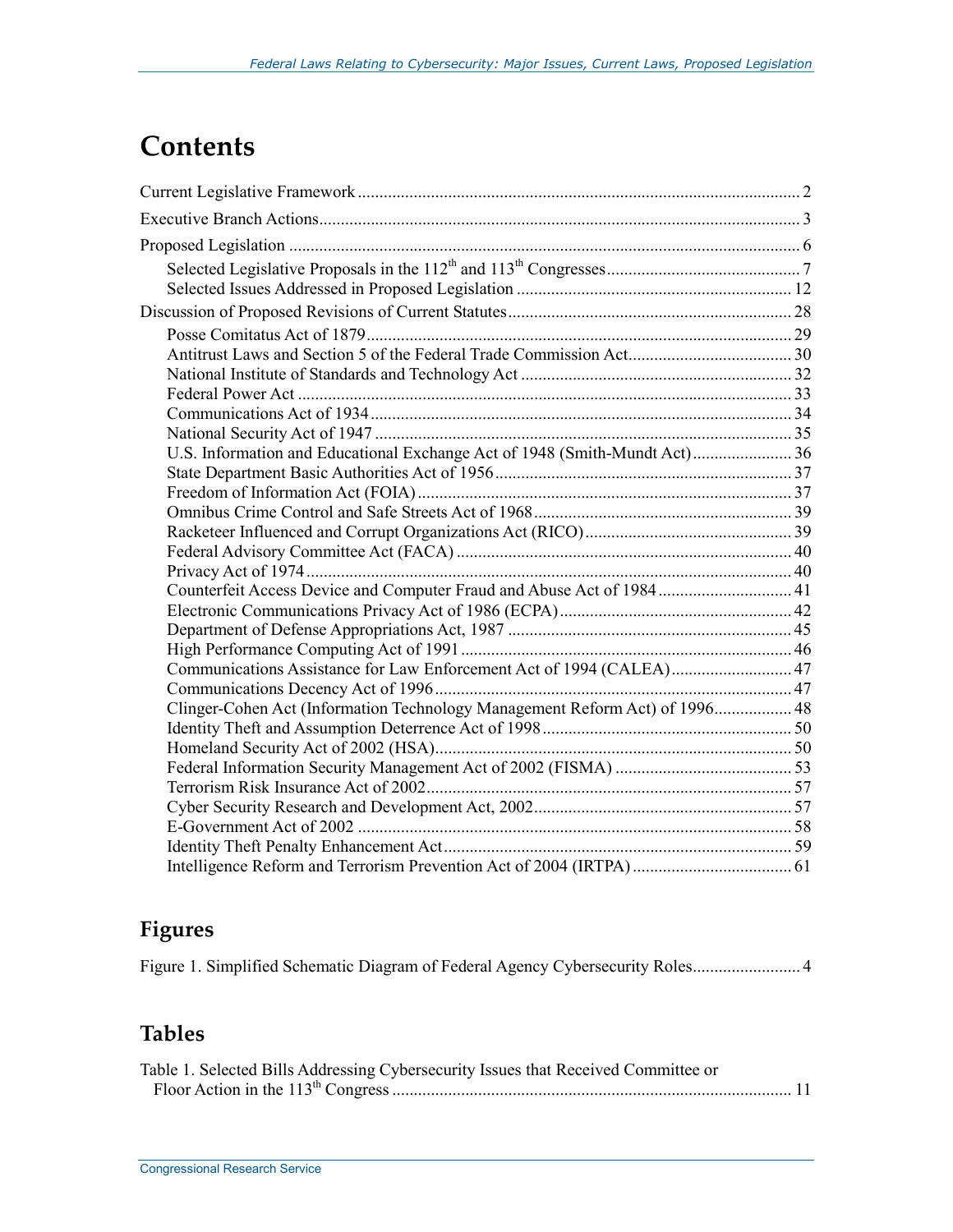# **Contents**

| U.S. Information and Educational Exchange Act of 1948 (Smith-Mundt Act) 36  |  |
|-----------------------------------------------------------------------------|--|
|                                                                             |  |
|                                                                             |  |
|                                                                             |  |
|                                                                             |  |
|                                                                             |  |
| Counterfeit Access Device and Computer Fraud and Abuse Act of 1984 41       |  |
|                                                                             |  |
|                                                                             |  |
|                                                                             |  |
| Communications Assistance for Law Enforcement Act of 1994 (CALEA) 47        |  |
|                                                                             |  |
| Clinger-Cohen Act (Information Technology Management Reform Act) of 1996 48 |  |
|                                                                             |  |
|                                                                             |  |
|                                                                             |  |
|                                                                             |  |
|                                                                             |  |
|                                                                             |  |
|                                                                             |  |
|                                                                             |  |

# **Figures**

|  |  |  | Figure 1. Simplified Schematic Diagram of Federal Agency Cybersecurity Roles 4 |  |  |
|--|--|--|--------------------------------------------------------------------------------|--|--|
|--|--|--|--------------------------------------------------------------------------------|--|--|

# **Tables**

| Table 1. Selected Bills Addressing Cybersecurity Issues that Received Committee or |  |
|------------------------------------------------------------------------------------|--|
|                                                                                    |  |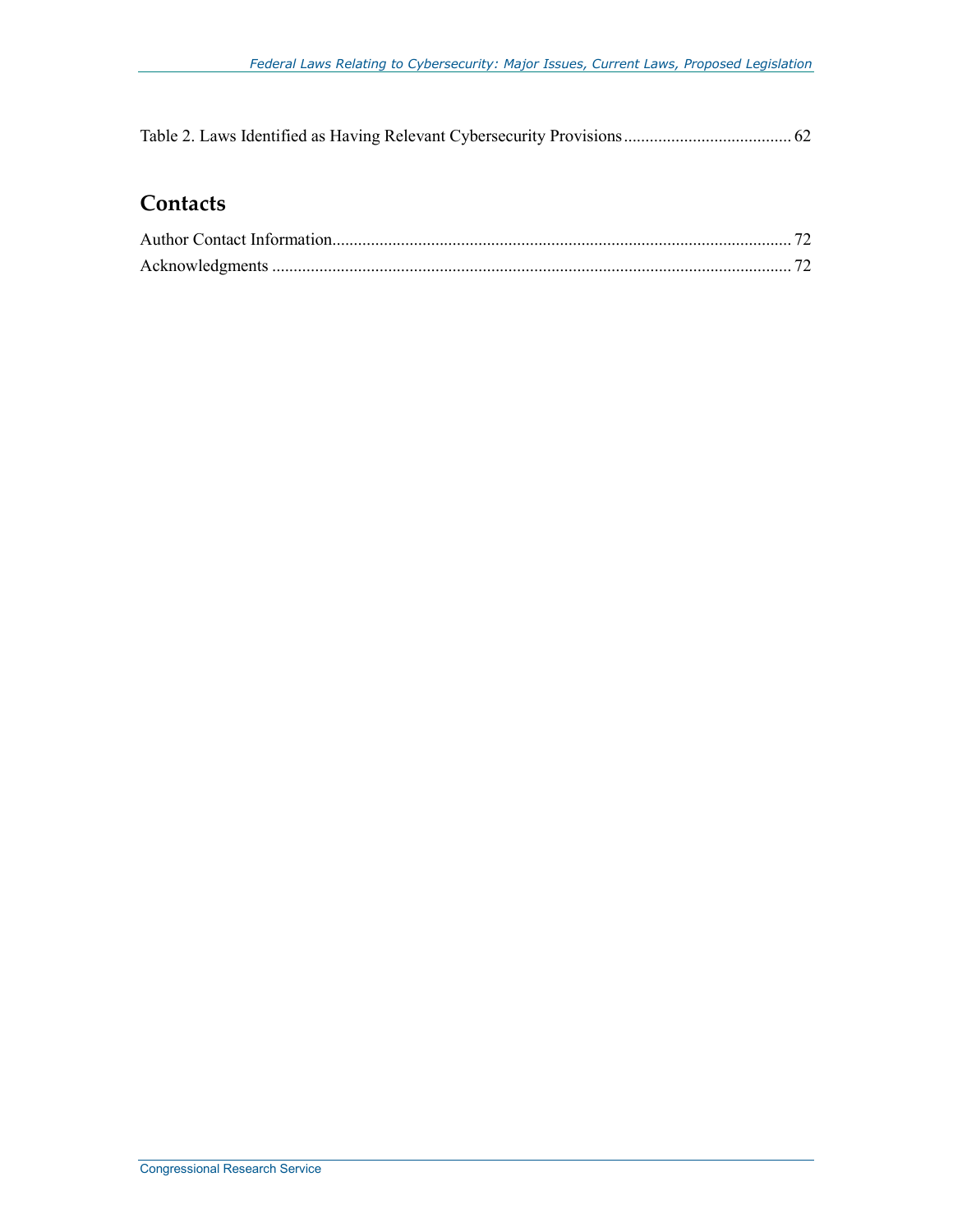Table 2. Laws Identified as Having Relevant Cybersecurity Provisions ....................................... 62

# **Contacts**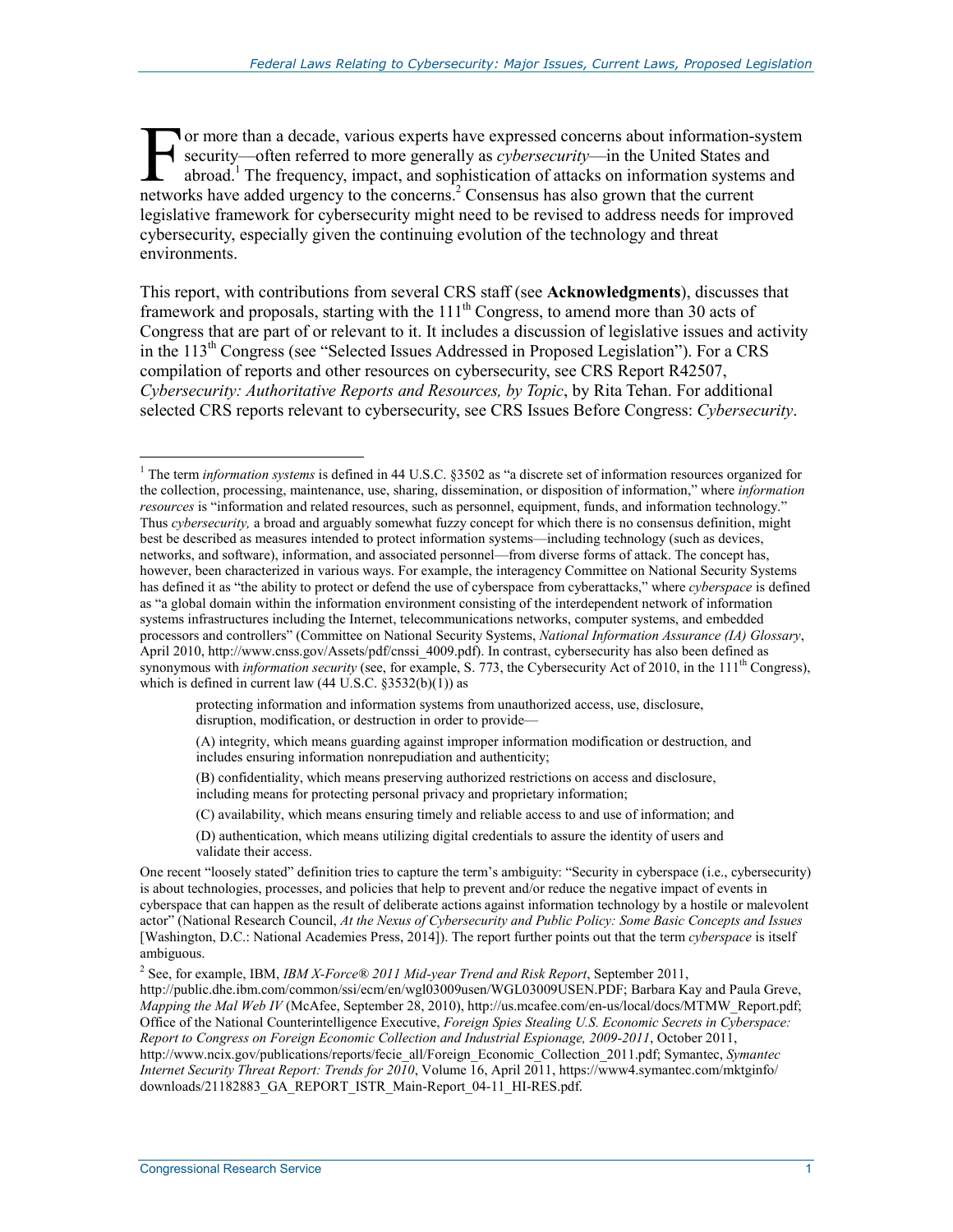or more than a decade, various experts have expressed concerns about information-system security—often referred to more generally as *cybersecurity*—in the United States and abroad.<sup>1</sup> The frequency, impact, and sophistication of attacks on information systems and The movement of the concerns about information-security—often referred to more generally as *cybersecurity*—in the United States are abroad.<sup>1</sup> The frequency, impact, and sophistication of attacks on information system net legislative framework for cybersecurity might need to be revised to address needs for improved cybersecurity, especially given the continuing evolution of the technology and threat environments.

This report, with contributions from several CRS staff (see **Acknowledgments**), discusses that framework and proposals, starting with the 111<sup>th</sup> Congress, to amend more than 30 acts of Congress that are part of or relevant to it. It includes a discussion of legislative issues and activity in the  $113<sup>th</sup>$  Congress (see "Selected Issues Addressed in Proposed Legislation"). For a CRS compilation of reports and other resources on cybersecurity, see CRS Report R42507, *Cybersecurity: Authoritative Reports and Resources, by Topic*, by Rita Tehan. For additional selected CRS reports relevant to cybersecurity, see CRS Issues Before Congress: *Cybersecurity*.

protecting information and information systems from unauthorized access, use, disclosure, disruption, modification, or destruction in order to provide—

(B) confidentiality, which means preserving authorized restrictions on access and disclosure, including means for protecting personal privacy and proprietary information;

- (C) availability, which means ensuring timely and reliable access to and use of information; and
- (D) authentication, which means utilizing digital credentials to assure the identity of users and validate their access.

<sup>&</sup>lt;sup>1</sup> The term *information systems* is defined in 44 U.S.C. §3502 as "a discrete set of information resources organized for the collection, processing, maintenance, use, sharing, dissemination, or disposition of information," where *information resources* is "information and related resources, such as personnel, equipment, funds, and information technology." Thus *cybersecurity,* a broad and arguably somewhat fuzzy concept for which there is no consensus definition, might best be described as measures intended to protect information systems—including technology (such as devices, networks, and software), information, and associated personnel—from diverse forms of attack. The concept has, however, been characterized in various ways. For example, the interagency Committee on National Security Systems has defined it as "the ability to protect or defend the use of cyberspace from cyberattacks," where *cyberspace* is defined as "a global domain within the information environment consisting of the interdependent network of information systems infrastructures including the Internet, telecommunications networks, computer systems, and embedded processors and controllers" (Committee on National Security Systems, *National Information Assurance (IA) Glossary*, April 2010, http://www.cnss.gov/Assets/pdf/cnssi\_4009.pdf). In contrast, cybersecurity has also been defined as synonymous with *information security* (see, for example, S. 773, the Cybersecurity Act of 2010, in the 111<sup>th</sup> Congress), which is defined in current law  $(44 \text{ U.S.C. } §3532(b)(1))$  as

<sup>(</sup>A) integrity, which means guarding against improper information modification or destruction, and includes ensuring information nonrepudiation and authenticity;

One recent "loosely stated" definition tries to capture the term's ambiguity: "Security in cyberspace (i.e., cybersecurity) is about technologies, processes, and policies that help to prevent and/or reduce the negative impact of events in cyberspace that can happen as the result of deliberate actions against information technology by a hostile or malevolent actor" (National Research Council, *At the Nexus of Cybersecurity and Public Policy: Some Basic Concepts and Issues* [Washington, D.C.: National Academies Press, 2014]). The report further points out that the term *cyberspace* is itself ambiguous.

<sup>2</sup> See, for example, IBM, *IBM X-Force® 2011 Mid-year Trend and Risk Report*, September 2011, http://public.dhe.ibm.com/common/ssi/ecm/en/wgl03009usen/WGL03009USEN.PDF; Barbara Kay and Paula Greve, *Mapping the Mal Web IV* (McAfee, September 28, 2010), http://us.mcafee.com/en-us/local/docs/MTMW\_Report.pdf; Office of the National Counterintelligence Executive, *Foreign Spies Stealing U.S. Economic Secrets in Cyberspace: Report to Congress on Foreign Economic Collection and Industrial Espionage, 2009-2011*, October 2011, http://www.ncix.gov/publications/reports/fecie\_all/Foreign\_Economic\_Collection\_2011.pdf; Symantec, *Symantec Internet Security Threat Report: Trends for 2010*, Volume 16, April 2011, https://www4.symantec.com/mktginfo/ downloads/21182883\_GA\_REPORT\_ISTR\_Main-Report\_04-11\_HI-RES.pdf.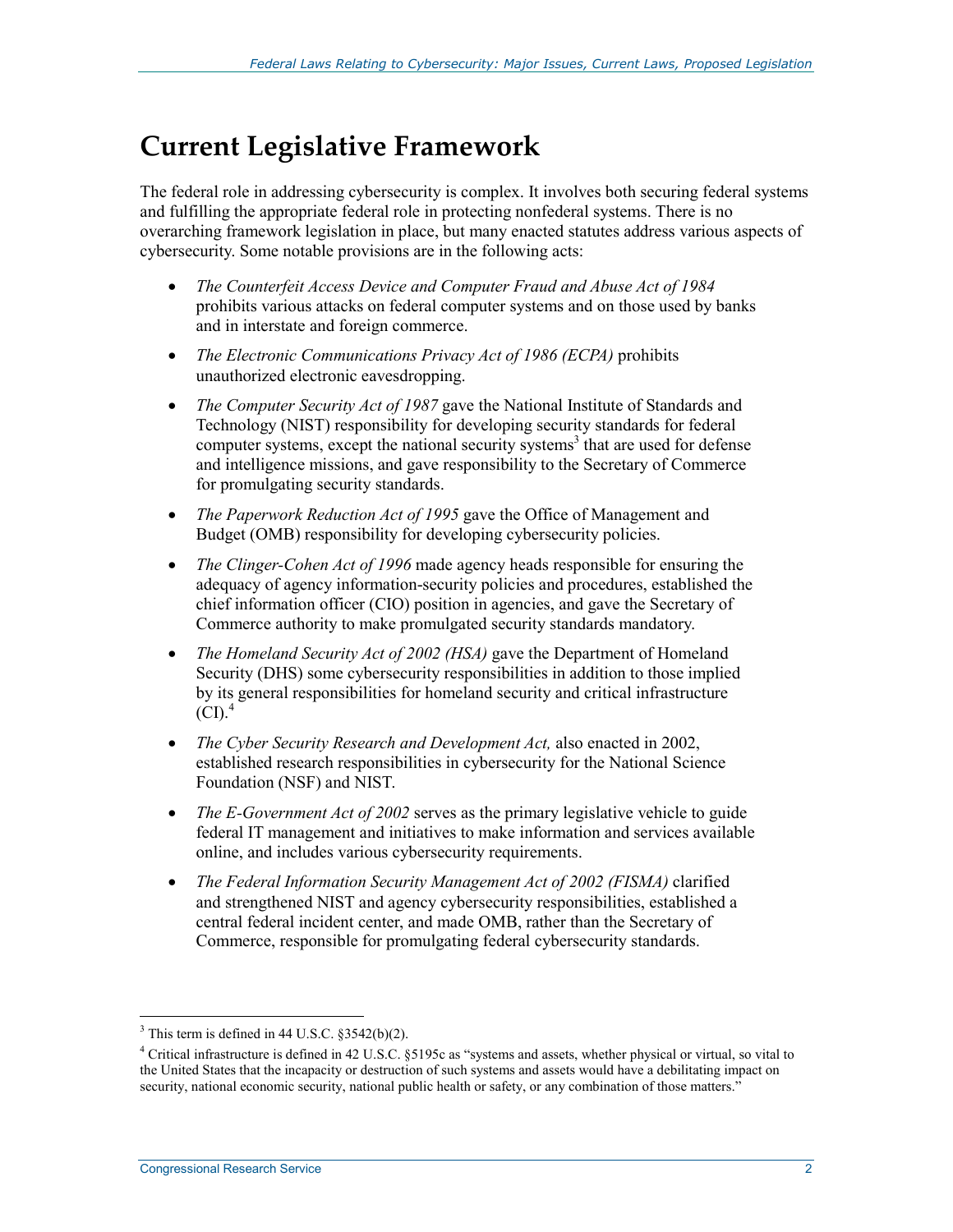# **Current Legislative Framework**

The federal role in addressing cybersecurity is complex. It involves both securing federal systems and fulfilling the appropriate federal role in protecting nonfederal systems. There is no overarching framework legislation in place, but many enacted statutes address various aspects of cybersecurity. Some notable provisions are in the following acts:

- *The Counterfeit Access Device and Computer Fraud and Abuse Act of 1984* prohibits various attacks on federal computer systems and on those used by banks and in interstate and foreign commerce.
- *The Electronic Communications Privacy Act of 1986 (ECPA)* prohibits unauthorized electronic eavesdropping.
- *The Computer Security Act of 1987* gave the National Institute of Standards and Technology (NIST) responsibility for developing security standards for federal computer systems, except the national security systems<sup>3</sup> that are used for defense and intelligence missions, and gave responsibility to the Secretary of Commerce for promulgating security standards.
- *The Paperwork Reduction Act of 1995* gave the Office of Management and Budget (OMB) responsibility for developing cybersecurity policies.
- *The Clinger-Cohen Act of 1996* made agency heads responsible for ensuring the adequacy of agency information-security policies and procedures, established the chief information officer (CIO) position in agencies, and gave the Secretary of Commerce authority to make promulgated security standards mandatory.
- *The Homeland Security Act of 2002 (HSA)* gave the Department of Homeland Security (DHS) some cybersecurity responsibilities in addition to those implied by its general responsibilities for homeland security and critical infrastructure  $(CI)<sup>4</sup>$
- *The Cyber Security Research and Development Act,* also enacted in 2002, established research responsibilities in cybersecurity for the National Science Foundation (NSF) and NIST.
- *The E-Government Act of 2002* serves as the primary legislative vehicle to guide federal IT management and initiatives to make information and services available online, and includes various cybersecurity requirements.
- *The Federal Information Security Management Act of 2002 (FISMA)* clarified and strengthened NIST and agency cybersecurity responsibilities, established a central federal incident center, and made OMB, rather than the Secretary of Commerce, responsible for promulgating federal cybersecurity standards.

 $3$  This term is defined in 44 U.S.C. §3542(b)(2).

<sup>&</sup>lt;sup>4</sup> Critical infrastructure is defined in 42 U.S.C. §5195c as "systems and assets, whether physical or virtual, so vital to the United States that the incapacity or destruction of such systems and assets would have a debilitating impact on security, national economic security, national public health or safety, or any combination of those matters."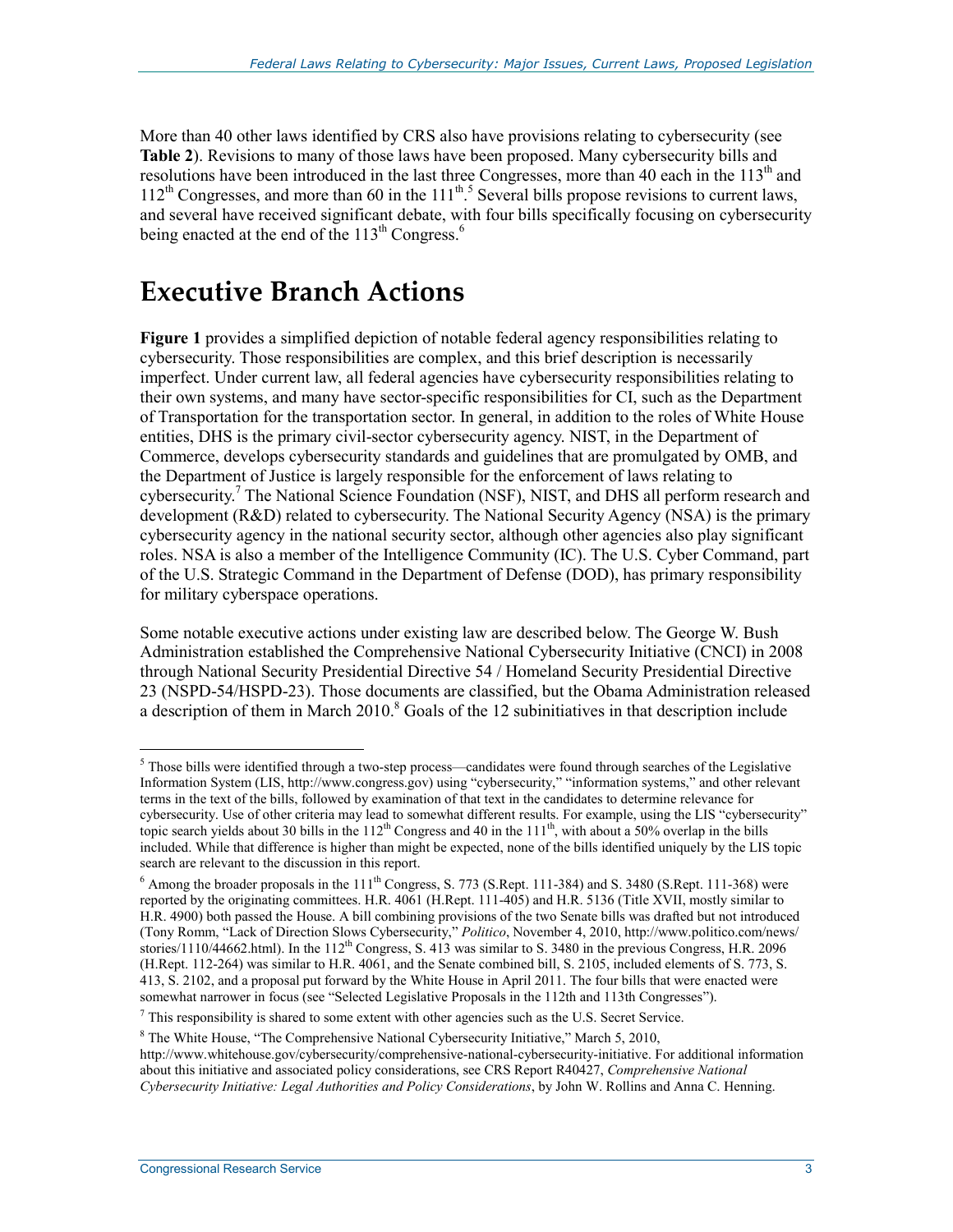More than 40 other laws identified by CRS also have provisions relating to cybersecurity (see **Table 2**). Revisions to many of those laws have been proposed. Many cybersecurity bills and resolutions have been introduced in the last three Congresses, more than 40 each in the 113<sup>th</sup> and  $112<sup>th</sup>$  Congresses, and more than 60 in the  $111<sup>th.5</sup>$  Several bills propose revisions to current laws, and several have received significant debate, with four bills specifically focusing on cybersecurity being enacted at the end of the 113<sup>th</sup> Congress.<sup>6</sup>

# **Executive Branch Actions**

**Figure 1** provides a simplified depiction of notable federal agency responsibilities relating to cybersecurity. Those responsibilities are complex, and this brief description is necessarily imperfect. Under current law, all federal agencies have cybersecurity responsibilities relating to their own systems, and many have sector-specific responsibilities for CI, such as the Department of Transportation for the transportation sector. In general, in addition to the roles of White House entities, DHS is the primary civil-sector cybersecurity agency. NIST, in the Department of Commerce, develops cybersecurity standards and guidelines that are promulgated by OMB, and the Department of Justice is largely responsible for the enforcement of laws relating to cybersecurity.<sup>7</sup> The National Science Foundation (NSF), NIST, and DHS all perform research and development (R&D) related to cybersecurity. The National Security Agency (NSA) is the primary cybersecurity agency in the national security sector, although other agencies also play significant roles. NSA is also a member of the Intelligence Community (IC). The U.S. Cyber Command, part of the U.S. Strategic Command in the Department of Defense (DOD), has primary responsibility for military cyberspace operations.

Some notable executive actions under existing law are described below. The George W. Bush Administration established the Comprehensive National Cybersecurity Initiative (CNCI) in 2008 through National Security Presidential Directive 54 / Homeland Security Presidential Directive 23 (NSPD-54/HSPD-23). Those documents are classified, but the Obama Administration released a description of them in March  $2010$ .<sup>8</sup> Goals of the 12 subinitiatives in that description include

 $<sup>5</sup>$  Those bills were identified through a two-step process—candidates were found through searches of the Legislative</sup> Information System (LIS, http://www.congress.gov) using "cybersecurity," "information systems," and other relevant terms in the text of the bills, followed by examination of that text in the candidates to determine relevance for cybersecurity. Use of other criteria may lead to somewhat different results. For example, using the LIS "cybersecurity" topic search yields about 30 bills in the 112<sup>th</sup> Congress and 40 in the 111<sup>th</sup>, with about a 50% overlap in the bills included. While that difference is higher than might be expected, none of the bills identified uniquely by the LIS topic search are relevant to the discussion in this report.

 $6$  Among the broader proposals in the  $111<sup>th</sup>$  Congress, S. 773 (S.Rept. 111-384) and S. 3480 (S.Rept. 111-368) were reported by the originating committees. H.R. 4061 (H.Rept. 111-405) and H.R. 5136 (Title XVII, mostly similar to H.R. 4900) both passed the House. A bill combining provisions of the two Senate bills was drafted but not introduced (Tony Romm, "Lack of Direction Slows Cybersecurity," *Politico*, November 4, 2010, http://www.politico.com/news/ stories/1110/44662.html). In the  $112^{th}$  Congress, S. 413 was similar to S. 3480 in the previous Congress, H.R. 2096 (H.Rept. 112-264) was similar to H.R. 4061, and the Senate combined bill, S. 2105, included elements of S. 773, S. 413, S. 2102, and a proposal put forward by the White House in April 2011. The four bills that were enacted were somewhat narrower in focus (see "Selected Legislative Proposals in the 112th and 113th Congresses").

 $7$  This responsibility is shared to some extent with other agencies such as the U.S. Secret Service.

 $8$  The White House, "The Comprehensive National Cybersecurity Initiative," March 5, 2010,

http://www.whitehouse.gov/cybersecurity/comprehensive-national-cybersecurity-initiative. For additional information about this initiative and associated policy considerations, see CRS Report R40427, *Comprehensive National Cybersecurity Initiative: Legal Authorities and Policy Considerations*, by John W. Rollins and Anna C. Henning.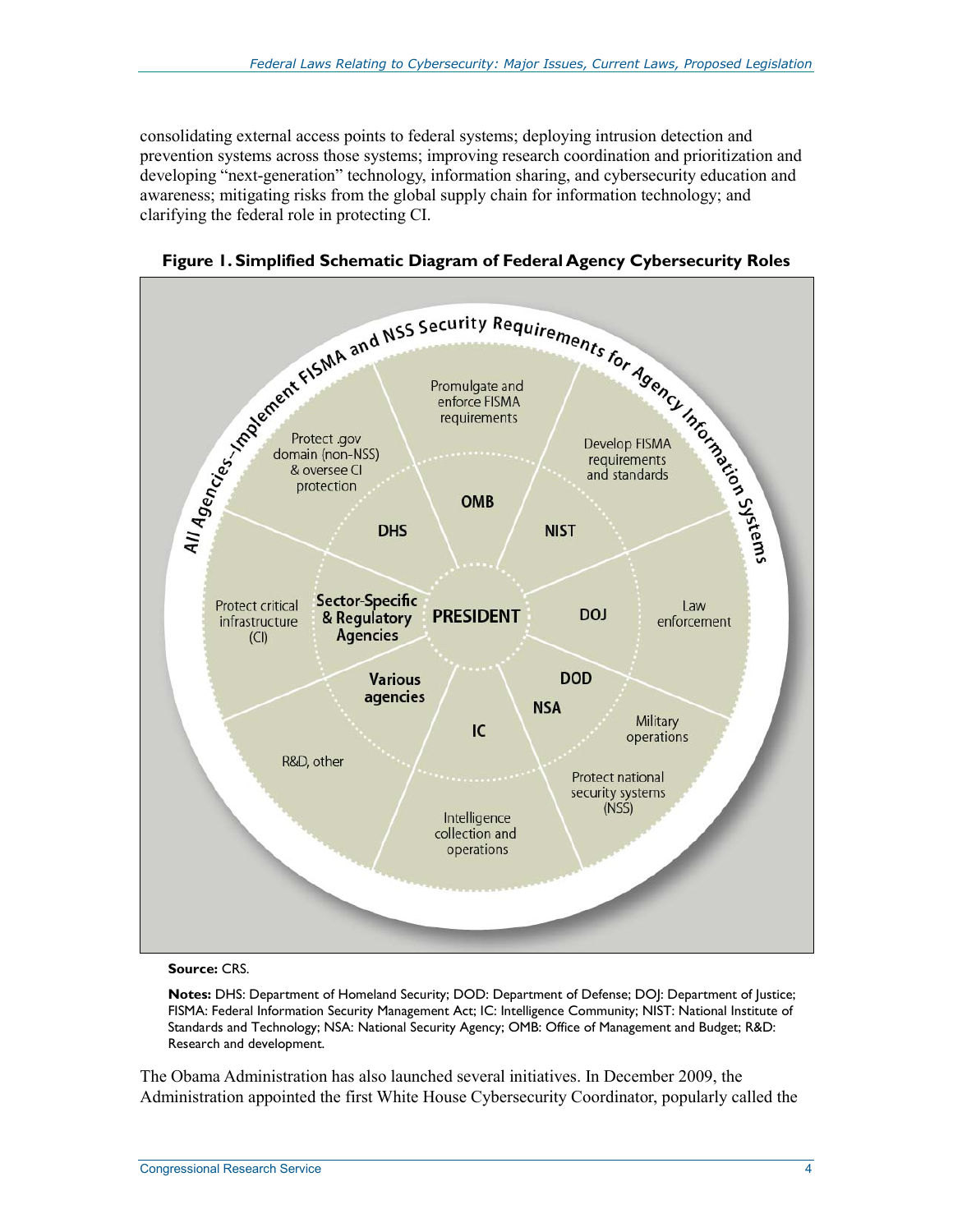consolidating external access points to federal systems; deploying intrusion detection and prevention systems across those systems; improving research coordination and prioritization and developing "next-generation" technology, information sharing, and cybersecurity education and awareness; mitigating risks from the global supply chain for information technology; and clarifying the federal role in protecting CI.



**Figure 1. Simplified Schematic Diagram of Federal Agency Cybersecurity Roles** 

#### **Source:** CRS.

**Notes:** DHS: Department of Homeland Security; DOD: Department of Defense; DOJ: Department of Justice; FISMA: Federal Information Security Management Act; IC: Intelligence Community; NIST: National Institute of Standards and Technology; NSA: National Security Agency; OMB: Office of Management and Budget; R&D: Research and development.

The Obama Administration has also launched several initiatives. In December 2009, the Administration appointed the first White House Cybersecurity Coordinator, popularly called the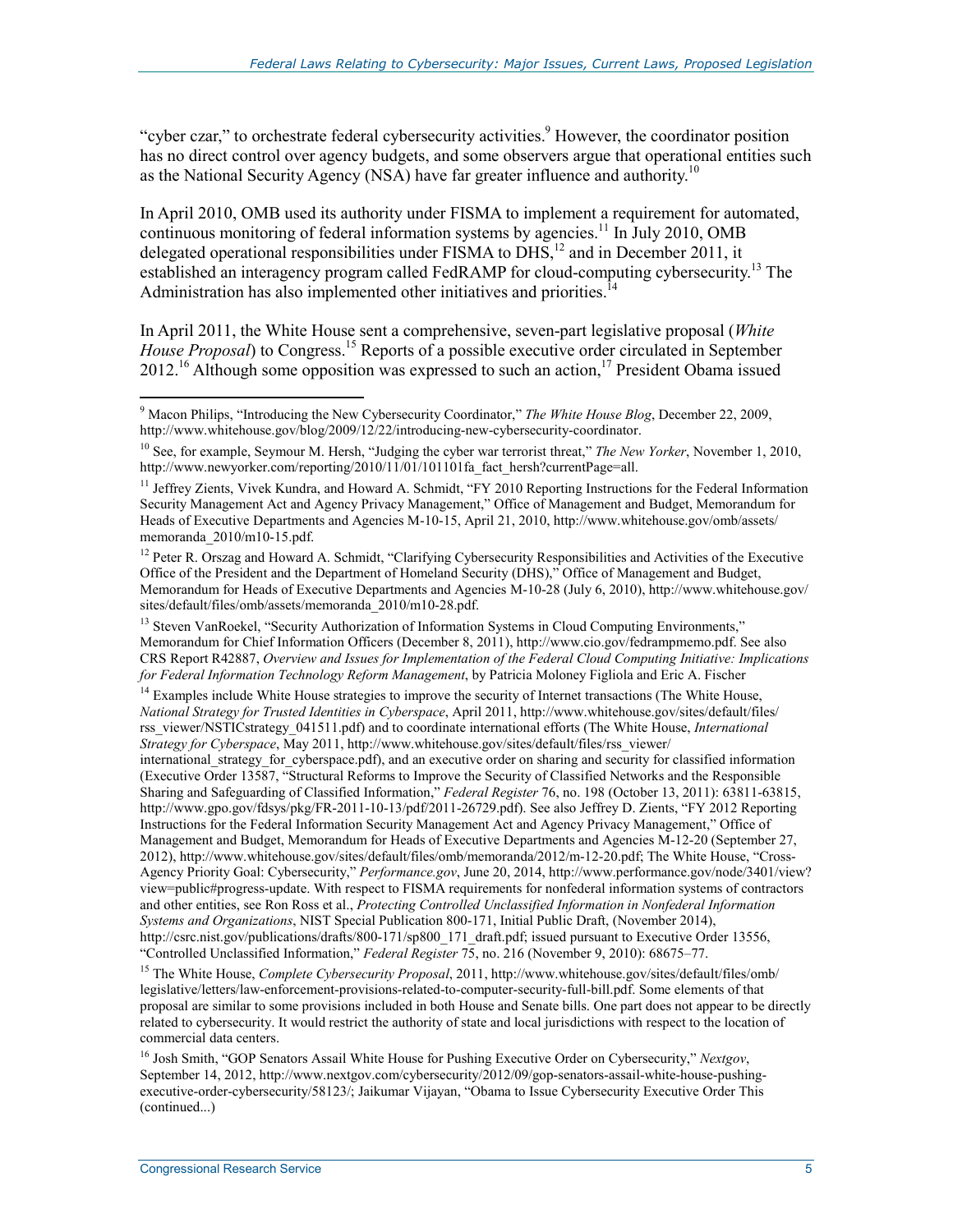"cyber czar," to orchestrate federal cybersecurity activities.<sup>9</sup> However, the coordinator position has no direct control over agency budgets, and some observers argue that operational entities such as the National Security Agency (NSA) have far greater influence and authority.<sup>10</sup>

In April 2010, OMB used its authority under FISMA to implement a requirement for automated, continuous monitoring of federal information systems by agencies.<sup>11</sup> In July 2010, OMB delegated operational responsibilities under FISMA to DHS,<sup>12</sup> and in December 2011, it established an interagency program called FedRAMP for cloud-computing cybersecurity.<sup>13</sup> The Administration has also implemented other initiatives and priorities.<sup>14</sup>

In April 2011, the White House sent a comprehensive, seven-part legislative proposal (*White House Proposal*) to Congress.15 Reports of a possible executive order circulated in September  $2012<sup>16</sup>$  Although some opposition was expressed to such an action.<sup>17</sup> President Obama issued

<sup>14</sup> Examples include White House strategies to improve the security of Internet transactions (The White House, *National Strategy for Trusted Identities in Cyberspace*, April 2011, http://www.whitehouse.gov/sites/default/files/ rss\_viewer/NSTICstrategy\_041511.pdf) and to coordinate international efforts (The White House, *International Strategy for Cyberspace*, May 2011, http://www.whitehouse.gov/sites/default/files/rss\_viewer/

international strategy for cyberspace.pdf), and an executive order on sharing and security for classified information (Executive Order 13587, "Structural Reforms to Improve the Security of Classified Networks and the Responsible Sharing and Safeguarding of Classified Information," *Federal Register* 76, no. 198 (October 13, 2011): 63811-63815, http://www.gpo.gov/fdsys/pkg/FR-2011-10-13/pdf/2011-26729.pdf). See also Jeffrey D. Zients, "FY 2012 Reporting Instructions for the Federal Information Security Management Act and Agency Privacy Management," Office of Management and Budget, Memorandum for Heads of Executive Departments and Agencies M-12-20 (September 27, 2012), http://www.whitehouse.gov/sites/default/files/omb/memoranda/2012/m-12-20.pdf; The White House, "Cross-Agency Priority Goal: Cybersecurity," *Performance.gov*, June 20, 2014, http://www.performance.gov/node/3401/view? view=public#progress-update. With respect to FISMA requirements for nonfederal information systems of contractors and other entities, see Ron Ross et al., *Protecting Controlled Unclassified Information in Nonfederal Information Systems and Organizations*, NIST Special Publication 800-171, Initial Public Draft, (November 2014), http://csrc.nist.gov/publications/drafts/800-171/sp800\_171\_draft.pdf; issued pursuant to Executive Order 13556, "Controlled Unclassified Information," *Federal Register* 75, no. 216 (November 9, 2010): 68675–77.

15 The White House, *Complete Cybersecurity Proposal*, 2011, http://www.whitehouse.gov/sites/default/files/omb/ legislative/letters/law-enforcement-provisions-related-to-computer-security-full-bill.pdf. Some elements of that proposal are similar to some provisions included in both House and Senate bills. One part does not appear to be directly related to cybersecurity. It would restrict the authority of state and local jurisdictions with respect to the location of commercial data centers.

16 Josh Smith, "GOP Senators Assail White House for Pushing Executive Order on Cybersecurity," *Nextgov*, September 14, 2012, http://www.nextgov.com/cybersecurity/2012/09/gop-senators-assail-white-house-pushingexecutive-order-cybersecurity/58123/; Jaikumar Vijayan, "Obama to Issue Cybersecurity Executive Order This (continued...)

 9 Macon Philips, "Introducing the New Cybersecurity Coordinator," *The White House Blog*, December 22, 2009, http://www.whitehouse.gov/blog/2009/12/22/introducing-new-cybersecurity-coordinator.

<sup>10</sup> See, for example, Seymour M. Hersh, "Judging the cyber war terrorist threat," *The New Yorker*, November 1, 2010, http://www.newyorker.com/reporting/2010/11/01/101101fa fact\_hersh?currentPage=all.

<sup>&</sup>lt;sup>11</sup> Jeffrey Zients, Vivek Kundra, and Howard A. Schmidt, "FY 2010 Reporting Instructions for the Federal Information Security Management Act and Agency Privacy Management," Office of Management and Budget, Memorandum for Heads of Executive Departments and Agencies M-10-15, April 21, 2010, http://www.whitehouse.gov/omb/assets/ memoranda\_2010/m10-15.pdf.

<sup>&</sup>lt;sup>12</sup> Peter R. Orszag and Howard A. Schmidt, "Clarifying Cybersecurity Responsibilities and Activities of the Executive Office of the President and the Department of Homeland Security (DHS)," Office of Management and Budget, Memorandum for Heads of Executive Departments and Agencies M-10-28 (July 6, 2010), http://www.whitehouse.gov/ sites/default/files/omb/assets/memoranda\_2010/m10-28.pdf.

<sup>&</sup>lt;sup>13</sup> Steven VanRoekel, "Security Authorization of Information Systems in Cloud Computing Environments," Memorandum for Chief Information Officers (December 8, 2011), http://www.cio.gov/fedrampmemo.pdf. See also CRS Report R42887, *Overview and Issues for Implementation of the Federal Cloud Computing Initiative: Implications for Federal Information Technology Reform Management*, by Patricia Moloney Figliola and Eric A. Fischer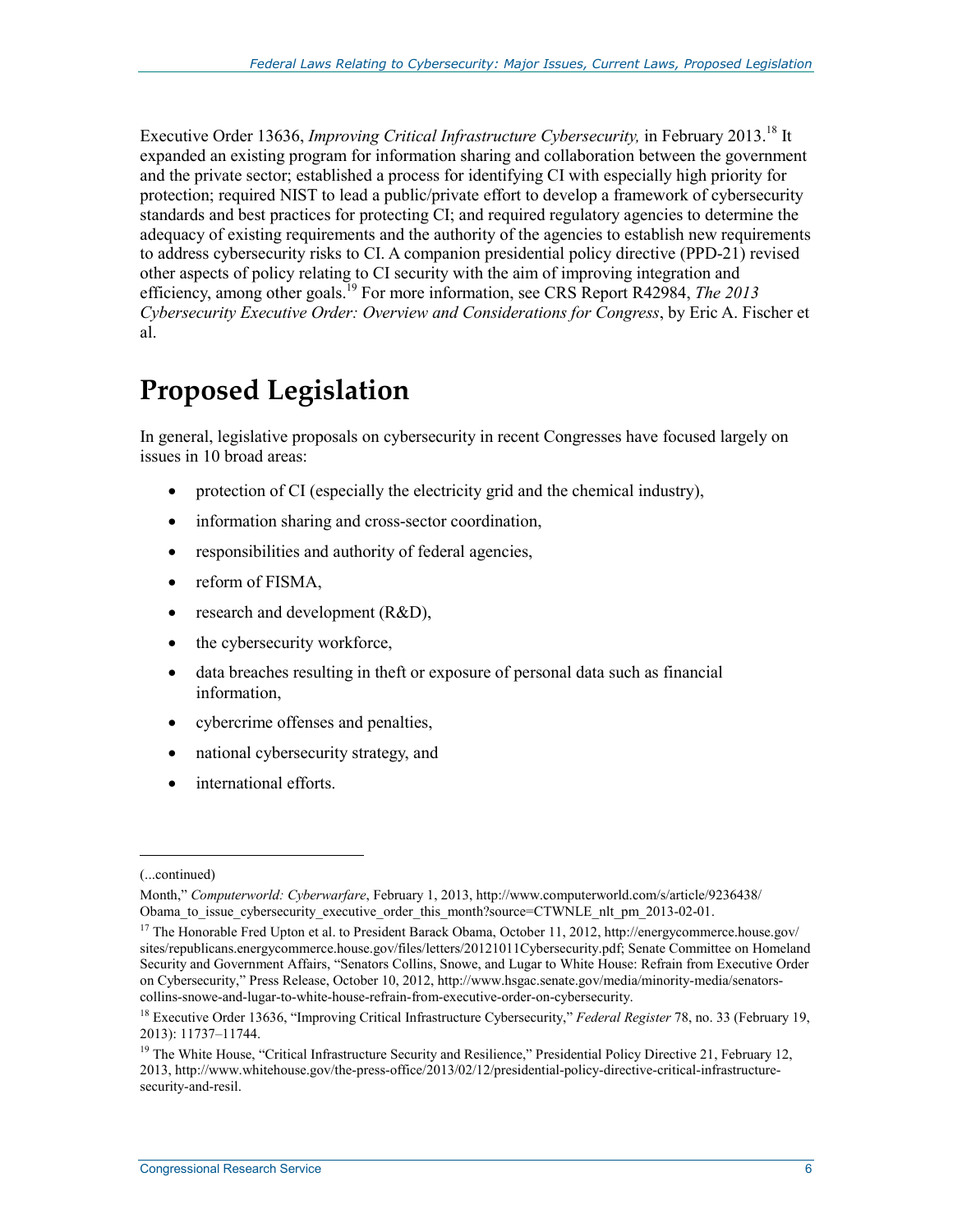Executive Order 13636, *Improving Critical Infrastructure Cybersecurity,* in February 2013.18 It expanded an existing program for information sharing and collaboration between the government and the private sector; established a process for identifying CI with especially high priority for protection; required NIST to lead a public/private effort to develop a framework of cybersecurity standards and best practices for protecting CI; and required regulatory agencies to determine the adequacy of existing requirements and the authority of the agencies to establish new requirements to address cybersecurity risks to CI. A companion presidential policy directive (PPD-21) revised other aspects of policy relating to CI security with the aim of improving integration and efficiency, among other goals.<sup>19</sup> For more information, see CRS Report R42984, *The 2013 Cybersecurity Executive Order: Overview and Considerations for Congress*, by Eric A. Fischer et al.

# **Proposed Legislation**

In general, legislative proposals on cybersecurity in recent Congresses have focused largely on issues in 10 broad areas:

- protection of CI (especially the electricity grid and the chemical industry),
- information sharing and cross-sector coordination,
- responsibilities and authority of federal agencies,
- reform of FISMA,
- research and development (R&D),
- the cybersecurity workforce,
- data breaches resulting in theft or exposure of personal data such as financial information,
- cybercrime offenses and penalties,
- national cybersecurity strategy, and
- international efforts.

<sup>(...</sup>continued)

Month," *Computerworld: Cyberwarfare*, February 1, 2013, http://www.computerworld.com/s/article/9236438/ Obama to issue cybersecurity executive order this month?source=CTWNLE nlt pm 2013-02-01.

<sup>&</sup>lt;sup>17</sup> The Honorable Fred Upton et al. to President Barack Obama, October 11, 2012, http://energycommerce.house.gov/ sites/republicans.energycommerce.house.gov/files/letters/20121011Cybersecurity.pdf; Senate Committee on Homeland Security and Government Affairs, "Senators Collins, Snowe, and Lugar to White House: Refrain from Executive Order on Cybersecurity," Press Release, October 10, 2012, http://www.hsgac.senate.gov/media/minority-media/senatorscollins-snowe-and-lugar-to-white-house-refrain-from-executive-order-on-cybersecurity.

<sup>18</sup> Executive Order 13636, "Improving Critical Infrastructure Cybersecurity," *Federal Register* 78, no. 33 (February 19, 2013): 11737–11744.

<sup>&</sup>lt;sup>19</sup> The White House, "Critical Infrastructure Security and Resilience," Presidential Policy Directive 21, February 12, 2013, http://www.whitehouse.gov/the-press-office/2013/02/12/presidential-policy-directive-critical-infrastructuresecurity-and-resil.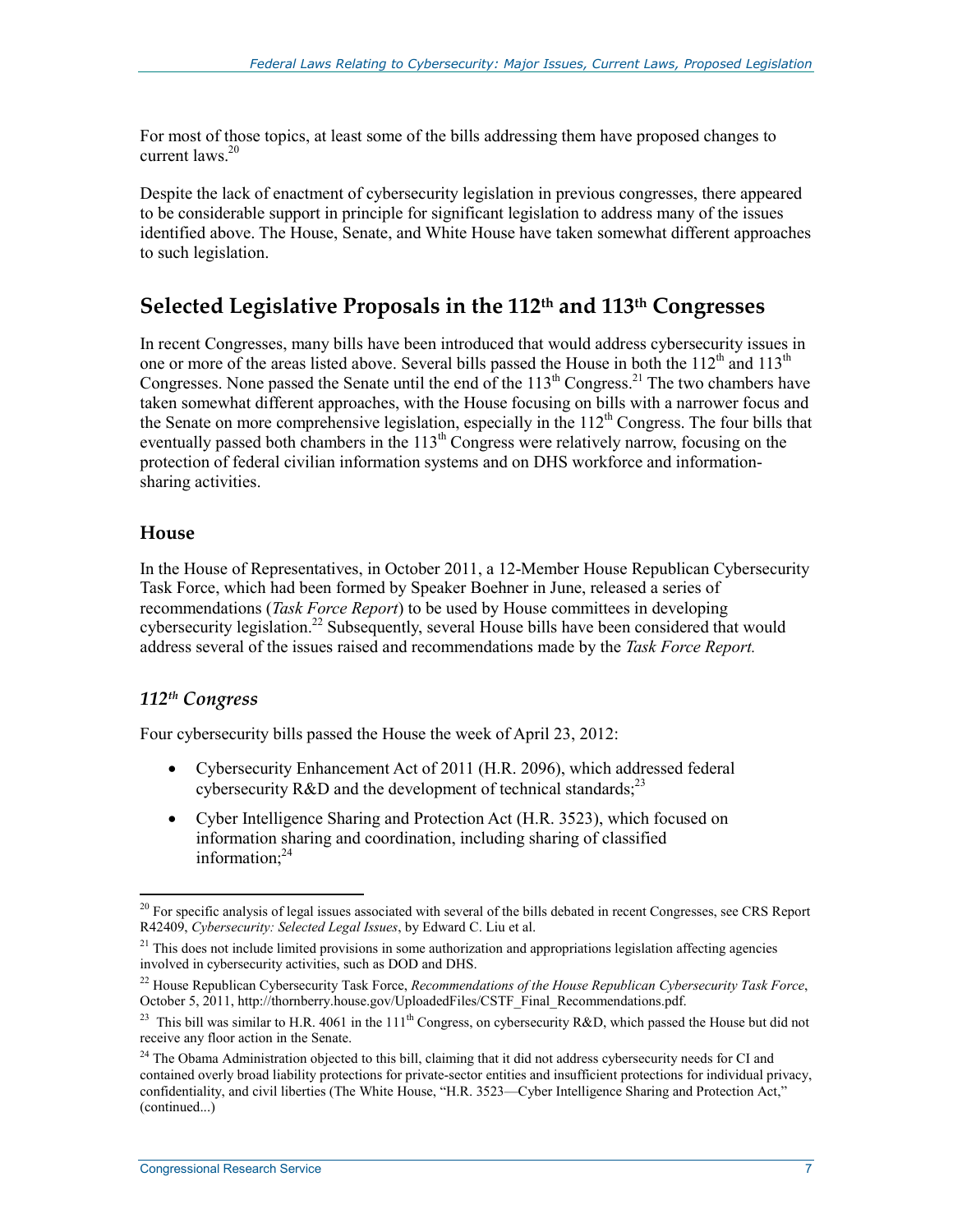For most of those topics, at least some of the bills addressing them have proposed changes to current laws.<sup>20</sup>

Despite the lack of enactment of cybersecurity legislation in previous congresses, there appeared to be considerable support in principle for significant legislation to address many of the issues identified above. The House, Senate, and White House have taken somewhat different approaches to such legislation.

# **Selected Legislative Proposals in the 112th and 113th Congresses**

In recent Congresses, many bills have been introduced that would address cybersecurity issues in one or more of the areas listed above. Several bills passed the House in both the 112<sup>th</sup> and 113<sup>th</sup> Congresses. None passed the Senate until the end of the  $113<sup>th</sup>$  Congress.<sup>21</sup> The two chambers have taken somewhat different approaches, with the House focusing on bills with a narrower focus and the Senate on more comprehensive legislation, especially in the  $112<sup>th</sup>$  Congress. The four bills that eventually passed both chambers in the  $113<sup>th</sup>$  Congress were relatively narrow, focusing on the protection of federal civilian information systems and on DHS workforce and informationsharing activities.

#### **House**

In the House of Representatives, in October 2011, a 12-Member House Republican Cybersecurity Task Force, which had been formed by Speaker Boehner in June, released a series of recommendations (*Task Force Report*) to be used by House committees in developing cybersecurity legislation.<sup>22</sup> Subsequently, several House bills have been considered that would address several of the issues raised and recommendations made by the *Task Force Report.*

#### *112th Congress*

Four cybersecurity bills passed the House the week of April 23, 2012:

- Cybersecurity Enhancement Act of 2011 (H.R. 2096), which addressed federal cybersecurity  $R&D$  and the development of technical standards;<sup>23</sup>
- Cyber Intelligence Sharing and Protection Act (H.R. 3523), which focused on information sharing and coordination, including sharing of classified information:<sup>24</sup>

<sup>&</sup>lt;u>.</u>  $20$  For specific analysis of legal issues associated with several of the bills debated in recent Congresses, see CRS Report R42409, *Cybersecurity: Selected Legal Issues*, by Edward C. Liu et al.

 $21$  This does not include limited provisions in some authorization and appropriations legislation affecting agencies involved in cybersecurity activities, such as DOD and DHS.

<sup>22</sup> House Republican Cybersecurity Task Force, *Recommendations of the House Republican Cybersecurity Task Force*, October 5, 2011, http://thornberry.house.gov/UploadedFiles/CSTF\_Final\_Recommendations.pdf.

<sup>&</sup>lt;sup>23</sup> This bill was similar to H.R. 4061 in the 11<sup>th</sup> Congress, on cybersecurity R&D, which passed the House but did not receive any floor action in the Senate.

<sup>&</sup>lt;sup>24</sup> The Obama Administration objected to this bill, claiming that it did not address cybersecurity needs for CI and contained overly broad liability protections for private-sector entities and insufficient protections for individual privacy, confidentiality, and civil liberties (The White House, "H.R. 3523—Cyber Intelligence Sharing and Protection Act," (continued...)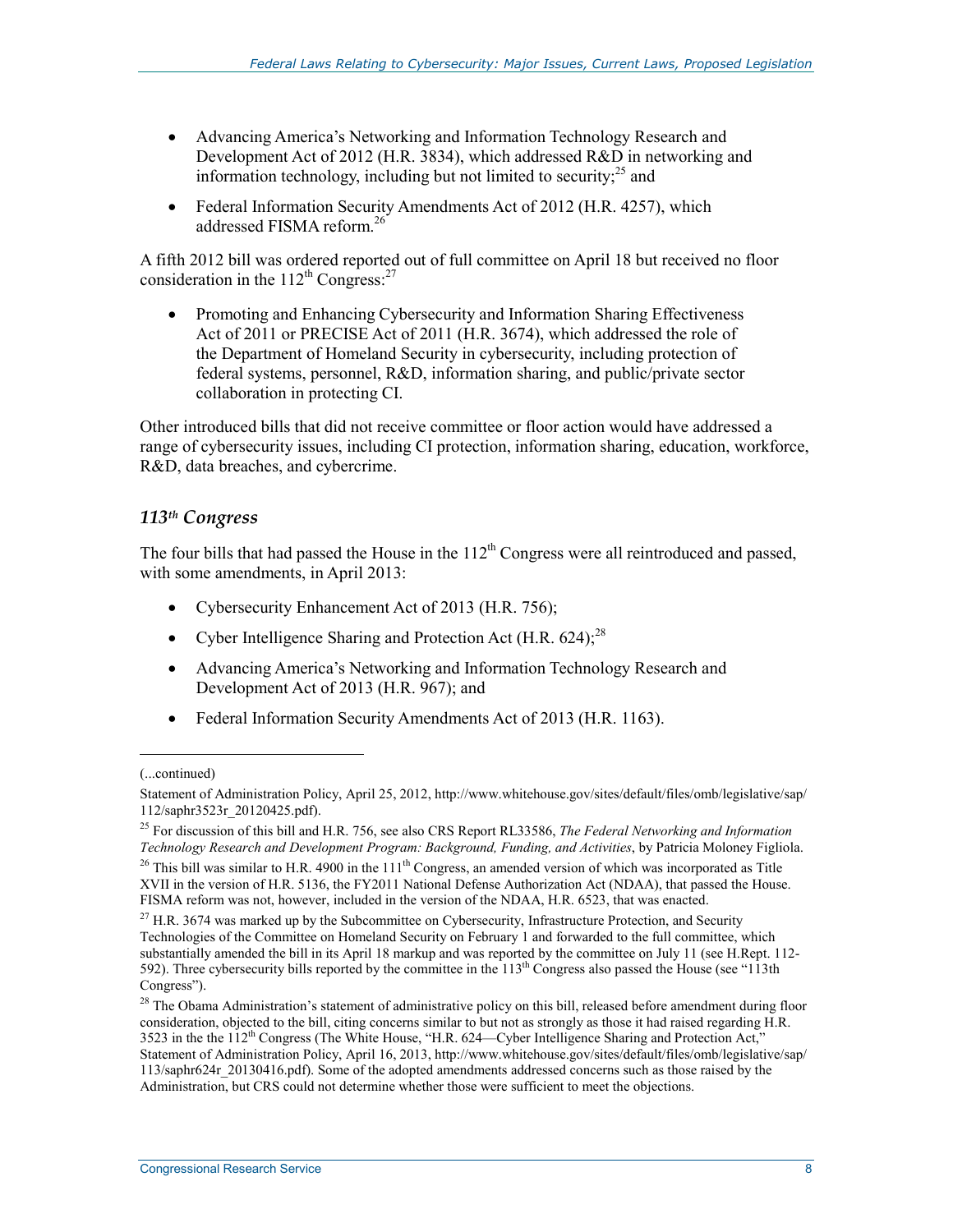- Advancing America's Networking and Information Technology Research and Development Act of 2012 (H.R. 3834), which addressed R&D in networking and information technology, including but not limited to security; $^{25}$  and
- Federal Information Security Amendments Act of 2012 (H.R. 4257), which addressed FISMA reform<sup>26</sup>

A fifth 2012 bill was ordered reported out of full committee on April 18 but received no floor consideration in the  $112^{th}$  Congress:<sup>27</sup>

• Promoting and Enhancing Cybersecurity and Information Sharing Effectiveness Act of 2011 or PRECISE Act of 2011 (H.R. 3674), which addressed the role of the Department of Homeland Security in cybersecurity, including protection of federal systems, personnel, R&D, information sharing, and public/private sector collaboration in protecting CI.

Other introduced bills that did not receive committee or floor action would have addressed a range of cybersecurity issues, including CI protection, information sharing, education, workforce, R&D, data breaches, and cybercrime.

# *113th Congress*

The four bills that had passed the House in the  $112<sup>th</sup>$  Congress were all reintroduced and passed, with some amendments, in April 2013:

- Cybersecurity Enhancement Act of 2013 (H.R. 756);
- Cyber Intelligence Sharing and Protection Act  $(H.R. 624)$ ;<sup>28</sup>
- Advancing America's Networking and Information Technology Research and Development Act of 2013 (H.R. 967); and
- Federal Information Security Amendments Act of 2013 (H.R. 1163).

 $\overline{a}$ 

<sup>(...</sup>continued)

Statement of Administration Policy, April 25, 2012, http://www.whitehouse.gov/sites/default/files/omb/legislative/sap/ 112/saphr3523r\_20120425.pdf).

<sup>25</sup> For discussion of this bill and H.R. 756, see also CRS Report RL33586, *The Federal Networking and Information Technology Research and Development Program: Background, Funding, and Activities*, by Patricia Moloney Figliola.

<sup>&</sup>lt;sup>26</sup> This bill was similar to H.R. 4900 in the  $111<sup>th</sup>$  Congress, an amended version of which was incorporated as Title XVII in the version of H.R. 5136, the FY2011 National Defense Authorization Act (NDAA), that passed the House. FISMA reform was not, however, included in the version of the NDAA, H.R. 6523, that was enacted.

<sup>&</sup>lt;sup>27</sup> H.R. 3674 was marked up by the Subcommittee on Cybersecurity, Infrastructure Protection, and Security Technologies of the Committee on Homeland Security on February 1 and forwarded to the full committee, which substantially amended the bill in its April 18 markup and was reported by the committee on July 11 (see H.Rept. 112- 592). Three cybersecurity bills reported by the committee in the 113th Congress also passed the House (see "113th Congress").

<sup>&</sup>lt;sup>28</sup> The Obama Administration's statement of administrative policy on this bill, released before amendment during floor consideration, objected to the bill, citing concerns similar to but not as strongly as those it had raised regarding H.R. 3523 in the the  $112<sup>th</sup>$  Congress (The White House, "H.R. 624—Cyber Intelligence Sharing and Protection Act," Statement of Administration Policy, April 16, 2013, http://www.whitehouse.gov/sites/default/files/omb/legislative/sap/ 113/saphr624r\_20130416.pdf). Some of the adopted amendments addressed concerns such as those raised by the Administration, but CRS could not determine whether those were sufficient to meet the objections.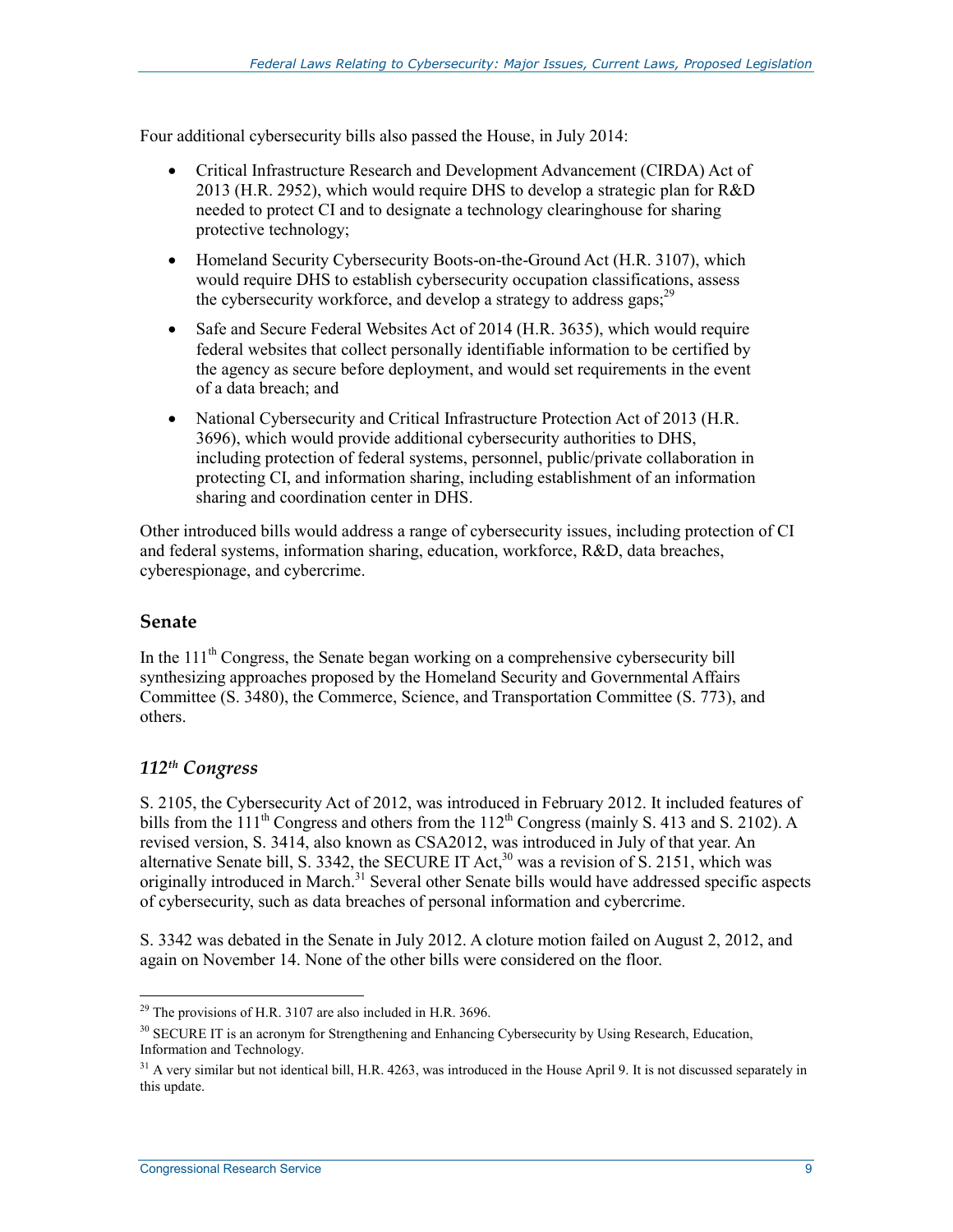Four additional cybersecurity bills also passed the House, in July 2014:

- Critical Infrastructure Research and Development Advancement (CIRDA) Act of 2013 (H.R. 2952), which would require DHS to develop a strategic plan for R&D needed to protect CI and to designate a technology clearinghouse for sharing protective technology;
- Homeland Security Cybersecurity Boots-on-the-Ground Act (H.R. 3107), which would require DHS to establish cybersecurity occupation classifications, assess the cybersecurity workforce, and develop a strategy to address gaps;<sup>29</sup>
- Safe and Secure Federal Websites Act of 2014 (H.R. 3635), which would require federal websites that collect personally identifiable information to be certified by the agency as secure before deployment, and would set requirements in the event of a data breach; and
- National Cybersecurity and Critical Infrastructure Protection Act of 2013 (H.R. 3696), which would provide additional cybersecurity authorities to DHS, including protection of federal systems, personnel, public/private collaboration in protecting CI, and information sharing, including establishment of an information sharing and coordination center in DHS.

Other introduced bills would address a range of cybersecurity issues, including protection of CI and federal systems, information sharing, education, workforce, R&D, data breaches, cyberespionage, and cybercrime.

### **Senate**

In the  $111<sup>th</sup>$  Congress, the Senate began working on a comprehensive cybersecurity bill synthesizing approaches proposed by the Homeland Security and Governmental Affairs Committee (S. 3480), the Commerce, Science, and Transportation Committee (S. 773), and others.

# *112th Congress*

S. 2105, the Cybersecurity Act of 2012, was introduced in February 2012. It included features of bills from the  $111<sup>th</sup>$  Congress and others from the  $112<sup>th</sup>$  Congress (mainly S. 413 and S. 2102). A revised version, S. 3414, also known as CSA2012, was introduced in July of that year. An alternative Senate bill, S. 3342, the SECURE IT Act,<sup>30</sup> was a revision of S. 2151, which was originally introduced in March.<sup>31</sup> Several other Senate bills would have addressed specific aspects of cybersecurity, such as data breaches of personal information and cybercrime.

S. 3342 was debated in the Senate in July 2012. A cloture motion failed on August 2, 2012, and again on November 14. None of the other bills were considered on the floor.

<sup>1</sup>  $^{29}$  The provisions of H.R. 3107 are also included in H.R. 3696.

<sup>&</sup>lt;sup>30</sup> SECURE IT is an acronym for Strengthening and Enhancing Cybersecurity by Using Research, Education, Information and Technology.

<sup>&</sup>lt;sup>31</sup> A very similar but not identical bill, H.R. 4263, was introduced in the House April 9. It is not discussed separately in this update.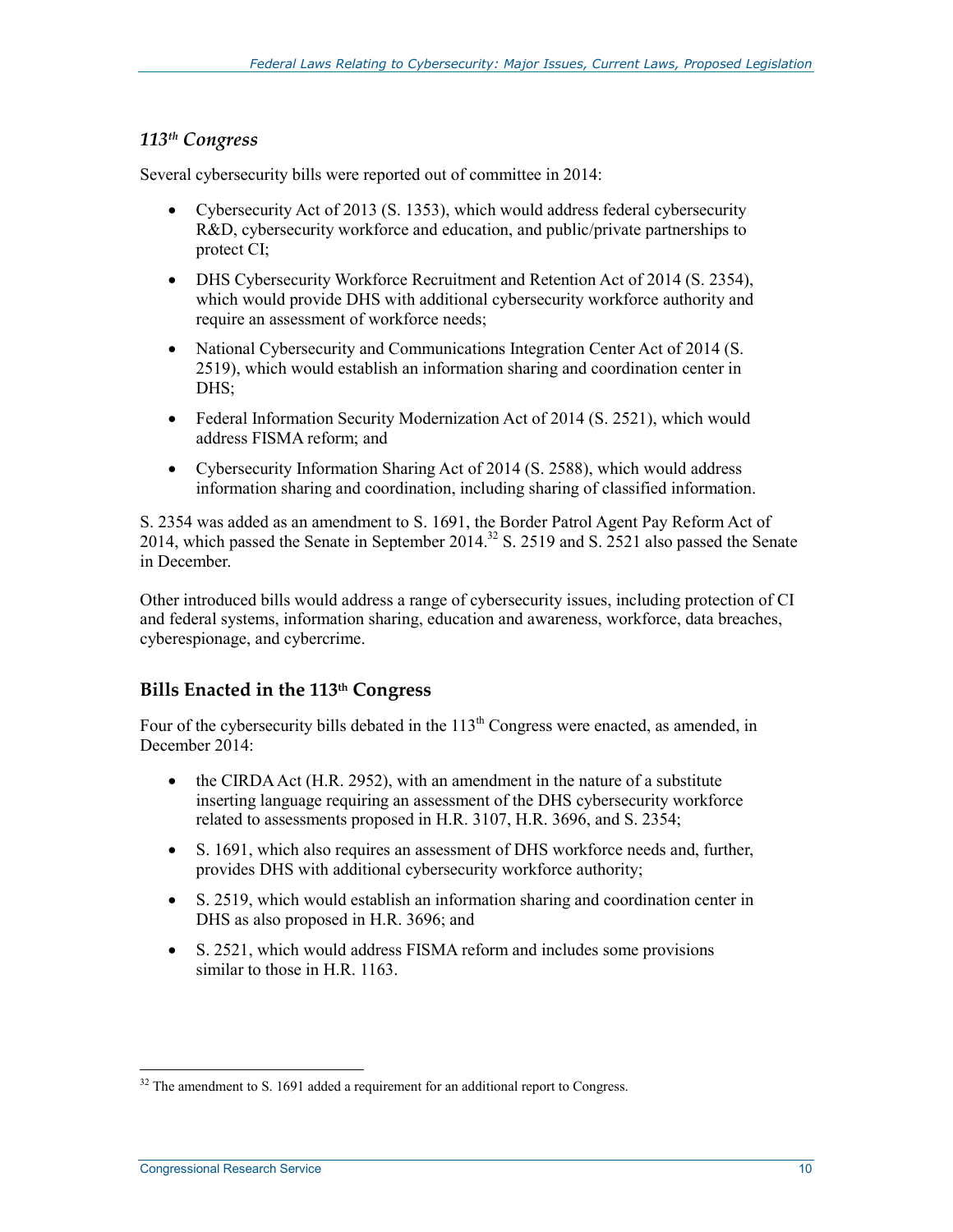#### *113th Congress*

Several cybersecurity bills were reported out of committee in 2014:

- Cybersecurity Act of 2013 (S. 1353), which would address federal cybersecurity R&D, cybersecurity workforce and education, and public/private partnerships to protect CI;
- DHS Cybersecurity Workforce Recruitment and Retention Act of 2014 (S. 2354), which would provide DHS with additional cybersecurity workforce authority and require an assessment of workforce needs;
- National Cybersecurity and Communications Integration Center Act of 2014 (S. 2519), which would establish an information sharing and coordination center in DHS:
- Federal Information Security Modernization Act of 2014 (S. 2521), which would address FISMA reform; and
- Cybersecurity Information Sharing Act of 2014 (S. 2588), which would address information sharing and coordination, including sharing of classified information.

S. 2354 was added as an amendment to S. 1691, the Border Patrol Agent Pay Reform Act of 2014, which passed the Senate in September 2014.<sup>32</sup> S. 2519 and S. 2521 also passed the Senate in December.

Other introduced bills would address a range of cybersecurity issues, including protection of CI and federal systems, information sharing, education and awareness, workforce, data breaches, cyberespionage, and cybercrime.

# **Bills Enacted in the 113th Congress**

Four of the cybersecurity bills debated in the 113<sup>th</sup> Congress were enacted, as amended, in December 2014:

- the CIRDA Act (H.R. 2952), with an amendment in the nature of a substitute inserting language requiring an assessment of the DHS cybersecurity workforce related to assessments proposed in H.R. 3107, H.R. 3696, and S. 2354;
- S. 1691, which also requires an assessment of DHS workforce needs and, further, provides DHS with additional cybersecurity workforce authority;
- S. 2519, which would establish an information sharing and coordination center in DHS as also proposed in H.R. 3696; and
- S. 2521, which would address FISMA reform and includes some provisions similar to those in H.R. 1163.

<sup>&</sup>lt;u>.</u>  $32$  The amendment to S. 1691 added a requirement for an additional report to Congress.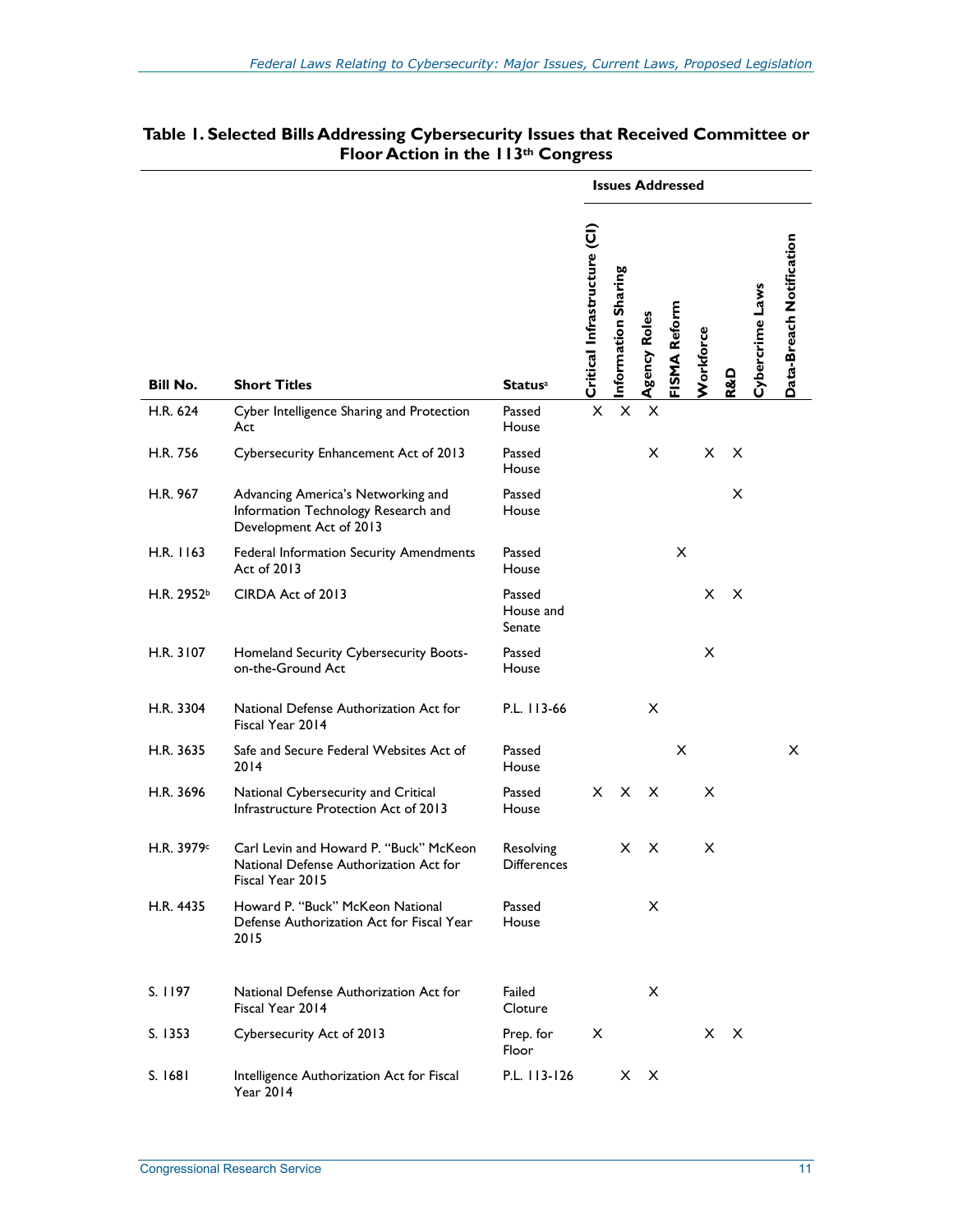|                 |                                                                                                      |                                 | <b>Issues Addressed</b>      |                     |              |              |                  |                |                 |                          |
|-----------------|------------------------------------------------------------------------------------------------------|---------------------------------|------------------------------|---------------------|--------------|--------------|------------------|----------------|-----------------|--------------------------|
| <b>Bill No.</b> | <b>Short Titles</b>                                                                                  | <b>Status</b> <sup>a</sup>      | Critical Infrastructure (CI) | Information Sharing | Agency Roles | FISMA Reform | <b>Norkforce</b> | <b>R&amp;D</b> | Cybercrime Laws | Data-Breach Notification |
| H.R. 624        | Cyber Intelligence Sharing and Protection<br>Act                                                     | Passed<br>House                 | X                            | $\pmb{\times}$      | X            |              |                  |                |                 |                          |
| H.R. 756        | Cybersecurity Enhancement Act of 2013                                                                | Passed<br>House                 |                              |                     | X            |              | X                | X              |                 |                          |
| H.R. 967        | Advancing America's Networking and<br>Information Technology Research and<br>Development Act of 2013 | Passed<br>House                 |                              |                     |              |              |                  | X              |                 |                          |
| H.R. 1163       | Federal Information Security Amendments<br>Act of 2013                                               | Passed<br>House                 |                              |                     |              | X            |                  |                |                 |                          |
| H.R. 2952b      | CIRDA Act of 2013                                                                                    | Passed<br>House and<br>Senate   |                              |                     |              |              | X                | X              |                 |                          |
| H.R. 3107       | Homeland Security Cybersecurity Boots-<br>on-the-Ground Act                                          | Passed<br>House                 |                              |                     |              |              | X                |                |                 |                          |
| H.R. 3304       | National Defense Authorization Act for<br>Fiscal Year 2014                                           | P.L. 113-66                     |                              |                     | X            |              |                  |                |                 |                          |
| H.R. 3635       | Safe and Secure Federal Websites Act of<br>2014                                                      | Passed<br>House                 |                              |                     |              | X            |                  |                |                 | X.                       |
| H.R. 3696       | National Cybersecurity and Critical<br>Infrastructure Protection Act of 2013                         | Passed<br>House                 | X.                           | X                   | X            |              | X                |                |                 |                          |
| H.R. 3979c      | Carl Levin and Howard P. "Buck" McKeon<br>National Defense Authorization Act for<br>Fiscal Year 2015 | Resolving<br><b>Differences</b> |                              | x                   | X            |              | X                |                |                 |                          |
| H.R. 4435       | Howard P. "Buck" McKeon National<br>Defense Authorization Act for Fiscal Year<br>2015                | Passed<br>House                 |                              |                     | X            |              |                  |                |                 |                          |
| S. 1197         | National Defense Authorization Act for<br>Fiscal Year 2014                                           | Failed<br>Cloture               |                              |                     | X            |              |                  |                |                 |                          |
| S. 1353         | Cybersecurity Act of 2013                                                                            | Prep. for<br>Floor              | x                            |                     |              |              |                  | x x            |                 |                          |
| S. 1681         | Intelligence Authorization Act for Fiscal<br><b>Year 2014</b>                                        | P.L. 113-126                    |                              | X.                  | X            |              |                  |                |                 |                          |

#### **Table 1. Selected Bills Addressing Cybersecurity Issues that Received Committee or Floor Action in the 113th Congress**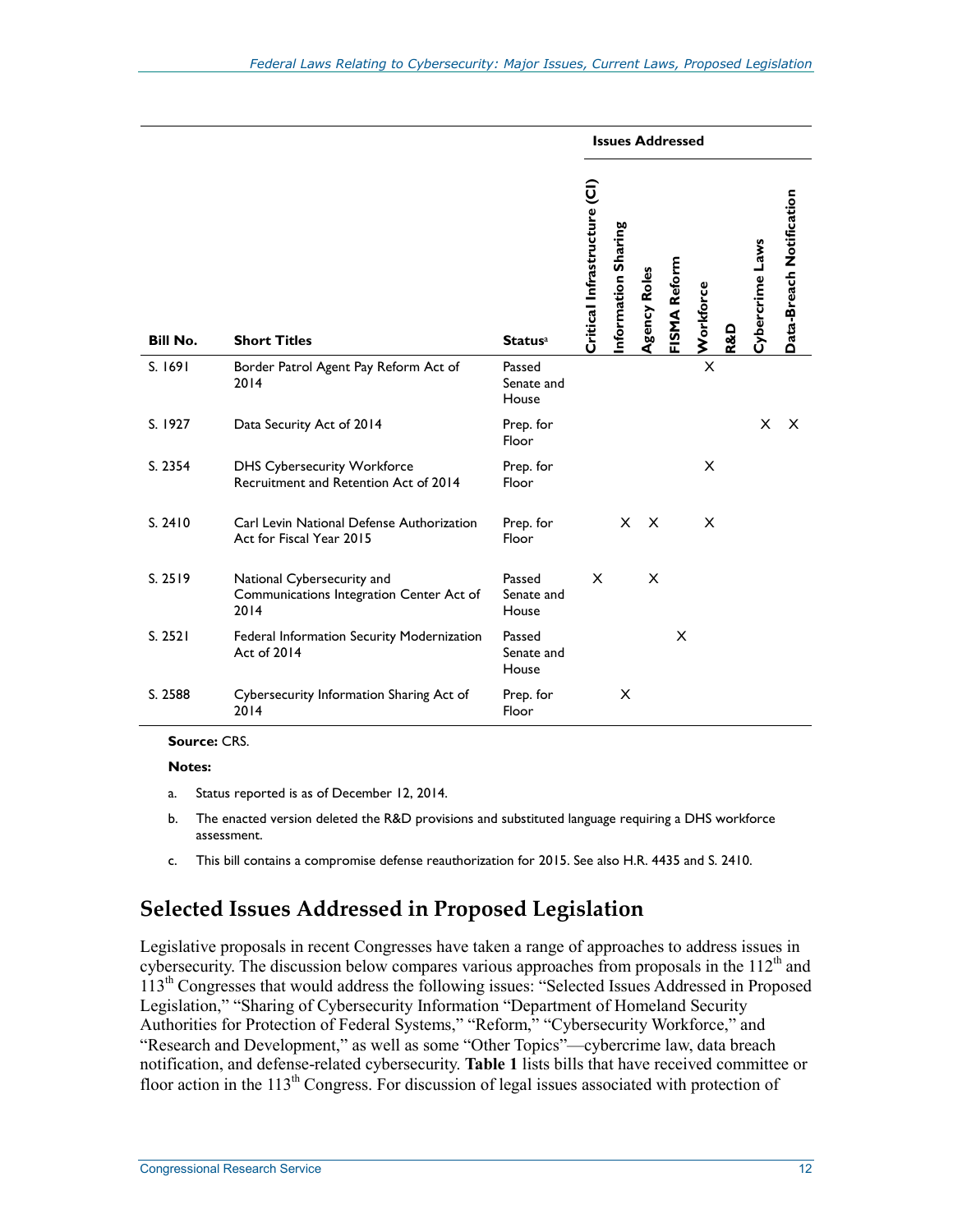|                 |                                                                                |                               | <b>Issues Addressed</b>      |                    |              |              |                         |                |                 |                          |
|-----------------|--------------------------------------------------------------------------------|-------------------------------|------------------------------|--------------------|--------------|--------------|-------------------------|----------------|-----------------|--------------------------|
| <b>Bill No.</b> | <b>Short Titles</b>                                                            | <b>Status</b> <sup>a</sup>    | Critical Infrastructure (CI) | nformation Sharing | Agency Roles | FISMA Reform | Workforce               | <b>R&amp;D</b> | Cybercrime Laws | Data-Breach Notification |
| S. 1691         | Border Patrol Agent Pay Reform Act of<br>2014                                  | Passed<br>Senate and<br>House |                              |                    |              |              | $\overline{\mathsf{x}}$ |                |                 |                          |
| S. 1927         | Data Security Act of 2014                                                      | Prep. for<br>Floor            |                              |                    |              |              |                         |                | X               | $\times$                 |
| S. 2354         | <b>DHS Cybersecurity Workforce</b><br>Recruitment and Retention Act of 2014    | Prep. for<br>Floor            |                              |                    |              |              | X                       |                |                 |                          |
| S. 2410         | Carl Levin National Defense Authorization<br>Act for Fiscal Year 2015          | Prep. for<br>Floor            |                              | $\times$           | $\times$     |              | X                       |                |                 |                          |
| S. 2519         | National Cybersecurity and<br>Communications Integration Center Act of<br>2014 | Passed<br>Senate and<br>House | $\times$                     |                    | X            |              |                         |                |                 |                          |
| S. 2521         | Federal Information Security Modernization<br>Act of 2014                      | Passed<br>Senate and<br>House |                              |                    |              | X            |                         |                |                 |                          |
| S. 2588         | Cybersecurity Information Sharing Act of<br>2014                               | Prep. for<br>Floor            |                              | Х                  |              |              |                         |                |                 |                          |

**Source:** CRS.

**Notes:** 

- a. Status reported is as of December 12, 2014.
- b. The enacted version deleted the R&D provisions and substituted language requiring a DHS workforce assessment.
- c. This bill contains a compromise defense reauthorization for 2015. See also H.R. 4435 and S. 2410.

# **Selected Issues Addressed in Proposed Legislation**

Legislative proposals in recent Congresses have taken a range of approaches to address issues in cybersecurity. The discussion below compares various approaches from proposals in the  $112<sup>th</sup>$  and 113<sup>th</sup> Congresses that would address the following issues: "Selected Issues Addressed in Proposed Legislation," "Sharing of Cybersecurity Information "Department of Homeland Security Authorities for Protection of Federal Systems," "Reform," "Cybersecurity Workforce," and "Research and Development," as well as some "Other Topics"—cybercrime law, data breach notification, and defense-related cybersecurity. **Table 1** lists bills that have received committee or floor action in the 113<sup>th</sup> Congress. For discussion of legal issues associated with protection of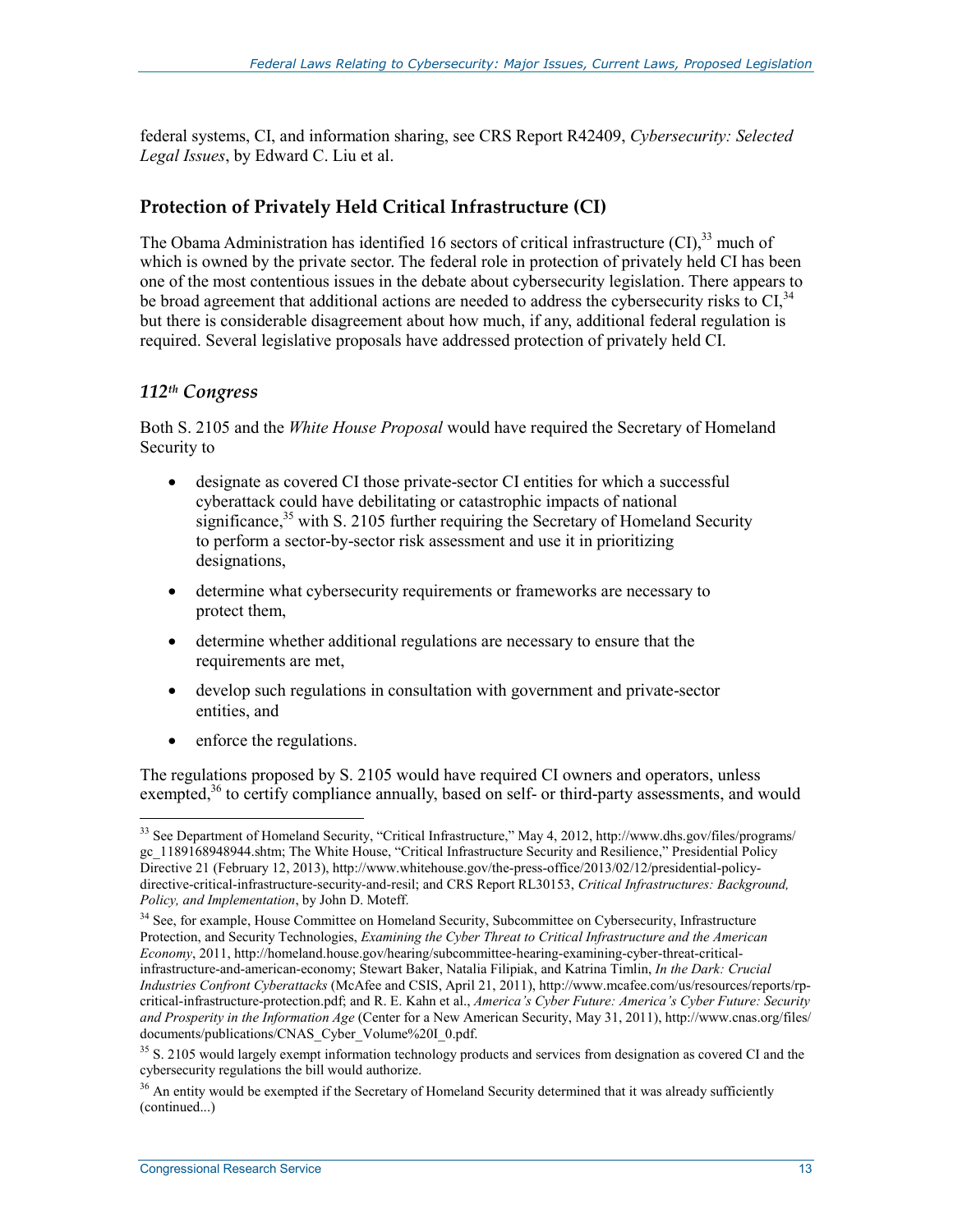federal systems, CI, and information sharing, see CRS Report R42409, *Cybersecurity: Selected Legal Issues*, by Edward C. Liu et al.

# **Protection of Privately Held Critical Infrastructure (CI)**

The Obama Administration has identified 16 sectors of critical infrastructure (CI),<sup>33</sup> much of which is owned by the private sector. The federal role in protection of privately held CI has been one of the most contentious issues in the debate about cybersecurity legislation. There appears to be broad agreement that additional actions are needed to address the cybersecurity risks to  $CI<sup>34</sup>$ . but there is considerable disagreement about how much, if any, additional federal regulation is required. Several legislative proposals have addressed protection of privately held CI.

# *112th Congress*

Both S. 2105 and the *White House Proposal* would have required the Secretary of Homeland Security to

- designate as covered CI those private-sector CI entities for which a successful cyberattack could have debilitating or catastrophic impacts of national significance,<sup>35</sup> with S. 2105 further requiring the Secretary of Homeland Security to perform a sector-by-sector risk assessment and use it in prioritizing designations,
- determine what cybersecurity requirements or frameworks are necessary to protect them,
- determine whether additional regulations are necessary to ensure that the requirements are met,
- develop such regulations in consultation with government and private-sector entities, and
- enforce the regulations.

The regulations proposed by S. 2105 would have required CI owners and operators, unless exempted,<sup>36</sup> to certify compliance annually, based on self- or third-party assessments, and would

<sup>&</sup>lt;u>.</u> <sup>33</sup> See Department of Homeland Security, "Critical Infrastructure," May 4, 2012, http://www.dhs.gov/files/programs/ gc\_1189168948944.shtm; The White House, "Critical Infrastructure Security and Resilience," Presidential Policy Directive 21 (February 12, 2013), http://www.whitehouse.gov/the-press-office/2013/02/12/presidential-policydirective-critical-infrastructure-security-and-resil; and CRS Report RL30153, *Critical Infrastructures: Background, Policy, and Implementation*, by John D. Moteff.

<sup>&</sup>lt;sup>34</sup> See, for example, House Committee on Homeland Security, Subcommittee on Cybersecurity, Infrastructure Protection, and Security Technologies, *Examining the Cyber Threat to Critical Infrastructure and the American Economy*, 2011, http://homeland.house.gov/hearing/subcommittee-hearing-examining-cyber-threat-criticalinfrastructure-and-american-economy; Stewart Baker, Natalia Filipiak, and Katrina Timlin, *In the Dark: Crucial Industries Confront Cyberattacks* (McAfee and CSIS, April 21, 2011), http://www.mcafee.com/us/resources/reports/rpcritical-infrastructure-protection.pdf; and R. E. Kahn et al., *America's Cyber Future: America's Cyber Future: Security and Prosperity in the Information Age* (Center for a New American Security, May 31, 2011), http://www.cnas.org/files/ documents/publications/CNAS\_Cyber\_Volume%20I\_0.pdf.

<sup>&</sup>lt;sup>35</sup> S. 2105 would largely exempt information technology products and services from designation as covered CI and the cybersecurity regulations the bill would authorize.

 $36$  An entity would be exempted if the Secretary of Homeland Security determined that it was already sufficiently (continued...)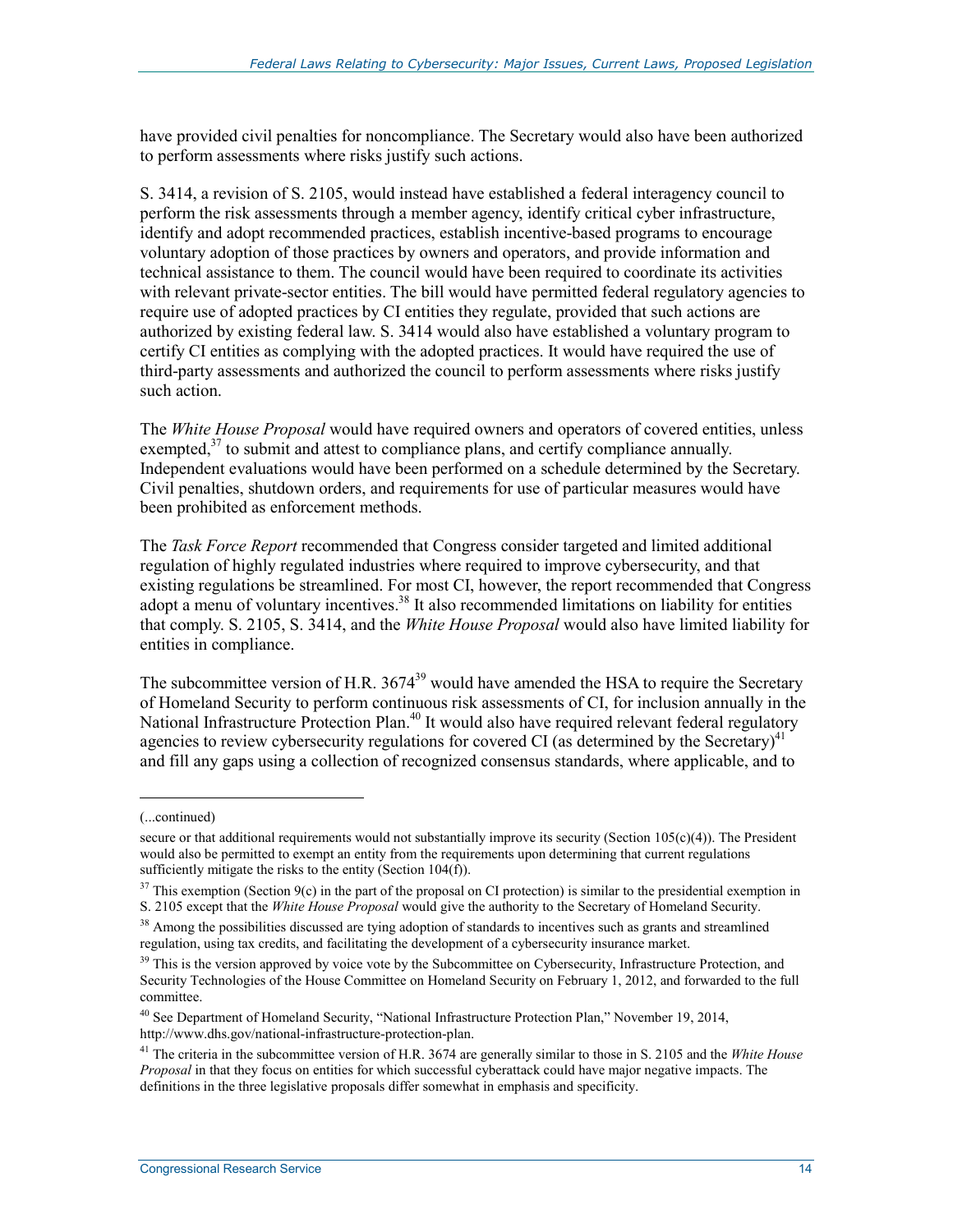have provided civil penalties for noncompliance. The Secretary would also have been authorized to perform assessments where risks justify such actions.

S. 3414, a revision of S. 2105, would instead have established a federal interagency council to perform the risk assessments through a member agency, identify critical cyber infrastructure, identify and adopt recommended practices, establish incentive-based programs to encourage voluntary adoption of those practices by owners and operators, and provide information and technical assistance to them. The council would have been required to coordinate its activities with relevant private-sector entities. The bill would have permitted federal regulatory agencies to require use of adopted practices by CI entities they regulate, provided that such actions are authorized by existing federal law. S. 3414 would also have established a voluntary program to certify CI entities as complying with the adopted practices. It would have required the use of third-party assessments and authorized the council to perform assessments where risks justify such action.

The *White House Proposal* would have required owners and operators of covered entities, unless exempted, $37$  to submit and attest to compliance plans, and certify compliance annually. Independent evaluations would have been performed on a schedule determined by the Secretary. Civil penalties, shutdown orders, and requirements for use of particular measures would have been prohibited as enforcement methods.

The *Task Force Report* recommended that Congress consider targeted and limited additional regulation of highly regulated industries where required to improve cybersecurity, and that existing regulations be streamlined. For most CI, however, the report recommended that Congress adopt a menu of voluntary incentives.<sup>38</sup> It also recommended limitations on liability for entities that comply. S. 2105, S. 3414, and the *White House Proposal* would also have limited liability for entities in compliance.

The subcommittee version of H.R. 3674<sup>39</sup> would have amended the HSA to require the Secretary of Homeland Security to perform continuous risk assessments of CI, for inclusion annually in the National Infrastructure Protection Plan.<sup>40</sup> It would also have required relevant federal regulatory agencies to review cybersecurity regulations for covered CI (as determined by the Secretary)<sup>41</sup> and fill any gaps using a collection of recognized consensus standards, where applicable, and to

 $\overline{a}$ 

<sup>(...</sup>continued)

secure or that additional requirements would not substantially improve its security (Section  $105(c)(4)$ ). The President would also be permitted to exempt an entity from the requirements upon determining that current regulations sufficiently mitigate the risks to the entity (Section 104(f)).

 $37$  This exemption (Section 9(c) in the part of the proposal on CI protection) is similar to the presidential exemption in S. 2105 except that the *White House Proposal* would give the authority to the Secretary of Homeland Security.

 $38$  Among the possibilities discussed are tying adoption of standards to incentives such as grants and streamlined regulation, using tax credits, and facilitating the development of a cybersecurity insurance market.

<sup>&</sup>lt;sup>39</sup> This is the version approved by voice vote by the Subcommittee on Cybersecurity, Infrastructure Protection, and Security Technologies of the House Committee on Homeland Security on February 1, 2012, and forwarded to the full committee.

<sup>40</sup> See Department of Homeland Security, "National Infrastructure Protection Plan," November 19, 2014, http://www.dhs.gov/national-infrastructure-protection-plan.

<sup>41</sup> The criteria in the subcommittee version of H.R. 3674 are generally similar to those in S. 2105 and the *White House Proposal* in that they focus on entities for which successful cyberattack could have major negative impacts. The definitions in the three legislative proposals differ somewhat in emphasis and specificity.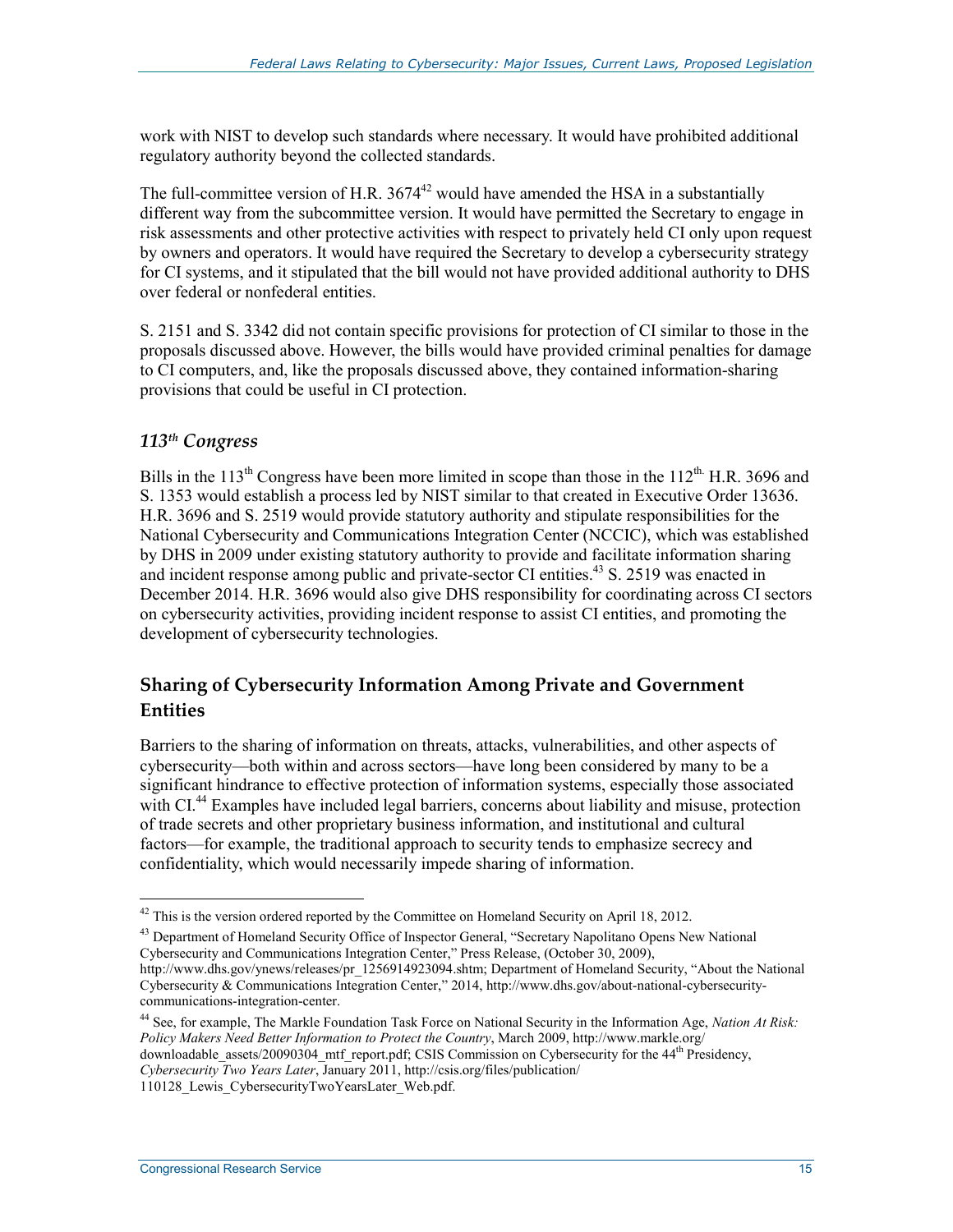work with NIST to develop such standards where necessary. It would have prohibited additional regulatory authority beyond the collected standards.

The full-committee version of H.R.  $3674^{42}$  would have amended the HSA in a substantially different way from the subcommittee version. It would have permitted the Secretary to engage in risk assessments and other protective activities with respect to privately held CI only upon request by owners and operators. It would have required the Secretary to develop a cybersecurity strategy for CI systems, and it stipulated that the bill would not have provided additional authority to DHS over federal or nonfederal entities.

S. 2151 and S. 3342 did not contain specific provisions for protection of CI similar to those in the proposals discussed above. However, the bills would have provided criminal penalties for damage to CI computers, and, like the proposals discussed above, they contained information-sharing provisions that could be useful in CI protection.

# *113th Congress*

Bills in the 113<sup>th</sup> Congress have been more limited in scope than those in the 112<sup>th</sup>. H.R. 3696 and S. 1353 would establish a process led by NIST similar to that created in Executive Order 13636. H.R. 3696 and S. 2519 would provide statutory authority and stipulate responsibilities for the National Cybersecurity and Communications Integration Center (NCCIC), which was established by DHS in 2009 under existing statutory authority to provide and facilitate information sharing and incident response among public and private-sector CI entities.<sup>43</sup> S. 2519 was enacted in December 2014. H.R. 3696 would also give DHS responsibility for coordinating across CI sectors on cybersecurity activities, providing incident response to assist CI entities, and promoting the development of cybersecurity technologies.

# **Sharing of Cybersecurity Information Among Private and Government Entities**

Barriers to the sharing of information on threats, attacks, vulnerabilities, and other aspects of cybersecurity—both within and across sectors—have long been considered by many to be a significant hindrance to effective protection of information systems, especially those associated with CI.<sup>44</sup> Examples have included legal barriers, concerns about liability and misuse, protection of trade secrets and other proprietary business information, and institutional and cultural factors—for example, the traditional approach to security tends to emphasize secrecy and confidentiality, which would necessarily impede sharing of information.

<sup>43</sup> Department of Homeland Security Office of Inspector General, "Secretary Napolitano Opens New National Cybersecurity and Communications Integration Center," Press Release, (October 30, 2009),

<u>.</u>

 $42$  This is the version ordered reported by the Committee on Homeland Security on April 18, 2012.

http://www.dhs.gov/ynews/releases/pr\_1256914923094.shtm; Department of Homeland Security, "About the National Cybersecurity & Communications Integration Center," 2014, http://www.dhs.gov/about-national-cybersecuritycommunications-integration-center.

<sup>44</sup> See, for example, The Markle Foundation Task Force on National Security in the Information Age, *Nation At Risk: Policy Makers Need Better Information to Protect the Country*, March 2009, http://www.markle.org/ downloadable\_assets/20090304\_mtf\_report.pdf; CSIS Commission on Cybersecurity for the 44th Presidency, *Cybersecurity Two Years Later*, January 2011, http://csis.org/files/publication/

<sup>110128</sup> Lewis CybersecurityTwoYearsLater Web.pdf.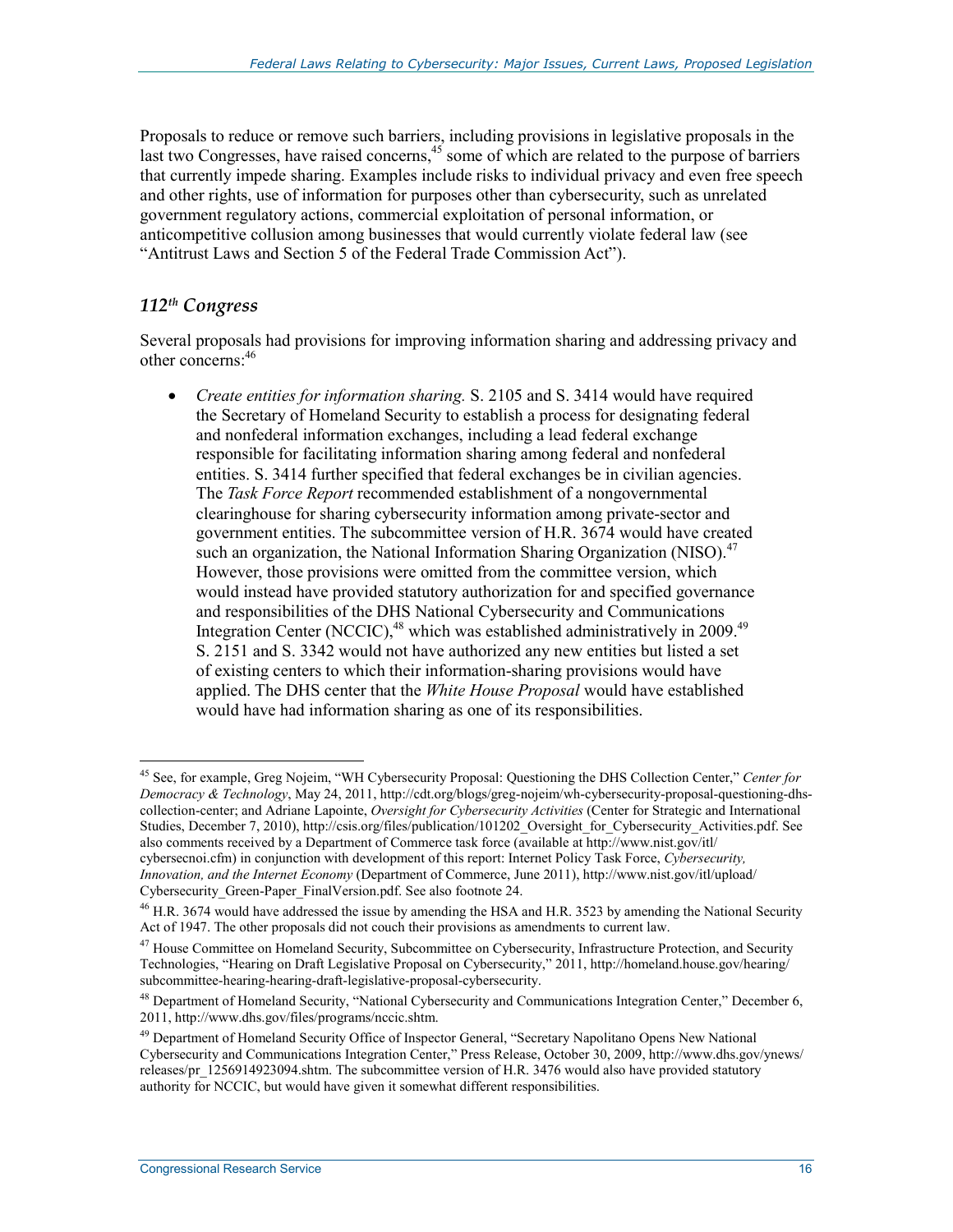Proposals to reduce or remove such barriers, including provisions in legislative proposals in the last two Congresses, have raised concerns,  $45$  some of which are related to the purpose of barriers that currently impede sharing. Examples include risks to individual privacy and even free speech and other rights, use of information for purposes other than cybersecurity, such as unrelated government regulatory actions, commercial exploitation of personal information, or anticompetitive collusion among businesses that would currently violate federal law (see "Antitrust Laws and Section 5 of the Federal Trade Commission Act").

#### *112th Congress*

<u>.</u>

Several proposals had provisions for improving information sharing and addressing privacy and other concerns:46

• *Create entities for information sharing.* S. 2105 and S. 3414 would have required the Secretary of Homeland Security to establish a process for designating federal and nonfederal information exchanges, including a lead federal exchange responsible for facilitating information sharing among federal and nonfederal entities. S. 3414 further specified that federal exchanges be in civilian agencies. The *Task Force Report* recommended establishment of a nongovernmental clearinghouse for sharing cybersecurity information among private-sector and government entities. The subcommittee version of H.R. 3674 would have created such an organization, the National Information Sharing Organization (NISO). $47$ However, those provisions were omitted from the committee version, which would instead have provided statutory authorization for and specified governance and responsibilities of the DHS National Cybersecurity and Communications Integration Center (NCCIC),<sup>48</sup> which was established administratively in 2009.<sup>49</sup> S. 2151 and S. 3342 would not have authorized any new entities but listed a set of existing centers to which their information-sharing provisions would have applied. The DHS center that the *White House Proposal* would have established would have had information sharing as one of its responsibilities.

<sup>45</sup> See, for example, Greg Nojeim, "WH Cybersecurity Proposal: Questioning the DHS Collection Center," *Center for Democracy & Technology*, May 24, 2011, http://cdt.org/blogs/greg-nojeim/wh-cybersecurity-proposal-questioning-dhscollection-center; and Adriane Lapointe, *Oversight for Cybersecurity Activities* (Center for Strategic and International Studies, December 7, 2010), http://csis.org/files/publication/101202 Oversight for Cybersecurity Activities.pdf. See also comments received by a Department of Commerce task force (available at http://www.nist.gov/itl/ cybersecnoi.cfm) in conjunction with development of this report: Internet Policy Task Force, *Cybersecurity, Innovation, and the Internet Economy* (Department of Commerce, June 2011), http://www.nist.gov/itl/upload/

Cybersecurity\_Green-Paper\_FinalVersion.pdf. See also footnote 24.

 $^{46}$  H.R. 3674 would have addressed the issue by amending the HSA and H.R. 3523 by amending the National Security Act of 1947. The other proposals did not couch their provisions as amendments to current law.

<sup>&</sup>lt;sup>47</sup> House Committee on Homeland Security, Subcommittee on Cybersecurity, Infrastructure Protection, and Security Technologies, "Hearing on Draft Legislative Proposal on Cybersecurity," 2011, http://homeland.house.gov/hearing/ subcommittee-hearing-hearing-draft-legislative-proposal-cybersecurity.

<sup>48</sup> Department of Homeland Security, "National Cybersecurity and Communications Integration Center," December 6, 2011, http://www.dhs.gov/files/programs/nccic.shtm.

<sup>&</sup>lt;sup>49</sup> Department of Homeland Security Office of Inspector General, "Secretary Napolitano Opens New National Cybersecurity and Communications Integration Center," Press Release, October 30, 2009, http://www.dhs.gov/ynews/ releases/pr\_1256914923094.shtm. The subcommittee version of H.R. 3476 would also have provided statutory authority for NCCIC, but would have given it somewhat different responsibilities.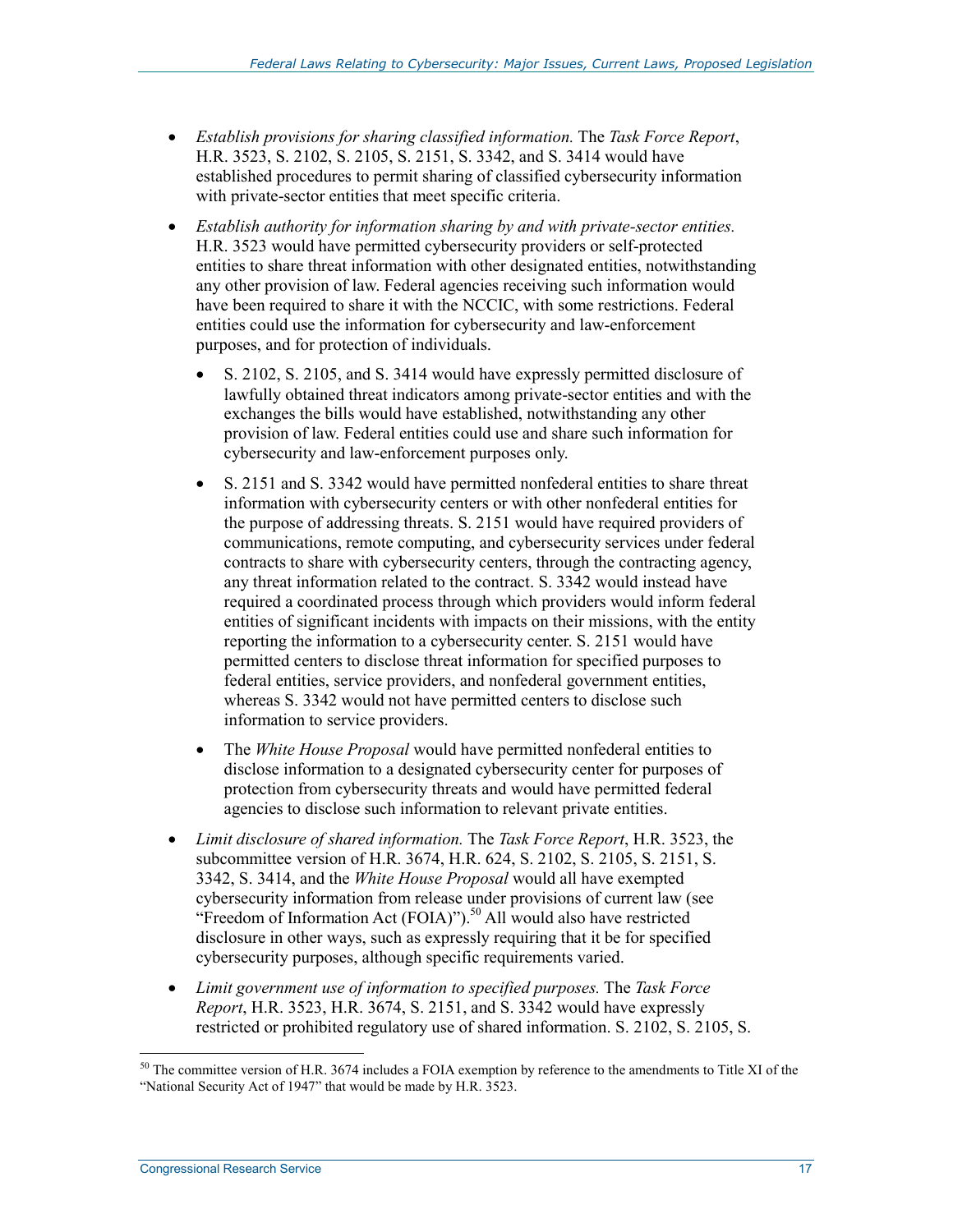- *Establish provisions for sharing classified information.* The *Task Force Report*, H.R. 3523, S. 2102, S. 2105, S. 2151, S. 3342, and S. 3414 would have established procedures to permit sharing of classified cybersecurity information with private-sector entities that meet specific criteria.
- *Establish authority for information sharing by and with private-sector entities.*  H.R. 3523 would have permitted cybersecurity providers or self-protected entities to share threat information with other designated entities, notwithstanding any other provision of law. Federal agencies receiving such information would have been required to share it with the NCCIC, with some restrictions. Federal entities could use the information for cybersecurity and law-enforcement purposes, and for protection of individuals.
	- S. 2102, S. 2105, and S. 3414 would have expressly permitted disclosure of lawfully obtained threat indicators among private-sector entities and with the exchanges the bills would have established, notwithstanding any other provision of law. Federal entities could use and share such information for cybersecurity and law-enforcement purposes only.
	- S. 2151 and S. 3342 would have permitted nonfederal entities to share threat information with cybersecurity centers or with other nonfederal entities for the purpose of addressing threats. S. 2151 would have required providers of communications, remote computing, and cybersecurity services under federal contracts to share with cybersecurity centers, through the contracting agency, any threat information related to the contract. S. 3342 would instead have required a coordinated process through which providers would inform federal entities of significant incidents with impacts on their missions, with the entity reporting the information to a cybersecurity center. S. 2151 would have permitted centers to disclose threat information for specified purposes to federal entities, service providers, and nonfederal government entities, whereas S. 3342 would not have permitted centers to disclose such information to service providers.
	- The *White House Proposal* would have permitted nonfederal entities to disclose information to a designated cybersecurity center for purposes of protection from cybersecurity threats and would have permitted federal agencies to disclose such information to relevant private entities.
- *Limit disclosure of shared information.* The *Task Force Report*, H.R. 3523, the subcommittee version of H.R. 3674, H.R. 624, S. 2102, S. 2105, S. 2151, S. 3342, S. 3414, and the *White House Proposal* would all have exempted cybersecurity information from release under provisions of current law (see "Freedom of Information Act (FOIA)").<sup>50</sup> All would also have restricted disclosure in other ways, such as expressly requiring that it be for specified cybersecurity purposes, although specific requirements varied.
- *Limit government use of information to specified purposes.* The *Task Force Report*, H.R. 3523, H.R. 3674, S. 2151, and S. 3342 would have expressly restricted or prohibited regulatory use of shared information. S. 2102, S. 2105, S.

 $50$  The committee version of H.R. 3674 includes a FOIA exemption by reference to the amendments to Title XI of the "National Security Act of 1947" that would be made by H.R. 3523.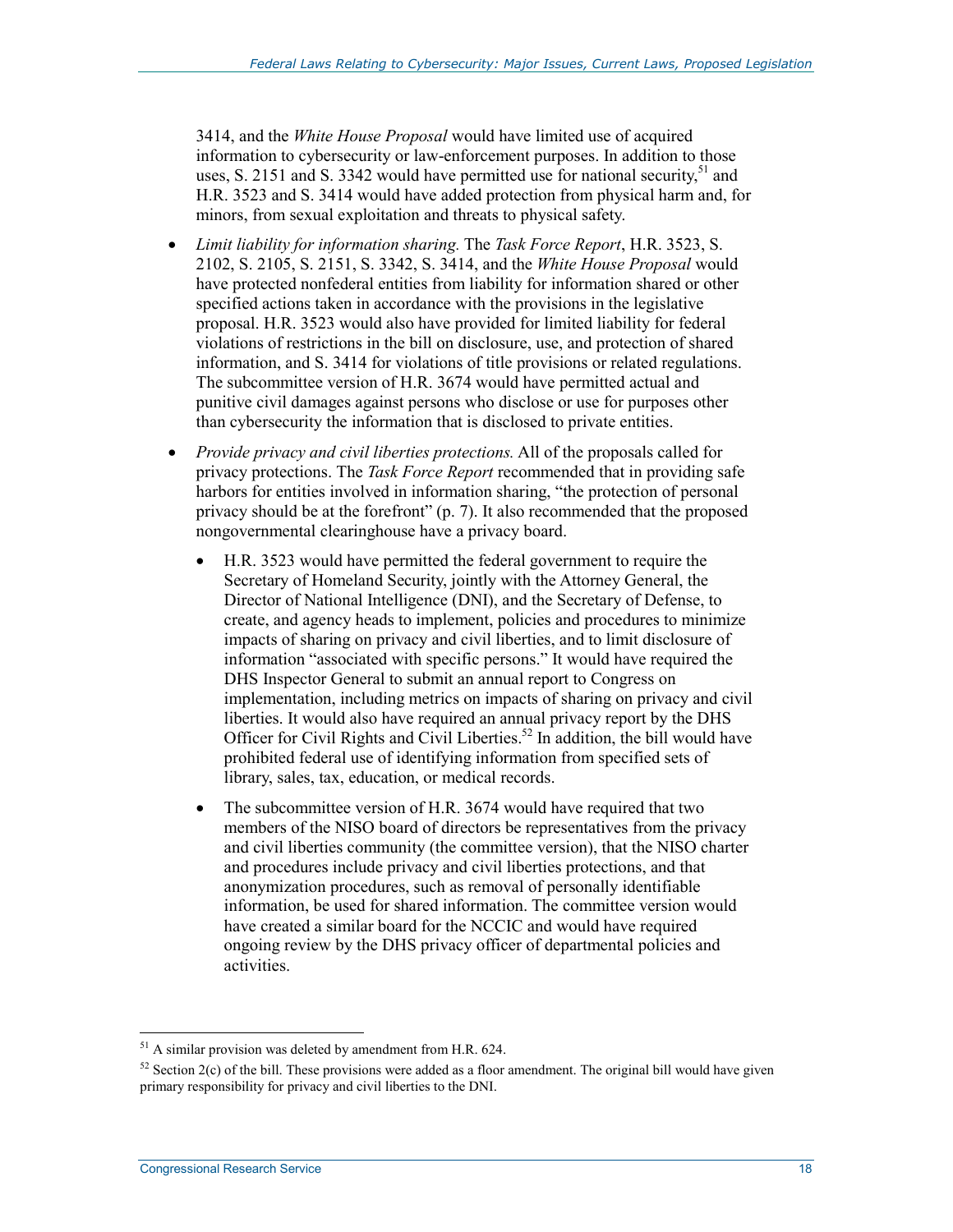3414, and the *White House Proposal* would have limited use of acquired information to cybersecurity or law-enforcement purposes. In addition to those uses, S. 2151 and S. 3342 would have permitted use for national security,  $51$  and H.R. 3523 and S. 3414 would have added protection from physical harm and, for minors, from sexual exploitation and threats to physical safety.

- *Limit liability for information sharing.* The *Task Force Report*, H.R. 3523, S. 2102, S. 2105, S. 2151, S. 3342, S. 3414, and the *White House Proposal* would have protected nonfederal entities from liability for information shared or other specified actions taken in accordance with the provisions in the legislative proposal. H.R. 3523 would also have provided for limited liability for federal violations of restrictions in the bill on disclosure, use, and protection of shared information, and S. 3414 for violations of title provisions or related regulations. The subcommittee version of H.R. 3674 would have permitted actual and punitive civil damages against persons who disclose or use for purposes other than cybersecurity the information that is disclosed to private entities.
- *Provide privacy and civil liberties protections.* All of the proposals called for privacy protections. The *Task Force Report* recommended that in providing safe harbors for entities involved in information sharing, "the protection of personal privacy should be at the forefront" (p. 7). It also recommended that the proposed nongovernmental clearinghouse have a privacy board.
	- H.R. 3523 would have permitted the federal government to require the Secretary of Homeland Security, jointly with the Attorney General, the Director of National Intelligence (DNI), and the Secretary of Defense, to create, and agency heads to implement, policies and procedures to minimize impacts of sharing on privacy and civil liberties, and to limit disclosure of information "associated with specific persons." It would have required the DHS Inspector General to submit an annual report to Congress on implementation, including metrics on impacts of sharing on privacy and civil liberties. It would also have required an annual privacy report by the DHS Officer for Civil Rights and Civil Liberties.<sup>52</sup> In addition, the bill would have prohibited federal use of identifying information from specified sets of library, sales, tax, education, or medical records.
	- The subcommittee version of H.R. 3674 would have required that two members of the NISO board of directors be representatives from the privacy and civil liberties community (the committee version), that the NISO charter and procedures include privacy and civil liberties protections, and that anonymization procedures, such as removal of personally identifiable information, be used for shared information. The committee version would have created a similar board for the NCCIC and would have required ongoing review by the DHS privacy officer of departmental policies and activities.

 $51$  A similar provision was deleted by amendment from H.R. 624.

 $52$  Section 2(c) of the bill. These provisions were added as a floor amendment. The original bill would have given primary responsibility for privacy and civil liberties to the DNI.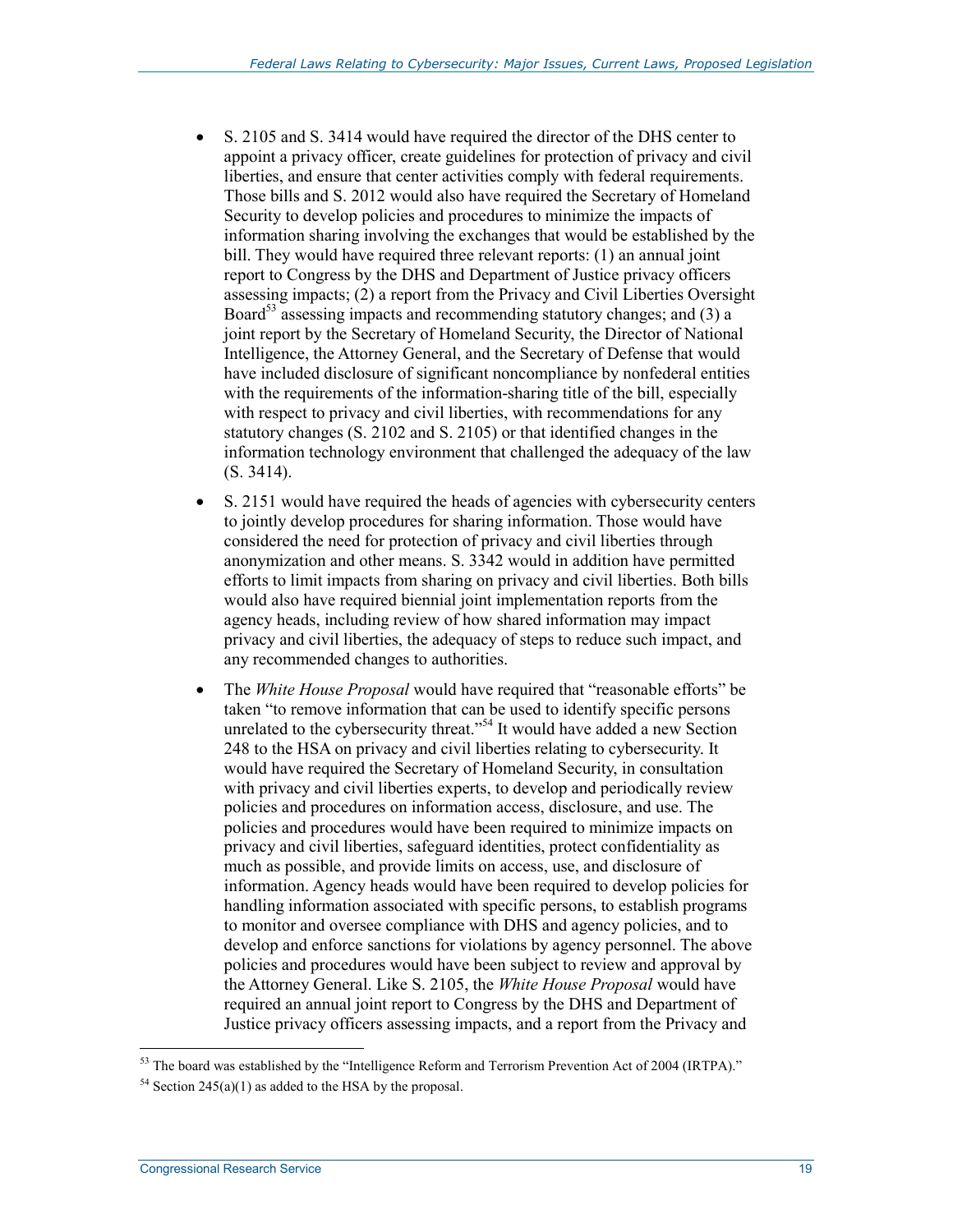- S. 2105 and S. 3414 would have required the director of the DHS center to appoint a privacy officer, create guidelines for protection of privacy and civil liberties, and ensure that center activities comply with federal requirements. Those bills and S. 2012 would also have required the Secretary of Homeland Security to develop policies and procedures to minimize the impacts of information sharing involving the exchanges that would be established by the bill. They would have required three relevant reports: (1) an annual joint report to Congress by the DHS and Department of Justice privacy officers assessing impacts; (2) a report from the Privacy and Civil Liberties Oversight Board<sup>53</sup> assessing impacts and recommending statutory changes; and (3) a joint report by the Secretary of Homeland Security, the Director of National Intelligence, the Attorney General, and the Secretary of Defense that would have included disclosure of significant noncompliance by nonfederal entities with the requirements of the information-sharing title of the bill, especially with respect to privacy and civil liberties, with recommendations for any statutory changes (S. 2102 and S. 2105) or that identified changes in the information technology environment that challenged the adequacy of the law (S. 3414).
- S. 2151 would have required the heads of agencies with cybersecurity centers to jointly develop procedures for sharing information. Those would have considered the need for protection of privacy and civil liberties through anonymization and other means. S. 3342 would in addition have permitted efforts to limit impacts from sharing on privacy and civil liberties. Both bills would also have required biennial joint implementation reports from the agency heads, including review of how shared information may impact privacy and civil liberties, the adequacy of steps to reduce such impact, and any recommended changes to authorities.
- The *White House Proposal* would have required that "reasonable efforts" be taken "to remove information that can be used to identify specific persons unrelated to the cybersecurity threat."<sup>54</sup> It would have added a new Section 248 to the HSA on privacy and civil liberties relating to cybersecurity. It would have required the Secretary of Homeland Security, in consultation with privacy and civil liberties experts, to develop and periodically review policies and procedures on information access, disclosure, and use. The policies and procedures would have been required to minimize impacts on privacy and civil liberties, safeguard identities, protect confidentiality as much as possible, and provide limits on access, use, and disclosure of information. Agency heads would have been required to develop policies for handling information associated with specific persons, to establish programs to monitor and oversee compliance with DHS and agency policies, and to develop and enforce sanctions for violations by agency personnel. The above policies and procedures would have been subject to review and approval by the Attorney General. Like S. 2105, the *White House Proposal* would have required an annual joint report to Congress by the DHS and Department of Justice privacy officers assessing impacts, and a report from the Privacy and

 $53$  The board was established by the "Intelligence Reform and Terrorism Prevention Act of 2004 (IRTPA)."

<sup>&</sup>lt;sup>54</sup> Section 245(a)(1) as added to the HSA by the proposal.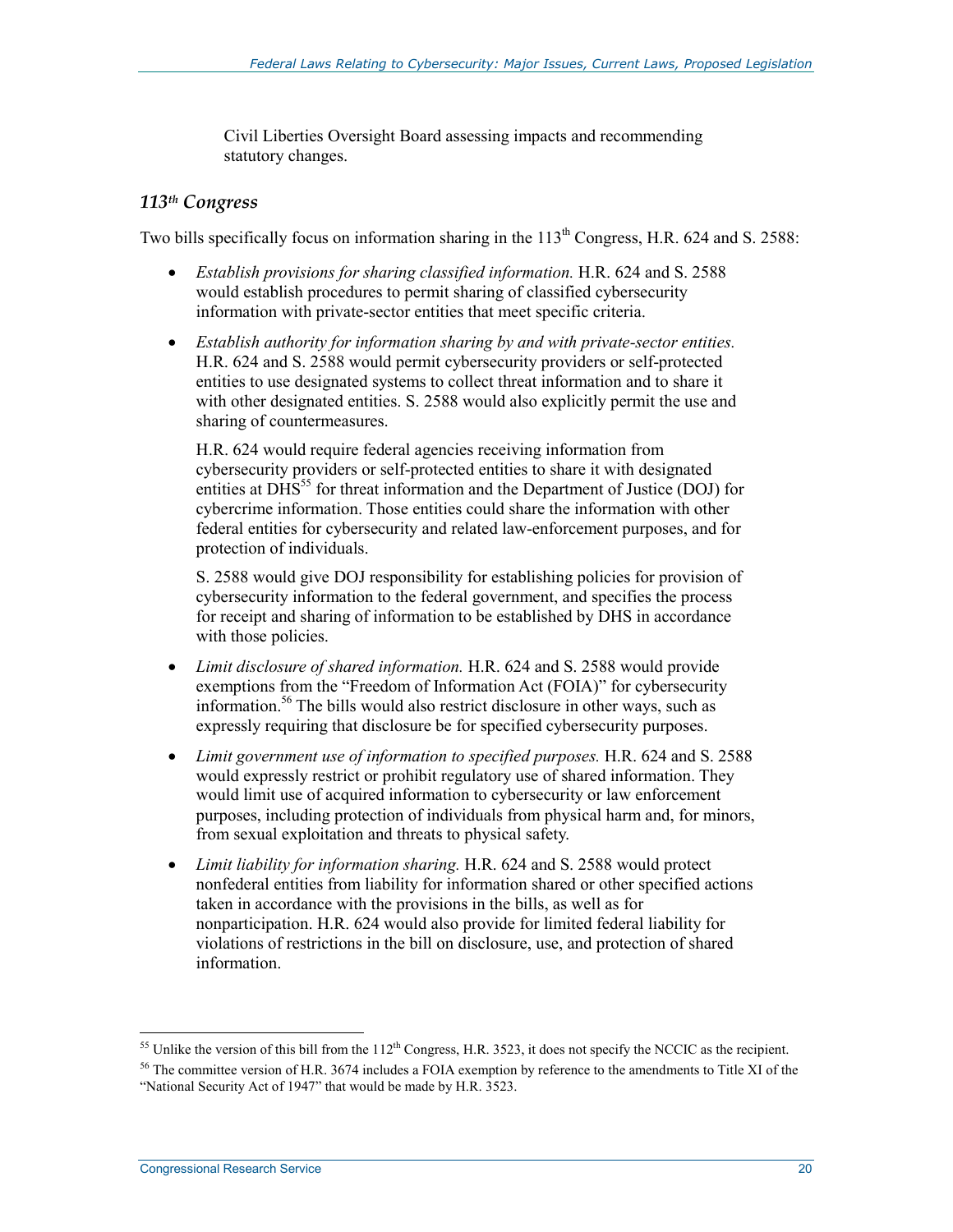Civil Liberties Oversight Board assessing impacts and recommending statutory changes.

#### *113th Congress*

Two bills specifically focus on information sharing in the 113<sup>th</sup> Congress, H.R. 624 and S. 2588:

- *Establish provisions for sharing classified information.* H.R. 624 and S. 2588 would establish procedures to permit sharing of classified cybersecurity information with private-sector entities that meet specific criteria.
- *Establish authority for information sharing by and with private-sector entities.* H.R. 624 and S. 2588 would permit cybersecurity providers or self-protected entities to use designated systems to collect threat information and to share it with other designated entities. S. 2588 would also explicitly permit the use and sharing of countermeasures.

H.R. 624 would require federal agencies receiving information from cybersecurity providers or self-protected entities to share it with designated entities at  $\overline{DHS}^{55}$  for threat information and the Department of Justice (DOJ) for cybercrime information. Those entities could share the information with other federal entities for cybersecurity and related law-enforcement purposes, and for protection of individuals.

S. 2588 would give DOJ responsibility for establishing policies for provision of cybersecurity information to the federal government, and specifies the process for receipt and sharing of information to be established by DHS in accordance with those policies.

- *Limit disclosure of shared information.* H.R. 624 and S. 2588 would provide exemptions from the "Freedom of Information Act (FOIA)" for cybersecurity information.56 The bills would also restrict disclosure in other ways, such as expressly requiring that disclosure be for specified cybersecurity purposes.
- *Limit government use of information to specified purposes.* H.R. 624 and S. 2588 would expressly restrict or prohibit regulatory use of shared information. They would limit use of acquired information to cybersecurity or law enforcement purposes, including protection of individuals from physical harm and, for minors, from sexual exploitation and threats to physical safety.
- *Limit liability for information sharing.* H.R. 624 and S. 2588 would protect nonfederal entities from liability for information shared or other specified actions taken in accordance with the provisions in the bills, as well as for nonparticipation. H.R. 624 would also provide for limited federal liability for violations of restrictions in the bill on disclosure, use, and protection of shared information.

 $55$  Unlike the version of this bill from the  $112<sup>th</sup>$  Congress, H.R. 3523, it does not specify the NCCIC as the recipient.

<sup>&</sup>lt;sup>56</sup> The committee version of H.R. 3674 includes a FOIA exemption by reference to the amendments to Title XI of the "National Security Act of 1947" that would be made by H.R. 3523.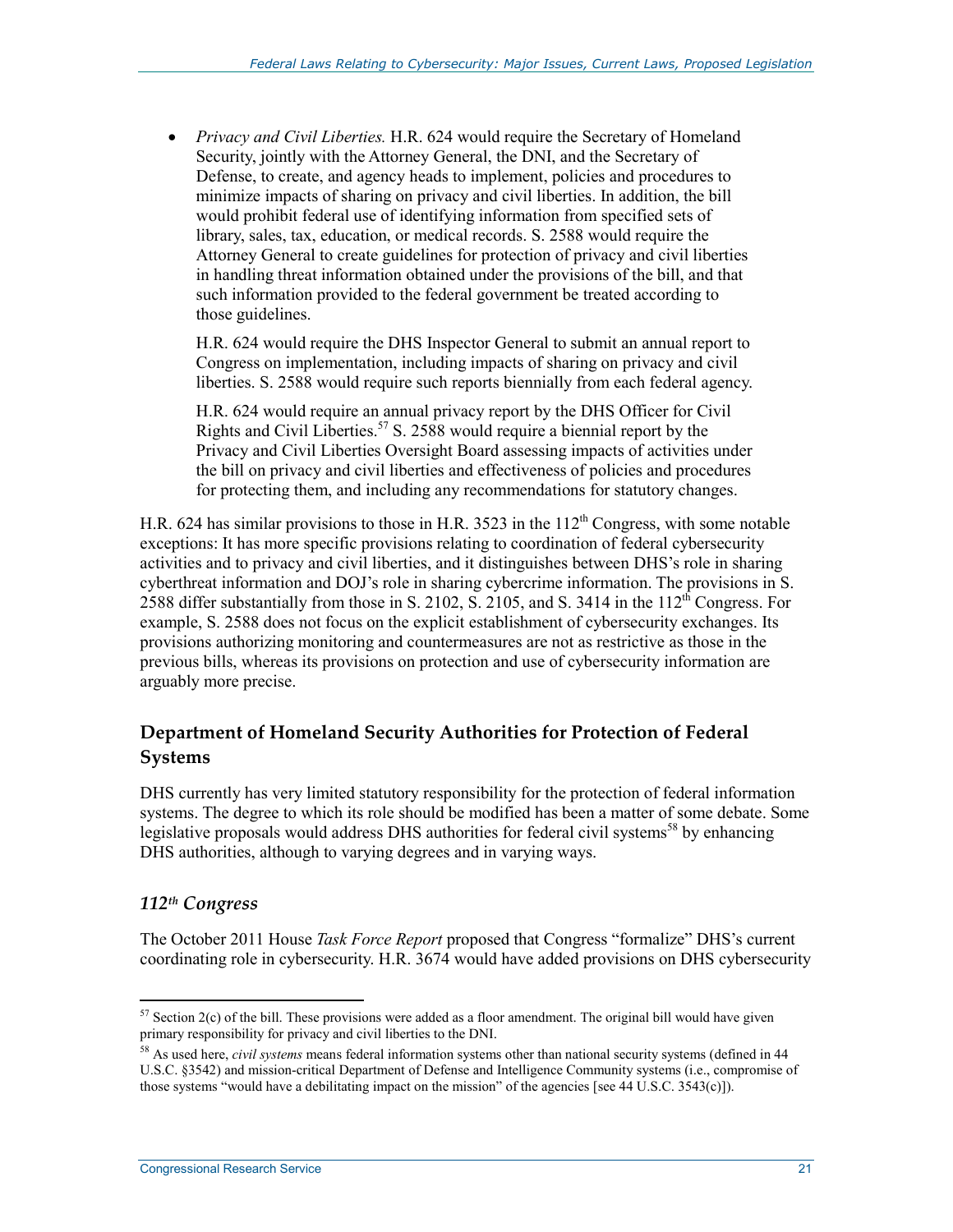• *Privacy and Civil Liberties.* H.R. 624 would require the Secretary of Homeland Security, jointly with the Attorney General, the DNI, and the Secretary of Defense, to create, and agency heads to implement, policies and procedures to minimize impacts of sharing on privacy and civil liberties. In addition, the bill would prohibit federal use of identifying information from specified sets of library, sales, tax, education, or medical records. S. 2588 would require the Attorney General to create guidelines for protection of privacy and civil liberties in handling threat information obtained under the provisions of the bill, and that such information provided to the federal government be treated according to those guidelines.

H.R. 624 would require the DHS Inspector General to submit an annual report to Congress on implementation, including impacts of sharing on privacy and civil liberties. S. 2588 would require such reports biennially from each federal agency.

H.R. 624 would require an annual privacy report by the DHS Officer for Civil Rights and Civil Liberties.<sup>57</sup> S. 2588 would require a biennial report by the Privacy and Civil Liberties Oversight Board assessing impacts of activities under the bill on privacy and civil liberties and effectiveness of policies and procedures for protecting them, and including any recommendations for statutory changes.

H.R. 624 has similar provisions to those in H.R. 3523 in the  $112^{th}$  Congress, with some notable exceptions: It has more specific provisions relating to coordination of federal cybersecurity activities and to privacy and civil liberties, and it distinguishes between DHS's role in sharing cyberthreat information and DOJ's role in sharing cybercrime information. The provisions in S. 2588 differ substantially from those in S. 2102, S. 2105, and S. 3414 in the  $112<sup>th</sup>$  Congress. For example, S. 2588 does not focus on the explicit establishment of cybersecurity exchanges. Its provisions authorizing monitoring and countermeasures are not as restrictive as those in the previous bills, whereas its provisions on protection and use of cybersecurity information are arguably more precise.

# **Department of Homeland Security Authorities for Protection of Federal Systems**

DHS currently has very limited statutory responsibility for the protection of federal information systems. The degree to which its role should be modified has been a matter of some debate. Some legislative proposals would address DHS authorities for federal civil systems<sup>58</sup> by enhancing DHS authorities, although to varying degrees and in varying ways.

# *112th Congress*

The October 2011 House *Task Force Report* proposed that Congress "formalize" DHS's current coordinating role in cybersecurity. H.R. 3674 would have added provisions on DHS cybersecurity

<sup>1</sup>  $57$  Section 2(c) of the bill. These provisions were added as a floor amendment. The original bill would have given primary responsibility for privacy and civil liberties to the DNI.

<sup>58</sup> As used here, *civil systems* means federal information systems other than national security systems (defined in 44 U.S.C. §3542) and mission-critical Department of Defense and Intelligence Community systems (i.e., compromise of those systems "would have a debilitating impact on the mission" of the agencies [see 44 U.S.C. 3543(c)]).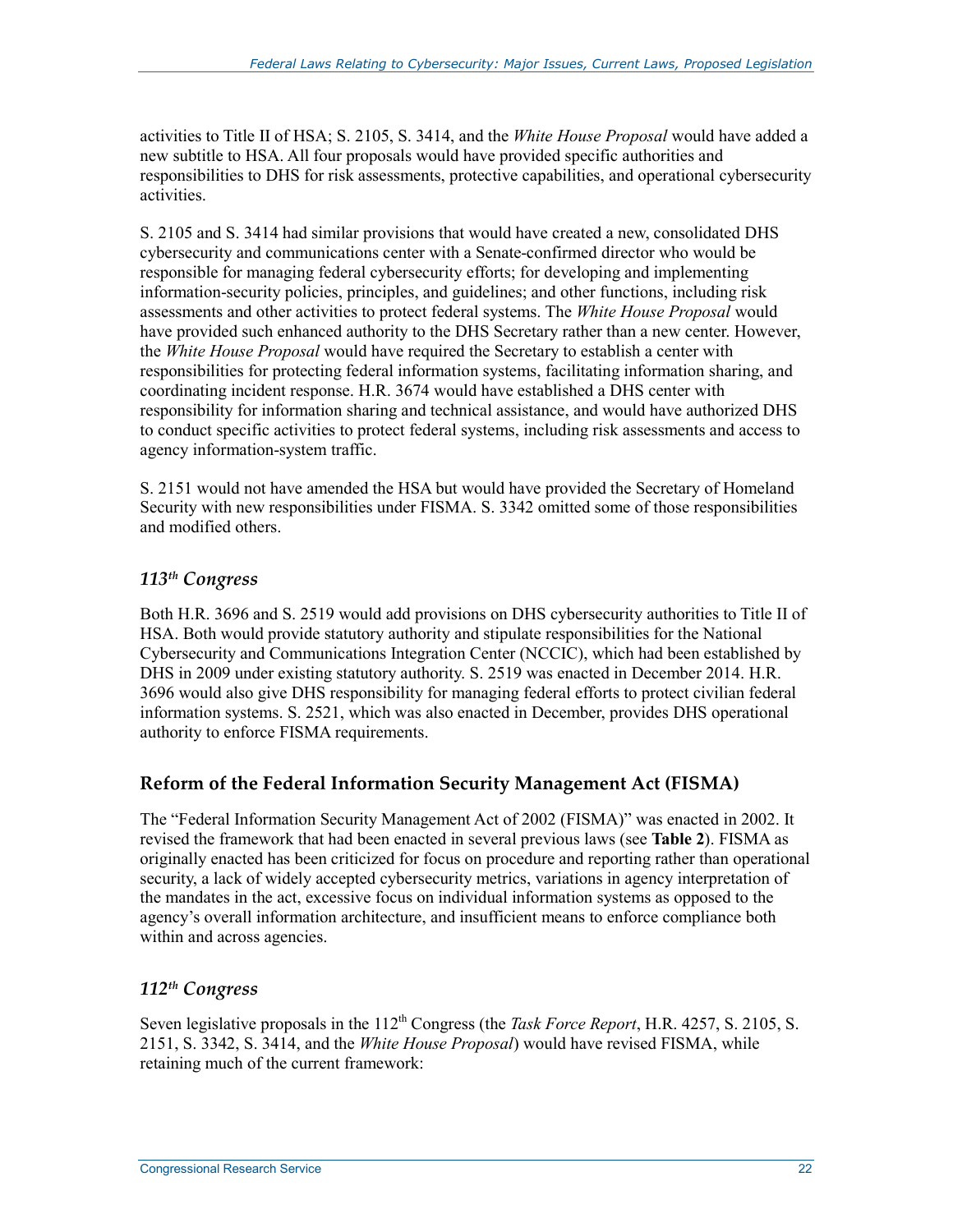activities to Title II of HSA; S. 2105, S. 3414, and the *White House Proposal* would have added a new subtitle to HSA. All four proposals would have provided specific authorities and responsibilities to DHS for risk assessments, protective capabilities, and operational cybersecurity activities.

S. 2105 and S. 3414 had similar provisions that would have created a new, consolidated DHS cybersecurity and communications center with a Senate-confirmed director who would be responsible for managing federal cybersecurity efforts; for developing and implementing information-security policies, principles, and guidelines; and other functions, including risk assessments and other activities to protect federal systems. The *White House Proposal* would have provided such enhanced authority to the DHS Secretary rather than a new center. However, the *White House Proposal* would have required the Secretary to establish a center with responsibilities for protecting federal information systems, facilitating information sharing, and coordinating incident response. H.R. 3674 would have established a DHS center with responsibility for information sharing and technical assistance, and would have authorized DHS to conduct specific activities to protect federal systems, including risk assessments and access to agency information-system traffic.

S. 2151 would not have amended the HSA but would have provided the Secretary of Homeland Security with new responsibilities under FISMA. S. 3342 omitted some of those responsibilities and modified others.

#### *113th Congress*

Both H.R. 3696 and S. 2519 would add provisions on DHS cybersecurity authorities to Title II of HSA. Both would provide statutory authority and stipulate responsibilities for the National Cybersecurity and Communications Integration Center (NCCIC), which had been established by DHS in 2009 under existing statutory authority. S. 2519 was enacted in December 2014. H.R. 3696 would also give DHS responsibility for managing federal efforts to protect civilian federal information systems. S. 2521, which was also enacted in December, provides DHS operational authority to enforce FISMA requirements.

# **Reform of the Federal Information Security Management Act (FISMA)**

The "Federal Information Security Management Act of 2002 (FISMA)" was enacted in 2002. It revised the framework that had been enacted in several previous laws (see **Table 2**). FISMA as originally enacted has been criticized for focus on procedure and reporting rather than operational security, a lack of widely accepted cybersecurity metrics, variations in agency interpretation of the mandates in the act, excessive focus on individual information systems as opposed to the agency's overall information architecture, and insufficient means to enforce compliance both within and across agencies.

#### *112th Congress*

Seven legislative proposals in the 112<sup>th</sup> Congress (the *Task Force Report*, H.R. 4257, S. 2105, S. 2151, S. 3342, S. 3414, and the *White House Proposal*) would have revised FISMA, while retaining much of the current framework: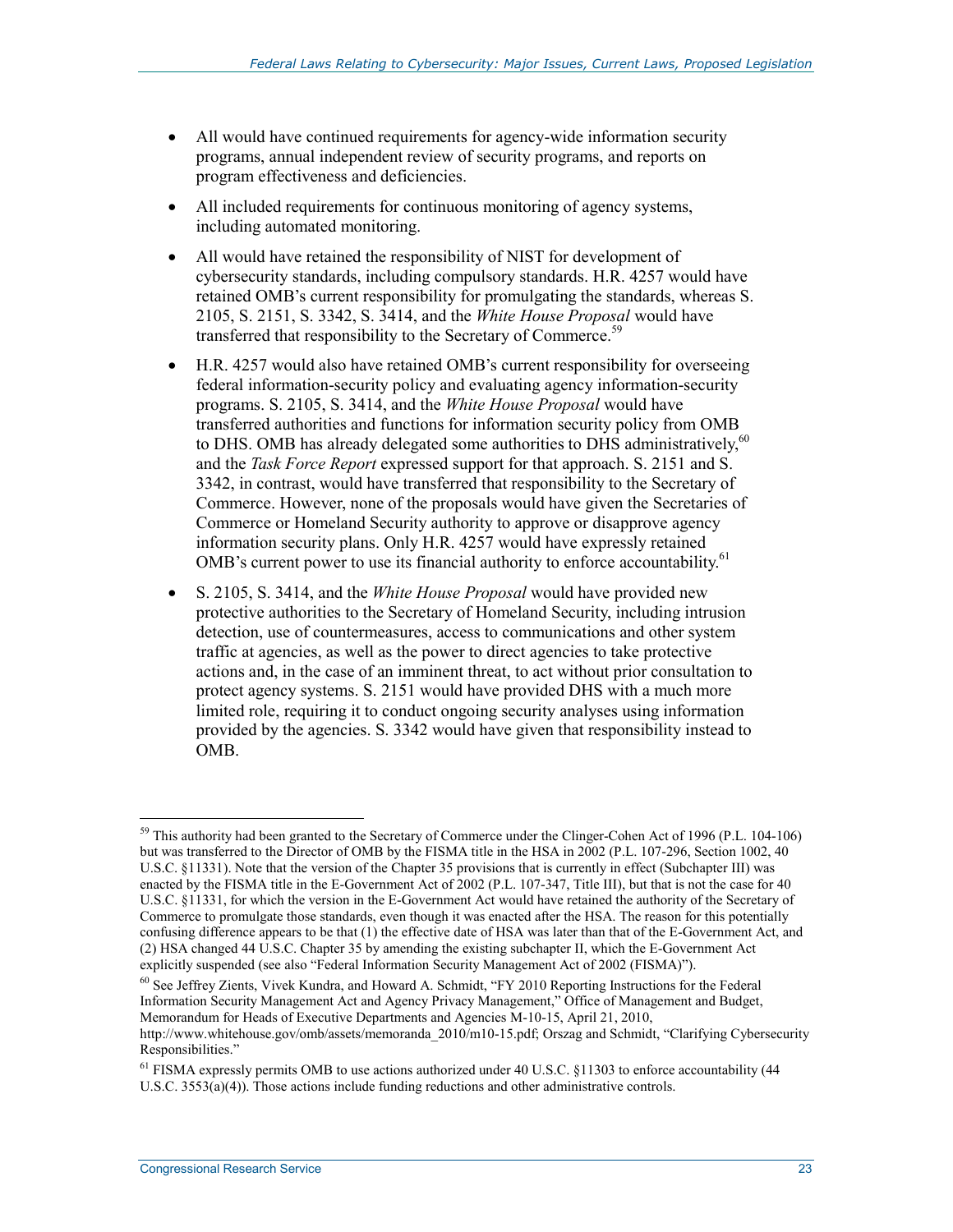- All would have continued requirements for agency-wide information security programs, annual independent review of security programs, and reports on program effectiveness and deficiencies.
- All included requirements for continuous monitoring of agency systems, including automated monitoring.
- All would have retained the responsibility of NIST for development of cybersecurity standards, including compulsory standards. H.R. 4257 would have retained OMB's current responsibility for promulgating the standards, whereas S. 2105, S. 2151, S. 3342, S. 3414, and the *White House Proposal* would have transferred that responsibility to the Secretary of Commerce.<sup>59</sup>
- H.R. 4257 would also have retained OMB's current responsibility for overseeing federal information-security policy and evaluating agency information-security programs. S. 2105, S. 3414, and the *White House Proposal* would have transferred authorities and functions for information security policy from OMB to DHS. OMB has already delegated some authorities to DHS administratively,<sup>60</sup> and the *Task Force Report* expressed support for that approach. S. 2151 and S. 3342, in contrast, would have transferred that responsibility to the Secretary of Commerce. However, none of the proposals would have given the Secretaries of Commerce or Homeland Security authority to approve or disapprove agency information security plans. Only H.R. 4257 would have expressly retained OMB's current power to use its financial authority to enforce accountability.<sup>61</sup>
- S. 2105, S. 3414, and the *White House Proposal* would have provided new protective authorities to the Secretary of Homeland Security, including intrusion detection, use of countermeasures, access to communications and other system traffic at agencies, as well as the power to direct agencies to take protective actions and, in the case of an imminent threat, to act without prior consultation to protect agency systems. S. 2151 would have provided DHS with a much more limited role, requiring it to conduct ongoing security analyses using information provided by the agencies. S. 3342 would have given that responsibility instead to OMB.

60 See Jeffrey Zients, Vivek Kundra, and Howard A. Schmidt, "FY 2010 Reporting Instructions for the Federal Information Security Management Act and Agency Privacy Management," Office of Management and Budget, Memorandum for Heads of Executive Departments and Agencies M-10-15, April 21, 2010,

<sup>&</sup>lt;u>.</u> <sup>59</sup> This authority had been granted to the Secretary of Commerce under the Clinger-Cohen Act of 1996 (P.L. 104-106) but was transferred to the Director of OMB by the FISMA title in the HSA in 2002 (P.L. 107-296, Section 1002, 40 U.S.C. §11331). Note that the version of the Chapter 35 provisions that is currently in effect (Subchapter III) was enacted by the FISMA title in the E-Government Act of 2002 (P.L. 107-347, Title III), but that is not the case for 40 U.S.C. §11331, for which the version in the E-Government Act would have retained the authority of the Secretary of Commerce to promulgate those standards, even though it was enacted after the HSA. The reason for this potentially confusing difference appears to be that (1) the effective date of HSA was later than that of the E-Government Act, and (2) HSA changed 44 U.S.C. Chapter 35 by amending the existing subchapter II, which the E-Government Act explicitly suspended (see also "Federal Information Security Management Act of 2002 (FISMA)").

http://www.whitehouse.gov/omb/assets/memoranda\_2010/m10-15.pdf; Orszag and Schmidt, "Clarifying Cybersecurity Responsibilities."

<sup>&</sup>lt;sup>61</sup> FISMA expressly permits OMB to use actions authorized under 40 U.S.C. §11303 to enforce accountability (44 U.S.C. 3553(a)(4)). Those actions include funding reductions and other administrative controls.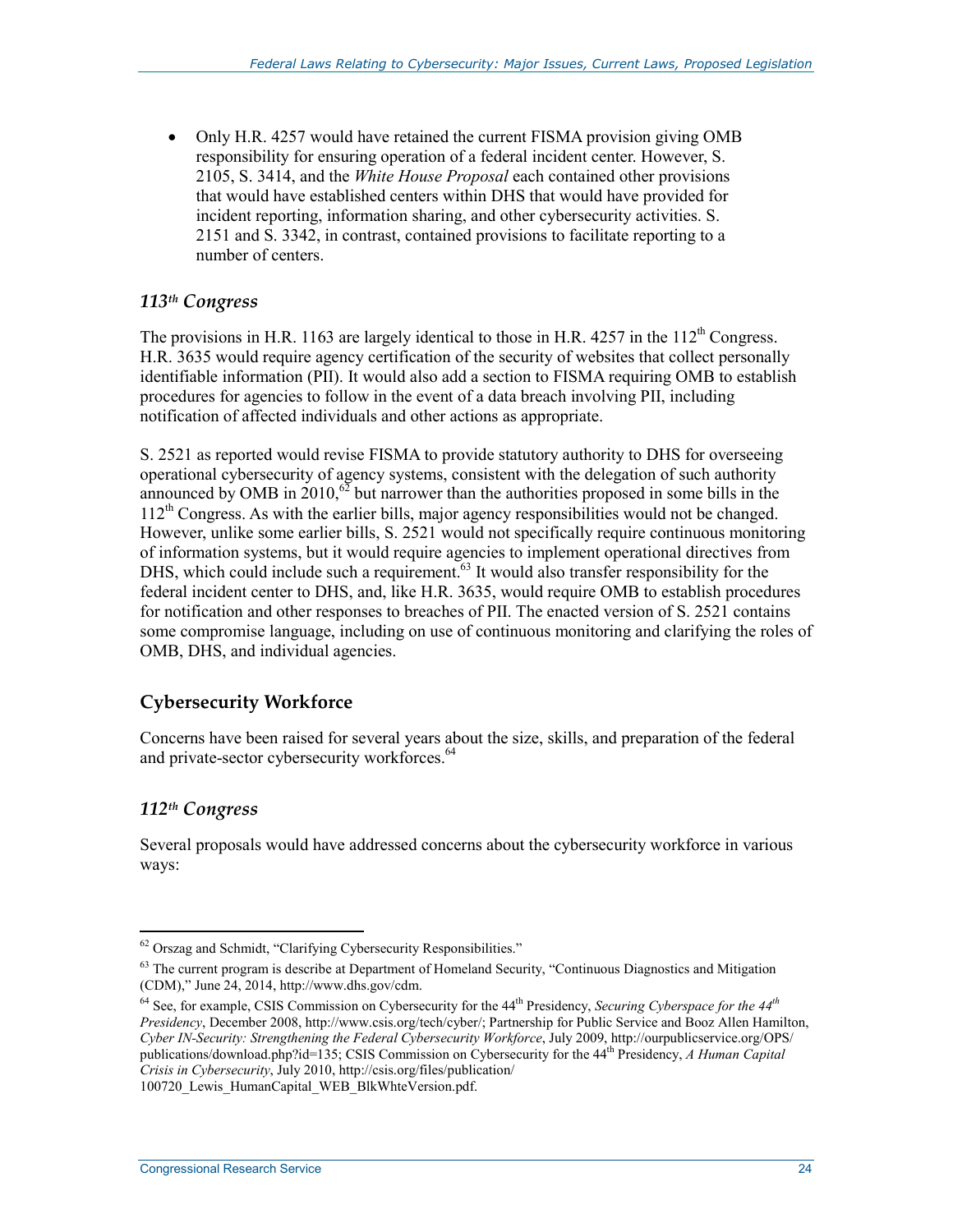• Only H.R. 4257 would have retained the current FISMA provision giving OMB responsibility for ensuring operation of a federal incident center. However, S. 2105, S. 3414, and the *White House Proposal* each contained other provisions that would have established centers within DHS that would have provided for incident reporting, information sharing, and other cybersecurity activities. S. 2151 and S. 3342, in contrast, contained provisions to facilitate reporting to a number of centers.

# *113th Congress*

The provisions in H.R. 1163 are largely identical to those in H.R. 4257 in the  $112^{th}$  Congress. H.R. 3635 would require agency certification of the security of websites that collect personally identifiable information (PII). It would also add a section to FISMA requiring OMB to establish procedures for agencies to follow in the event of a data breach involving PII, including notification of affected individuals and other actions as appropriate.

S. 2521 as reported would revise FISMA to provide statutory authority to DHS for overseeing operational cybersecurity of agency systems, consistent with the delegation of such authority announced by OMB in  $2010$ ,<sup>62</sup> but narrower than the authorities proposed in some bills in the 112th Congress. As with the earlier bills, major agency responsibilities would not be changed. However, unlike some earlier bills, S. 2521 would not specifically require continuous monitoring of information systems, but it would require agencies to implement operational directives from DHS, which could include such a requirement.<sup>63</sup> It would also transfer responsibility for the federal incident center to DHS, and, like H.R. 3635, would require OMB to establish procedures for notification and other responses to breaches of PII. The enacted version of S. 2521 contains some compromise language, including on use of continuous monitoring and clarifying the roles of OMB, DHS, and individual agencies.

# **Cybersecurity Workforce**

Concerns have been raised for several years about the size, skills, and preparation of the federal and private-sector cybersecurity workforces.<sup>64</sup>

# *112th Congress*

Several proposals would have addressed concerns about the cybersecurity workforce in various ways:

100720 Lewis HumanCapital WEB BlkWhteVersion.pdf.

<sup>1</sup> <sup>62</sup> Orszag and Schmidt, "Clarifying Cybersecurity Responsibilities."

<sup>&</sup>lt;sup>63</sup> The current program is describe at Department of Homeland Security, "Continuous Diagnostics and Mitigation (CDM)," June 24, 2014, http://www.dhs.gov/cdm.

<sup>64</sup> See, for example, CSIS Commission on Cybersecurity for the 44th Presidency, *Securing Cyberspace for the 44th Presidency*, December 2008, http://www.csis.org/tech/cyber/; Partnership for Public Service and Booz Allen Hamilton, *Cyber IN-Security: Strengthening the Federal Cybersecurity Workforce*, July 2009, http://ourpublicservice.org/OPS/ publications/download.php?id=135; CSIS Commission on Cybersecurity for the 44th Presidency, *A Human Capital Crisis in Cybersecurity*, July 2010, http://csis.org/files/publication/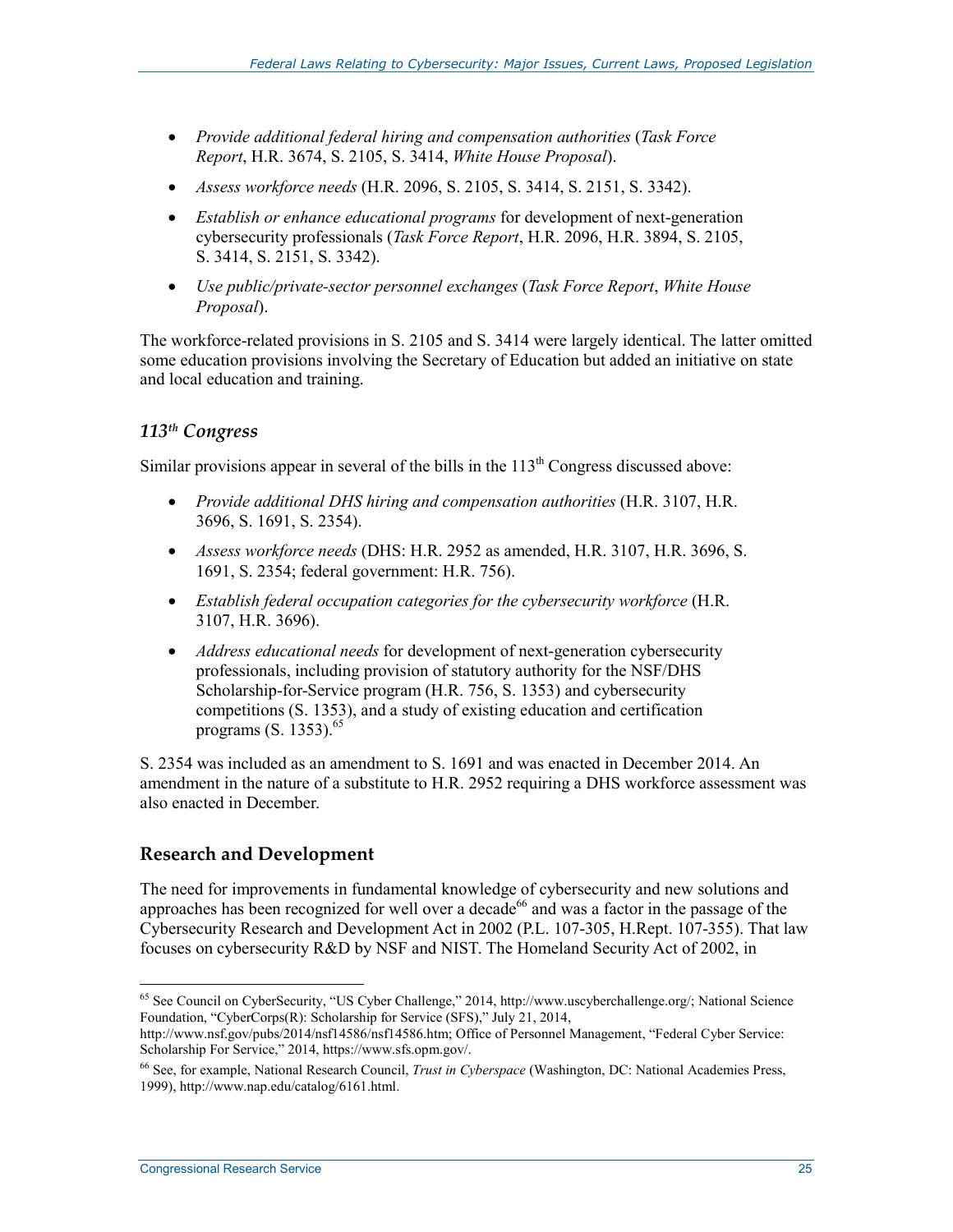- *Provide additional federal hiring and compensation authorities* (*Task Force Report*, H.R. 3674, S. 2105, S. 3414, *White House Proposal*).
- *Assess workforce needs* (H.R. 2096, S. 2105, S. 3414, S. 2151, S. 3342).
- *Establish or enhance educational programs* for development of next-generation cybersecurity professionals (*Task Force Report*, H.R. 2096, H.R. 3894, S. 2105, S. 3414, S. 2151, S. 3342).
- *Use public/private-sector personnel exchanges* (*Task Force Report*, *White House Proposal*).

The workforce-related provisions in S. 2105 and S. 3414 were largely identical. The latter omitted some education provisions involving the Secretary of Education but added an initiative on state and local education and training.

# *113th Congress*

Similar provisions appear in several of the bills in the  $113<sup>th</sup>$  Congress discussed above:

- *Provide additional DHS hiring and compensation authorities* (H.R. 3107, H.R. 3696, S. 1691, S. 2354).
- *Assess workforce needs* (DHS: H.R. 2952 as amended, H.R. 3107, H.R. 3696, S. 1691, S. 2354; federal government: H.R. 756).
- *Establish federal occupation categories for the cybersecurity workforce* (H.R. 3107, H.R. 3696).
- *Address educational needs* for development of next-generation cybersecurity professionals, including provision of statutory authority for the NSF/DHS Scholarship-for-Service program (H.R. 756, S. 1353) and cybersecurity competitions (S. 1353), and a study of existing education and certification programs  $(S, 1353)$ .<sup>65</sup>

S. 2354 was included as an amendment to S. 1691 and was enacted in December 2014. An amendment in the nature of a substitute to H.R. 2952 requiring a DHS workforce assessment was also enacted in December.

# **Research and Development**

The need for improvements in fundamental knowledge of cybersecurity and new solutions and approaches has been recognized for well over a decade<sup>66</sup> and was a factor in the passage of the Cybersecurity Research and Development Act in 2002 (P.L. 107-305, H.Rept. 107-355). That law focuses on cybersecurity R&D by NSF and NIST. The Homeland Security Act of 2002, in

<sup>1</sup> 65 See Council on CyberSecurity, "US Cyber Challenge," 2014, http://www.uscyberchallenge.org/; National Science Foundation, "CyberCorps(R): Scholarship for Service (SFS)," July 21, 2014,

http://www.nsf.gov/pubs/2014/nsf14586/nsf14586.htm; Office of Personnel Management, "Federal Cyber Service: Scholarship For Service," 2014, https://www.sfs.opm.gov/.

<sup>66</sup> See, for example, National Research Council, *Trust in Cyberspace* (Washington, DC: National Academies Press, 1999), http://www.nap.edu/catalog/6161.html.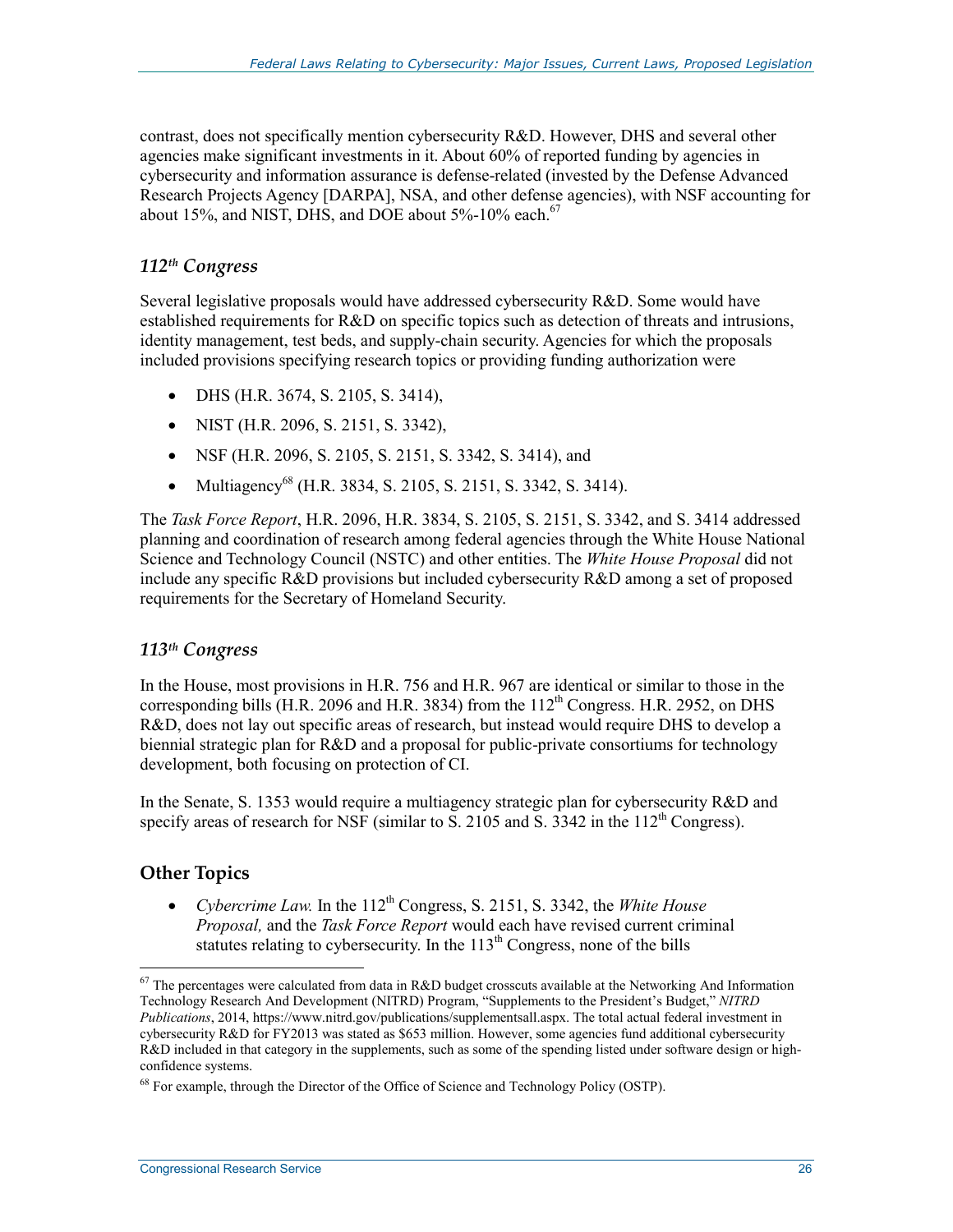contrast, does not specifically mention cybersecurity R&D. However, DHS and several other agencies make significant investments in it. About 60% of reported funding by agencies in cybersecurity and information assurance is defense-related (invested by the Defense Advanced Research Projects Agency [DARPA], NSA, and other defense agencies), with NSF accounting for about 15%, and NIST, DHS, and DOE about  $5\%$ -10% each.<sup>67</sup>

# *112th Congress*

Several legislative proposals would have addressed cybersecurity R&D. Some would have established requirements for R&D on specific topics such as detection of threats and intrusions, identity management, test beds, and supply-chain security. Agencies for which the proposals included provisions specifying research topics or providing funding authorization were

- DHS (H.R. 3674, S. 2105, S. 3414),
- NIST (H.R. 2096, S. 2151, S. 3342),
- NSF (H.R. 2096, S. 2105, S. 2151, S. 3342, S. 3414), and
- Multiagency<sup>68</sup> (H.R. 3834, S. 2105, S. 2151, S. 3342, S. 3414).

The *Task Force Report*, H.R. 2096, H.R. 3834, S. 2105, S. 2151, S. 3342, and S. 3414 addressed planning and coordination of research among federal agencies through the White House National Science and Technology Council (NSTC) and other entities. The *White House Proposal* did not include any specific R&D provisions but included cybersecurity R&D among a set of proposed requirements for the Secretary of Homeland Security.

#### *113th Congress*

In the House, most provisions in H.R. 756 and H.R. 967 are identical or similar to those in the corresponding bills (H.R. 2096 and H.R. 3834) from the  $112^{th}$  Congress. H.R. 2952, on DHS R&D, does not lay out specific areas of research, but instead would require DHS to develop a biennial strategic plan for R&D and a proposal for public-private consortiums for technology development, both focusing on protection of CI.

In the Senate, S. 1353 would require a multiagency strategic plan for cybersecurity R&D and specify areas of research for NSF (similar to S. 2105 and S. 3342 in the  $112<sup>th</sup>$  Congress).

# **Other Topics**

1

• *Cybercrime Law.* In the 112<sup>th</sup> Congress, S. 2151, S. 3342, the *White House Proposal,* and the *Task Force Report* would each have revised current criminal statutes relating to cybersecurity. In the  $113<sup>th</sup>$  Congress, none of the bills

 $67$  The percentages were calculated from data in R&D budget crosscuts available at the Networking And Information Technology Research And Development (NITRD) Program, "Supplements to the President's Budget," *NITRD Publications*, 2014, https://www.nitrd.gov/publications/supplementsall.aspx. The total actual federal investment in cybersecurity R&D for FY2013 was stated as \$653 million. However, some agencies fund additional cybersecurity R&D included in that category in the supplements, such as some of the spending listed under software design or highconfidence systems.

<sup>&</sup>lt;sup>68</sup> For example, through the Director of the Office of Science and Technology Policy (OSTP).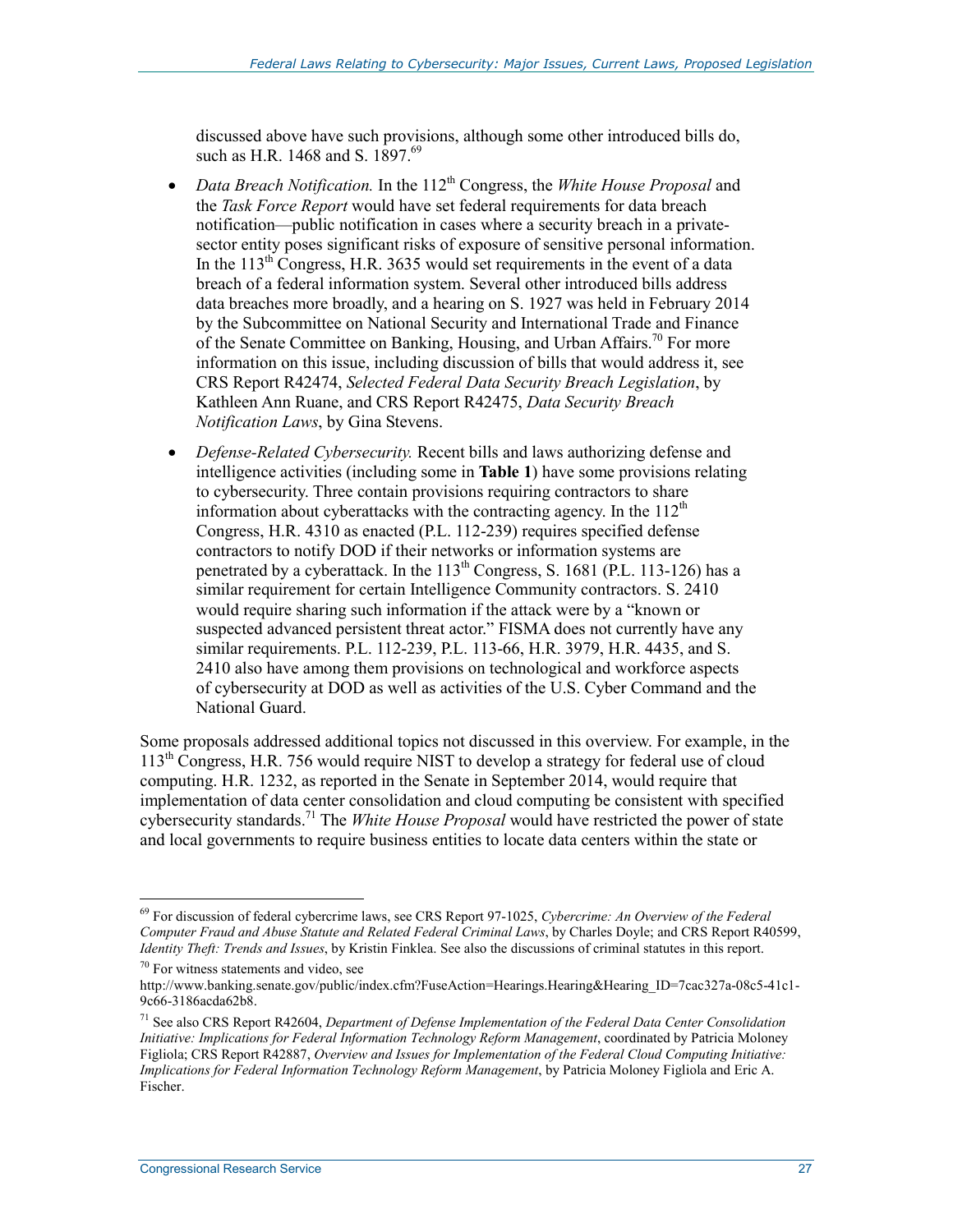discussed above have such provisions, although some other introduced bills do, such as H.R. 1468 and S. 1897.<sup>69</sup>

- *Data Breach Notification*. In the 112<sup>th</sup> Congress, the *White House Proposal* and the *Task Force Report* would have set federal requirements for data breach notification—public notification in cases where a security breach in a privatesector entity poses significant risks of exposure of sensitive personal information. In the  $113<sup>th</sup>$  Congress, H.R. 3635 would set requirements in the event of a data breach of a federal information system. Several other introduced bills address data breaches more broadly, and a hearing on S. 1927 was held in February 2014 by the Subcommittee on National Security and International Trade and Finance of the Senate Committee on Banking, Housing, and Urban Affairs.<sup>70</sup> For more information on this issue, including discussion of bills that would address it, see CRS Report R42474, *Selected Federal Data Security Breach Legislation*, by Kathleen Ann Ruane, and CRS Report R42475, *Data Security Breach Notification Laws*, by Gina Stevens.
- *Defense-Related Cybersecurity.* Recent bills and laws authorizing defense and intelligence activities (including some in **Table 1**) have some provisions relating to cybersecurity. Three contain provisions requiring contractors to share information about cyberattacks with the contracting agency. In the  $112<sup>th</sup>$ Congress, H.R. 4310 as enacted (P.L. 112-239) requires specified defense contractors to notify DOD if their networks or information systems are penetrated by a cyberattack. In the  $113<sup>th</sup>$  Congress, S. 1681 (P.L. 113-126) has a similar requirement for certain Intelligence Community contractors. S. 2410 would require sharing such information if the attack were by a "known or suspected advanced persistent threat actor." FISMA does not currently have any similar requirements. P.L. 112-239, P.L. 113-66, H.R. 3979, H.R. 4435, and S. 2410 also have among them provisions on technological and workforce aspects of cybersecurity at DOD as well as activities of the U.S. Cyber Command and the National Guard.

Some proposals addressed additional topics not discussed in this overview. For example, in the  $113<sup>th</sup>$  Congress, H.R. 756 would require NIST to develop a strategy for federal use of cloud computing. H.R. 1232, as reported in the Senate in September 2014, would require that implementation of data center consolidation and cloud computing be consistent with specified cybersecurity standards.<sup>71</sup> The *White House Proposal* would have restricted the power of state and local governments to require business entities to locate data centers within the state or

<u>.</u>

<sup>69</sup> For discussion of federal cybercrime laws, see CRS Report 97-1025, *Cybercrime: An Overview of the Federal Computer Fraud and Abuse Statute and Related Federal Criminal Laws*, by Charles Doyle; and CRS Report R40599, *Identity Theft: Trends and Issues*, by Kristin Finklea. See also the discussions of criminal statutes in this report.

<sup>70</sup> For witness statements and video, see

http://www.banking.senate.gov/public/index.cfm?FuseAction=Hearings.Hearing&Hearing\_ID=7cac327a-08c5-41c1-9c66-3186acda62b8.

<sup>71</sup> See also CRS Report R42604, *Department of Defense Implementation of the Federal Data Center Consolidation Initiative: Implications for Federal Information Technology Reform Management*, coordinated by Patricia Moloney Figliola; CRS Report R42887, *Overview and Issues for Implementation of the Federal Cloud Computing Initiative: Implications for Federal Information Technology Reform Management*, by Patricia Moloney Figliola and Eric A. Fischer.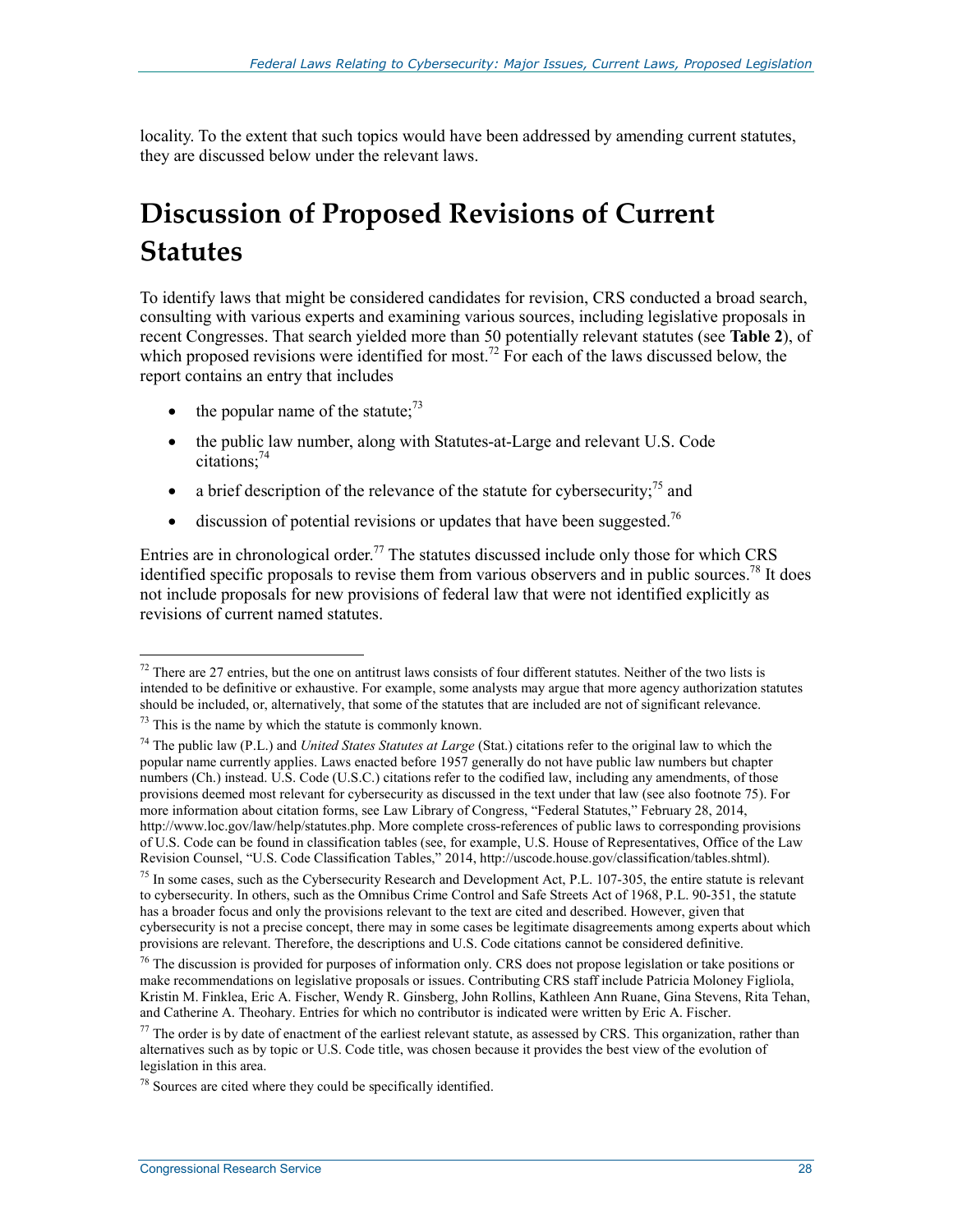locality. To the extent that such topics would have been addressed by amending current statutes, they are discussed below under the relevant laws.

# **Discussion of Proposed Revisions of Current Statutes**

To identify laws that might be considered candidates for revision, CRS conducted a broad search, consulting with various experts and examining various sources, including legislative proposals in recent Congresses. That search yielded more than 50 potentially relevant statutes (see **Table 2**), of which proposed revisions were identified for most.<sup>72</sup> For each of the laws discussed below, the report contains an entry that includes

- the popular name of the statute; $^{73}$
- the public law number, along with Statutes-at-Large and relevant U.S. Code citations:<sup>74</sup>
- a brief description of the relevance of the statute for cybersecurity;  $^{75}$  and
- discussion of potential revisions or updates that have been suggested.<sup>76</sup>

Entries are in chronological order.<sup>77</sup> The statutes discussed include only those for which CRS identified specific proposals to revise them from various observers and in public sources.<sup>78</sup> It does not include proposals for new provisions of federal law that were not identified explicitly as revisions of current named statutes.

 $72$  There are 27 entries, but the one on antitrust laws consists of four different statutes. Neither of the two lists is intended to be definitive or exhaustive. For example, some analysts may argue that more agency authorization statutes should be included, or, alternatively, that some of the statutes that are included are not of significant relevance.

 $73$  This is the name by which the statute is commonly known.

<sup>74</sup> The public law (P.L.) and *United States Statutes at Large* (Stat.) citations refer to the original law to which the popular name currently applies. Laws enacted before 1957 generally do not have public law numbers but chapter numbers (Ch.) instead. U.S. Code (U.S.C.) citations refer to the codified law, including any amendments, of those provisions deemed most relevant for cybersecurity as discussed in the text under that law (see also footnote 75). For more information about citation forms, see Law Library of Congress, "Federal Statutes," February 28, 2014, http://www.loc.gov/law/help/statutes.php. More complete cross-references of public laws to corresponding provisions of U.S. Code can be found in classification tables (see, for example, U.S. House of Representatives, Office of the Law Revision Counsel, "U.S. Code Classification Tables," 2014, http://uscode.house.gov/classification/tables.shtml).

<sup>&</sup>lt;sup>75</sup> In some cases, such as the Cybersecurity Research and Development Act, P.L. 107-305, the entire statute is relevant to cybersecurity. In others, such as the Omnibus Crime Control and Safe Streets Act of 1968, P.L. 90-351, the statute has a broader focus and only the provisions relevant to the text are cited and described. However, given that cybersecurity is not a precise concept, there may in some cases be legitimate disagreements among experts about which provisions are relevant. Therefore, the descriptions and U.S. Code citations cannot be considered definitive.

<sup>&</sup>lt;sup>76</sup> The discussion is provided for purposes of information only. CRS does not propose legislation or take positions or make recommendations on legislative proposals or issues. Contributing CRS staff include Patricia Moloney Figliola, Kristin M. Finklea, Eric A. Fischer, Wendy R. Ginsberg, John Rollins, Kathleen Ann Ruane, Gina Stevens, Rita Tehan, and Catherine A. Theohary. Entries for which no contributor is indicated were written by Eric A. Fischer.

 $<sup>77</sup>$  The order is by date of enactment of the earliest relevant statute, as assessed by CRS. This organization, rather than</sup> alternatives such as by topic or U.S. Code title, was chosen because it provides the best view of the evolution of legislation in this area.

<sup>78</sup> Sources are cited where they could be specifically identified.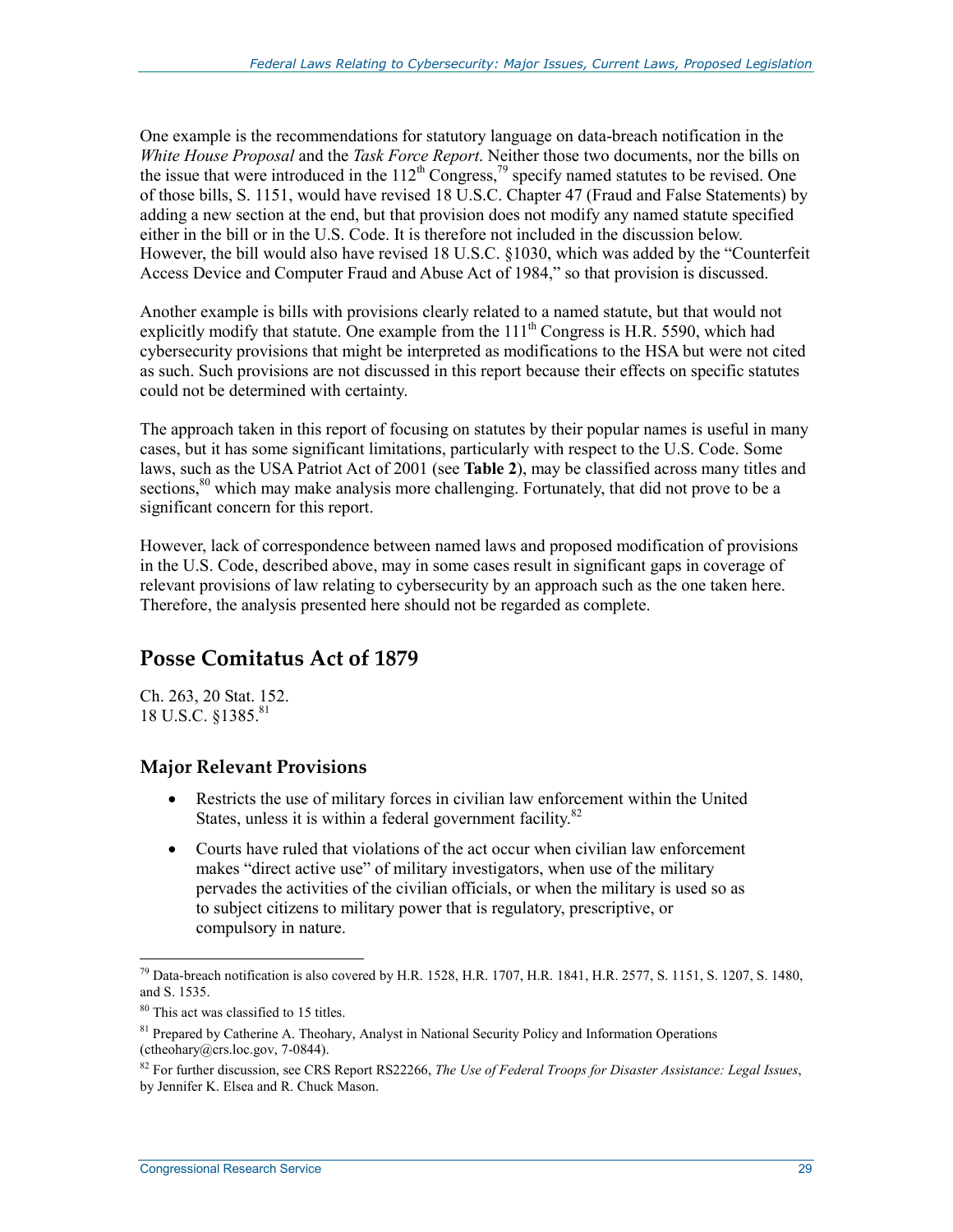One example is the recommendations for statutory language on data-breach notification in the *White House Proposal* and the *Task Force Report*. Neither those two documents, nor the bills on the issue that were introduced in the  $112<sup>th</sup>$  Congress,<sup>79</sup> specify named statutes to be revised. One of those bills, S. 1151, would have revised 18 U.S.C. Chapter 47 (Fraud and False Statements) by adding a new section at the end, but that provision does not modify any named statute specified either in the bill or in the U.S. Code. It is therefore not included in the discussion below. However, the bill would also have revised 18 U.S.C. §1030, which was added by the "Counterfeit Access Device and Computer Fraud and Abuse Act of 1984," so that provision is discussed.

Another example is bills with provisions clearly related to a named statute, but that would not explicitly modify that statute. One example from the  $111<sup>th</sup>$  Congress is H.R. 5590, which had cybersecurity provisions that might be interpreted as modifications to the HSA but were not cited as such. Such provisions are not discussed in this report because their effects on specific statutes could not be determined with certainty.

The approach taken in this report of focusing on statutes by their popular names is useful in many cases, but it has some significant limitations, particularly with respect to the U.S. Code. Some laws, such as the USA Patriot Act of 2001 (see **Table 2**), may be classified across many titles and sections,<sup>80</sup> which may make analysis more challenging. Fortunately, that did not prove to be a significant concern for this report.

However, lack of correspondence between named laws and proposed modification of provisions in the U.S. Code, described above, may in some cases result in significant gaps in coverage of relevant provisions of law relating to cybersecurity by an approach such as the one taken here. Therefore, the analysis presented here should not be regarded as complete.

# **Posse Comitatus Act of 1879**

Ch. 263, 20 Stat. 152. 18 U.S.C. §1385.<sup>81</sup>

# **Major Relevant Provisions**

- Restricts the use of military forces in civilian law enforcement within the United States, unless it is within a federal government facility.<sup>82</sup>
- Courts have ruled that violations of the act occur when civilian law enforcement makes "direct active use" of military investigators, when use of the military pervades the activities of the civilian officials, or when the military is used so as to subject citizens to military power that is regulatory, prescriptive, or compulsory in nature.

<sup>&</sup>lt;sup>79</sup> Data-breach notification is also covered by H.R. 1528, H.R. 1707, H.R. 1841, H.R. 2577, S. 1151, S. 1207, S. 1480, and S. 1535.

<sup>80</sup> This act was classified to 15 titles.

<sup>&</sup>lt;sup>81</sup> Prepared by Catherine A. Theohary, Analyst in National Security Policy and Information Operations (ctheohary@crs.loc.gov, 7-0844).

<sup>82</sup> For further discussion, see CRS Report RS22266, *The Use of Federal Troops for Disaster Assistance: Legal Issues*, by Jennifer K. Elsea and R. Chuck Mason.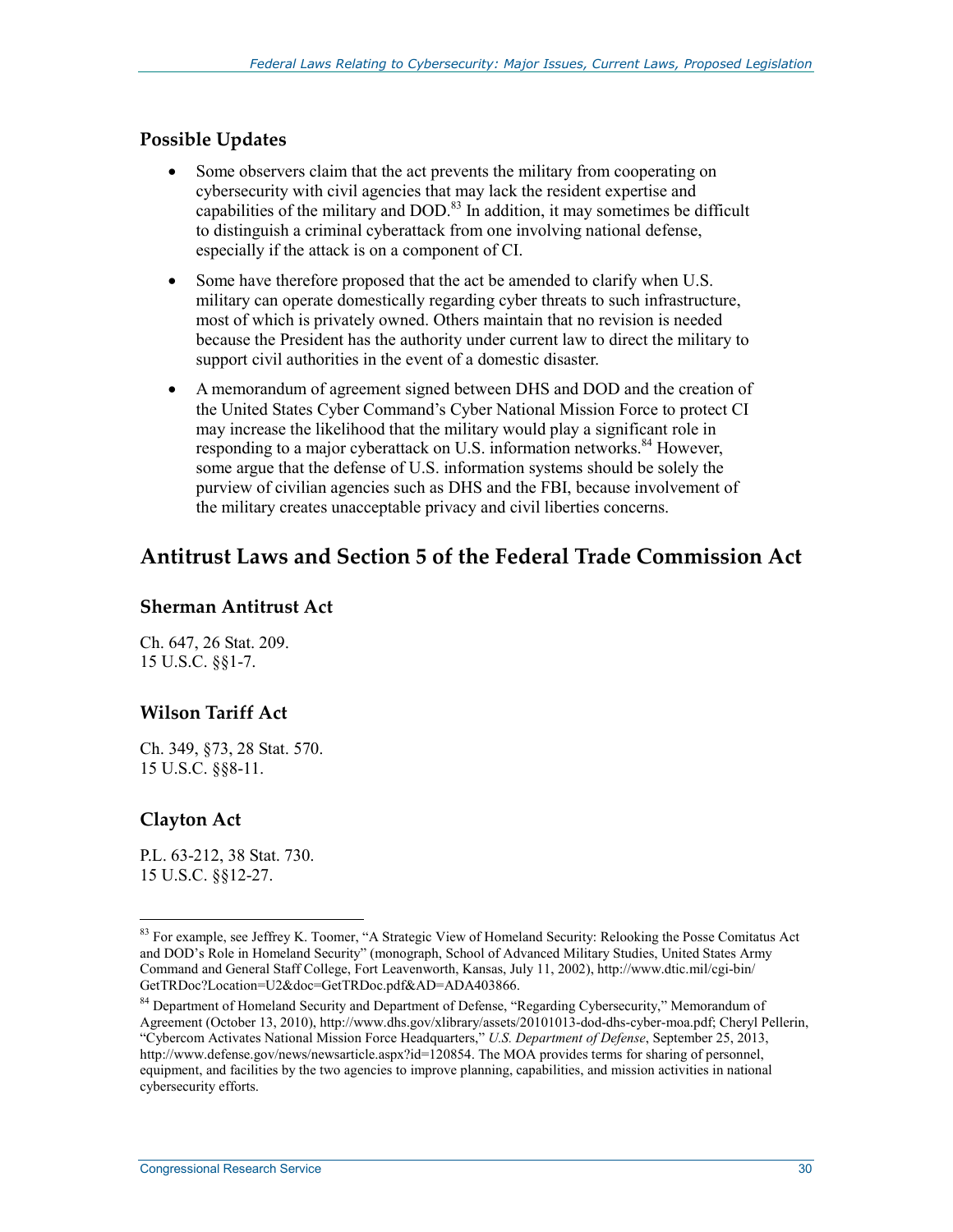# **Possible Updates**

- Some observers claim that the act prevents the military from cooperating on cybersecurity with civil agencies that may lack the resident expertise and capabilities of the military and DOD.<sup>83</sup> In addition, it may sometimes be difficult to distinguish a criminal cyberattack from one involving national defense, especially if the attack is on a component of CI.
- Some have therefore proposed that the act be amended to clarify when U.S. military can operate domestically regarding cyber threats to such infrastructure, most of which is privately owned. Others maintain that no revision is needed because the President has the authority under current law to direct the military to support civil authorities in the event of a domestic disaster.
- A memorandum of agreement signed between DHS and DOD and the creation of the United States Cyber Command's Cyber National Mission Force to protect CI may increase the likelihood that the military would play a significant role in responding to a major cyberattack on U.S. information networks.<sup>84</sup> However, some argue that the defense of U.S. information systems should be solely the purview of civilian agencies such as DHS and the FBI, because involvement of the military creates unacceptable privacy and civil liberties concerns.

# **Antitrust Laws and Section 5 of the Federal Trade Commission Act**

#### **Sherman Antitrust Act**

Ch. 647, 26 Stat. 209. 15 U.S.C. §§1-7.

# **Wilson Tariff Act**

Ch. 349, §73, 28 Stat. 570. 15 U.S.C. §§8-11.

# **Clayton Act**

1

P.L. 63-212, 38 Stat. 730. 15 U.S.C. §§12-27.

<sup>&</sup>lt;sup>83</sup> For example, see Jeffrey K. Toomer, "A Strategic View of Homeland Security: Relooking the Posse Comitatus Act and DOD's Role in Homeland Security" (monograph, School of Advanced Military Studies, United States Army Command and General Staff College, Fort Leavenworth, Kansas, July 11, 2002), http://www.dtic.mil/cgi-bin/ GetTRDoc?Location=U2&doc=GetTRDoc.pdf&AD=ADA403866.

<sup>&</sup>lt;sup>84</sup> Department of Homeland Security and Department of Defense, "Regarding Cybersecurity," Memorandum of Agreement (October 13, 2010), http://www.dhs.gov/xlibrary/assets/20101013-dod-dhs-cyber-moa.pdf; Cheryl Pellerin, "Cybercom Activates National Mission Force Headquarters," *U.S. Department of Defense*, September 25, 2013, http://www.defense.gov/news/newsarticle.aspx?id=120854. The MOA provides terms for sharing of personnel, equipment, and facilities by the two agencies to improve planning, capabilities, and mission activities in national cybersecurity efforts.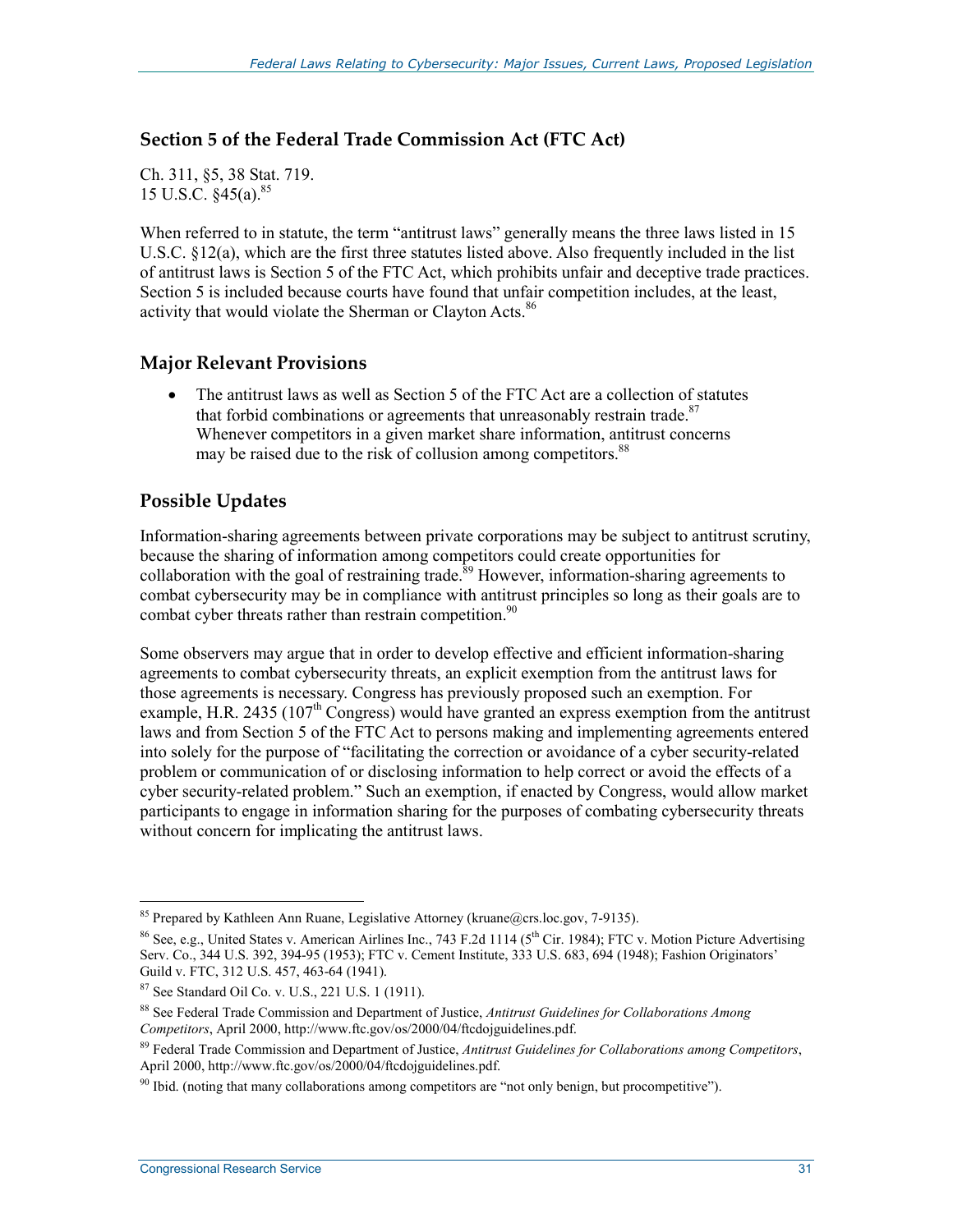#### **Section 5 of the Federal Trade Commission Act (FTC Act)**

Ch. 311, §5, 38 Stat. 719. 15 U.S.C.  $§45(a).^{85}$ 

When referred to in statute, the term "antitrust laws" generally means the three laws listed in 15 U.S.C. §12(a), which are the first three statutes listed above. Also frequently included in the list of antitrust laws is Section 5 of the FTC Act, which prohibits unfair and deceptive trade practices. Section 5 is included because courts have found that unfair competition includes, at the least, activity that would violate the Sherman or Clayton Acts.<sup>86</sup>

#### **Major Relevant Provisions**

• The antitrust laws as well as Section 5 of the FTC Act are a collection of statutes that forbid combinations or agreements that unreasonably restrain trade.<sup>87</sup> Whenever competitors in a given market share information, antitrust concerns may be raised due to the risk of collusion among competitors.<sup>88</sup>

# **Possible Updates**

Information-sharing agreements between private corporations may be subject to antitrust scrutiny, because the sharing of information among competitors could create opportunities for collaboration with the goal of restraining trade.<sup>89</sup> However, information-sharing agreements to combat cybersecurity may be in compliance with antitrust principles so long as their goals are to combat cyber threats rather than restrain competition.<sup>90</sup>

Some observers may argue that in order to develop effective and efficient information-sharing agreements to combat cybersecurity threats, an explicit exemption from the antitrust laws for those agreements is necessary. Congress has previously proposed such an exemption. For example, H.R. 2435 ( $107<sup>th</sup>$  Congress) would have granted an express exemption from the antitrust laws and from Section 5 of the FTC Act to persons making and implementing agreements entered into solely for the purpose of "facilitating the correction or avoidance of a cyber security-related problem or communication of or disclosing information to help correct or avoid the effects of a cyber security-related problem." Such an exemption, if enacted by Congress, would allow market participants to engage in information sharing for the purposes of combating cybersecurity threats without concern for implicating the antitrust laws.

<sup>1</sup> <sup>85</sup> Prepared by Kathleen Ann Ruane, Legislative Attorney (kruane@crs.loc.gov, 7-9135).

<sup>&</sup>lt;sup>86</sup> See, e.g., United States v. American Airlines Inc., 743 F.2d 1114 ( $5<sup>th</sup>$  Cir. 1984); FTC v. Motion Picture Advertising Serv. Co., 344 U.S. 392, 394-95 (1953); FTC v. Cement Institute, 333 U.S. 683, 694 (1948); Fashion Originators' Guild v. FTC, 312 U.S. 457, 463-64 (1941).

<sup>87</sup> See Standard Oil Co. v. U.S., 221 U.S. 1 (1911).

<sup>88</sup> See Federal Trade Commission and Department of Justice, *Antitrust Guidelines for Collaborations Among Competitors*, April 2000, http://www.ftc.gov/os/2000/04/ftcdojguidelines.pdf.

<sup>89</sup> Federal Trade Commission and Department of Justice, *Antitrust Guidelines for Collaborations among Competitors*, April 2000, http://www.ftc.gov/os/2000/04/ftcdojguidelines.pdf.

<sup>&</sup>lt;sup>90</sup> Ibid. (noting that many collaborations among competitors are "not only benign, but procompetitive").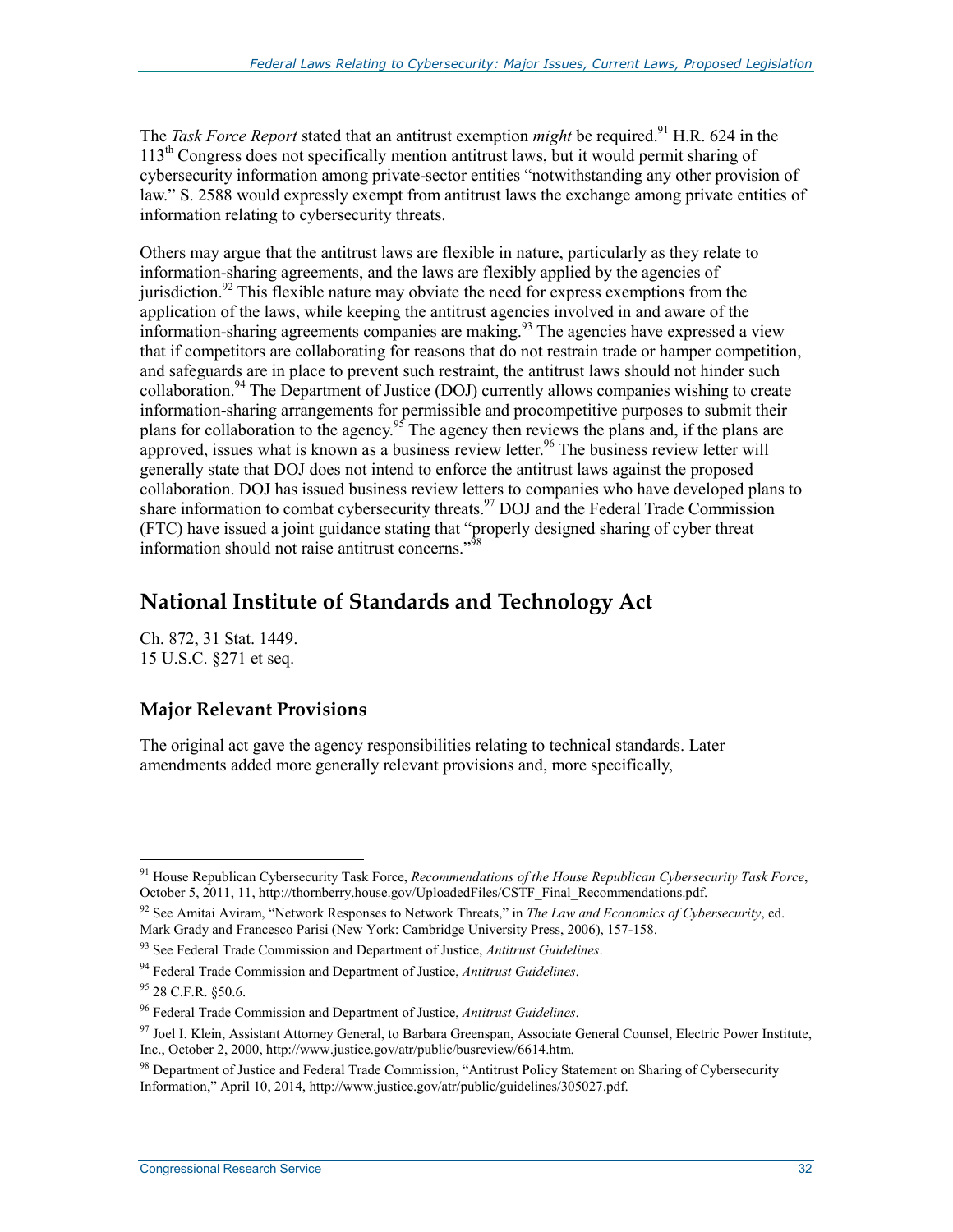The *Task Force Report* stated that an antitrust exemption *might* be required.<sup>91</sup> H.R. 624 in the 113<sup>th</sup> Congress does not specifically mention antitrust laws, but it would permit sharing of cybersecurity information among private-sector entities "notwithstanding any other provision of law." S. 2588 would expressly exempt from antitrust laws the exchange among private entities of information relating to cybersecurity threats.

Others may argue that the antitrust laws are flexible in nature, particularly as they relate to information-sharing agreements, and the laws are flexibly applied by the agencies of jurisdiction.<sup>92</sup> This flexible nature may obviate the need for express exemptions from the application of the laws, while keeping the antitrust agencies involved in and aware of the information-sharing agreements companies are making.<sup>93</sup> The agencies have expressed a view that if competitors are collaborating for reasons that do not restrain trade or hamper competition, and safeguards are in place to prevent such restraint, the antitrust laws should not hinder such collaboration.<sup>94</sup> The Department of Justice (DOJ) currently allows companies wishing to create information-sharing arrangements for permissible and procompetitive purposes to submit their plans for collaboration to the agency.<sup>95</sup> The agency then reviews the plans and, if the plans are approved, issues what is known as a business review letter.<sup>96</sup> The business review letter will generally state that DOJ does not intend to enforce the antitrust laws against the proposed collaboration. DOJ has issued business review letters to companies who have developed plans to share information to combat cybersecurity threats.<sup>97</sup> DOJ and the Federal Trade Commission (FTC) have issued a joint guidance stating that "properly designed sharing of cyber threat information should not raise antitrust concerns."98

# **National Institute of Standards and Technology Act**

Ch. 872, 31 Stat. 1449. 15 U.S.C. §271 et seq.

# **Major Relevant Provisions**

The original act gave the agency responsibilities relating to technical standards. Later amendments added more generally relevant provisions and, more specifically,

<sup>91</sup> House Republican Cybersecurity Task Force, *Recommendations of the House Republican Cybersecurity Task Force*, October 5, 2011, 11, http://thornberry.house.gov/UploadedFiles/CSTF\_Final\_Recommendations.pdf.

<sup>92</sup> See Amitai Aviram, "Network Responses to Network Threats," in *The Law and Economics of Cybersecurity*, ed. Mark Grady and Francesco Parisi (New York: Cambridge University Press, 2006), 157-158.

<sup>93</sup> See Federal Trade Commission and Department of Justice, *Antitrust Guidelines*.

<sup>94</sup> Federal Trade Commission and Department of Justice, *Antitrust Guidelines*.

<sup>95 28</sup> C.F.R. §50.6.

<sup>96</sup> Federal Trade Commission and Department of Justice, *Antitrust Guidelines*.

<sup>&</sup>lt;sup>97</sup> Joel I. Klein, Assistant Attorney General, to Barbara Greenspan, Associate General Counsel, Electric Power Institute, Inc., October 2, 2000, http://www.justice.gov/atr/public/busreview/6614.htm.

<sup>&</sup>lt;sup>98</sup> Department of Justice and Federal Trade Commission, "Antitrust Policy Statement on Sharing of Cybersecurity Information," April 10, 2014, http://www.justice.gov/atr/public/guidelines/305027.pdf.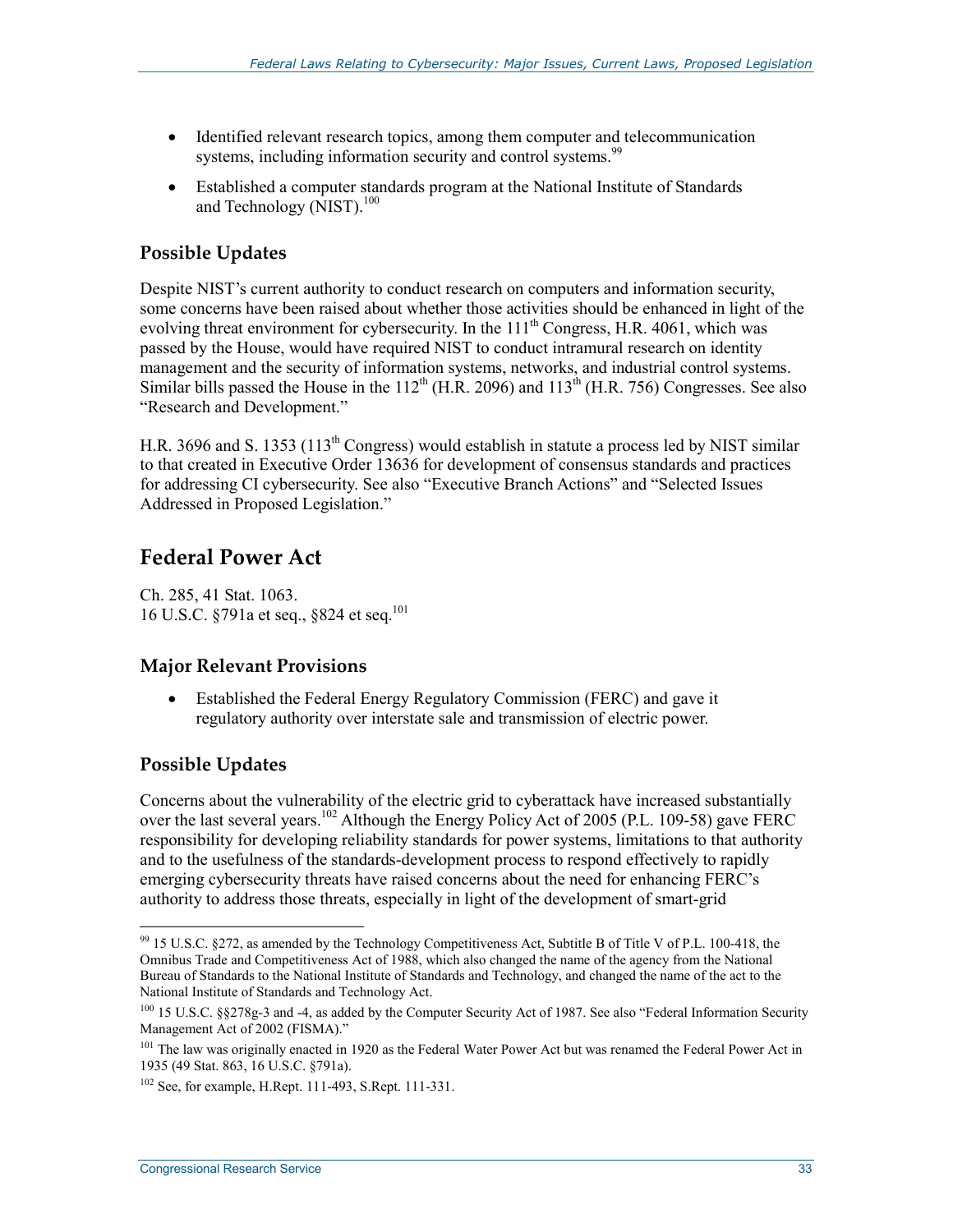- Identified relevant research topics, among them computer and telecommunication systems, including information security and control systems.<sup>99</sup>
- Established a computer standards program at the National Institute of Standards and Technology (NIST).<sup>100</sup>

## **Possible Updates**

Despite NIST's current authority to conduct research on computers and information security, some concerns have been raised about whether those activities should be enhanced in light of the evolving threat environment for cybersecurity. In the  $111<sup>th</sup>$  Congress, H.R. 4061, which was passed by the House, would have required NIST to conduct intramural research on identity management and the security of information systems, networks, and industrial control systems. Similar bills passed the House in the  $112^{th}$  (H.R. 2096) and  $113^{th}$  (H.R. 756) Congresses. See also "Research and Development."

H.R. 3696 and S. 1353 (113<sup>th</sup> Congress) would establish in statute a process led by NIST similar to that created in Executive Order 13636 for development of consensus standards and practices for addressing CI cybersecurity. See also "Executive Branch Actions" and "Selected Issues Addressed in Proposed Legislation."

# **Federal Power Act**

Ch. 285, 41 Stat. 1063. 16 U.S.C. §791a et seq., §824 et seq.101

## **Major Relevant Provisions**

• Established the Federal Energy Regulatory Commission (FERC) and gave it regulatory authority over interstate sale and transmission of electric power.

## **Possible Updates**

1

Concerns about the vulnerability of the electric grid to cyberattack have increased substantially over the last several years.<sup>102</sup> Although the Energy Policy Act of 2005 (P.L. 109-58) gave FERC responsibility for developing reliability standards for power systems, limitations to that authority and to the usefulness of the standards-development process to respond effectively to rapidly emerging cybersecurity threats have raised concerns about the need for enhancing FERC's authority to address those threats, especially in light of the development of smart-grid

 $99$  15 U.S.C. §272, as amended by the Technology Competitiveness Act, Subtitle B of Title V of P.L. 100-418, the Omnibus Trade and Competitiveness Act of 1988, which also changed the name of the agency from the National Bureau of Standards to the National Institute of Standards and Technology, and changed the name of the act to the National Institute of Standards and Technology Act.

<sup>&</sup>lt;sup>100</sup> 15 U.S.C. §§278g-3 and -4, as added by the Computer Security Act of 1987. See also "Federal Information Security Management Act of 2002 (FISMA)."

<sup>&</sup>lt;sup>101</sup> The law was originally enacted in 1920 as the Federal Water Power Act but was renamed the Federal Power Act in 1935 (49 Stat. 863, 16 U.S.C. §791a).

<sup>102</sup> See, for example, H.Rept. 111-493, S.Rept. 111-331.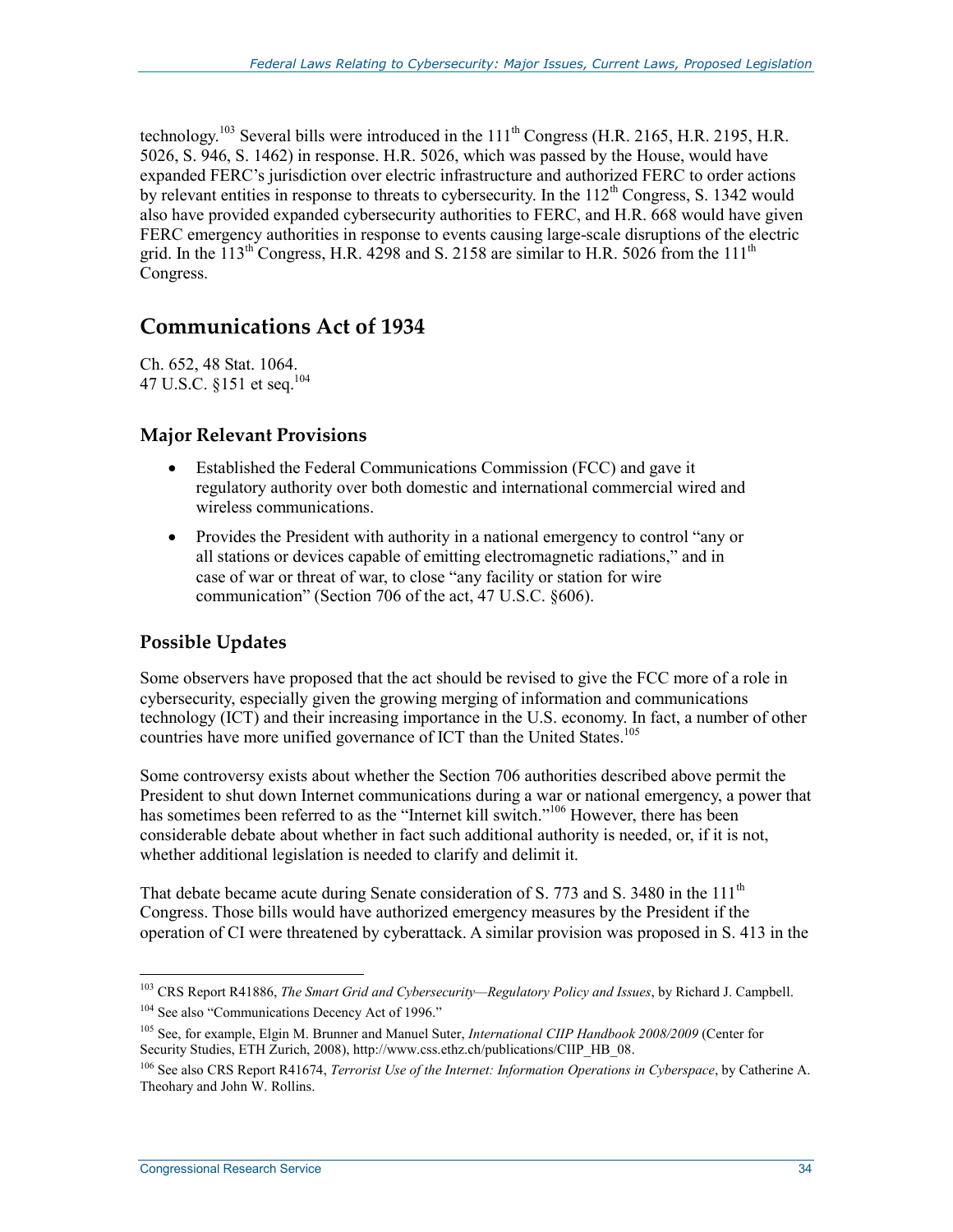technology.<sup>103</sup> Several bills were introduced in the  $111<sup>th</sup>$  Congress (H.R. 2165, H.R. 2195, H.R. 5026, S. 946, S. 1462) in response. H.R. 5026, which was passed by the House, would have expanded FERC's jurisdiction over electric infrastructure and authorized FERC to order actions by relevant entities in response to threats to cybersecurity. In the  $112<sup>th</sup>$  Congress, S. 1342 would also have provided expanded cybersecurity authorities to FERC, and H.R. 668 would have given FERC emergency authorities in response to events causing large-scale disruptions of the electric grid. In the  $113^{th}$  Congress, H.R. 4298 and S. 2158 are similar to H.R. 5026 from the  $111^{th}$ Congress.

# **Communications Act of 1934**

Ch. 652, 48 Stat. 1064. 47 U.S.C. §151 et seq.<sup>104</sup>

## **Major Relevant Provisions**

- Established the Federal Communications Commission (FCC) and gave it regulatory authority over both domestic and international commercial wired and wireless communications.
- Provides the President with authority in a national emergency to control "any or all stations or devices capable of emitting electromagnetic radiations," and in case of war or threat of war, to close "any facility or station for wire communication" (Section 706 of the act, 47 U.S.C. §606).

## **Possible Updates**

Some observers have proposed that the act should be revised to give the FCC more of a role in cybersecurity, especially given the growing merging of information and communications technology (ICT) and their increasing importance in the U.S. economy. In fact, a number of other countries have more unified governance of ICT than the United States.<sup>105</sup>

Some controversy exists about whether the Section 706 authorities described above permit the President to shut down Internet communications during a war or national emergency, a power that has sometimes been referred to as the "Internet kill switch."<sup>106</sup> However, there has been considerable debate about whether in fact such additional authority is needed, or, if it is not, whether additional legislation is needed to clarify and delimit it.

That debate became acute during Senate consideration of S. 773 and S. 3480 in the  $111<sup>th</sup>$ Congress. Those bills would have authorized emergency measures by the President if the operation of CI were threatened by cyberattack. A similar provision was proposed in S. 413 in the

<sup>103</sup> CRS Report R41886, *The Smart Grid and Cybersecurity—Regulatory Policy and Issues*, by Richard J. Campbell.

<sup>&</sup>lt;sup>104</sup> See also "Communications Decency Act of 1996."

<sup>105</sup> See, for example, Elgin M. Brunner and Manuel Suter, *International CIIP Handbook 2008/2009* (Center for Security Studies, ETH Zurich, 2008), http://www.css.ethz.ch/publications/CIIP\_HB\_08.

<sup>106</sup> See also CRS Report R41674, *Terrorist Use of the Internet: Information Operations in Cyberspace*, by Catherine A. Theohary and John W. Rollins.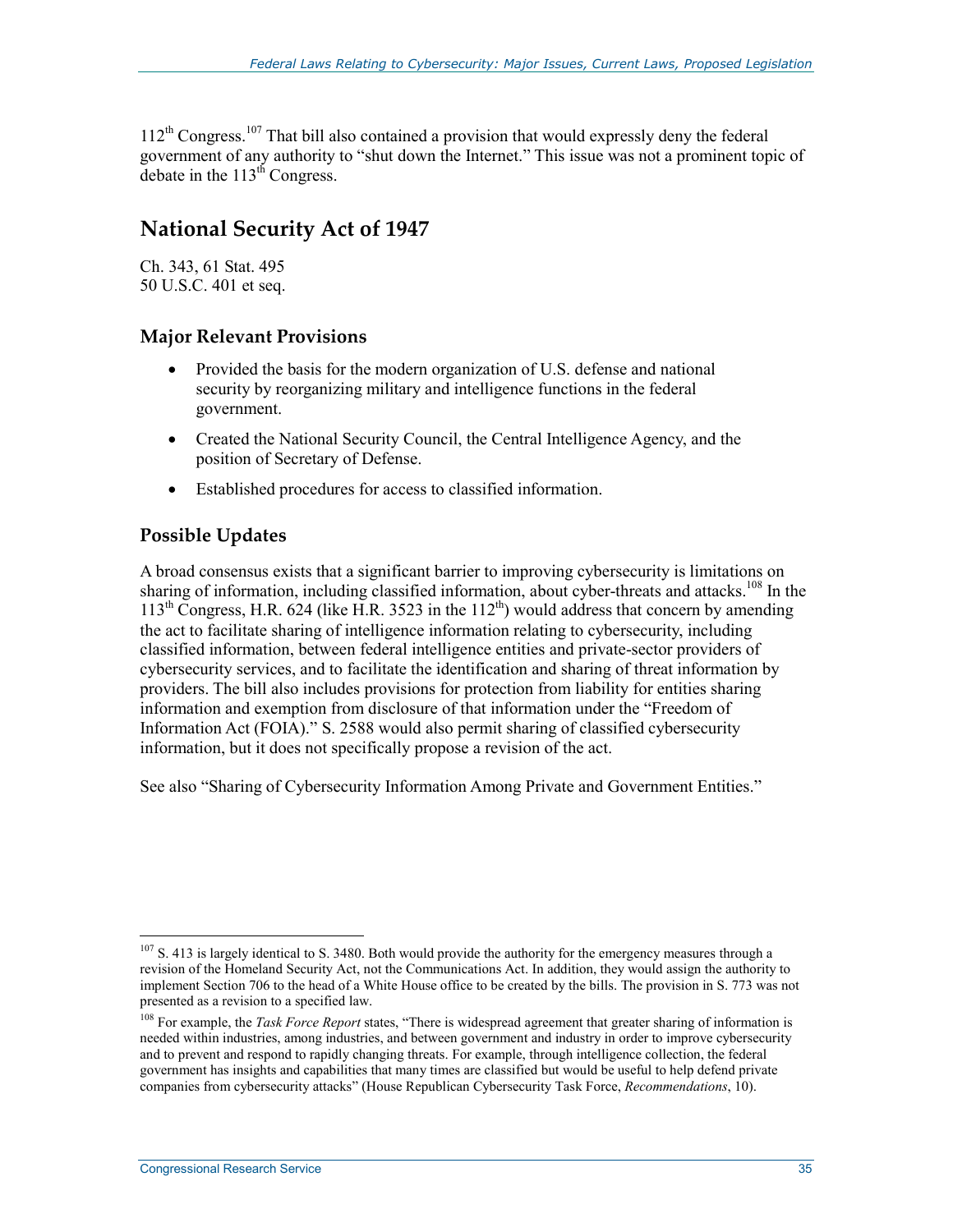$112<sup>th</sup> Congress.<sup>107</sup> That bill also contained a provision that would expressly deny the federal$ government of any authority to "shut down the Internet." This issue was not a prominent topic of debate in the  $113<sup>th</sup>$  Congress.

# **National Security Act of 1947**

Ch. 343, 61 Stat. 495 50 U.S.C. 401 et seq.

## **Major Relevant Provisions**

- Provided the basis for the modern organization of U.S. defense and national security by reorganizing military and intelligence functions in the federal government.
- Created the National Security Council, the Central Intelligence Agency, and the position of Secretary of Defense.
- Established procedures for access to classified information.

## **Possible Updates**

A broad consensus exists that a significant barrier to improving cybersecurity is limitations on sharing of information, including classified information, about cyber-threats and attacks.<sup>108</sup> In the  $113<sup>th</sup>$  Congress, H.R. 624 (like H.R. 3523 in the  $112<sup>th</sup>$ ) would address that concern by amending the act to facilitate sharing of intelligence information relating to cybersecurity, including classified information, between federal intelligence entities and private-sector providers of cybersecurity services, and to facilitate the identification and sharing of threat information by providers. The bill also includes provisions for protection from liability for entities sharing information and exemption from disclosure of that information under the "Freedom of Information Act (FOIA)." S. 2588 would also permit sharing of classified cybersecurity information, but it does not specifically propose a revision of the act.

See also "Sharing of Cybersecurity Information Among Private and Government Entities."

<sup>1</sup>  $107$  S. 413 is largely identical to S. 3480. Both would provide the authority for the emergency measures through a revision of the Homeland Security Act, not the Communications Act. In addition, they would assign the authority to implement Section 706 to the head of a White House office to be created by the bills. The provision in S. 773 was not presented as a revision to a specified law.

<sup>&</sup>lt;sup>108</sup> For example, the *Task Force Report* states, "There is widespread agreement that greater sharing of information is needed within industries, among industries, and between government and industry in order to improve cybersecurity and to prevent and respond to rapidly changing threats. For example, through intelligence collection, the federal government has insights and capabilities that many times are classified but would be useful to help defend private companies from cybersecurity attacks" (House Republican Cybersecurity Task Force, *Recommendations*, 10).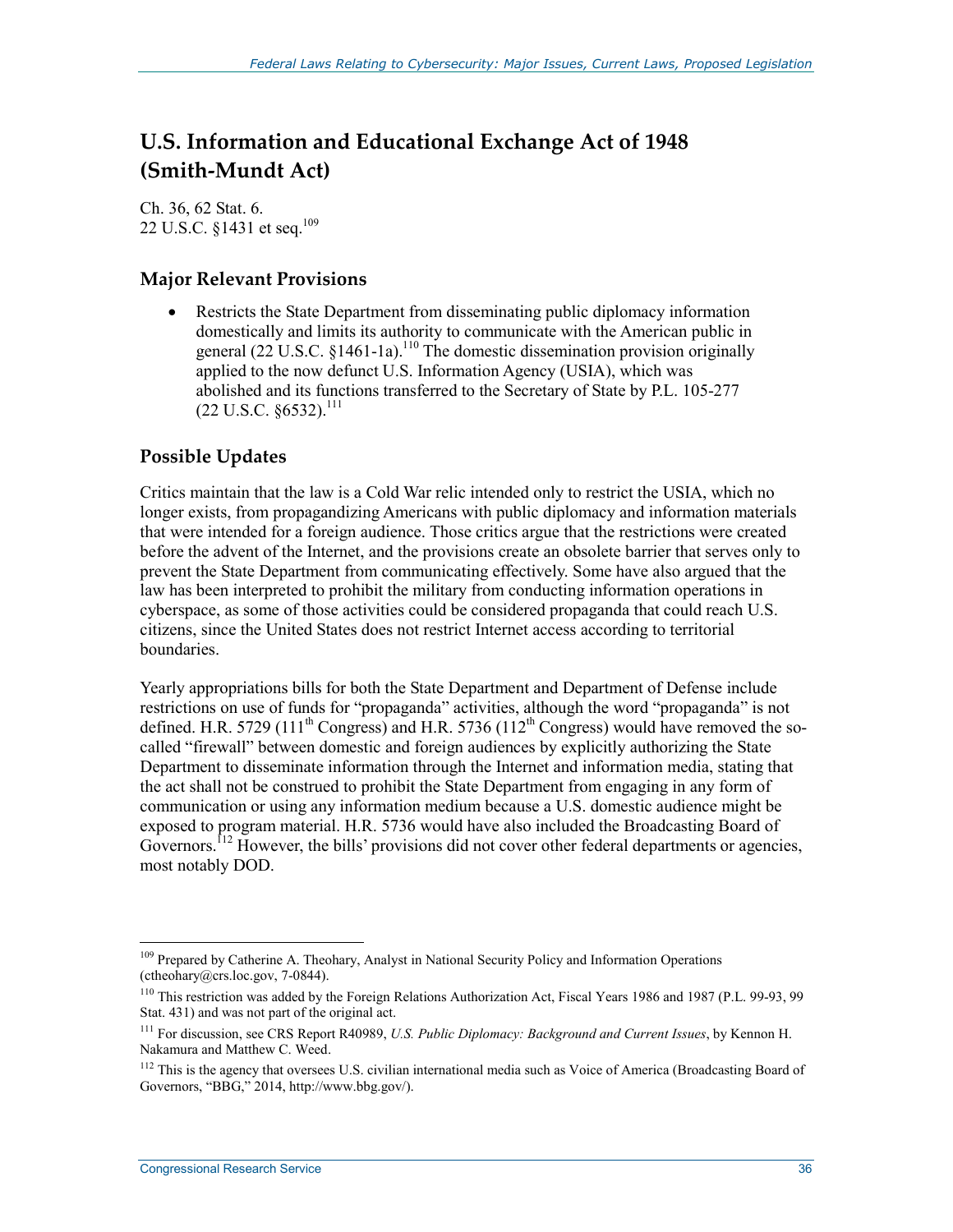# **U.S. Information and Educational Exchange Act of 1948 (Smith-Mundt Act)**

Ch. 36, 62 Stat. 6. 22 U.S.C. §1431 et seq.109

### **Major Relevant Provisions**

• Restricts the State Department from disseminating public diplomacy information domestically and limits its authority to communicate with the American public in general  $(22 \text{ U.S.C. } §1461-1a)$ <sup>110</sup> The domestic dissemination provision originally applied to the now defunct U.S. Information Agency (USIA), which was abolished and its functions transferred to the Secretary of State by P.L. 105-277  $(22 \text{ U.S.C. }$  \$6532).<sup>111</sup>

## **Possible Updates**

Critics maintain that the law is a Cold War relic intended only to restrict the USIA, which no longer exists, from propagandizing Americans with public diplomacy and information materials that were intended for a foreign audience. Those critics argue that the restrictions were created before the advent of the Internet, and the provisions create an obsolete barrier that serves only to prevent the State Department from communicating effectively. Some have also argued that the law has been interpreted to prohibit the military from conducting information operations in cyberspace, as some of those activities could be considered propaganda that could reach U.S. citizens, since the United States does not restrict Internet access according to territorial boundaries.

Yearly appropriations bills for both the State Department and Department of Defense include restrictions on use of funds for "propaganda" activities, although the word "propaganda" is not defined. H.R. 5729 (111<sup>th</sup> Congress) and H.R. 5736 (112<sup>th</sup> Congress) would have removed the socalled "firewall" between domestic and foreign audiences by explicitly authorizing the State Department to disseminate information through the Internet and information media, stating that the act shall not be construed to prohibit the State Department from engaging in any form of communication or using any information medium because a U.S. domestic audience might be exposed to program material. H.R. 5736 would have also included the Broadcasting Board of Governors.<sup>112</sup> However, the bills' provisions did not cover other federal departments or agencies, most notably DOD.

<sup>&</sup>lt;sup>109</sup> Prepared by Catherine A. Theohary, Analyst in National Security Policy and Information Operations (ctheohary@crs.loc.gov, 7-0844).

<sup>110</sup> This restriction was added by the Foreign Relations Authorization Act, Fiscal Years 1986 and 1987 (P.L. 99-93, 99 Stat. 431) and was not part of the original act.

<sup>111</sup> For discussion, see CRS Report R40989, *U.S. Public Diplomacy: Background and Current Issues*, by Kennon H. Nakamura and Matthew C. Weed.

<sup>&</sup>lt;sup>112</sup> This is the agency that oversees U.S. civilian international media such as Voice of America (Broadcasting Board of Governors, "BBG," 2014, http://www.bbg.gov/).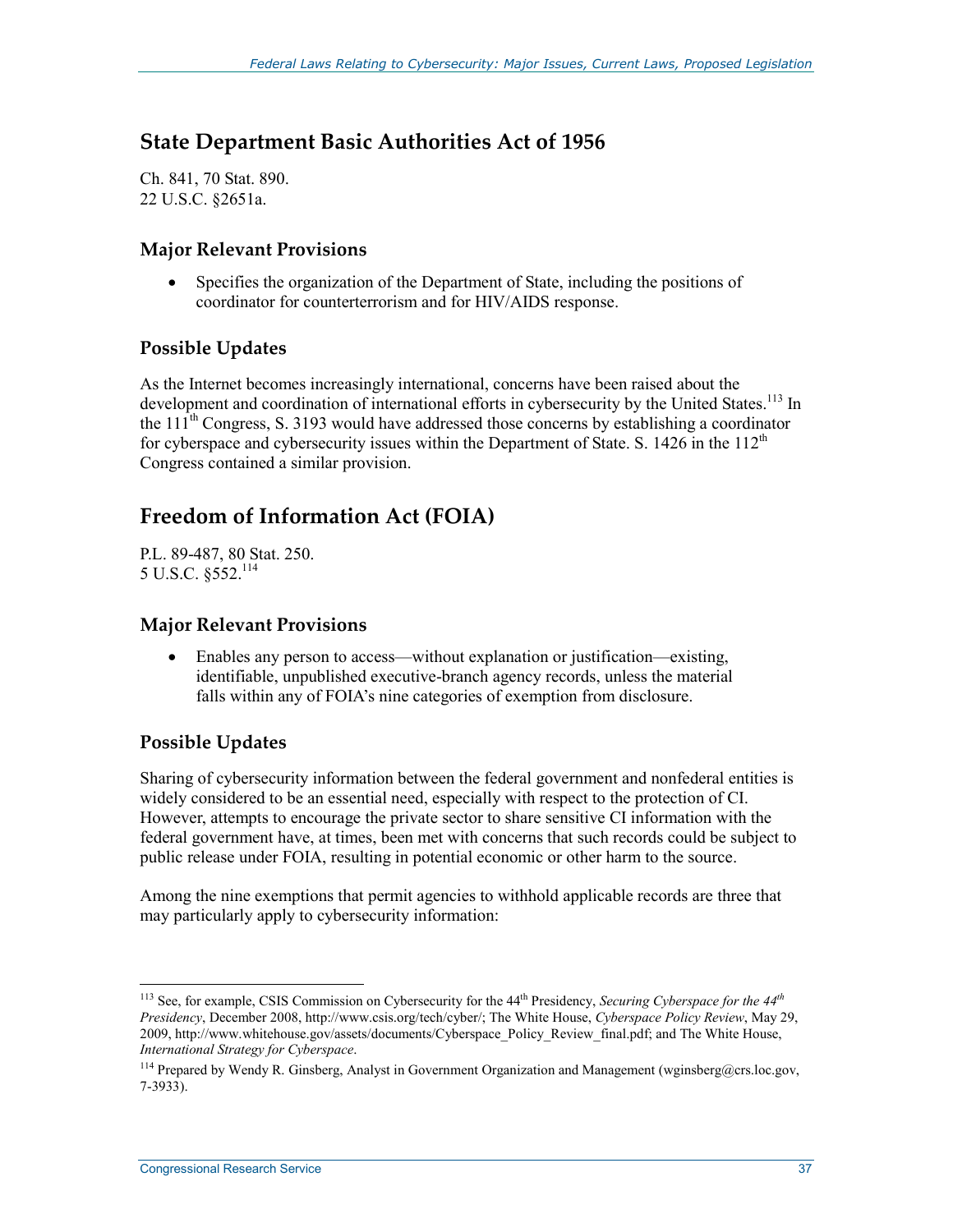# **State Department Basic Authorities Act of 1956**

Ch. 841, 70 Stat. 890. 22 U.S.C. §2651a.

#### **Major Relevant Provisions**

Specifies the organization of the Department of State, including the positions of coordinator for counterterrorism and for HIV/AIDS response.

### **Possible Updates**

As the Internet becomes increasingly international, concerns have been raised about the development and coordination of international efforts in cybersecurity by the United States.<sup>113</sup> In the  $111<sup>th</sup>$  Congress, S. 3193 would have addressed those concerns by establishing a coordinator for cyberspace and cybersecurity issues within the Department of State. S. 1426 in the  $112<sup>th</sup>$ Congress contained a similar provision.

# **Freedom of Information Act (FOIA)**

P.L. 89-487, 80 Stat. 250. 5 U.S.C. §552.114

#### **Major Relevant Provisions**

• Enables any person to access—without explanation or justification—existing, identifiable, unpublished executive-branch agency records, unless the material falls within any of FOIA's nine categories of exemption from disclosure.

### **Possible Updates**

1

Sharing of cybersecurity information between the federal government and nonfederal entities is widely considered to be an essential need, especially with respect to the protection of CI. However, attempts to encourage the private sector to share sensitive CI information with the federal government have, at times, been met with concerns that such records could be subject to public release under FOIA, resulting in potential economic or other harm to the source.

Among the nine exemptions that permit agencies to withhold applicable records are three that may particularly apply to cybersecurity information:

<sup>113</sup> See, for example, CSIS Commission on Cybersecurity for the 44th Presidency, *Securing Cyberspace for the 44th Presidency*, December 2008, http://www.csis.org/tech/cyber/; The White House, *Cyberspace Policy Review*, May 29, 2009, http://www.whitehouse.gov/assets/documents/Cyberspace\_Policy\_Review\_final.pdf; and The White House, *International Strategy for Cyberspace*.

<sup>&</sup>lt;sup>114</sup> Prepared by Wendy R. Ginsberg, Analyst in Government Organization and Management (wginsberg@crs.loc.gov, 7-3933).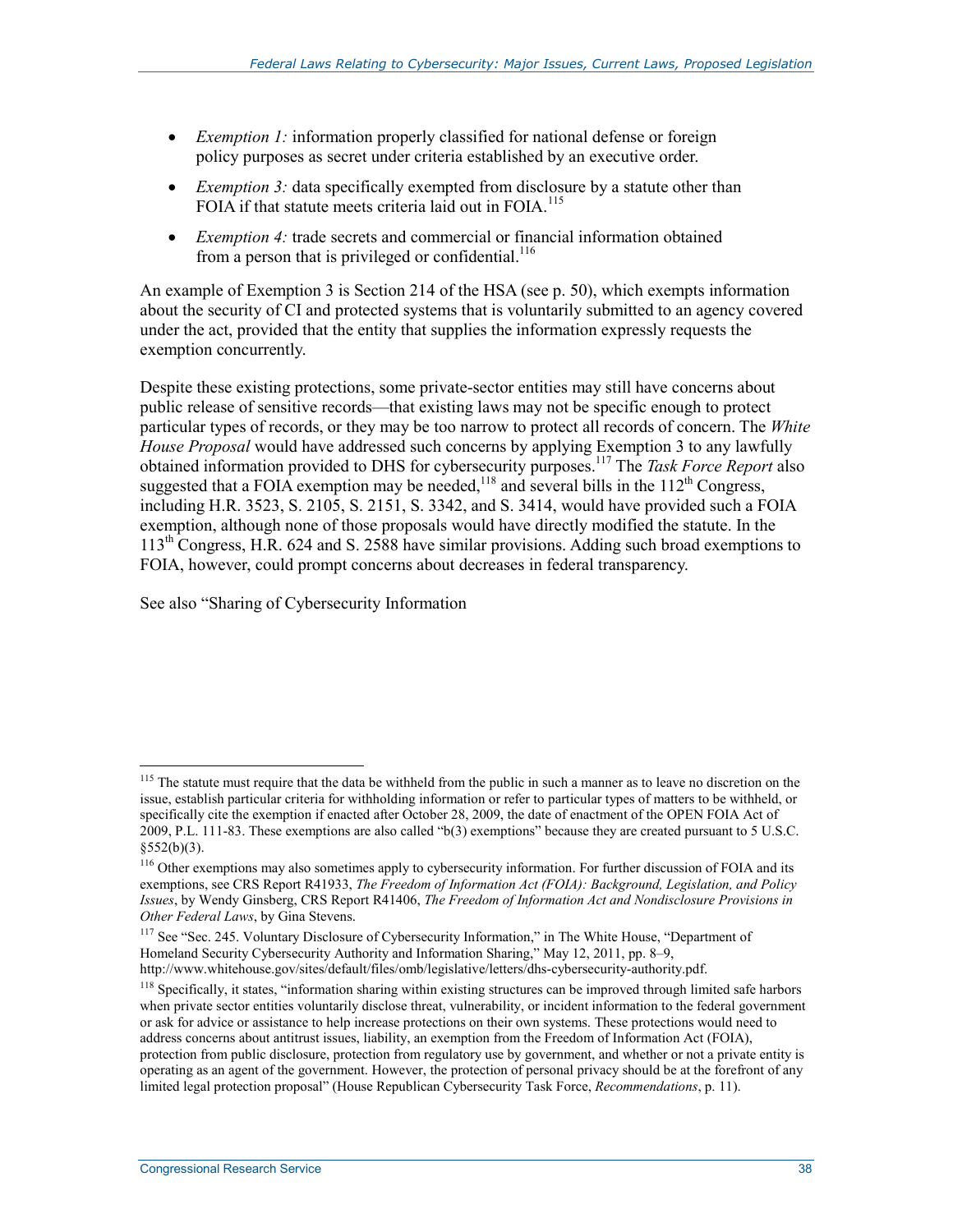- *Exemption 1:* information properly classified for national defense or foreign policy purposes as secret under criteria established by an executive order.
- *Exemption 3:* data specifically exempted from disclosure by a statute other than FOIA if that statute meets criteria laid out in FOIA.<sup>115</sup>
- *Exemption 4:* trade secrets and commercial or financial information obtained from a person that is privileged or confidential.<sup>116</sup>

An example of Exemption 3 is Section 214 of the HSA (see p. 50), which exempts information about the security of CI and protected systems that is voluntarily submitted to an agency covered under the act, provided that the entity that supplies the information expressly requests the exemption concurrently.

Despite these existing protections, some private-sector entities may still have concerns about public release of sensitive records—that existing laws may not be specific enough to protect particular types of records, or they may be too narrow to protect all records of concern. The *White House Proposal* would have addressed such concerns by applying Exemption 3 to any lawfully obtained information provided to DHS for cybersecurity purposes.117 The *Task Force Report* also suggested that a FOIA exemption may be needed,<sup>118</sup> and several bills in the  $112<sup>th</sup>$  Congress, including H.R. 3523, S. 2105, S. 2151, S. 3342, and S. 3414, would have provided such a FOIA exemption, although none of those proposals would have directly modified the statute. In the 113th Congress, H.R. 624 and S. 2588 have similar provisions. Adding such broad exemptions to FOIA, however, could prompt concerns about decreases in federal transparency.

See also "Sharing of Cybersecurity Information

<u>.</u>

<sup>&</sup>lt;sup>115</sup> The statute must require that the data be withheld from the public in such a manner as to leave no discretion on the issue, establish particular criteria for withholding information or refer to particular types of matters to be withheld, or specifically cite the exemption if enacted after October 28, 2009, the date of enactment of the OPEN FOIA Act of 2009, P.L. 111-83. These exemptions are also called "b(3) exemptions" because they are created pursuant to 5 U.S.C. §552(b)(3).

<sup>&</sup>lt;sup>116</sup> Other exemptions may also sometimes apply to cybersecurity information. For further discussion of FOIA and its exemptions, see CRS Report R41933, *The Freedom of Information Act (FOIA): Background, Legislation, and Policy Issues*, by Wendy Ginsberg, CRS Report R41406, *The Freedom of Information Act and Nondisclosure Provisions in Other Federal Laws*, by Gina Stevens.

<sup>&</sup>lt;sup>117</sup> See "Sec. 245. Voluntary Disclosure of Cybersecurity Information," in The White House, "Department of Homeland Security Cybersecurity Authority and Information Sharing," May 12, 2011, pp. 8–9, http://www.whitehouse.gov/sites/default/files/omb/legislative/letters/dhs-cybersecurity-authority.pdf.

<sup>&</sup>lt;sup>118</sup> Specifically, it states, "information sharing within existing structures can be improved through limited safe harbors when private sector entities voluntarily disclose threat, vulnerability, or incident information to the federal government or ask for advice or assistance to help increase protections on their own systems. These protections would need to address concerns about antitrust issues, liability, an exemption from the Freedom of Information Act (FOIA), protection from public disclosure, protection from regulatory use by government, and whether or not a private entity is operating as an agent of the government. However, the protection of personal privacy should be at the forefront of any limited legal protection proposal" (House Republican Cybersecurity Task Force, *Recommendations*, p. 11).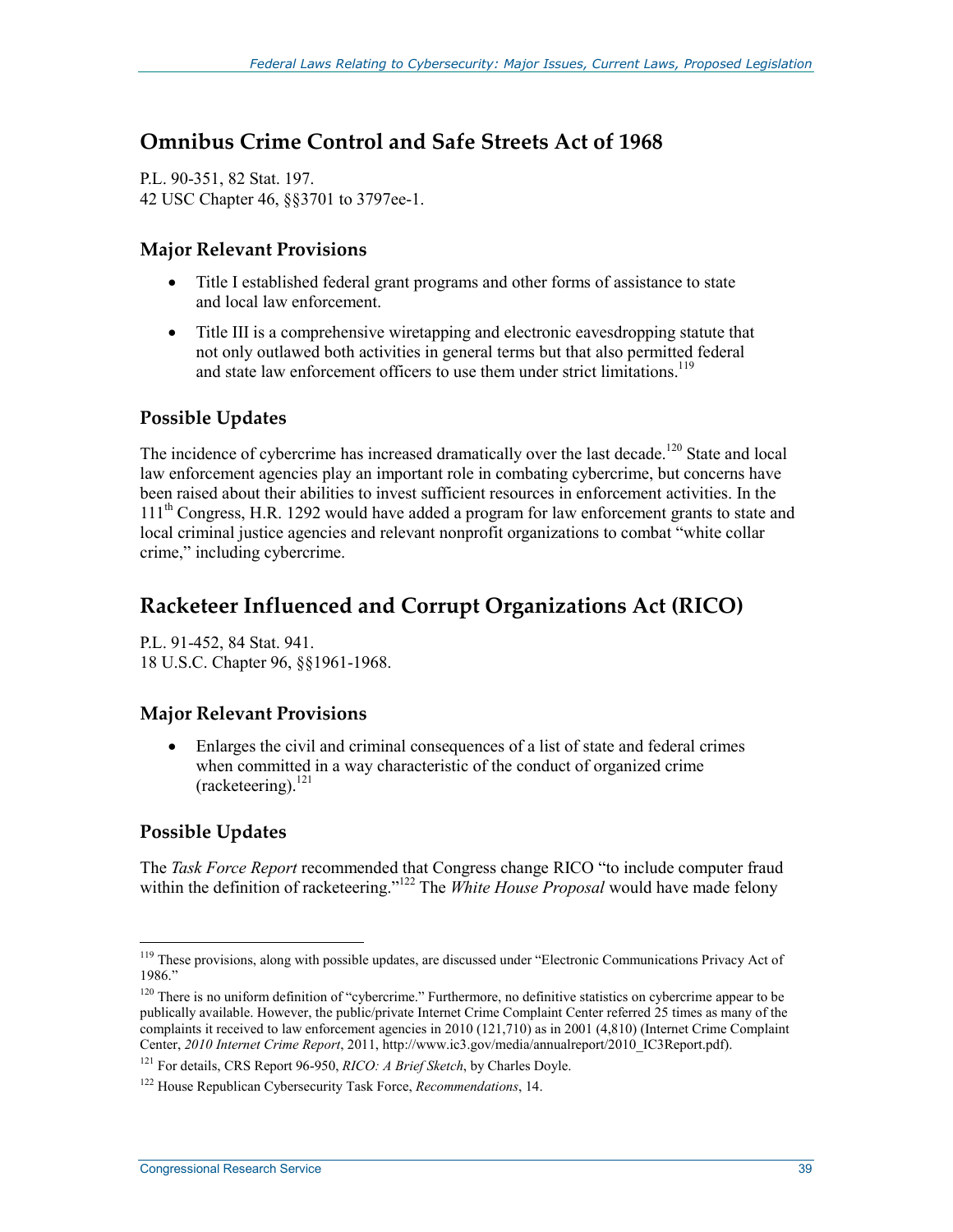# **Omnibus Crime Control and Safe Streets Act of 1968**

P.L. 90-351, 82 Stat. 197. 42 USC Chapter 46, §§3701 to 3797ee-1.

#### **Major Relevant Provisions**

- Title I established federal grant programs and other forms of assistance to state and local law enforcement.
- Title III is a comprehensive wiretapping and electronic eavesdropping statute that not only outlawed both activities in general terms but that also permitted federal and state law enforcement officers to use them under strict limitations.<sup>119</sup>

## **Possible Updates**

The incidence of cybercrime has increased dramatically over the last decade.<sup>120</sup> State and local law enforcement agencies play an important role in combating cybercrime, but concerns have been raised about their abilities to invest sufficient resources in enforcement activities. In the 111<sup>th</sup> Congress, H.R. 1292 would have added a program for law enforcement grants to state and local criminal justice agencies and relevant nonprofit organizations to combat "white collar crime," including cybercrime.

# **Racketeer Influenced and Corrupt Organizations Act (RICO)**

P.L. 91-452, 84 Stat. 941. 18 U.S.C. Chapter 96, §§1961-1968.

### **Major Relevant Provisions**

• Enlarges the civil and criminal consequences of a list of state and federal crimes when committed in a way characteristic of the conduct of organized crime  $(racketering)$ .<sup>121</sup>

## **Possible Updates**

1

The *Task Force Report* recommended that Congress change RICO "to include computer fraud within the definition of racketeering."<sup>122</sup> The *White House Proposal* would have made felony

<sup>&</sup>lt;sup>119</sup> These provisions, along with possible updates, are discussed under "Electronic Communications Privacy Act of 1986."

 $120$  There is no uniform definition of "cybercrime." Furthermore, no definitive statistics on cybercrime appear to be publically available. However, the public/private Internet Crime Complaint Center referred 25 times as many of the complaints it received to law enforcement agencies in 2010 (121,710) as in 2001 (4,810) (Internet Crime Complaint Center, *2010 Internet Crime Report*, 2011, http://www.ic3.gov/media/annualreport/2010\_IC3Report.pdf).

<sup>121</sup> For details, CRS Report 96-950, *RICO: A Brief Sketch*, by Charles Doyle.

<sup>122</sup> House Republican Cybersecurity Task Force, *Recommendations*, 14.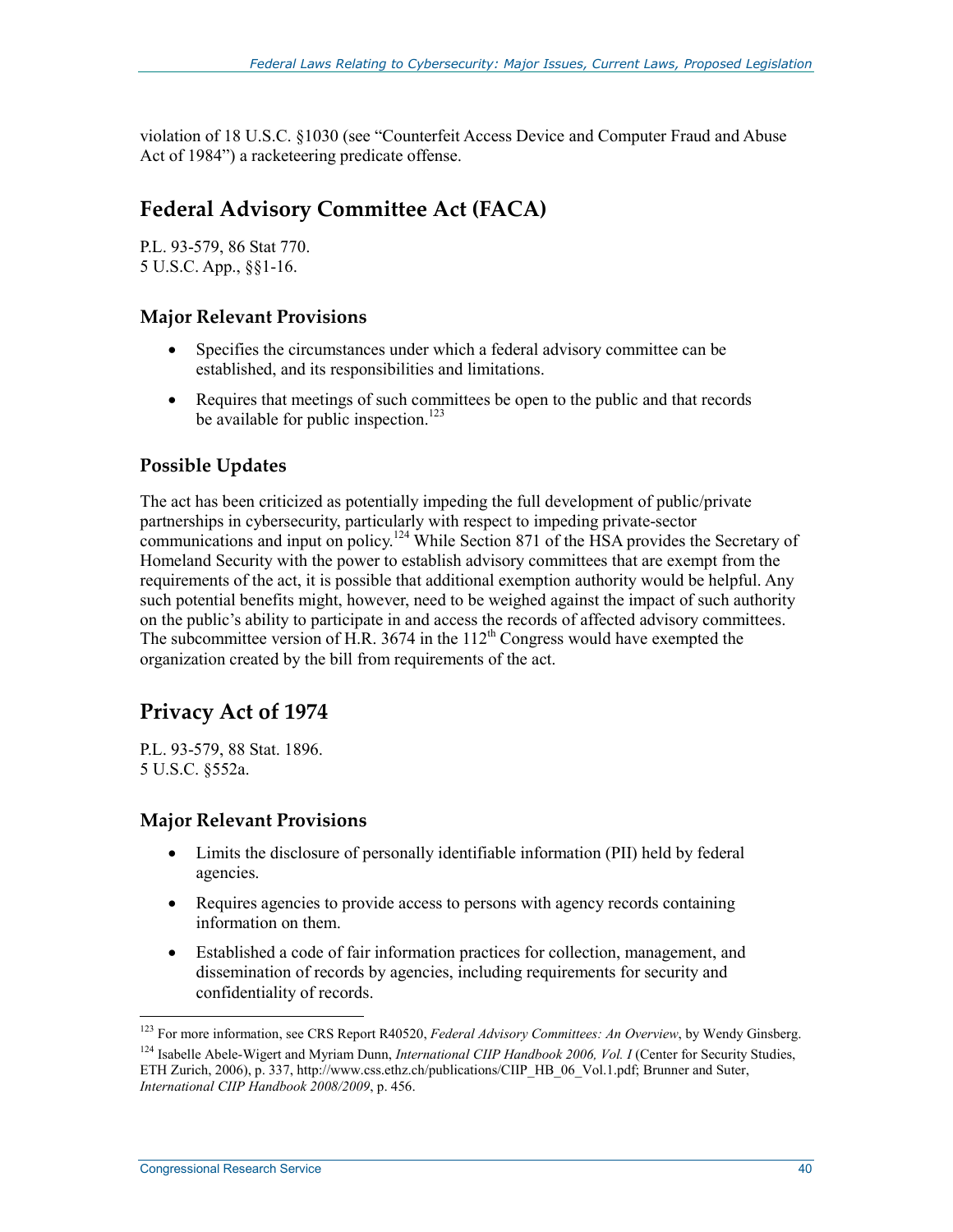violation of 18 U.S.C. §1030 (see "Counterfeit Access Device and Computer Fraud and Abuse Act of 1984") a racketeering predicate offense.

# **Federal Advisory Committee Act (FACA)**

P.L. 93-579, 86 Stat 770. 5 U.S.C. App., §§1-16.

## **Major Relevant Provisions**

- Specifies the circumstances under which a federal advisory committee can be established, and its responsibilities and limitations.
- Requires that meetings of such committees be open to the public and that records be available for public inspection.<sup>123</sup>

## **Possible Updates**

The act has been criticized as potentially impeding the full development of public/private partnerships in cybersecurity, particularly with respect to impeding private-sector communications and input on policy.<sup>124</sup> While Section 871 of the HSA provides the Secretary of Homeland Security with the power to establish advisory committees that are exempt from the requirements of the act, it is possible that additional exemption authority would be helpful. Any such potential benefits might, however, need to be weighed against the impact of such authority on the public's ability to participate in and access the records of affected advisory committees. The subcommittee version of H.R. 3674 in the  $112<sup>th</sup>$  Congress would have exempted the organization created by the bill from requirements of the act.

# **Privacy Act of 1974**

P.L. 93-579, 88 Stat. 1896. 5 U.S.C. §552a.

### **Major Relevant Provisions**

- Limits the disclosure of personally identifiable information (PII) held by federal agencies.
- Requires agencies to provide access to persons with agency records containing information on them.
- Established a code of fair information practices for collection, management, and dissemination of records by agencies, including requirements for security and confidentiality of records.

<sup>&</sup>lt;sup>123</sup> For more information, see CRS Report R40520, *Federal Advisory Committees: An Overview*, by Wendy Ginsberg.

<sup>&</sup>lt;sup>124</sup> Isabelle Abele-Wigert and Myriam Dunn, *International CIIP Handbook 2006, Vol. I* (Center for Security Studies, ETH Zurich, 2006), p. 337, http://www.css.ethz.ch/publications/CIIP\_HB\_06\_Vol.1.pdf; Brunner and Suter, *International CIIP Handbook 2008/2009*, p. 456.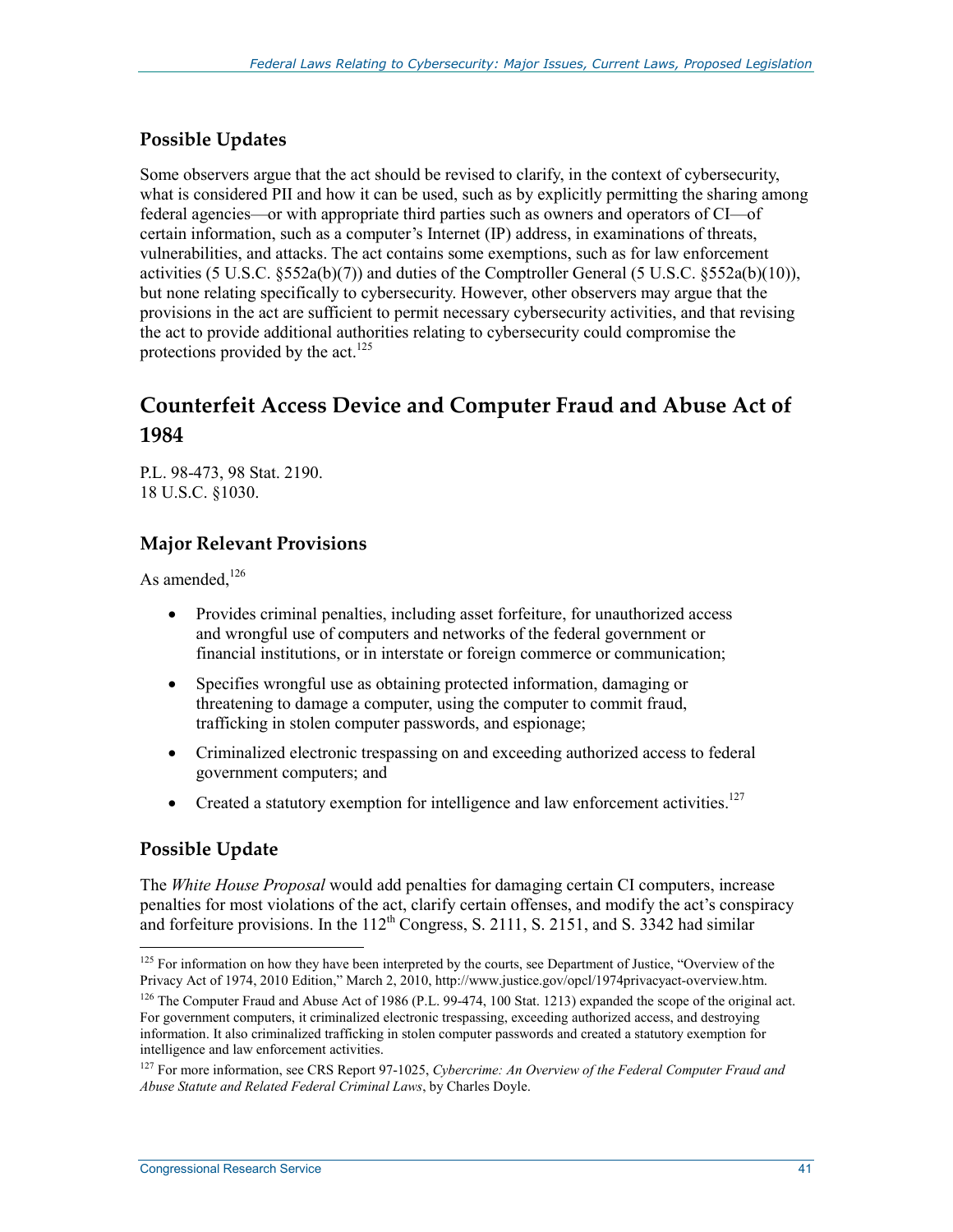## **Possible Updates**

Some observers argue that the act should be revised to clarify, in the context of cybersecurity, what is considered PII and how it can be used, such as by explicitly permitting the sharing among federal agencies—or with appropriate third parties such as owners and operators of CI—of certain information, such as a computer's Internet (IP) address, in examinations of threats, vulnerabilities, and attacks. The act contains some exemptions, such as for law enforcement activities (5 U.S.C. §552a(b)(7)) and duties of the Comptroller General (5 U.S.C. §552a(b)(10)), but none relating specifically to cybersecurity. However, other observers may argue that the provisions in the act are sufficient to permit necessary cybersecurity activities, and that revising the act to provide additional authorities relating to cybersecurity could compromise the protections provided by the act.<sup>125</sup>

# **Counterfeit Access Device and Computer Fraud and Abuse Act of 1984**

P.L. 98-473, 98 Stat. 2190. 18 U.S.C. §1030.

## **Major Relevant Provisions**

As amended. $126$ 

- Provides criminal penalties, including asset forfeiture, for unauthorized access and wrongful use of computers and networks of the federal government or financial institutions, or in interstate or foreign commerce or communication;
- Specifies wrongful use as obtaining protected information, damaging or threatening to damage a computer, using the computer to commit fraud, trafficking in stolen computer passwords, and espionage;
- Criminalized electronic trespassing on and exceeding authorized access to federal government computers; and
- Created a statutory exemption for intelligence and law enforcement activities. $127$

### **Possible Update**

1

The *White House Proposal* would add penalties for damaging certain CI computers, increase penalties for most violations of the act, clarify certain offenses, and modify the act's conspiracy and forfeiture provisions. In the  $112^{th}$  Congress, S. 2111, S. 2151, and S. 3342 had similar

<sup>&</sup>lt;sup>125</sup> For information on how they have been interpreted by the courts, see Department of Justice, "Overview of the Privacy Act of 1974, 2010 Edition," March 2, 2010, http://www.justice.gov/opcl/1974privacyact-overview.htm.

<sup>&</sup>lt;sup>126</sup> The Computer Fraud and Abuse Act of 1986 (P.L. 99-474, 100 Stat. 1213) expanded the scope of the original act. For government computers, it criminalized electronic trespassing, exceeding authorized access, and destroying information. It also criminalized trafficking in stolen computer passwords and created a statutory exemption for intelligence and law enforcement activities.

<sup>127</sup> For more information, see CRS Report 97-1025, *Cybercrime: An Overview of the Federal Computer Fraud and Abuse Statute and Related Federal Criminal Laws*, by Charles Doyle.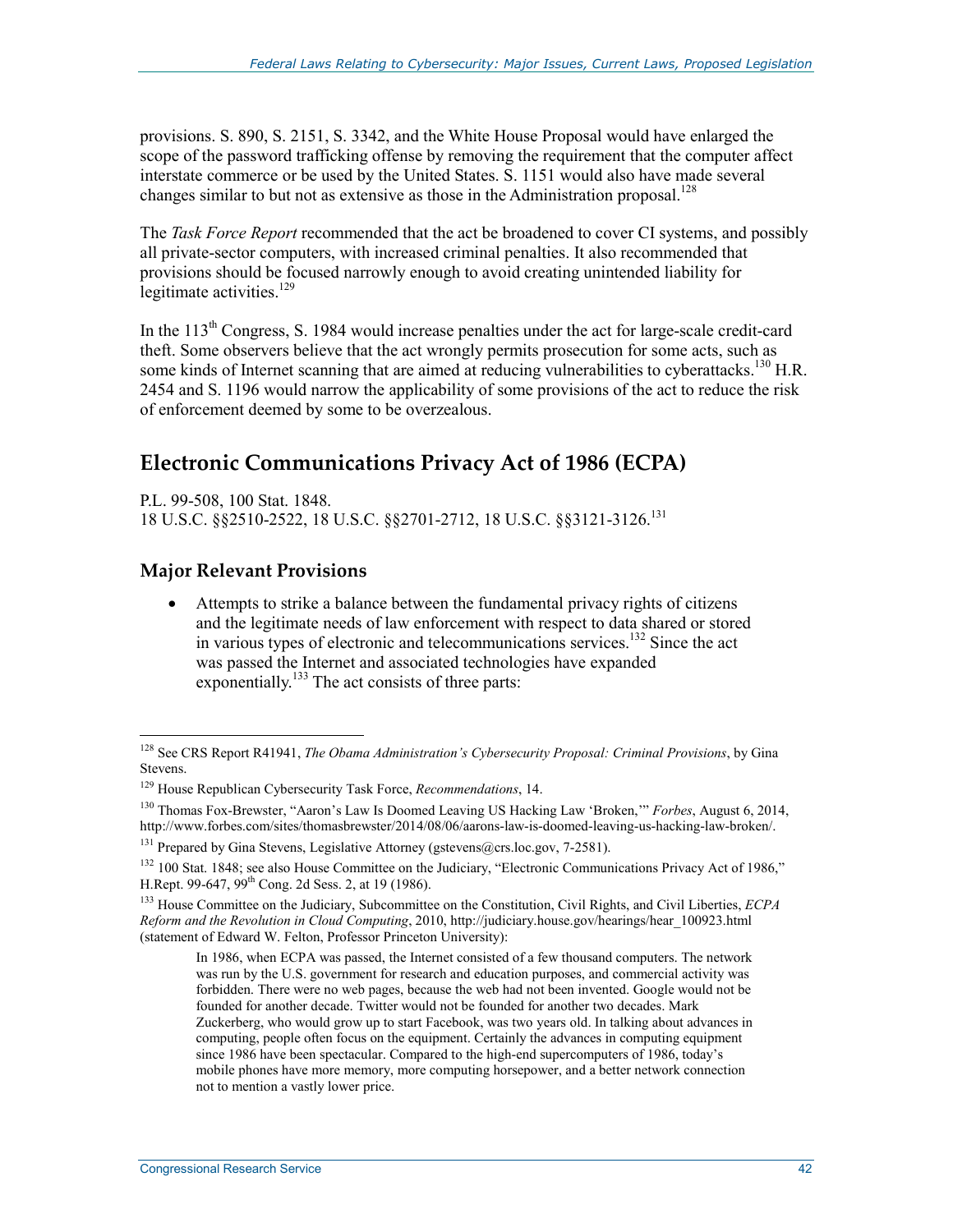provisions. S. 890, S. 2151, S. 3342, and the White House Proposal would have enlarged the scope of the password trafficking offense by removing the requirement that the computer affect interstate commerce or be used by the United States. S. 1151 would also have made several changes similar to but not as extensive as those in the Administration proposal.<sup>128</sup>

The *Task Force Report* recommended that the act be broadened to cover CI systems, and possibly all private-sector computers, with increased criminal penalties. It also recommended that provisions should be focused narrowly enough to avoid creating unintended liability for legitimate activities.<sup>129</sup>

In the 113<sup>th</sup> Congress, S. 1984 would increase penalties under the act for large-scale credit-card theft. Some observers believe that the act wrongly permits prosecution for some acts, such as some kinds of Internet scanning that are aimed at reducing vulnerabilities to cyberattacks.<sup>130</sup> H.R. 2454 and S. 1196 would narrow the applicability of some provisions of the act to reduce the risk of enforcement deemed by some to be overzealous.

# **Electronic Communications Privacy Act of 1986 (ECPA)**

P.L. 99-508, 100 Stat. 1848. 18 U.S.C. §§2510-2522, 18 U.S.C. §§2701-2712, 18 U.S.C. §§3121-3126.131

#### **Major Relevant Provisions**

1

• Attempts to strike a balance between the fundamental privacy rights of citizens and the legitimate needs of law enforcement with respect to data shared or stored in various types of electronic and telecommunications services.132 Since the act was passed the Internet and associated technologies have expanded exponentially.<sup>133</sup> The act consists of three parts:

<sup>128</sup> See CRS Report R41941, *The Obama Administration's Cybersecurity Proposal: Criminal Provisions*, by Gina Stevens.

<sup>129</sup> House Republican Cybersecurity Task Force, *Recommendations*, 14.

<sup>130</sup> Thomas Fox-Brewster, "Aaron's Law Is Doomed Leaving US Hacking Law 'Broken,'" *Forbes*, August 6, 2014, http://www.forbes.com/sites/thomasbrewster/2014/08/06/aarons-law-is-doomed-leaving-us-hacking-law-broken/.

<sup>&</sup>lt;sup>131</sup> Prepared by Gina Stevens, Legislative Attorney (gstevens@crs.loc.gov, 7-2581).

<sup>&</sup>lt;sup>132</sup> 100 Stat. 1848; see also House Committee on the Judiciary, "Electronic Communications Privacy Act of 1986," H.Rept. 99-647, 99th Cong. 2d Sess. 2, at 19 (1986).

<sup>133</sup> House Committee on the Judiciary, Subcommittee on the Constitution, Civil Rights, and Civil Liberties, *ECPA Reform and the Revolution in Cloud Computing*, 2010, http://judiciary.house.gov/hearings/hear\_100923.html (statement of Edward W. Felton, Professor Princeton University):

In 1986, when ECPA was passed, the Internet consisted of a few thousand computers. The network was run by the U.S. government for research and education purposes, and commercial activity was forbidden. There were no web pages, because the web had not been invented. Google would not be founded for another decade. Twitter would not be founded for another two decades. Mark Zuckerberg, who would grow up to start Facebook, was two years old. In talking about advances in computing, people often focus on the equipment. Certainly the advances in computing equipment since 1986 have been spectacular. Compared to the high-end supercomputers of 1986, today's mobile phones have more memory, more computing horsepower, and a better network connection not to mention a vastly lower price.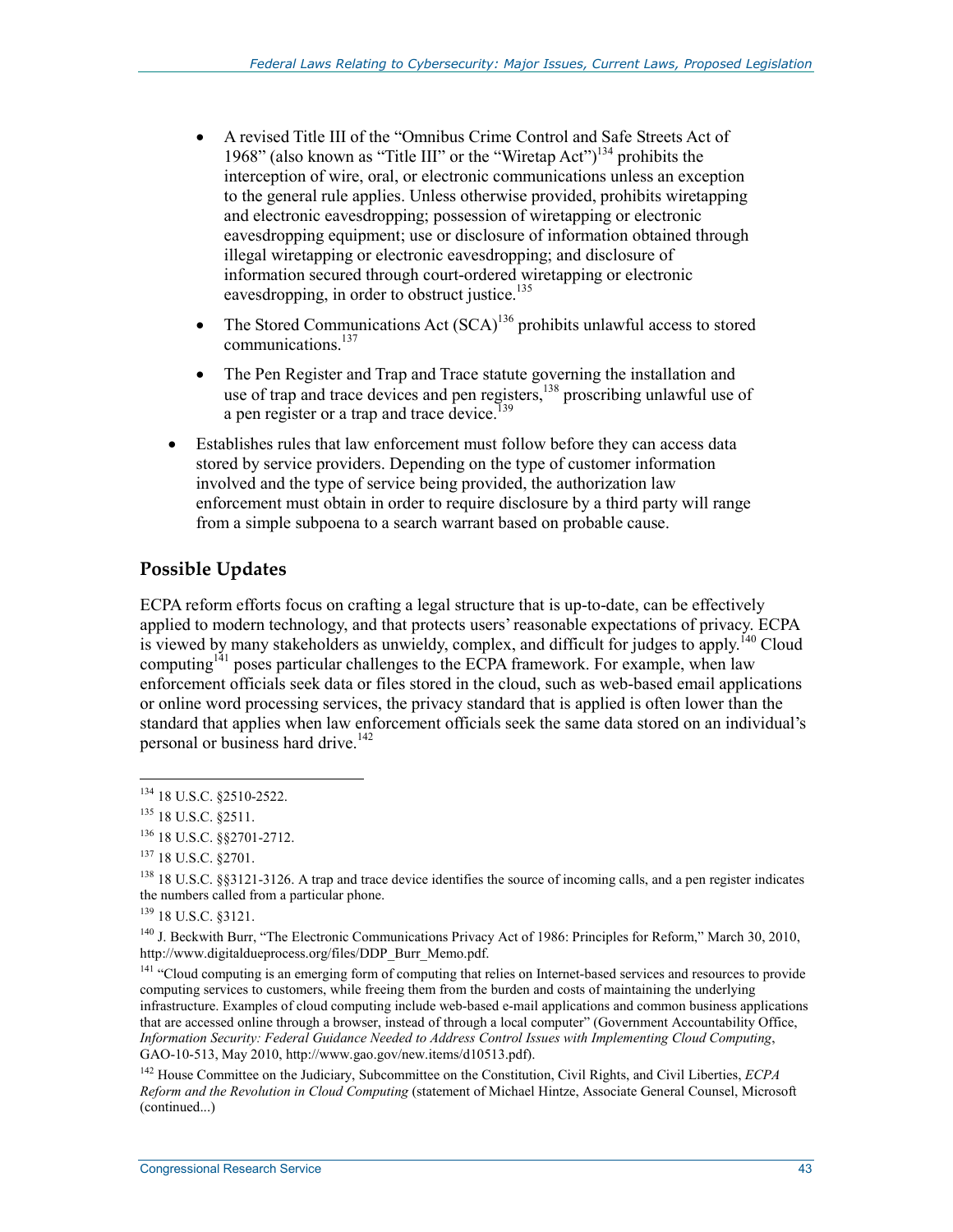- A revised Title III of the "Omnibus Crime Control and Safe Streets Act of 1968" (also known as "Title III" or the "Wiretap Act")<sup>134</sup> prohibits the interception of wire, oral, or electronic communications unless an exception to the general rule applies. Unless otherwise provided, prohibits wiretapping and electronic eavesdropping; possession of wiretapping or electronic eavesdropping equipment; use or disclosure of information obtained through illegal wiretapping or electronic eavesdropping; and disclosure of information secured through court-ordered wiretapping or electronic eavesdropping, in order to obstruct justice.<sup>135</sup>
- The Stored Communications Act  $(SCA)^{136}$  prohibits unlawful access to stored communications.137
- The Pen Register and Trap and Trace statute governing the installation and use of trap and trace devices and pen registers,<sup>138</sup> proscribing unlawful use of a pen register or a trap and trace device.<sup>139</sup>
- Establishes rules that law enforcement must follow before they can access data stored by service providers. Depending on the type of customer information involved and the type of service being provided, the authorization law enforcement must obtain in order to require disclosure by a third party will range from a simple subpoena to a search warrant based on probable cause.

## **Possible Updates**

ECPA reform efforts focus on crafting a legal structure that is up-to-date, can be effectively applied to modern technology, and that protects users' reasonable expectations of privacy. ECPA is viewed by many stakeholders as unwieldy, complex, and difficult for judges to apply.<sup> $140$ </sup> Cloud computing<sup>141</sup> poses particular challenges to the ECPA framework. For example, when law enforcement officials seek data or files stored in the cloud, such as web-based email applications or online word processing services, the privacy standard that is applied is often lower than the standard that applies when law enforcement officials seek the same data stored on an individual's personal or business hard drive.<sup>142</sup>

<sup>134 18</sup> U.S.C. §2510-2522.

<sup>135 18</sup> U.S.C. §2511.

<sup>136 18</sup> U.S.C. §§2701-2712.

<sup>137 18</sup> U.S.C. §2701.

<sup>138 18</sup> U.S.C. §§3121-3126. A trap and trace device identifies the source of incoming calls, and a pen register indicates the numbers called from a particular phone.

<sup>139 18</sup> U.S.C. §3121.

<sup>140</sup> J. Beckwith Burr, "The Electronic Communications Privacy Act of 1986: Principles for Reform," March 30, 2010, http://www.digitaldueprocess.org/files/DDP\_Burr\_Memo.pdf.

<sup>&</sup>lt;sup>141</sup> "Cloud computing is an emerging form of computing that relies on Internet-based services and resources to provide computing services to customers, while freeing them from the burden and costs of maintaining the underlying infrastructure. Examples of cloud computing include web-based e-mail applications and common business applications that are accessed online through a browser, instead of through a local computer" (Government Accountability Office, *Information Security: Federal Guidance Needed to Address Control Issues with Implementing Cloud Computing*, GAO-10-513, May 2010, http://www.gao.gov/new.items/d10513.pdf).

<sup>142</sup> House Committee on the Judiciary, Subcommittee on the Constitution, Civil Rights, and Civil Liberties, *ECPA Reform and the Revolution in Cloud Computing* (statement of Michael Hintze, Associate General Counsel, Microsoft (continued...)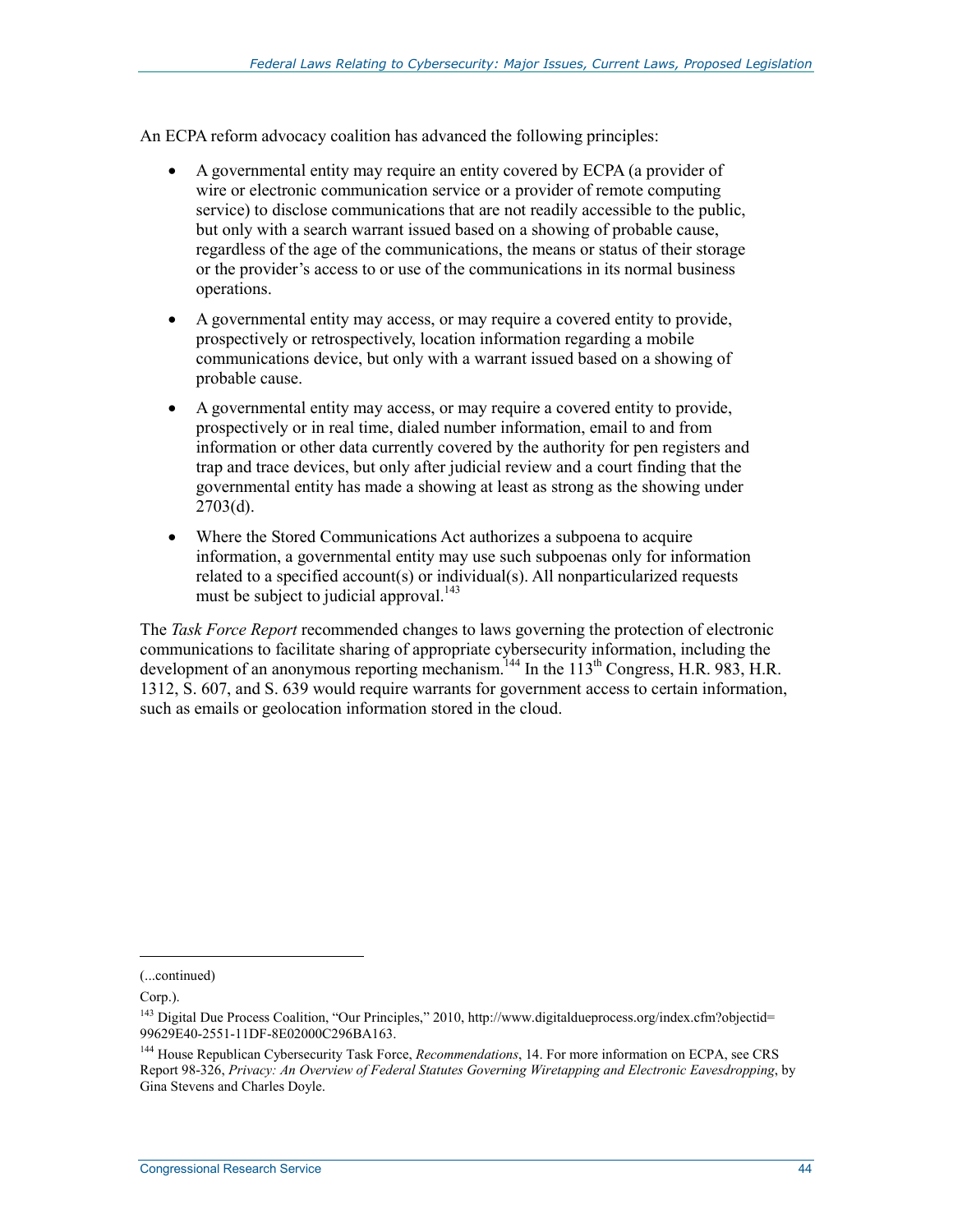An ECPA reform advocacy coalition has advanced the following principles:

- A governmental entity may require an entity covered by ECPA (a provider of wire or electronic communication service or a provider of remote computing service) to disclose communications that are not readily accessible to the public, but only with a search warrant issued based on a showing of probable cause, regardless of the age of the communications, the means or status of their storage or the provider's access to or use of the communications in its normal business operations.
- A governmental entity may access, or may require a covered entity to provide, prospectively or retrospectively, location information regarding a mobile communications device, but only with a warrant issued based on a showing of probable cause.
- A governmental entity may access, or may require a covered entity to provide, prospectively or in real time, dialed number information, email to and from information or other data currently covered by the authority for pen registers and trap and trace devices, but only after judicial review and a court finding that the governmental entity has made a showing at least as strong as the showing under  $2703(d)$ .
- Where the Stored Communications Act authorizes a subpoena to acquire information, a governmental entity may use such subpoenas only for information related to a specified account(s) or individual(s). All nonparticularized requests must be subject to judicial approval.<sup>143</sup>

The *Task Force Report* recommended changes to laws governing the protection of electronic communications to facilitate sharing of appropriate cybersecurity information, including the development of an anonymous reporting mechanism.<sup>144</sup> In the  $113<sup>th</sup>$  Congress, H.R. 983, H.R. 1312, S. 607, and S. 639 would require warrants for government access to certain information, such as emails or geolocation information stored in the cloud.

<sup>(...</sup>continued)

Corp.).

<sup>&</sup>lt;sup>143</sup> Digital Due Process Coalition, "Our Principles," 2010, http://www.digitaldueprocess.org/index.cfm?objectid= 99629E40-2551-11DF-8E02000C296BA163.

<sup>144</sup> House Republican Cybersecurity Task Force, *Recommendations*, 14. For more information on ECPA, see CRS Report 98-326, *Privacy: An Overview of Federal Statutes Governing Wiretapping and Electronic Eavesdropping*, by Gina Stevens and Charles Doyle.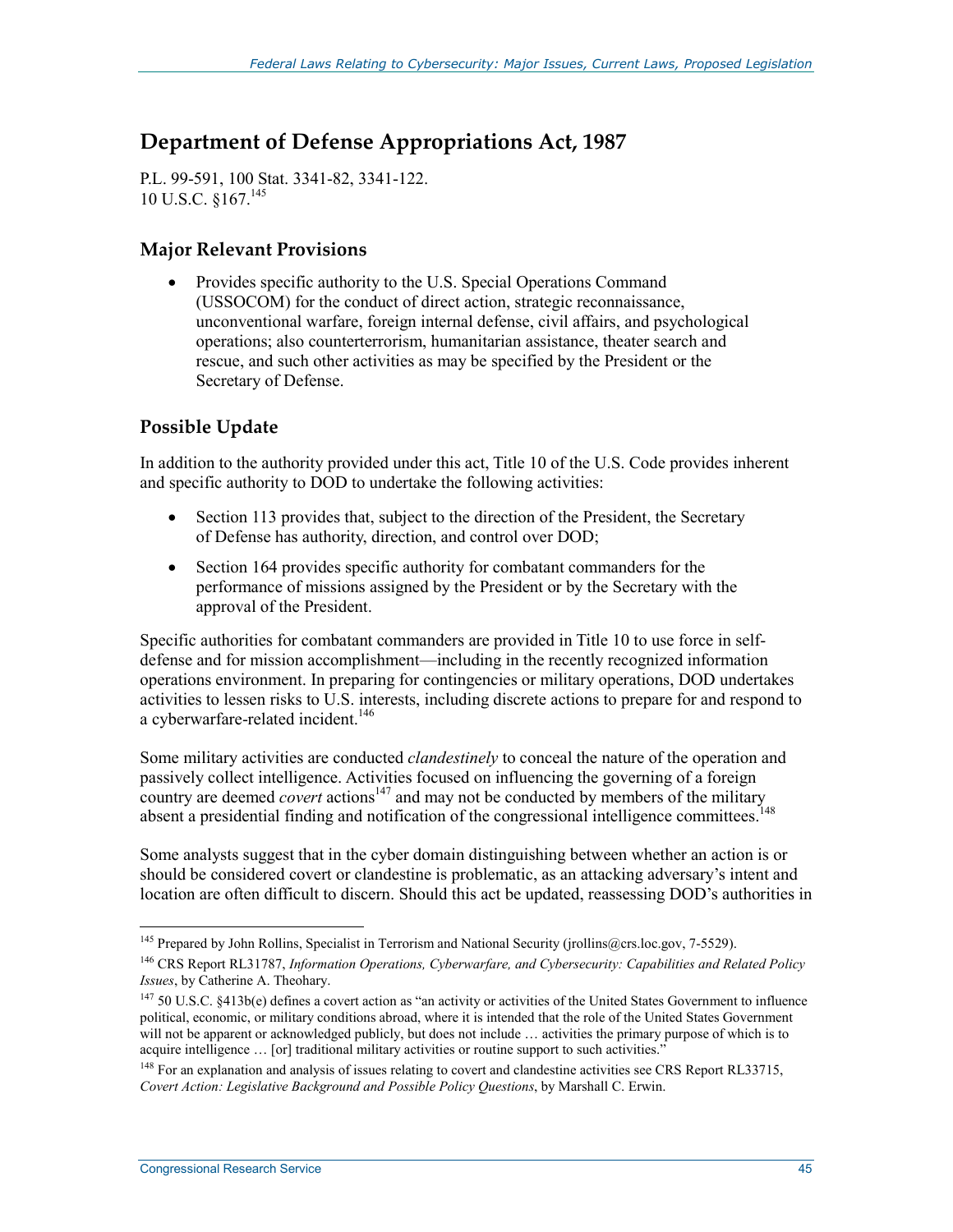# **Department of Defense Appropriations Act, 1987**

P.L. 99-591, 100 Stat. 3341-82, 3341-122. 10 U.S.C. §167.145

#### **Major Relevant Provisions**

• Provides specific authority to the U.S. Special Operations Command (USSOCOM) for the conduct of direct action, strategic reconnaissance, unconventional warfare, foreign internal defense, civil affairs, and psychological operations; also counterterrorism, humanitarian assistance, theater search and rescue, and such other activities as may be specified by the President or the Secretary of Defense.

## **Possible Update**

In addition to the authority provided under this act, Title 10 of the U.S. Code provides inherent and specific authority to DOD to undertake the following activities:

- Section 113 provides that, subject to the direction of the President, the Secretary of Defense has authority, direction, and control over DOD;
- Section 164 provides specific authority for combatant commanders for the performance of missions assigned by the President or by the Secretary with the approval of the President.

Specific authorities for combatant commanders are provided in Title 10 to use force in selfdefense and for mission accomplishment—including in the recently recognized information operations environment. In preparing for contingencies or military operations, DOD undertakes activities to lessen risks to U.S. interests, including discrete actions to prepare for and respond to a cyberwarfare-related incident.<sup>146</sup>

Some military activities are conducted *clandestinely* to conceal the nature of the operation and passively collect intelligence. Activities focused on influencing the governing of a foreign country are deemed *covert* actions<sup>147</sup> and may not be conducted by members of the military absent a presidential finding and notification of the congressional intelligence committees.<sup>148</sup>

Some analysts suggest that in the cyber domain distinguishing between whether an action is or should be considered covert or clandestine is problematic, as an attacking adversary's intent and location are often difficult to discern. Should this act be updated, reassessing DOD's authorities in

<sup>&</sup>lt;sup>145</sup> Prepared by John Rollins, Specialist in Terrorism and National Security (jrollins@crs.loc.gov, 7-5529).

<sup>146</sup> CRS Report RL31787, *Information Operations, Cyberwarfare, and Cybersecurity: Capabilities and Related Policy Issues*, by Catherine A. Theohary.

<sup>147 50</sup> U.S.C. §413b(e) defines a covert action as "an activity or activities of the United States Government to influence political, economic, or military conditions abroad, where it is intended that the role of the United States Government will not be apparent or acknowledged publicly, but does not include ... activities the primary purpose of which is to acquire intelligence ... [or] traditional military activities or routine support to such activities."

<sup>&</sup>lt;sup>148</sup> For an explanation and analysis of issues relating to covert and clandestine activities see CRS Report RL33715, *Covert Action: Legislative Background and Possible Policy Questions*, by Marshall C. Erwin.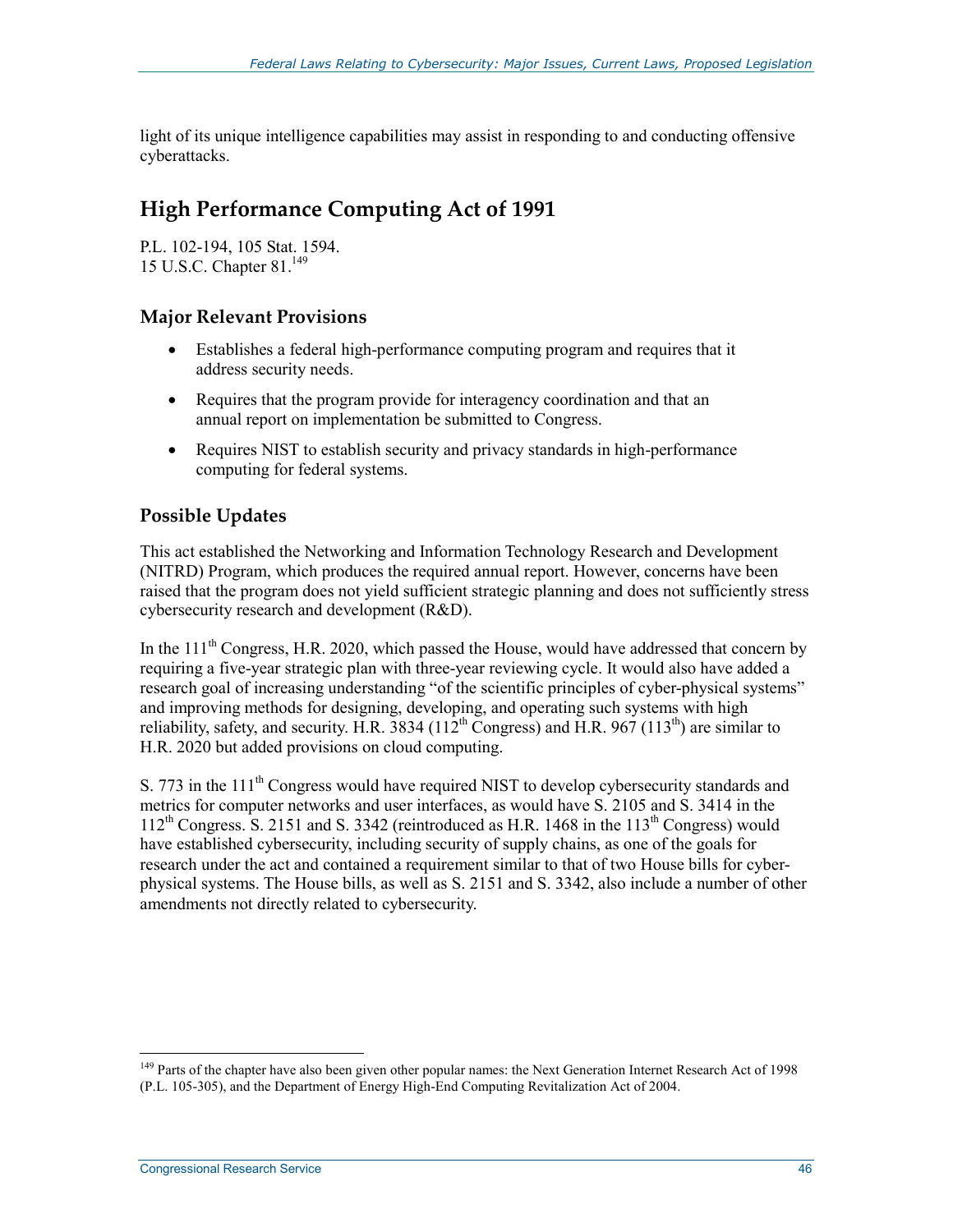light of its unique intelligence capabilities may assist in responding to and conducting offensive cyberattacks.

# **High Performance Computing Act of 1991**

P.L. 102-194, 105 Stat. 1594. 15 U.S.C. Chapter 81.149

## **Major Relevant Provisions**

- Establishes a federal high-performance computing program and requires that it address security needs.
- Requires that the program provide for interagency coordination and that an annual report on implementation be submitted to Congress.
- Requires NIST to establish security and privacy standards in high-performance computing for federal systems.

## **Possible Updates**

This act established the Networking and Information Technology Research and Development (NITRD) Program, which produces the required annual report. However, concerns have been raised that the program does not yield sufficient strategic planning and does not sufficiently stress cybersecurity research and development (R&D).

In the  $111<sup>th</sup>$  Congress, H.R. 2020, which passed the House, would have addressed that concern by requiring a five-year strategic plan with three-year reviewing cycle. It would also have added a research goal of increasing understanding "of the scientific principles of cyber-physical systems" and improving methods for designing, developing, and operating such systems with high reliability, safety, and security. H.R.  $3834$  ( $112^{th}$  Congress) and H.R.  $967$  ( $113^{th}$ ) are similar to H.R. 2020 but added provisions on cloud computing.

S. 773 in the 111<sup>th</sup> Congress would have required NIST to develop cybersecurity standards and metrics for computer networks and user interfaces, as would have S. 2105 and S. 3414 in the  $112^{th}$  Congress. S. 2151 and S. 3342 (reintroduced as H.R. 1468 in the  $113^{th}$  Congress) would have established cybersecurity, including security of supply chains, as one of the goals for research under the act and contained a requirement similar to that of two House bills for cyberphysical systems. The House bills, as well as S. 2151 and S. 3342, also include a number of other amendments not directly related to cybersecurity.

<sup>&</sup>lt;sup>149</sup> Parts of the chapter have also been given other popular names: the Next Generation Internet Research Act of 1998 (P.L. 105-305), and the Department of Energy High-End Computing Revitalization Act of 2004.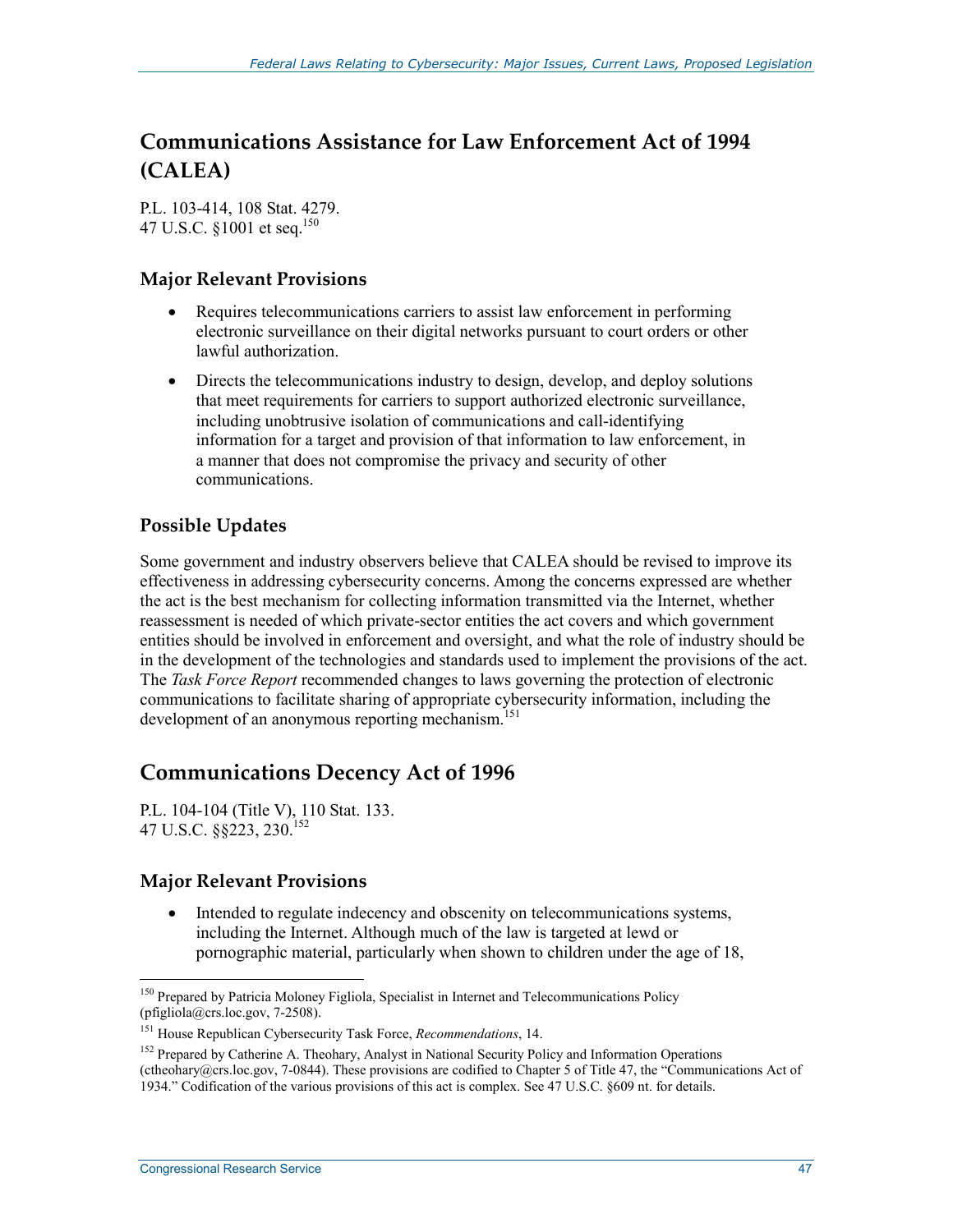# **Communications Assistance for Law Enforcement Act of 1994 (CALEA)**

P.L. 103-414, 108 Stat. 4279. 47 U.S.C. §1001 et seq.<sup>150</sup>

#### **Major Relevant Provisions**

- Requires telecommunications carriers to assist law enforcement in performing electronic surveillance on their digital networks pursuant to court orders or other lawful authorization.
- Directs the telecommunications industry to design, develop, and deploy solutions that meet requirements for carriers to support authorized electronic surveillance, including unobtrusive isolation of communications and call-identifying information for a target and provision of that information to law enforcement, in a manner that does not compromise the privacy and security of other communications.

## **Possible Updates**

Some government and industry observers believe that CALEA should be revised to improve its effectiveness in addressing cybersecurity concerns. Among the concerns expressed are whether the act is the best mechanism for collecting information transmitted via the Internet, whether reassessment is needed of which private-sector entities the act covers and which government entities should be involved in enforcement and oversight, and what the role of industry should be in the development of the technologies and standards used to implement the provisions of the act. The *Task Force Report* recommended changes to laws governing the protection of electronic communications to facilitate sharing of appropriate cybersecurity information, including the development of an anonymous reporting mechanism.<sup>151</sup>

# **Communications Decency Act of 1996**

P.L. 104-104 (Title V), 110 Stat. 133. 47 U.S.C. §§223, 230.152

### **Major Relevant Provisions**

• Intended to regulate indecency and obscenity on telecommunications systems, including the Internet. Although much of the law is targeted at lewd or pornographic material, particularly when shown to children under the age of 18,

<sup>&</sup>lt;sup>150</sup> Prepared by Patricia Moloney Figliola, Specialist in Internet and Telecommunications Policy (pfigliola@crs.loc.gov, 7-2508).

<sup>151</sup> House Republican Cybersecurity Task Force, *Recommendations*, 14.

<sup>&</sup>lt;sup>152</sup> Prepared by Catherine A. Theohary, Analyst in National Security Policy and Information Operations (ctheohary@crs.loc.gov, 7-0844). These provisions are codified to Chapter 5 of Title 47, the "Communications Act of 1934." Codification of the various provisions of this act is complex. See 47 U.S.C. §609 nt. for details.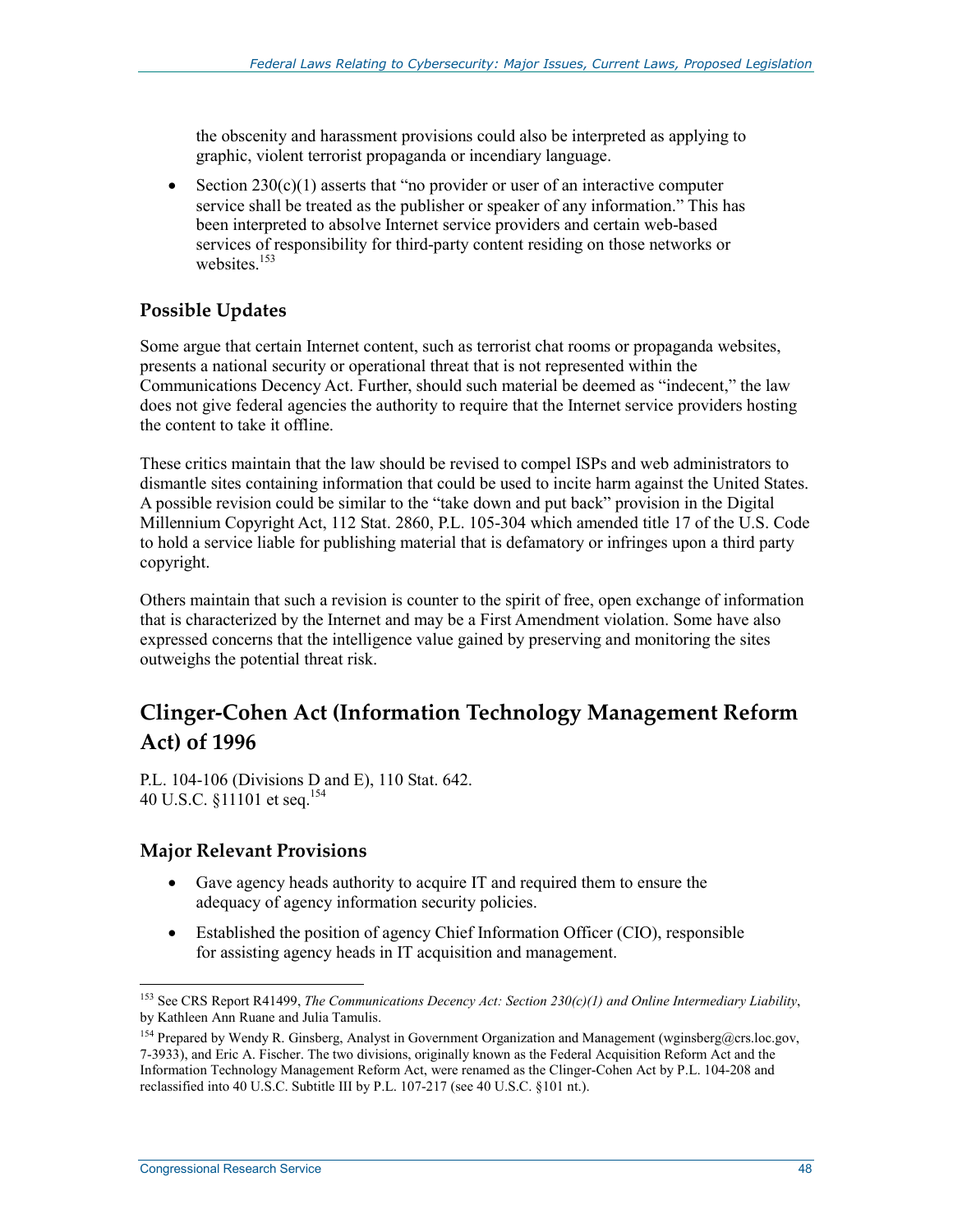the obscenity and harassment provisions could also be interpreted as applying to graphic, violent terrorist propaganda or incendiary language.

• Section  $230(c)(1)$  asserts that "no provider or user of an interactive computer service shall be treated as the publisher or speaker of any information." This has been interpreted to absolve Internet service providers and certain web-based services of responsibility for third-party content residing on those networks or websites.<sup>153</sup>

## **Possible Updates**

Some argue that certain Internet content, such as terrorist chat rooms or propaganda websites, presents a national security or operational threat that is not represented within the Communications Decency Act. Further, should such material be deemed as "indecent," the law does not give federal agencies the authority to require that the Internet service providers hosting the content to take it offline.

These critics maintain that the law should be revised to compel ISPs and web administrators to dismantle sites containing information that could be used to incite harm against the United States. A possible revision could be similar to the "take down and put back" provision in the Digital Millennium Copyright Act, 112 Stat. 2860, P.L. 105-304 which amended title 17 of the U.S. Code to hold a service liable for publishing material that is defamatory or infringes upon a third party copyright.

Others maintain that such a revision is counter to the spirit of free, open exchange of information that is characterized by the Internet and may be a First Amendment violation. Some have also expressed concerns that the intelligence value gained by preserving and monitoring the sites outweighs the potential threat risk.

# **Clinger-Cohen Act (Information Technology Management Reform Act) of 1996**

P.L. 104-106 (Divisions D and E), 110 Stat. 642. 40 U.S.C. §11101 et seq.154

### **Major Relevant Provisions**

- Gave agency heads authority to acquire IT and required them to ensure the adequacy of agency information security policies.
- Established the position of agency Chief Information Officer (CIO), responsible for assisting agency heads in IT acquisition and management.

<sup>153</sup> See CRS Report R41499, *The Communications Decency Act: Section 230(c)(1) and Online Intermediary Liability*, by Kathleen Ann Ruane and Julia Tamulis.

<sup>&</sup>lt;sup>154</sup> Prepared by Wendy R. Ginsberg, Analyst in Government Organization and Management (wginsberg@crs.loc.gov, 7-3933), and Eric A. Fischer. The two divisions, originally known as the Federal Acquisition Reform Act and the Information Technology Management Reform Act, were renamed as the Clinger-Cohen Act by P.L. 104-208 and reclassified into 40 U.S.C. Subtitle III by P.L. 107-217 (see 40 U.S.C. §101 nt.).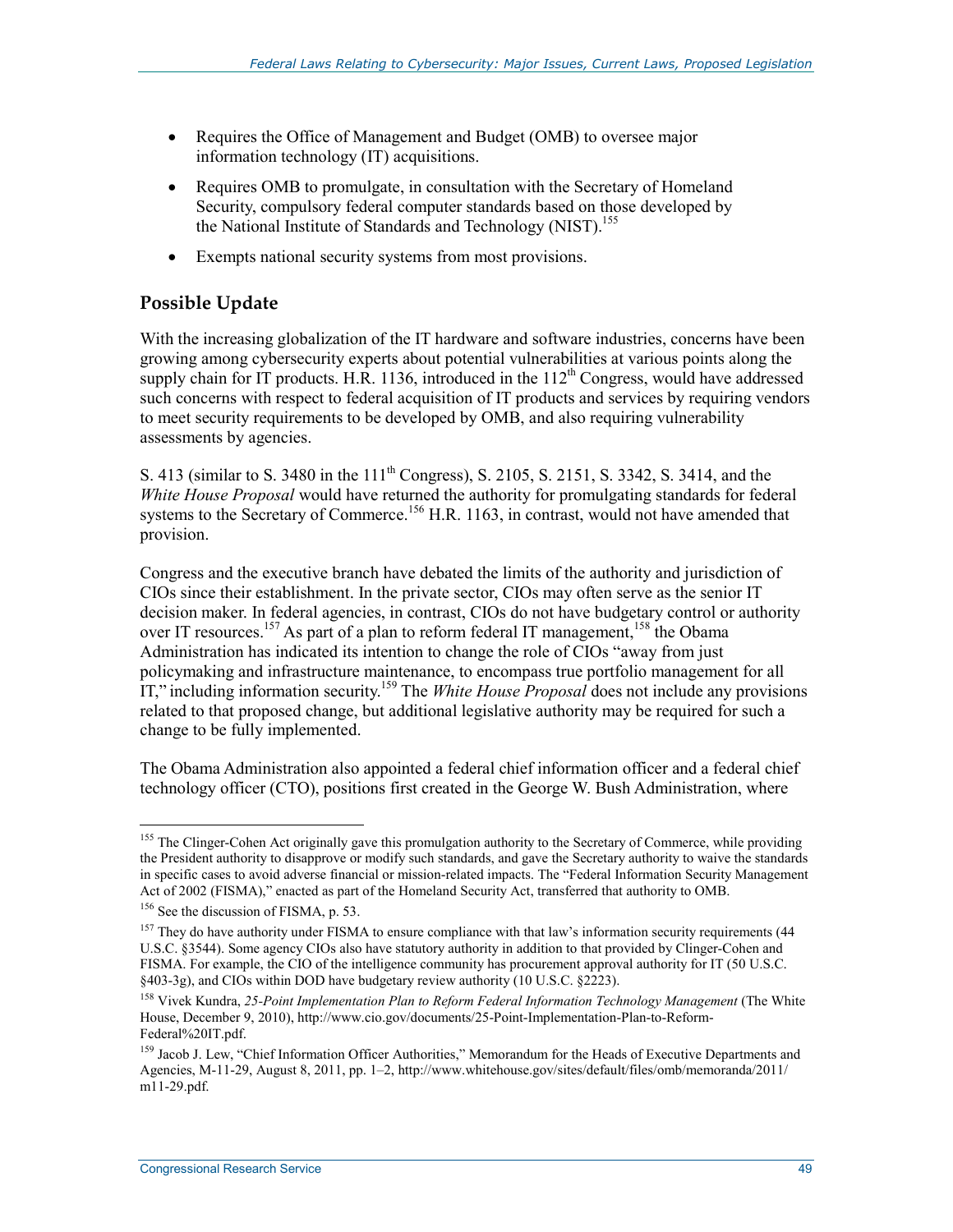- Requires the Office of Management and Budget (OMB) to oversee major information technology (IT) acquisitions.
- Requires OMB to promulgate, in consultation with the Secretary of Homeland Security, compulsory federal computer standards based on those developed by the National Institute of Standards and Technology (NIST).<sup>155</sup>
- Exempts national security systems from most provisions.

## **Possible Update**

With the increasing globalization of the IT hardware and software industries, concerns have been growing among cybersecurity experts about potential vulnerabilities at various points along the supply chain for IT products. H.R. 1136, introduced in the  $112<sup>th</sup>$  Congress, would have addressed such concerns with respect to federal acquisition of IT products and services by requiring vendors to meet security requirements to be developed by OMB, and also requiring vulnerability assessments by agencies.

S. 413 (similar to S. 3480 in the 111<sup>th</sup> Congress), S. 2105, S. 2151, S. 3342, S. 3414, and the *White House Proposal* would have returned the authority for promulgating standards for federal systems to the Secretary of Commerce.<sup>156</sup> H.R. 1163, in contrast, would not have amended that provision.

Congress and the executive branch have debated the limits of the authority and jurisdiction of CIOs since their establishment. In the private sector, CIOs may often serve as the senior IT decision maker. In federal agencies, in contrast, CIOs do not have budgetary control or authority over IT resources.<sup>157</sup> As part of a plan to reform federal IT management,<sup>158</sup> the Obama Administration has indicated its intention to change the role of CIOs "away from just policymaking and infrastructure maintenance, to encompass true portfolio management for all IT," including information security.159 The *White House Proposal* does not include any provisions related to that proposed change, but additional legislative authority may be required for such a change to be fully implemented.

The Obama Administration also appointed a federal chief information officer and a federal chief technology officer (CTO), positions first created in the George W. Bush Administration, where

<sup>1</sup> <sup>155</sup> The Clinger-Cohen Act originally gave this promulgation authority to the Secretary of Commerce, while providing the President authority to disapprove or modify such standards, and gave the Secretary authority to waive the standards in specific cases to avoid adverse financial or mission-related impacts. The "Federal Information Security Management Act of 2002 (FISMA)," enacted as part of the Homeland Security Act, transferred that authority to OMB.

<sup>&</sup>lt;sup>156</sup> See the discussion of FISMA, p. 53.

 $157$  They do have authority under FISMA to ensure compliance with that law's information security requirements (44 U.S.C. §3544). Some agency CIOs also have statutory authority in addition to that provided by Clinger-Cohen and FISMA. For example, the CIO of the intelligence community has procurement approval authority for IT (50 U.S.C. §403-3g), and CIOs within DOD have budgetary review authority (10 U.S.C. §2223).

<sup>158</sup> Vivek Kundra, *25-Point Implementation Plan to Reform Federal Information Technology Management* (The White House, December 9, 2010), http://www.cio.gov/documents/25-Point-Implementation-Plan-to-Reform-Federal%20IT.pdf.

<sup>&</sup>lt;sup>159</sup> Jacob J. Lew, "Chief Information Officer Authorities," Memorandum for the Heads of Executive Departments and Agencies, M-11-29, August 8, 2011, pp. 1–2, http://www.whitehouse.gov/sites/default/files/omb/memoranda/2011/ m11-29.pdf.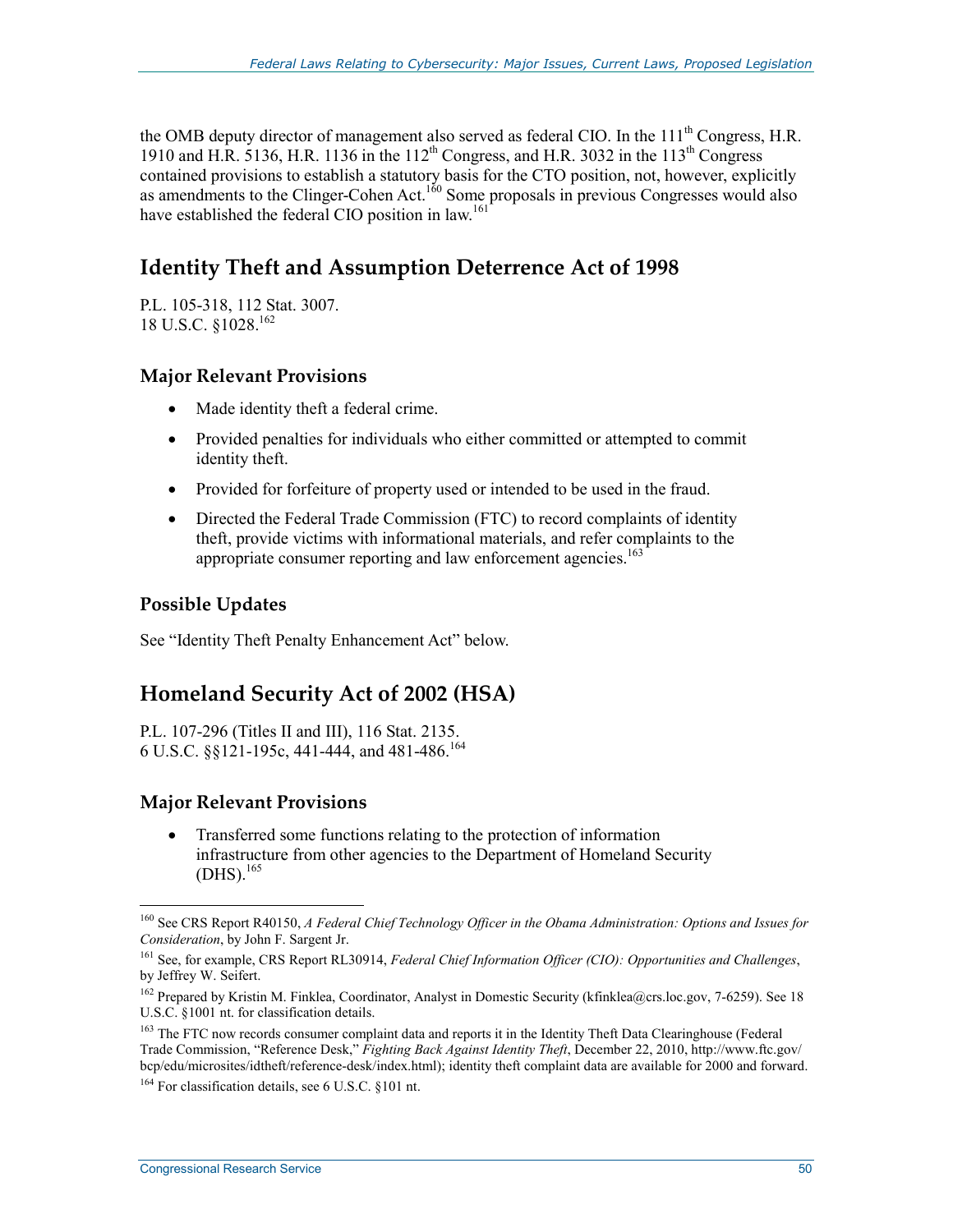the OMB deputy director of management also served as federal CIO. In the 111<sup>th</sup> Congress, H.R. 1910 and H.R. 5136, H.R. 1136 in the 112<sup>th</sup> Congress, and H.R. 3032 in the 113<sup>th</sup> Congress contained provisions to establish a statutory basis for the CTO position, not, however, explicitly as amendments to the Clinger-Cohen Act.<sup>160</sup> Some proposals in previous Congresses would also have established the federal CIO position in law.<sup>161</sup>

# **Identity Theft and Assumption Deterrence Act of 1998**

P.L. 105-318, 112 Stat. 3007. 18 U.S.C. §1028.<sup>162</sup>

## **Major Relevant Provisions**

- Made identity theft a federal crime.
- Provided penalties for individuals who either committed or attempted to commit identity theft.
- Provided for forfeiture of property used or intended to be used in the fraud.
- Directed the Federal Trade Commission (FTC) to record complaints of identity theft, provide victims with informational materials, and refer complaints to the appropriate consumer reporting and law enforcement agencies.<sup>163</sup>

### **Possible Updates**

1

See "Identity Theft Penalty Enhancement Act" below.

# **Homeland Security Act of 2002 (HSA)**

P.L. 107-296 (Titles II and III), 116 Stat. 2135. 6 U.S.C. §§121-195c, 441-444, and 481-486.164

### **Major Relevant Provisions**

• Transferred some functions relating to the protection of information infrastructure from other agencies to the Department of Homeland Security  $(DHS).$ <sup>165</sup>

<sup>164</sup> For classification details, see 6 U.S.C. §101 nt.

<sup>160</sup> See CRS Report R40150, *A Federal Chief Technology Officer in the Obama Administration: Options and Issues for Consideration*, by John F. Sargent Jr.

<sup>161</sup> See, for example, CRS Report RL30914, *Federal Chief Information Officer (CIO): Opportunities and Challenges*, by Jeffrey W. Seifert.

<sup>&</sup>lt;sup>162</sup> Prepared by Kristin M. Finklea, Coordinator, Analyst in Domestic Security (kfinklea@crs.loc.gov, 7-6259). See 18 U.S.C. §1001 nt. for classification details.

<sup>&</sup>lt;sup>163</sup> The FTC now records consumer complaint data and reports it in the Identity Theft Data Clearinghouse (Federal Trade Commission, "Reference Desk," *Fighting Back Against Identity Theft*, December 22, 2010, http://www.ftc.gov/ bcp/edu/microsites/idtheft/reference-desk/index.html); identity theft complaint data are available for 2000 and forward.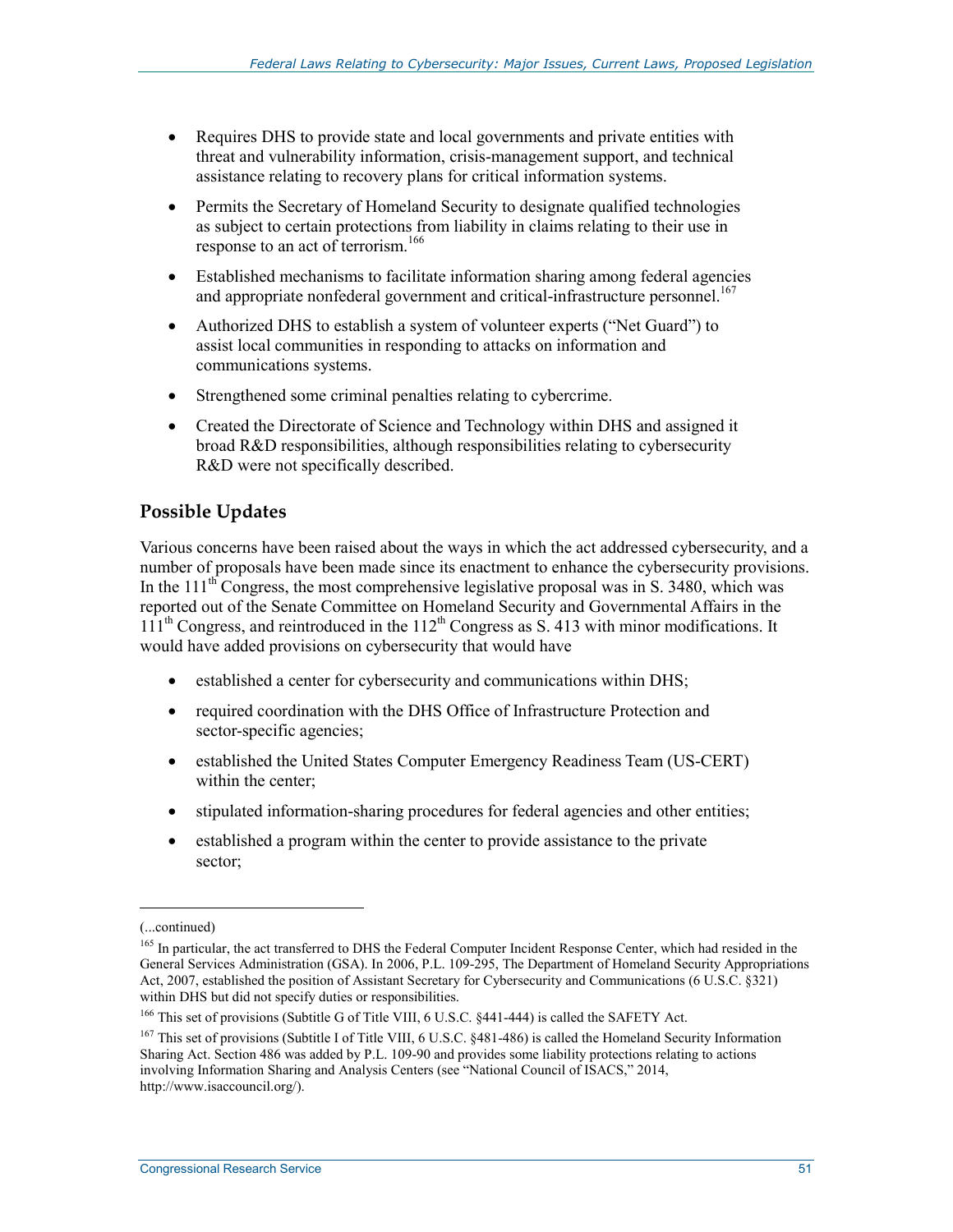- Requires DHS to provide state and local governments and private entities with threat and vulnerability information, crisis-management support, and technical assistance relating to recovery plans for critical information systems.
- Permits the Secretary of Homeland Security to designate qualified technologies as subject to certain protections from liability in claims relating to their use in response to an act of terrorism.<sup>166</sup>
- Established mechanisms to facilitate information sharing among federal agencies and appropriate nonfederal government and critical-infrastructure personnel.<sup>167</sup>
- Authorized DHS to establish a system of volunteer experts ("Net Guard") to assist local communities in responding to attacks on information and communications systems.
- Strengthened some criminal penalties relating to cybercrime.
- Created the Directorate of Science and Technology within DHS and assigned it broad R&D responsibilities, although responsibilities relating to cybersecurity R&D were not specifically described.

## **Possible Updates**

Various concerns have been raised about the ways in which the act addressed cybersecurity, and a number of proposals have been made since its enactment to enhance the cybersecurity provisions. In the  $111<sup>th</sup>$  Congress, the most comprehensive legislative proposal was in S. 3480, which was reported out of the Senate Committee on Homeland Security and Governmental Affairs in the  $111<sup>th</sup>$  Congress, and reintroduced in the  $112<sup>th</sup>$  Congress as S. 413 with minor modifications. It would have added provisions on cybersecurity that would have

- established a center for cybersecurity and communications within DHS;
- required coordination with the DHS Office of Infrastructure Protection and sector-specific agencies;
- established the United States Computer Emergency Readiness Team (US-CERT) within the center;
- stipulated information-sharing procedures for federal agencies and other entities;
- established a program within the center to provide assistance to the private sector;

<sup>(...</sup>continued)

<sup>&</sup>lt;sup>165</sup> In particular, the act transferred to DHS the Federal Computer Incident Response Center, which had resided in the General Services Administration (GSA). In 2006, P.L. 109-295, The Department of Homeland Security Appropriations Act, 2007, established the position of Assistant Secretary for Cybersecurity and Communications (6 U.S.C. §321) within DHS but did not specify duties or responsibilities.

<sup>&</sup>lt;sup>166</sup> This set of provisions (Subtitle G of Title VIII, 6 U.S.C. §441-444) is called the SAFETY Act.

<sup>&</sup>lt;sup>167</sup> This set of provisions (Subtitle I of Title VIII, 6 U.S.C. §481-486) is called the Homeland Security Information Sharing Act. Section 486 was added by P.L. 109-90 and provides some liability protections relating to actions involving Information Sharing and Analysis Centers (see "National Council of ISACS," 2014, http://www.isaccouncil.org/).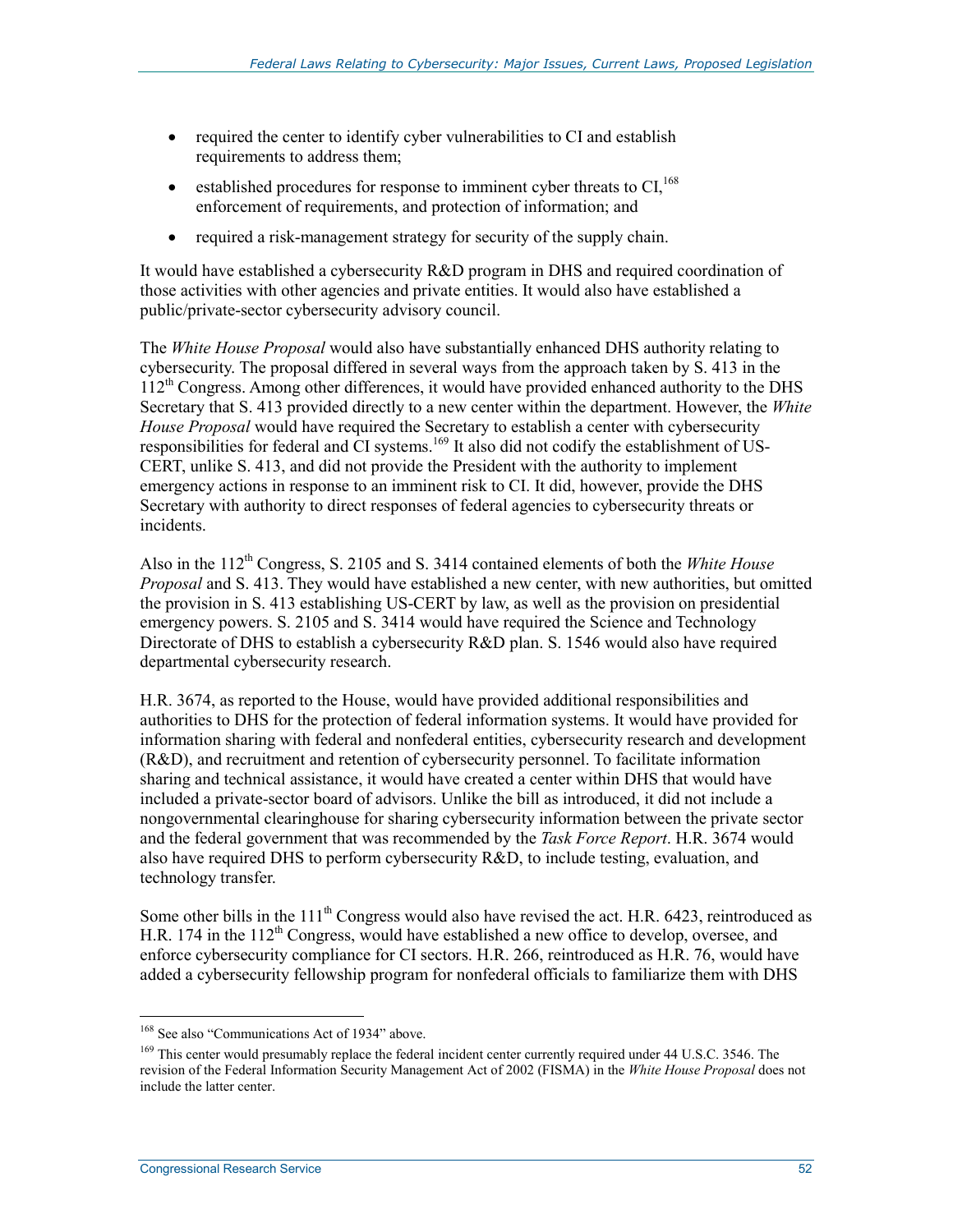- required the center to identify cyber vulnerabilities to CI and establish requirements to address them;
- established procedures for response to imminent cyber threats to  $CI<sub>1</sub><sup>168</sup>$ enforcement of requirements, and protection of information; and
- required a risk-management strategy for security of the supply chain.

It would have established a cybersecurity R&D program in DHS and required coordination of those activities with other agencies and private entities. It would also have established a public/private-sector cybersecurity advisory council.

The *White House Proposal* would also have substantially enhanced DHS authority relating to cybersecurity. The proposal differed in several ways from the approach taken by S. 413 in the 112th Congress. Among other differences, it would have provided enhanced authority to the DHS Secretary that S. 413 provided directly to a new center within the department. However, the *White House Proposal* would have required the Secretary to establish a center with cybersecurity responsibilities for federal and  $\rm \tilde{C}$ I systems.<sup>169</sup> It also did not codify the establishment of US-CERT, unlike S. 413, and did not provide the President with the authority to implement emergency actions in response to an imminent risk to CI. It did, however, provide the DHS Secretary with authority to direct responses of federal agencies to cybersecurity threats or incidents.

Also in the 112<sup>th</sup> Congress, S. 2105 and S. 3414 contained elements of both the *White House Proposal* and S. 413. They would have established a new center, with new authorities, but omitted the provision in S. 413 establishing US-CERT by law, as well as the provision on presidential emergency powers. S. 2105 and S. 3414 would have required the Science and Technology Directorate of DHS to establish a cybersecurity R&D plan. S. 1546 would also have required departmental cybersecurity research.

H.R. 3674, as reported to the House, would have provided additional responsibilities and authorities to DHS for the protection of federal information systems. It would have provided for information sharing with federal and nonfederal entities, cybersecurity research and development (R&D), and recruitment and retention of cybersecurity personnel. To facilitate information sharing and technical assistance, it would have created a center within DHS that would have included a private-sector board of advisors. Unlike the bill as introduced, it did not include a nongovernmental clearinghouse for sharing cybersecurity information between the private sector and the federal government that was recommended by the *Task Force Report*. H.R. 3674 would also have required DHS to perform cybersecurity R&D, to include testing, evaluation, and technology transfer.

Some other bills in the  $111<sup>th</sup>$  Congress would also have revised the act. H.R. 6423, reintroduced as H.R. 174 in the  $112<sup>th</sup>$  Congress, would have established a new office to develop, oversee, and enforce cybersecurity compliance for CI sectors. H.R. 266, reintroduced as H.R. 76, would have added a cybersecurity fellowship program for nonfederal officials to familiarize them with DHS

<sup>&</sup>lt;sup>168</sup> See also "Communications Act of 1934" above.

<sup>&</sup>lt;sup>169</sup> This center would presumably replace the federal incident center currently required under 44 U.S.C. 3546. The revision of the Federal Information Security Management Act of 2002 (FISMA) in the *White House Proposal* does not include the latter center.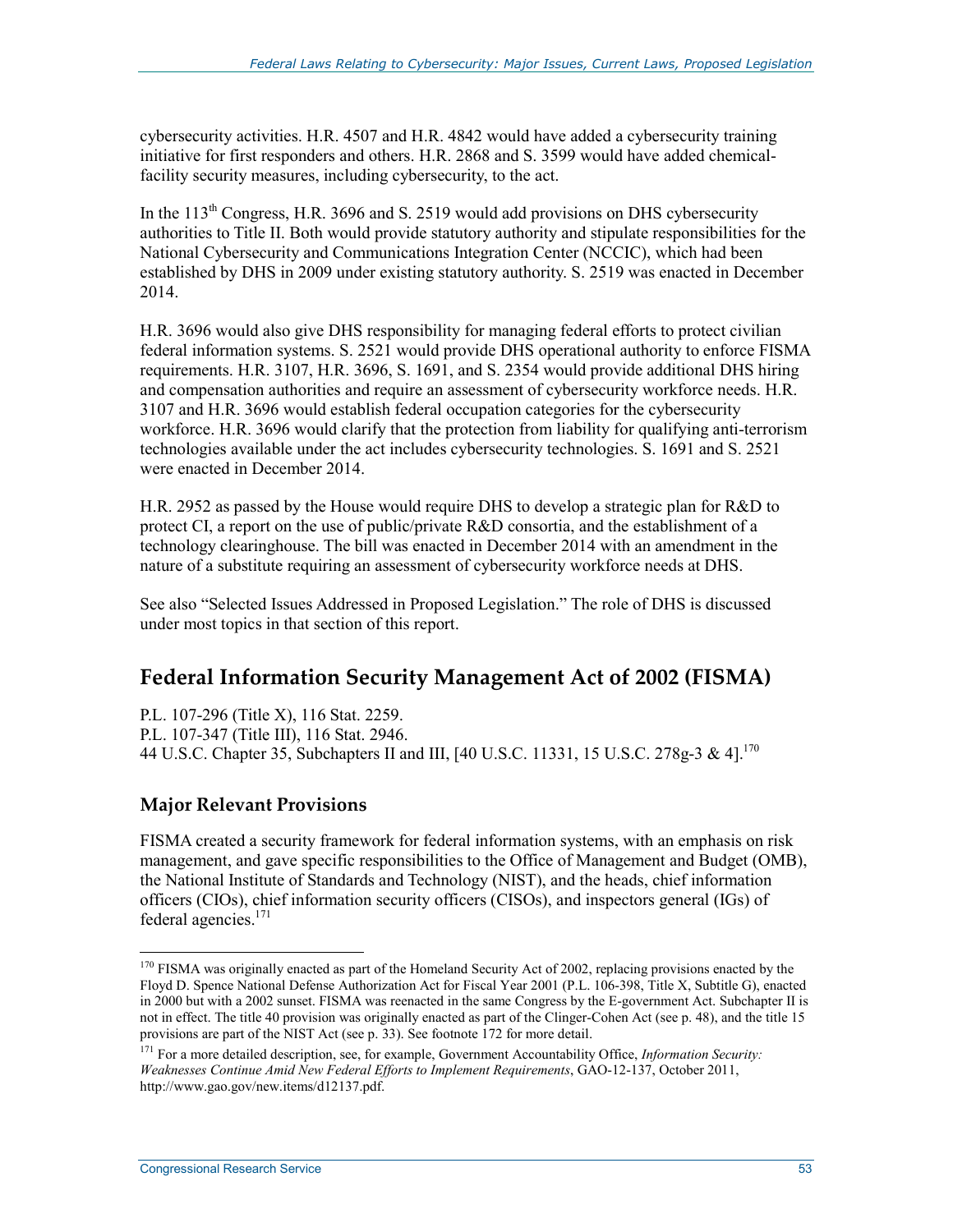cybersecurity activities. H.R. 4507 and H.R. 4842 would have added a cybersecurity training initiative for first responders and others. H.R. 2868 and S. 3599 would have added chemicalfacility security measures, including cybersecurity, to the act.

In the  $113<sup>th</sup>$  Congress, H.R. 3696 and S. 2519 would add provisions on DHS cybersecurity authorities to Title II. Both would provide statutory authority and stipulate responsibilities for the National Cybersecurity and Communications Integration Center (NCCIC), which had been established by DHS in 2009 under existing statutory authority. S. 2519 was enacted in December 2014.

H.R. 3696 would also give DHS responsibility for managing federal efforts to protect civilian federal information systems. S. 2521 would provide DHS operational authority to enforce FISMA requirements. H.R. 3107, H.R. 3696, S. 1691, and S. 2354 would provide additional DHS hiring and compensation authorities and require an assessment of cybersecurity workforce needs. H.R. 3107 and H.R. 3696 would establish federal occupation categories for the cybersecurity workforce. H.R. 3696 would clarify that the protection from liability for qualifying anti-terrorism technologies available under the act includes cybersecurity technologies. S. 1691 and S. 2521 were enacted in December 2014.

H.R. 2952 as passed by the House would require DHS to develop a strategic plan for R&D to protect CI, a report on the use of public/private R&D consortia, and the establishment of a technology clearinghouse. The bill was enacted in December 2014 with an amendment in the nature of a substitute requiring an assessment of cybersecurity workforce needs at DHS.

See also "Selected Issues Addressed in Proposed Legislation." The role of DHS is discussed under most topics in that section of this report.

# **Federal Information Security Management Act of 2002 (FISMA)**

P.L. 107-296 (Title X), 116 Stat. 2259. P.L. 107-347 (Title III), 116 Stat. 2946. 44 U.S.C. Chapter 35, Subchapters II and III, [40 U.S.C. 11331, 15 U.S.C. 278g-3 & 4].<sup>170</sup>

### **Major Relevant Provisions**

FISMA created a security framework for federal information systems, with an emphasis on risk management, and gave specific responsibilities to the Office of Management and Budget (OMB), the National Institute of Standards and Technology (NIST), and the heads, chief information officers (CIOs), chief information security officers (CISOs), and inspectors general (IGs) of federal agencies.<sup>171</sup>

<sup>&</sup>lt;sup>170</sup> FISMA was originally enacted as part of the Homeland Security Act of 2002, replacing provisions enacted by the Floyd D. Spence National Defense Authorization Act for Fiscal Year 2001 (P.L. 106-398, Title X, Subtitle G), enacted in 2000 but with a 2002 sunset. FISMA was reenacted in the same Congress by the E-government Act. Subchapter II is not in effect. The title 40 provision was originally enacted as part of the Clinger-Cohen Act (see p. 48), and the title 15 provisions are part of the NIST Act (see p. 33). See footnote 172 for more detail.

<sup>&</sup>lt;sup>171</sup> For a more detailed description, see, for example, Government Accountability Office, *Information Security*: *Weaknesses Continue Amid New Federal Efforts to Implement Requirements*, GAO-12-137, October 2011, http://www.gao.gov/new.items/d12137.pdf.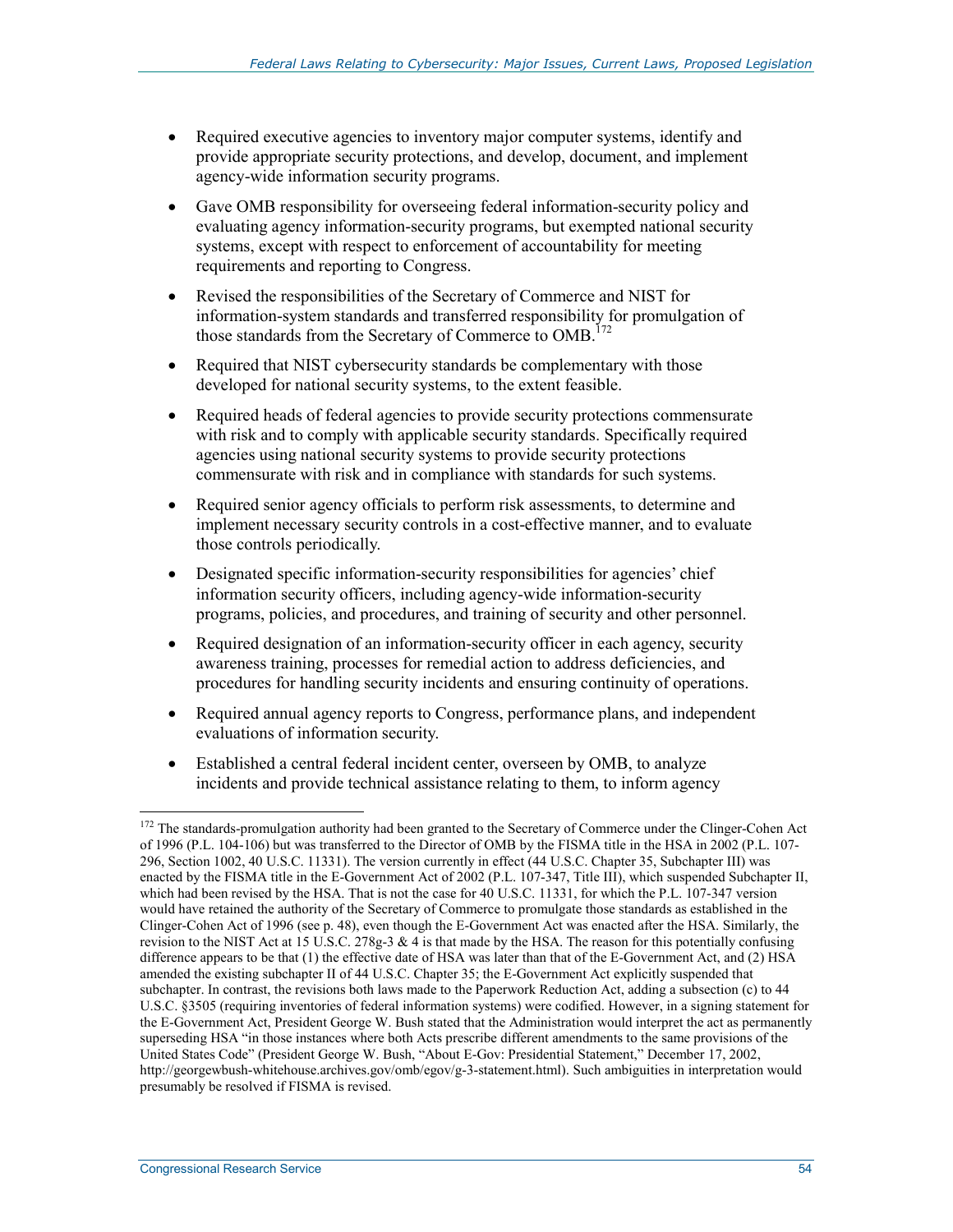- Required executive agencies to inventory major computer systems, identify and provide appropriate security protections, and develop, document, and implement agency-wide information security programs.
- Gave OMB responsibility for overseeing federal information-security policy and evaluating agency information-security programs, but exempted national security systems, except with respect to enforcement of accountability for meeting requirements and reporting to Congress.
- Revised the responsibilities of the Secretary of Commerce and NIST for information-system standards and transferred responsibility for promulgation of those standards from the Secretary of Commerce to OMB.<sup>172</sup>
- Required that NIST cybersecurity standards be complementary with those developed for national security systems, to the extent feasible.
- Required heads of federal agencies to provide security protections commensurate with risk and to comply with applicable security standards. Specifically required agencies using national security systems to provide security protections commensurate with risk and in compliance with standards for such systems.
- Required senior agency officials to perform risk assessments, to determine and implement necessary security controls in a cost-effective manner, and to evaluate those controls periodically.
- Designated specific information-security responsibilities for agencies' chief information security officers, including agency-wide information-security programs, policies, and procedures, and training of security and other personnel.
- Required designation of an information-security officer in each agency, security awareness training, processes for remedial action to address deficiencies, and procedures for handling security incidents and ensuring continuity of operations.
- Required annual agency reports to Congress, performance plans, and independent evaluations of information security.
- Established a central federal incident center, overseen by OMB, to analyze incidents and provide technical assistance relating to them, to inform agency

<sup>&</sup>lt;sup>172</sup> The standards-promulgation authority had been granted to the Secretary of Commerce under the Clinger-Cohen Act of 1996 (P.L. 104-106) but was transferred to the Director of OMB by the FISMA title in the HSA in 2002 (P.L. 107- 296, Section 1002, 40 U.S.C. 11331). The version currently in effect (44 U.S.C. Chapter 35, Subchapter III) was enacted by the FISMA title in the E-Government Act of 2002 (P.L. 107-347, Title III), which suspended Subchapter II, which had been revised by the HSA. That is not the case for 40 U.S.C. 11331, for which the P.L. 107-347 version would have retained the authority of the Secretary of Commerce to promulgate those standards as established in the Clinger-Cohen Act of 1996 (see p. 48), even though the E-Government Act was enacted after the HSA. Similarly, the revision to the NIST Act at 15 U.S.C. 278g-3  $\&$  4 is that made by the HSA. The reason for this potentially confusing difference appears to be that (1) the effective date of HSA was later than that of the E-Government Act, and (2) HSA amended the existing subchapter II of 44 U.S.C. Chapter 35; the E-Government Act explicitly suspended that subchapter. In contrast, the revisions both laws made to the Paperwork Reduction Act, adding a subsection (c) to 44 U.S.C. §3505 (requiring inventories of federal information systems) were codified. However, in a signing statement for the E-Government Act, President George W. Bush stated that the Administration would interpret the act as permanently superseding HSA "in those instances where both Acts prescribe different amendments to the same provisions of the United States Code" (President George W. Bush, "About E-Gov: Presidential Statement," December 17, 2002, http://georgewbush-whitehouse.archives.gov/omb/egov/g-3-statement.html). Such ambiguities in interpretation would presumably be resolved if FISMA is revised.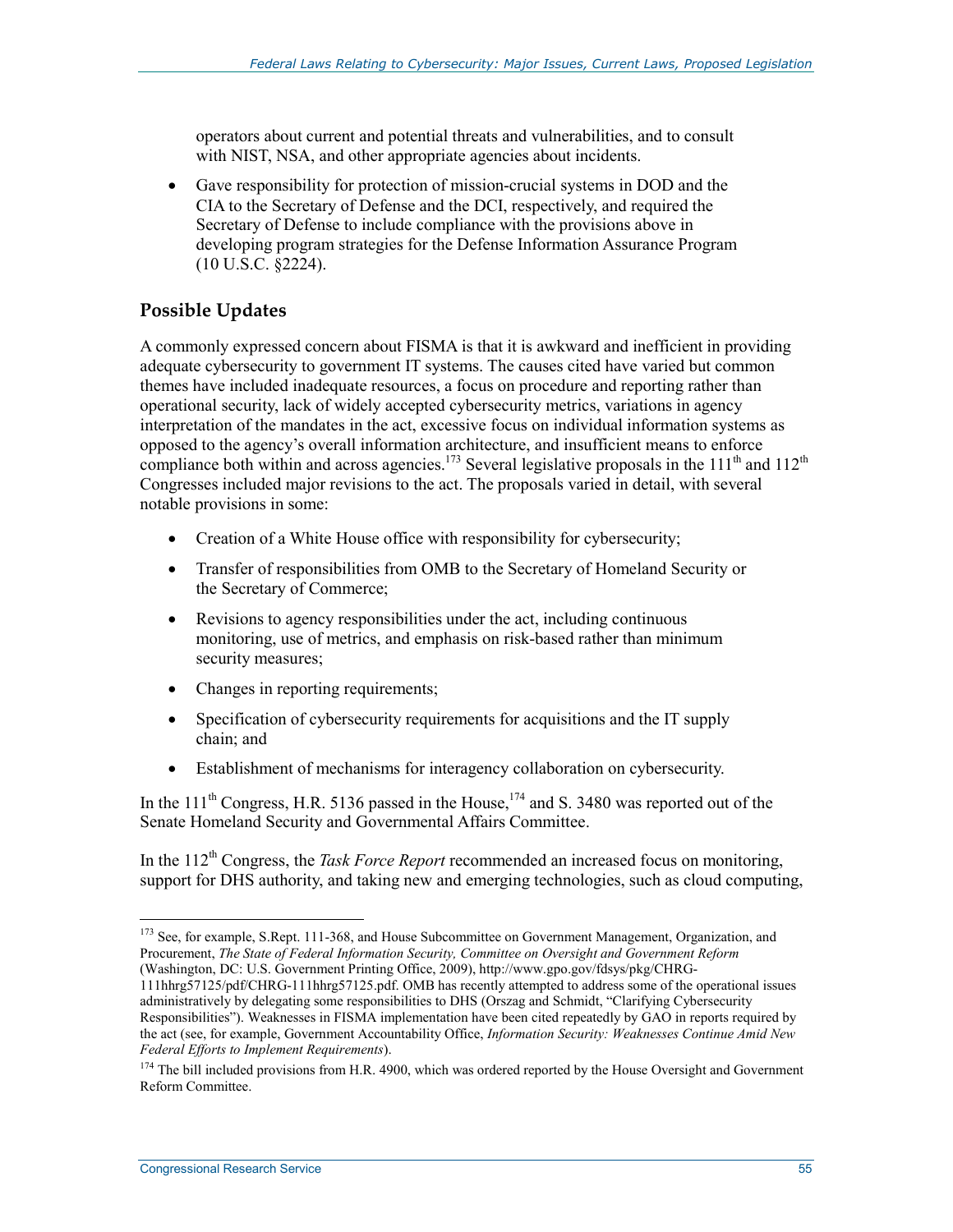operators about current and potential threats and vulnerabilities, and to consult with NIST, NSA, and other appropriate agencies about incidents.

• Gave responsibility for protection of mission-crucial systems in DOD and the CIA to the Secretary of Defense and the DCI, respectively, and required the Secretary of Defense to include compliance with the provisions above in developing program strategies for the Defense Information Assurance Program (10 U.S.C. §2224).

## **Possible Updates**

A commonly expressed concern about FISMA is that it is awkward and inefficient in providing adequate cybersecurity to government IT systems. The causes cited have varied but common themes have included inadequate resources, a focus on procedure and reporting rather than operational security, lack of widely accepted cybersecurity metrics, variations in agency interpretation of the mandates in the act, excessive focus on individual information systems as opposed to the agency's overall information architecture, and insufficient means to enforce compliance both within and across agencies.<sup>173</sup> Several legislative proposals in the 111<sup>th</sup> and 112<sup>th</sup> Congresses included major revisions to the act. The proposals varied in detail, with several notable provisions in some:

- Creation of a White House office with responsibility for cybersecurity;
- Transfer of responsibilities from OMB to the Secretary of Homeland Security or the Secretary of Commerce;
- Revisions to agency responsibilities under the act, including continuous monitoring, use of metrics, and emphasis on risk-based rather than minimum security measures;
- Changes in reporting requirements;
- Specification of cybersecurity requirements for acquisitions and the IT supply chain; and
- Establishment of mechanisms for interagency collaboration on cybersecurity.

In the  $111<sup>th</sup>$  Congress, H.R. 5136 passed in the House,<sup>174</sup> and S. 3480 was reported out of the Senate Homeland Security and Governmental Affairs Committee.

In the 112<sup>th</sup> Congress, the *Task Force Report* recommended an increased focus on monitoring, support for DHS authority, and taking new and emerging technologies, such as cloud computing,

<sup>&</sup>lt;sup>173</sup> See, for example, S.Rept. 111-368, and House Subcommittee on Government Management, Organization, and Procurement, *The State of Federal Information Security, Committee on Oversight and Government Reform* (Washington, DC: U.S. Government Printing Office, 2009), http://www.gpo.gov/fdsys/pkg/CHRG-

<sup>111</sup>hhrg57125/pdf/CHRG-111hhrg57125.pdf. OMB has recently attempted to address some of the operational issues administratively by delegating some responsibilities to DHS (Orszag and Schmidt, "Clarifying Cybersecurity Responsibilities"). Weaknesses in FISMA implementation have been cited repeatedly by GAO in reports required by the act (see, for example, Government Accountability Office, *Information Security: Weaknesses Continue Amid New Federal Efforts to Implement Requirements*).

<sup>&</sup>lt;sup>174</sup> The bill included provisions from H.R. 4900, which was ordered reported by the House Oversight and Government Reform Committee.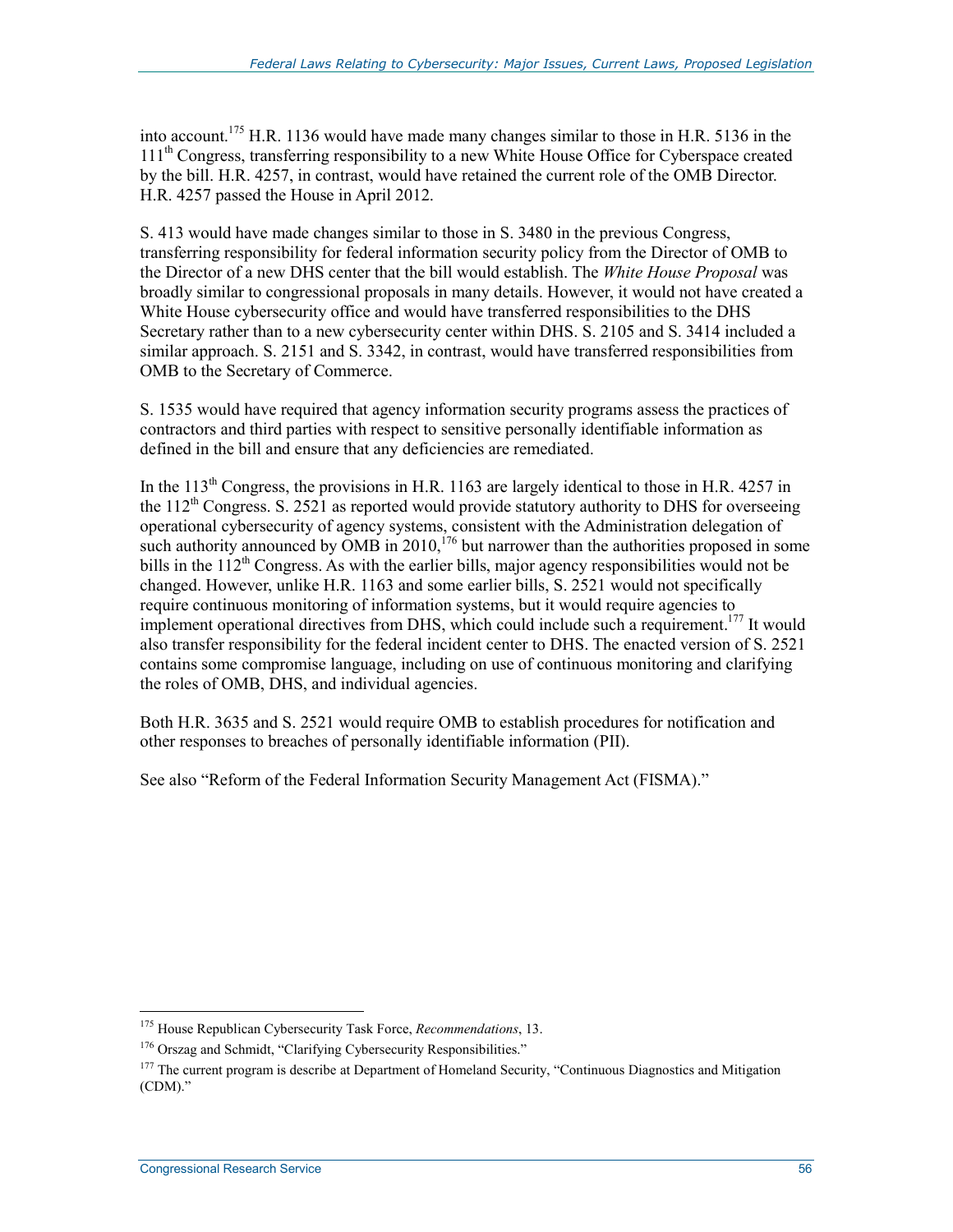into account.175 H.R. 1136 would have made many changes similar to those in H.R. 5136 in the 111<sup>th</sup> Congress, transferring responsibility to a new White House Office for Cyberspace created by the bill. H.R. 4257, in contrast, would have retained the current role of the OMB Director. H.R. 4257 passed the House in April 2012.

S. 413 would have made changes similar to those in S. 3480 in the previous Congress, transferring responsibility for federal information security policy from the Director of OMB to the Director of a new DHS center that the bill would establish. The *White House Proposal* was broadly similar to congressional proposals in many details. However, it would not have created a White House cybersecurity office and would have transferred responsibilities to the DHS Secretary rather than to a new cybersecurity center within DHS. S. 2105 and S. 3414 included a similar approach. S. 2151 and S. 3342, in contrast, would have transferred responsibilities from OMB to the Secretary of Commerce.

S. 1535 would have required that agency information security programs assess the practices of contractors and third parties with respect to sensitive personally identifiable information as defined in the bill and ensure that any deficiencies are remediated.

In the  $113<sup>th</sup>$  Congress, the provisions in H.R. 1163 are largely identical to those in H.R. 4257 in the  $112<sup>th</sup>$  Congress. S. 2521 as reported would provide statutory authority to DHS for overseeing operational cybersecurity of agency systems, consistent with the Administration delegation of such authority announced by  $\overline{OMB}$  in 2010,<sup>176</sup> but narrower than the authorities proposed in some bills in the  $112<sup>th</sup>$  Congress. As with the earlier bills, major agency responsibilities would not be changed. However, unlike H.R. 1163 and some earlier bills, S. 2521 would not specifically require continuous monitoring of information systems, but it would require agencies to implement operational directives from DHS, which could include such a requirement.<sup>177</sup> It would also transfer responsibility for the federal incident center to DHS. The enacted version of S. 2521 contains some compromise language, including on use of continuous monitoring and clarifying the roles of OMB, DHS, and individual agencies.

Both H.R. 3635 and S. 2521 would require OMB to establish procedures for notification and other responses to breaches of personally identifiable information (PII).

See also "Reform of the Federal Information Security Management Act (FISMA)."

<sup>175</sup> House Republican Cybersecurity Task Force, *Recommendations*, 13.

<sup>&</sup>lt;sup>176</sup> Orszag and Schmidt, "Clarifying Cybersecurity Responsibilities."

<sup>&</sup>lt;sup>177</sup> The current program is describe at Department of Homeland Security, "Continuous Diagnostics and Mitigation (CDM)."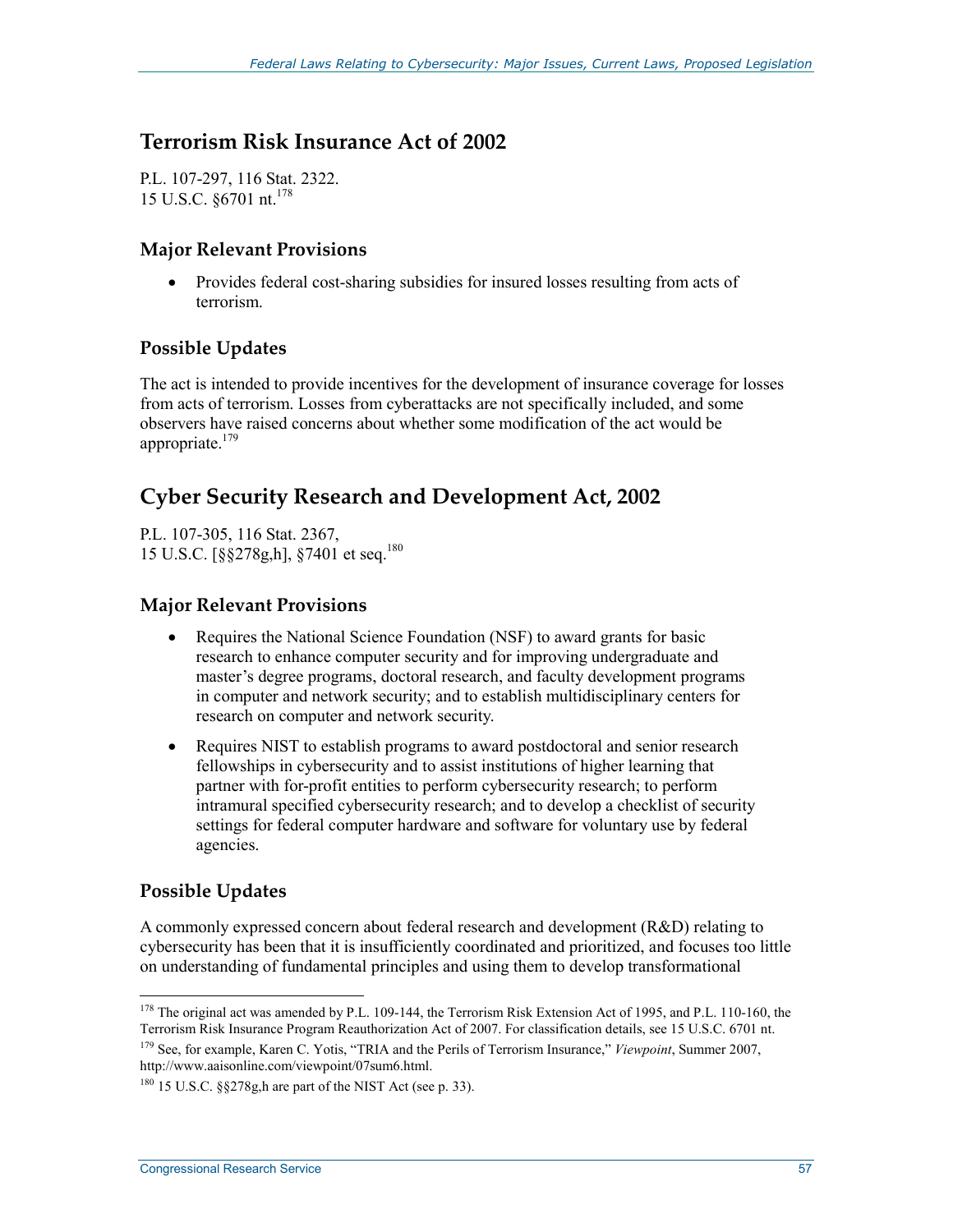# **Terrorism Risk Insurance Act of 2002**

P.L. 107-297, 116 Stat. 2322. 15 U.S.C. §6701 nt.178

#### **Major Relevant Provisions**

• Provides federal cost-sharing subsidies for insured losses resulting from acts of terrorism.

### **Possible Updates**

The act is intended to provide incentives for the development of insurance coverage for losses from acts of terrorism. Losses from cyberattacks are not specifically included, and some observers have raised concerns about whether some modification of the act would be appropriate.<sup>179</sup>

# **Cyber Security Research and Development Act, 2002**

P.L. 107-305, 116 Stat. 2367, 15 U.S.C. [§§278g,h], §7401 et seq.180

#### **Major Relevant Provisions**

- Requires the National Science Foundation (NSF) to award grants for basic research to enhance computer security and for improving undergraduate and master's degree programs, doctoral research, and faculty development programs in computer and network security; and to establish multidisciplinary centers for research on computer and network security.
- Requires NIST to establish programs to award postdoctoral and senior research fellowships in cybersecurity and to assist institutions of higher learning that partner with for-profit entities to perform cybersecurity research; to perform intramural specified cybersecurity research; and to develop a checklist of security settings for federal computer hardware and software for voluntary use by federal agencies.

### **Possible Updates**

A commonly expressed concern about federal research and development (R&D) relating to cybersecurity has been that it is insufficiently coordinated and prioritized, and focuses too little on understanding of fundamental principles and using them to develop transformational

<sup>1</sup> <sup>178</sup> The original act was amended by P.L. 109-144, the Terrorism Risk Extension Act of 1995, and P.L. 110-160, the Terrorism Risk Insurance Program Reauthorization Act of 2007. For classification details, see 15 U.S.C. 6701 nt.

<sup>179</sup> See, for example, Karen C. Yotis, "TRIA and the Perils of Terrorism Insurance," *Viewpoint*, Summer 2007, http://www.aaisonline.com/viewpoint/07sum6.html.

 $180$  15 U.S.C.  $\S$  $\S$ 278g, h are part of the NIST Act (see p. 33).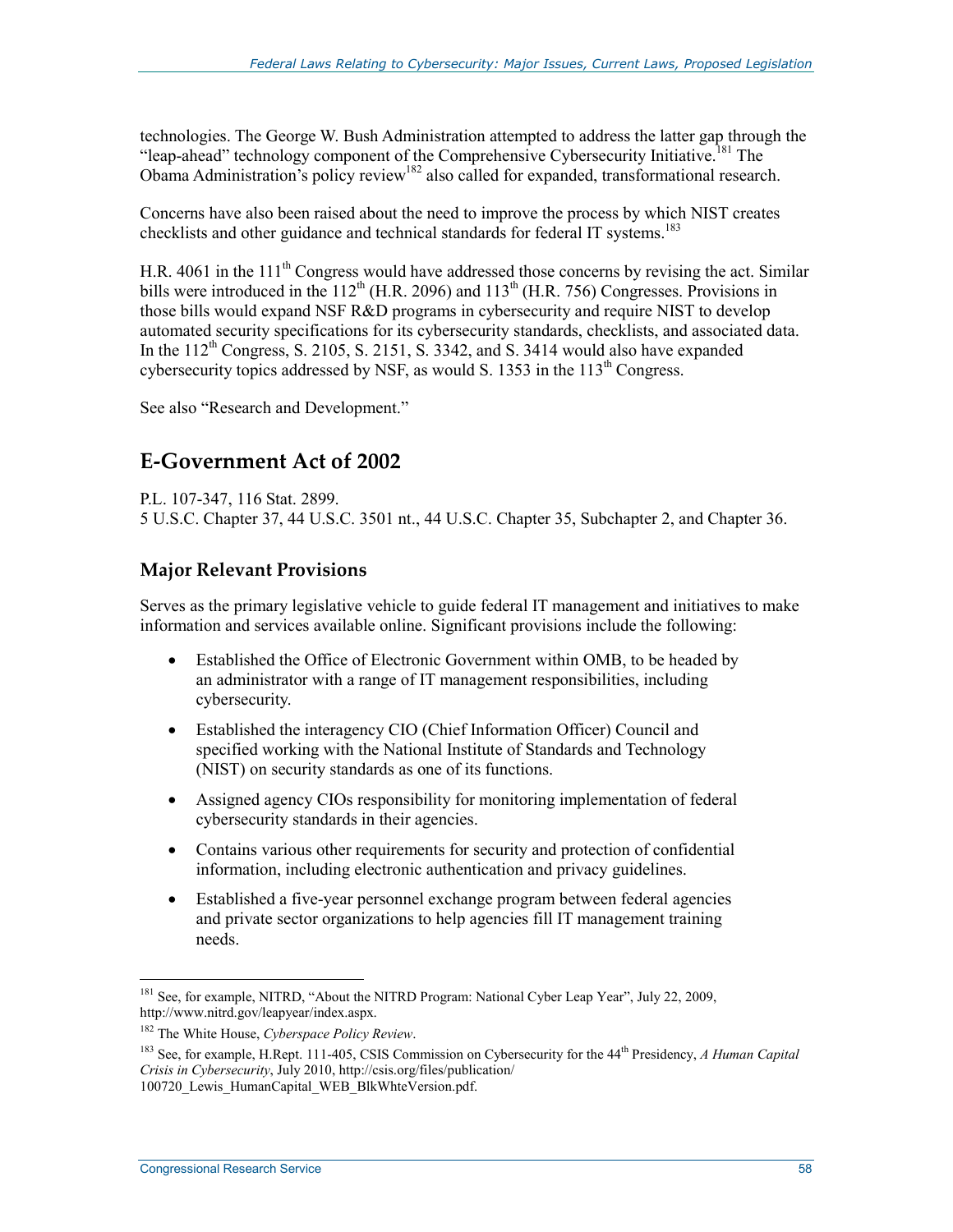technologies. The George W. Bush Administration attempted to address the latter gap through the "leap-ahead" technology component of the Comprehensive Cybersecurity Initiative.<sup>181</sup> The Obama Administration's policy review<sup>182</sup> also called for expanded, transformational research.

Concerns have also been raised about the need to improve the process by which NIST creates checklists and other guidance and technical standards for federal IT systems.<sup>183</sup>

H.R. 4061 in the 111<sup>th</sup> Congress would have addressed those concerns by revising the act. Similar bills were introduced in the  $112^{th}$  (H.R. 2096) and  $113^{th}$  (H.R. 756) Congresses. Provisions in those bills would expand NSF R&D programs in cybersecurity and require NIST to develop automated security specifications for its cybersecurity standards, checklists, and associated data. In the  $112^{th}$  Congress, S. 2105, S. 2151, S. 3342, and S. 3414 would also have expanded cybersecurity topics addressed by NSF, as would S. 1353 in the 113<sup>th</sup> Congress.

See also "Research and Development."

# **E-Government Act of 2002**

P.L. 107-347, 116 Stat. 2899. 5 U.S.C. Chapter 37, 44 U.S.C. 3501 nt., 44 U.S.C. Chapter 35, Subchapter 2, and Chapter 36.

## **Major Relevant Provisions**

Serves as the primary legislative vehicle to guide federal IT management and initiatives to make information and services available online. Significant provisions include the following:

- Established the Office of Electronic Government within OMB, to be headed by an administrator with a range of IT management responsibilities, including cybersecurity.
- Established the interagency CIO (Chief Information Officer) Council and specified working with the National Institute of Standards and Technology (NIST) on security standards as one of its functions.
- Assigned agency CIOs responsibility for monitoring implementation of federal cybersecurity standards in their agencies.
- Contains various other requirements for security and protection of confidential information, including electronic authentication and privacy guidelines.
- Established a five-year personnel exchange program between federal agencies and private sector organizations to help agencies fill IT management training needs.

<sup>&</sup>lt;sup>181</sup> See, for example, NITRD, "About the NITRD Program: National Cyber Leap Year", July 22, 2009, http://www.nitrd.gov/leapyear/index.aspx.

<sup>182</sup> The White House, *Cyberspace Policy Review*.

<sup>183</sup> See, for example, H.Rept. 111-405, CSIS Commission on Cybersecurity for the 44th Presidency, *A Human Capital Crisis in Cybersecurity*, July 2010, http://csis.org/files/publication/ 100720 Lewis HumanCapital WEB BlkWhteVersion.pdf.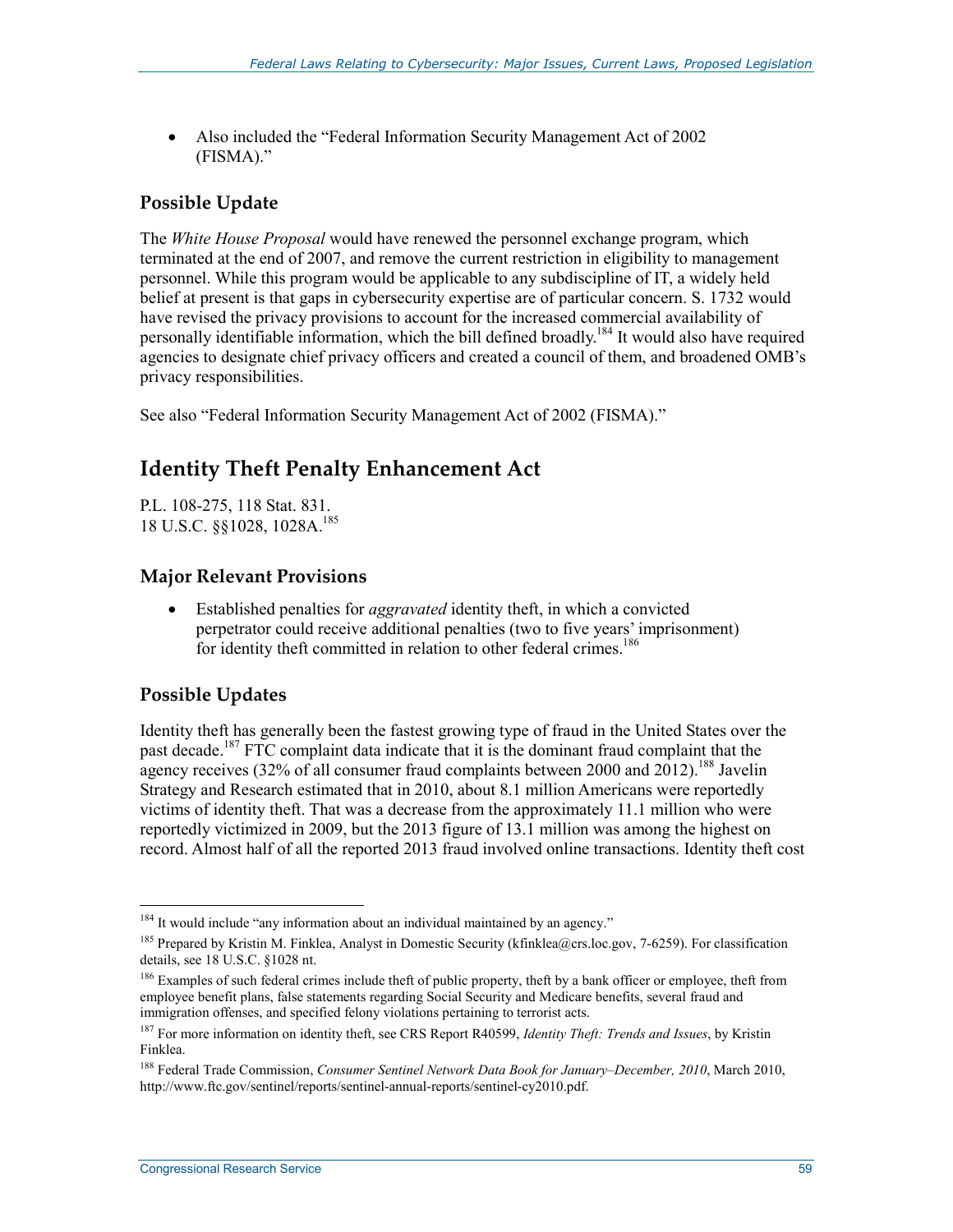• Also included the "Federal Information Security Management Act of 2002 (FISMA)."

## **Possible Update**

The *White House Proposal* would have renewed the personnel exchange program, which terminated at the end of 2007, and remove the current restriction in eligibility to management personnel. While this program would be applicable to any subdiscipline of IT, a widely held belief at present is that gaps in cybersecurity expertise are of particular concern. S. 1732 would have revised the privacy provisions to account for the increased commercial availability of personally identifiable information, which the bill defined broadly.<sup>184</sup> It would also have required agencies to designate chief privacy officers and created a council of them, and broadened OMB's privacy responsibilities.

See also "Federal Information Security Management Act of 2002 (FISMA)."

# **Identity Theft Penalty Enhancement Act**

P.L. 108-275, 118 Stat. 831. 18 U.S.C. §§1028, 1028A.<sup>185</sup>

### **Major Relevant Provisions**

• Established penalties for *aggravated* identity theft, in which a convicted perpetrator could receive additional penalties (two to five years' imprisonment) for identity theft committed in relation to other federal crimes.<sup>186</sup>

### **Possible Updates**

1

Identity theft has generally been the fastest growing type of fraud in the United States over the past decade.<sup>187</sup> FTC complaint data indicate that it is the dominant fraud complaint that the agency receives (32% of all consumer fraud complaints between 2000 and  $2012$ ).<sup>188</sup> Javelin Strategy and Research estimated that in 2010, about 8.1 million Americans were reportedly victims of identity theft. That was a decrease from the approximately 11.1 million who were reportedly victimized in 2009, but the 2013 figure of 13.1 million was among the highest on record. Almost half of all the reported 2013 fraud involved online transactions. Identity theft cost

<sup>&</sup>lt;sup>184</sup> It would include "any information about an individual maintained by an agency."

<sup>&</sup>lt;sup>185</sup> Prepared by Kristin M. Finklea, Analyst in Domestic Security (kfinklea@crs.loc.gov, 7-6259). For classification details, see 18 U.S.C. §1028 nt.

<sup>&</sup>lt;sup>186</sup> Examples of such federal crimes include theft of public property, theft by a bank officer or employee, theft from employee benefit plans, false statements regarding Social Security and Medicare benefits, several fraud and immigration offenses, and specified felony violations pertaining to terrorist acts.

<sup>187</sup> For more information on identity theft, see CRS Report R40599, *Identity Theft: Trends and Issues*, by Kristin Finklea.

<sup>188</sup> Federal Trade Commission, *Consumer Sentinel Network Data Book for January–December, 2010*, March 2010, http://www.ftc.gov/sentinel/reports/sentinel-annual-reports/sentinel-cy2010.pdf.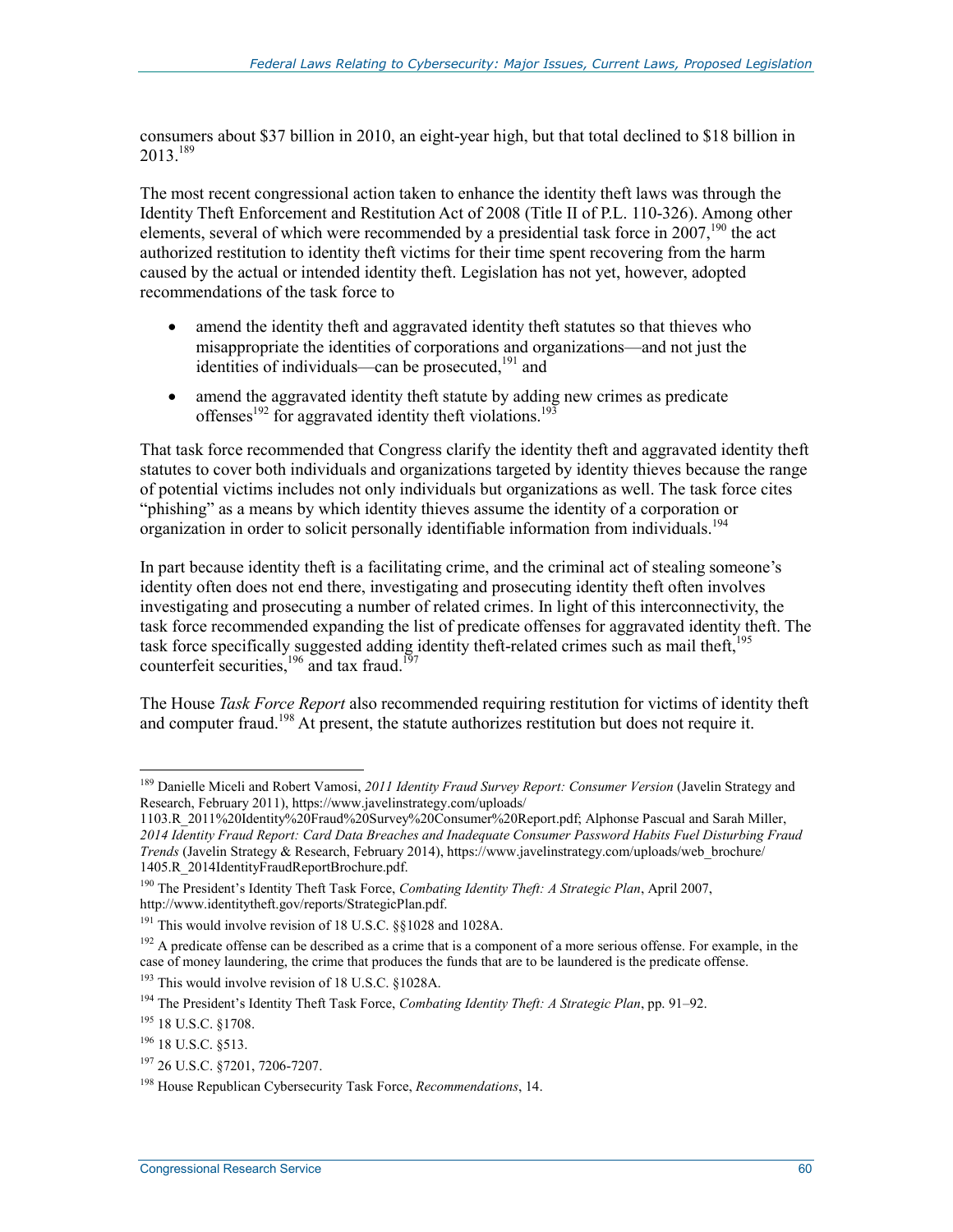consumers about \$37 billion in 2010, an eight-year high, but that total declined to \$18 billion in 2013.189

The most recent congressional action taken to enhance the identity theft laws was through the Identity Theft Enforcement and Restitution Act of 2008 (Title II of P.L. 110-326). Among other elements, several of which were recommended by a presidential task force in  $2007$ , <sup>190</sup> the act authorized restitution to identity theft victims for their time spent recovering from the harm caused by the actual or intended identity theft. Legislation has not yet, however, adopted recommendations of the task force to

- amend the identity theft and aggravated identity theft statutes so that thieves who misappropriate the identities of corporations and organizations—and not just the identities of individuals—can be prosecuted.<sup>191</sup> and
- amend the aggravated identity theft statute by adding new crimes as predicate offenses<sup>192</sup> for aggravated identity theft violations.<sup>193</sup>

That task force recommended that Congress clarify the identity theft and aggravated identity theft statutes to cover both individuals and organizations targeted by identity thieves because the range of potential victims includes not only individuals but organizations as well. The task force cites "phishing" as a means by which identity thieves assume the identity of a corporation or organization in order to solicit personally identifiable information from individuals.<sup>194</sup>

In part because identity theft is a facilitating crime, and the criminal act of stealing someone's identity often does not end there, investigating and prosecuting identity theft often involves investigating and prosecuting a number of related crimes. In light of this interconnectivity, the task force recommended expanding the list of predicate offenses for aggravated identity theft. The task force specifically suggested adding identity theft-related crimes such as mail theft, $195$ counterfeit securities, $196 \text{ and tax } \text{frau.}$ <sup>197</sup>

The House *Task Force Report* also recommended requiring restitution for victims of identity theft and computer fraud.<sup>198</sup> At present, the statute authorizes restitution but does not require it.

<sup>189</sup> Danielle Miceli and Robert Vamosi, *2011 Identity Fraud Survey Report: Consumer Version* (Javelin Strategy and Research, February 2011), https://www.javelinstrategy.com/uploads/

<sup>1103.</sup>R\_2011%20Identity%20Fraud%20Survey%20Consumer%20Report.pdf; Alphonse Pascual and Sarah Miller, *2014 Identity Fraud Report: Card Data Breaches and Inadequate Consumer Password Habits Fuel Disturbing Fraud Trends* (Javelin Strategy & Research, February 2014), https://www.javelinstrategy.com/uploads/web\_brochure/ 1405.R\_2014IdentityFraudReportBrochure.pdf.

<sup>190</sup> The President's Identity Theft Task Force, *Combating Identity Theft: A Strategic Plan*, April 2007, http://www.identitytheft.gov/reports/StrategicPlan.pdf.

<sup>&</sup>lt;sup>191</sup> This would involve revision of 18 U.S.C. §§1028 and 1028A.

<sup>&</sup>lt;sup>192</sup> A predicate offense can be described as a crime that is a component of a more serious offense. For example, in the case of money laundering, the crime that produces the funds that are to be laundered is the predicate offense.

<sup>193</sup> This would involve revision of 18 U.S.C. §1028A.

<sup>194</sup> The President's Identity Theft Task Force, *Combating Identity Theft: A Strategic Plan*, pp. 91–92.

<sup>195 18</sup> U.S.C. §1708.

<sup>196 18</sup> U.S.C. §513.

<sup>197 26</sup> U.S.C. §7201, 7206-7207.

<sup>198</sup> House Republican Cybersecurity Task Force, *Recommendations*, 14.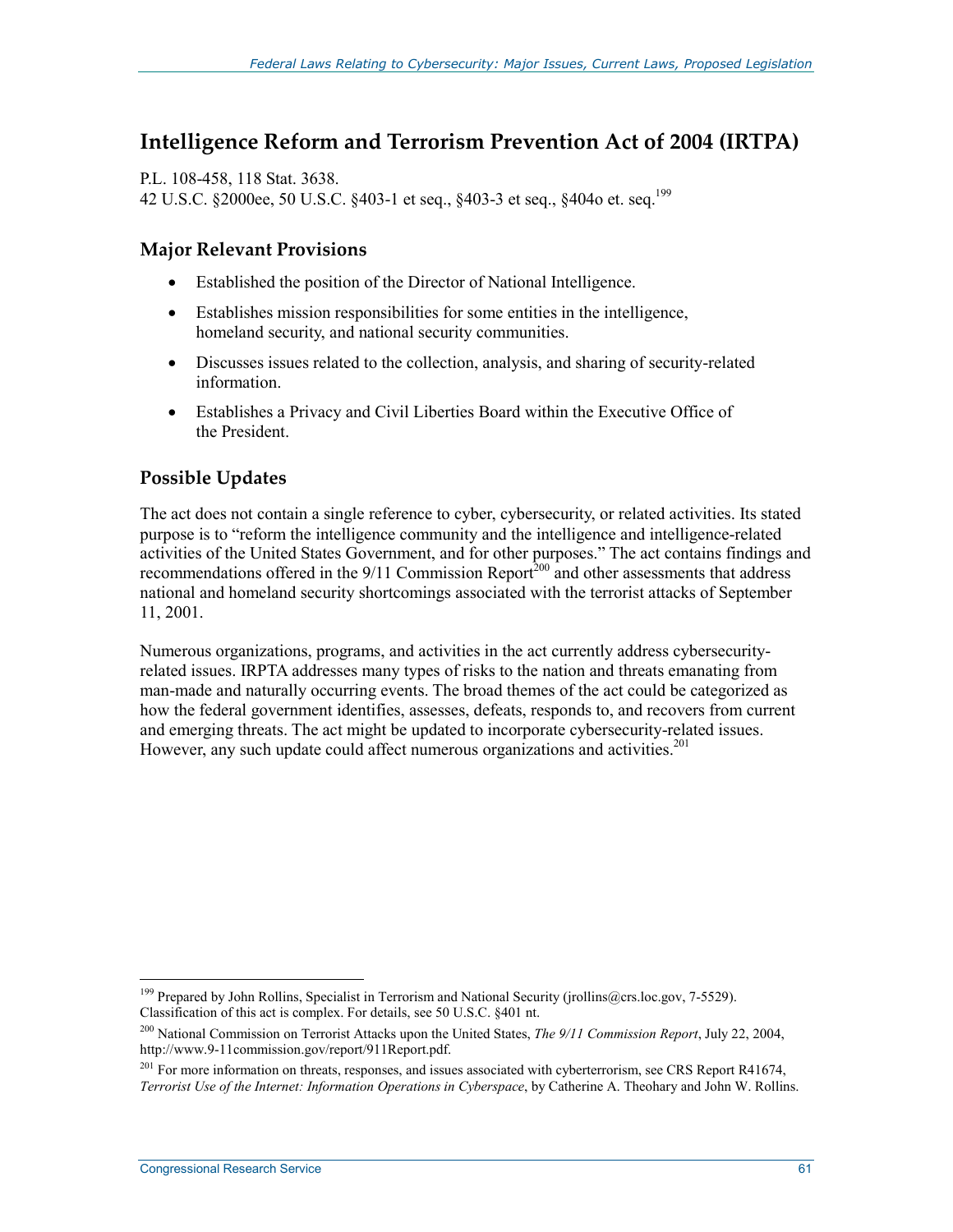# **Intelligence Reform and Terrorism Prevention Act of 2004 (IRTPA)**

P.L. 108-458, 118 Stat. 3638. 42 U.S.C. §2000ee, 50 U.S.C. §403-1 et seq., §403-3 et seq., §404o et. seq.199

### **Major Relevant Provisions**

- Established the position of the Director of National Intelligence.
- Establishes mission responsibilities for some entities in the intelligence, homeland security, and national security communities.
- Discusses issues related to the collection, analysis, and sharing of security-related information.
- Establishes a Privacy and Civil Liberties Board within the Executive Office of the President.

## **Possible Updates**

The act does not contain a single reference to cyber, cybersecurity, or related activities. Its stated purpose is to "reform the intelligence community and the intelligence and intelligence-related activities of the United States Government, and for other purposes." The act contains findings and recommendations offered in the 9/11 Commission Report<sup>200</sup> and other assessments that address national and homeland security shortcomings associated with the terrorist attacks of September 11, 2001.

Numerous organizations, programs, and activities in the act currently address cybersecurityrelated issues. IRPTA addresses many types of risks to the nation and threats emanating from man-made and naturally occurring events. The broad themes of the act could be categorized as how the federal government identifies, assesses, defeats, responds to, and recovers from current and emerging threats. The act might be updated to incorporate cybersecurity-related issues. However, any such update could affect numerous organizations and activities.<sup>201</sup>

<sup>1</sup> <sup>199</sup> Prepared by John Rollins, Specialist in Terrorism and National Security (jrollins@crs.loc.gov, 7-5529). Classification of this act is complex. For details, see 50 U.S.C. §401 nt.

<sup>200</sup> National Commission on Terrorist Attacks upon the United States, *The 9/11 Commission Report*, July 22, 2004, http://www.9-11commission.gov/report/911Report.pdf.

 $^{201}$  For more information on threats, responses, and issues associated with cyberterrorism, see CRS Report R41674, *Terrorist Use of the Internet: Information Operations in Cyberspace*, by Catherine A. Theohary and John W. Rollins.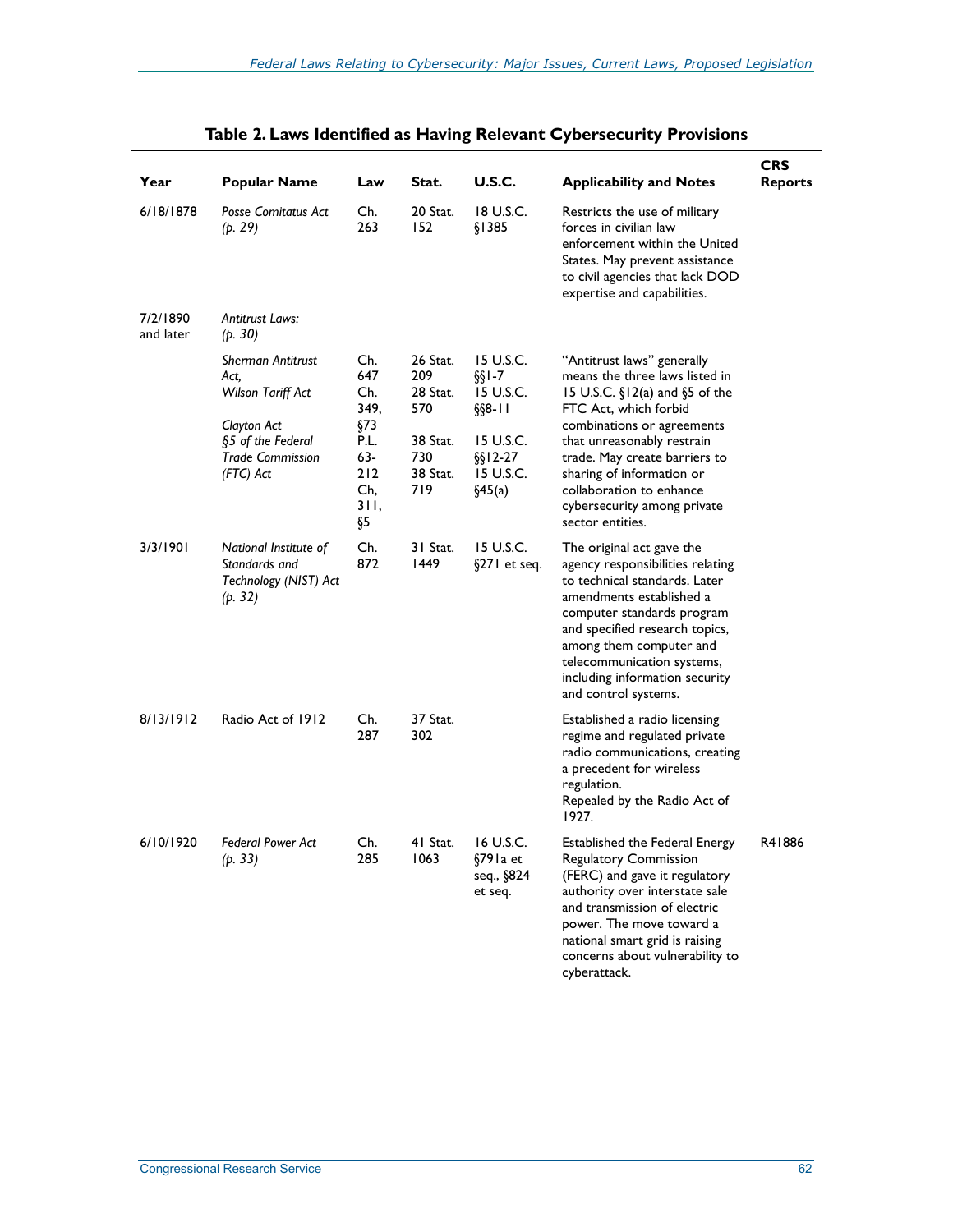| Year                  | <b>Popular Name</b>                                                                                                               | Law                                                                          | Stat.                                                                    | U.S.C.                                                                                               | <b>Applicability and Notes</b>                                                                                                                                                                                                                                                                                                   | <b>CRS</b><br><b>Reports</b> |
|-----------------------|-----------------------------------------------------------------------------------------------------------------------------------|------------------------------------------------------------------------------|--------------------------------------------------------------------------|------------------------------------------------------------------------------------------------------|----------------------------------------------------------------------------------------------------------------------------------------------------------------------------------------------------------------------------------------------------------------------------------------------------------------------------------|------------------------------|
| 6/18/1878             | <b>Posse Comitatus Act</b><br>(p. 29)                                                                                             | Ch.<br>263                                                                   | 20 Stat.<br>152                                                          | 18 U.S.C.<br>§1385                                                                                   | Restricts the use of military<br>forces in civilian law<br>enforcement within the United<br>States. May prevent assistance<br>to civil agencies that lack DOD<br>expertise and capabilities.                                                                                                                                     |                              |
| 7/2/1890<br>and later | <b>Antitrust Laws:</b><br>(p. 30)                                                                                                 |                                                                              |                                                                          |                                                                                                      |                                                                                                                                                                                                                                                                                                                                  |                              |
|                       | <b>Sherman Antitrust</b><br>Act,<br>Wilson Tariff Act<br>Clayton Act<br>§5 of the Federal<br><b>Trade Commission</b><br>(FTC) Act | Ch.<br>647<br>Ch.<br>349,<br>§73<br>P.L.<br>63-<br>212<br>Ch.<br>31 I,<br>Ş5 | 26 Stat.<br>209<br>28 Stat.<br>570<br>38 Stat.<br>730<br>38 Stat.<br>719 | 15 U.S.C.<br>$\S$ [-7<br>15 U.S.C.<br>$\S$ §8-11<br>15 U.S.C.<br>$\S$ s 12-27<br>15 U.S.C.<br>§45(a) | "Antitrust laws" generally<br>means the three laws listed in<br>15 U.S.C. §12(a) and §5 of the<br>FTC Act, which forbid<br>combinations or agreements<br>that unreasonably restrain<br>trade. May create barriers to<br>sharing of information or<br>collaboration to enhance<br>cybersecurity among private<br>sector entities. |                              |
| 3/3/1901              | National Institute of<br>Standards and<br>Technology (NIST) Act<br>(p. 32)                                                        | Ch.<br>872                                                                   | 31 Stat.<br>1449                                                         | 15 U.S.C.<br>§271 et seq.                                                                            | The original act gave the<br>agency responsibilities relating<br>to technical standards. Later<br>amendments established a<br>computer standards program<br>and specified research topics,<br>among them computer and<br>telecommunication systems,<br>including information security<br>and control systems.                    |                              |
| 8/13/1912             | Radio Act of 1912                                                                                                                 | Ch.<br>287                                                                   | 37 Stat.<br>302                                                          |                                                                                                      | Established a radio licensing<br>regime and regulated private<br>radio communications, creating<br>a precedent for wireless<br>regulation.<br>Repealed by the Radio Act of<br>1927.                                                                                                                                              |                              |
| 6/10/1920             | <b>Federal Power Act</b><br>(p. 33)                                                                                               | Ch.<br>285                                                                   | 41 Stat.<br>1063                                                         | 16 U.S.C.<br>§791a et<br>seq., §824<br>et seq.                                                       | Established the Federal Energy<br>Regulatory Commission<br>(FERC) and gave it regulatory<br>authority over interstate sale<br>and transmission of electric<br>power. The move toward a<br>national smart grid is raising<br>concerns about vulnerability to<br>cyberattack.                                                      | R41886                       |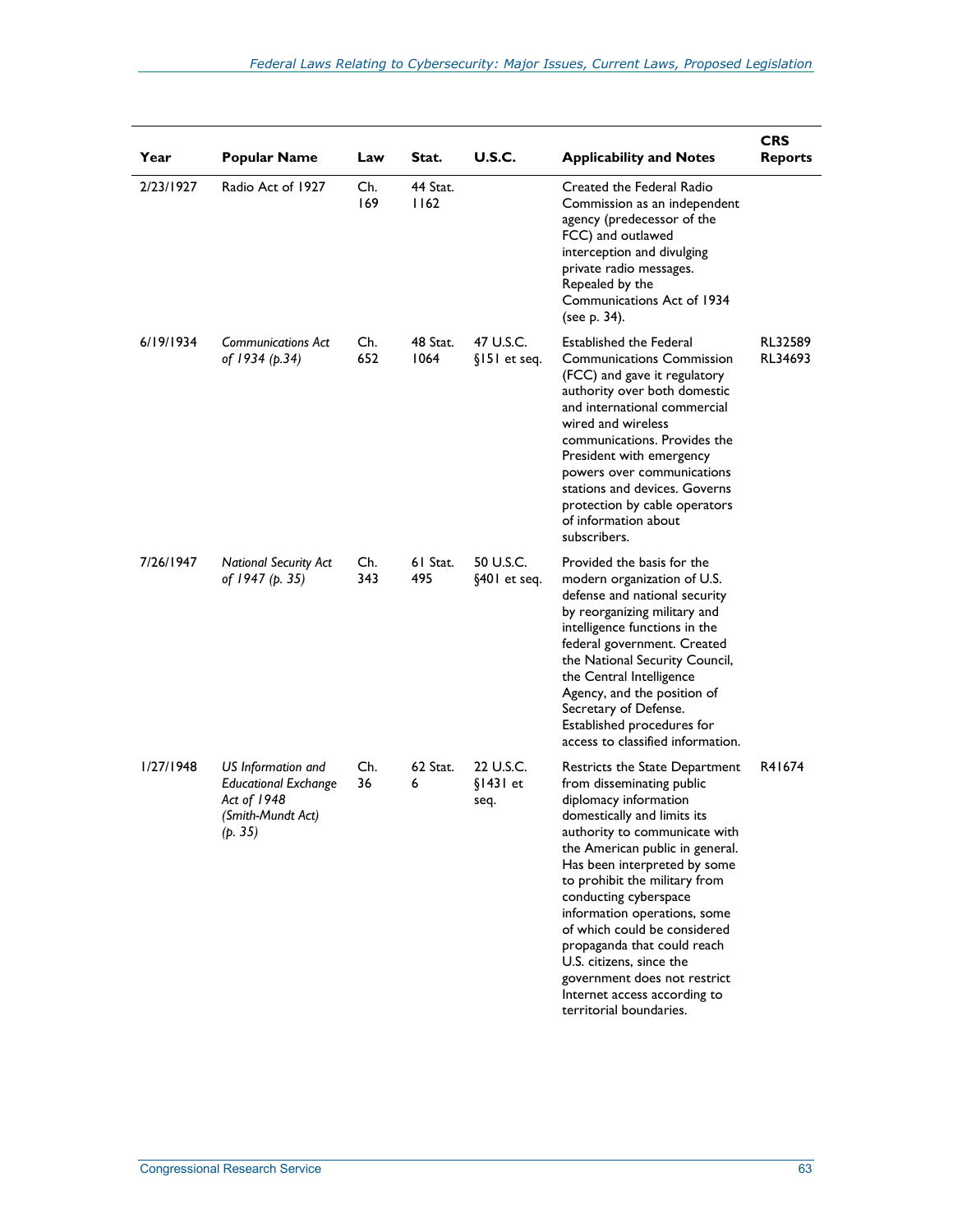| Year      | <b>Popular Name</b>                                                                              | Law        | Stat.            | <b>U.S.C.</b>                   | <b>Applicability and Notes</b>                                                                                                                                                                                                                                                                                                                                                                                                                                                                          | <b>CRS</b><br><b>Reports</b> |
|-----------|--------------------------------------------------------------------------------------------------|------------|------------------|---------------------------------|---------------------------------------------------------------------------------------------------------------------------------------------------------------------------------------------------------------------------------------------------------------------------------------------------------------------------------------------------------------------------------------------------------------------------------------------------------------------------------------------------------|------------------------------|
| 2/23/1927 | Radio Act of 1927                                                                                | Ch.<br>169 | 44 Stat.<br>1162 |                                 | Created the Federal Radio<br>Commission as an independent<br>agency (predecessor of the<br>FCC) and outlawed<br>interception and divulging<br>private radio messages.<br>Repealed by the<br>Communications Act of 1934<br>(see p. 34).                                                                                                                                                                                                                                                                  |                              |
| 6/19/1934 | Communications Act<br>of 1934 (p.34)                                                             | Ch.<br>652 | 48 Stat.<br>1064 | 47 U.S.C.<br>§151 et seq.       | Established the Federal<br><b>Communications Commission</b><br>(FCC) and gave it regulatory<br>authority over both domestic<br>and international commercial<br>wired and wireless<br>communications. Provides the<br>President with emergency<br>powers over communications<br>stations and devices. Governs<br>protection by cable operators<br>of information about<br>subscribers.                                                                                                                   | RL32589<br>RL34693           |
| 7/26/1947 | <b>National Security Act</b><br>of 1947 (p. 35)                                                  | Ch.<br>343 | 61 Stat.<br>495  | 50 U.S.C.<br>§401 et seq.       | Provided the basis for the<br>modern organization of U.S.<br>defense and national security<br>by reorganizing military and<br>intelligence functions in the<br>federal government. Created<br>the National Security Council,<br>the Central Intelligence<br>Agency, and the position of<br>Secretary of Defense.<br>Established procedures for<br>access to classified information.                                                                                                                     |                              |
| 1/27/1948 | US Information and<br><b>Educational Exchange</b><br>Act of 1948<br>(Smith-Mundt Act)<br>(p. 35) | Ch.<br>36  | 62 Stat.<br>6    | 22 U.S.C.<br>$$1431$ et<br>seq. | Restricts the State Department<br>from disseminating public<br>diplomacy information<br>domestically and limits its<br>authority to communicate with<br>the American public in general.<br>Has been interpreted by some<br>to prohibit the military from<br>conducting cyberspace<br>information operations, some<br>of which could be considered<br>propaganda that could reach<br>U.S. citizens, since the<br>government does not restrict<br>Internet access according to<br>territorial boundaries. | R41674                       |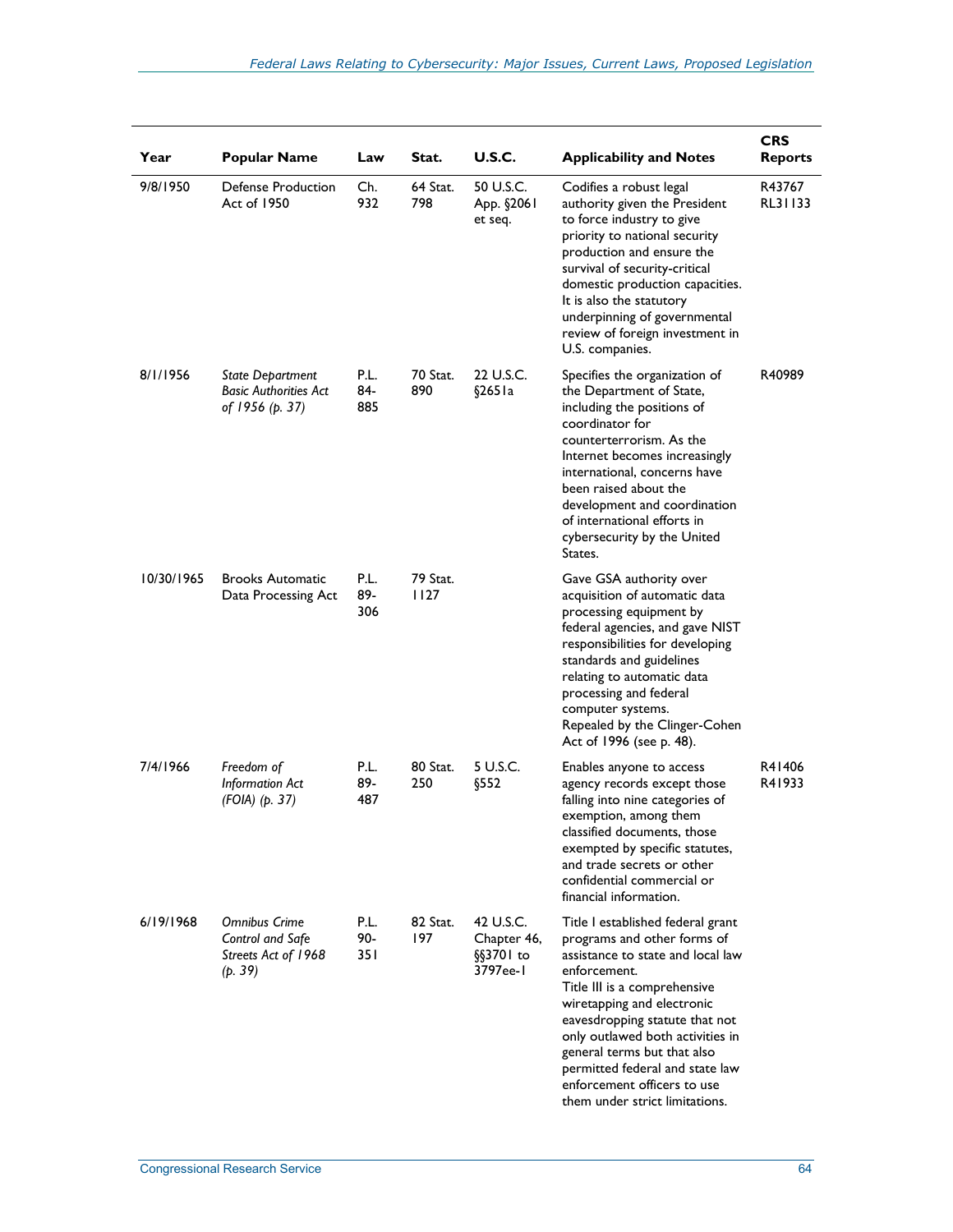| Year       | <b>Popular Name</b>                                                        | Law                | Stat.            | <b>U.S.C.</b>                                       | <b>Applicability and Notes</b>                                                                                                                                                                                                                                                                                                                                                               | <b>CRS</b><br><b>Reports</b> |
|------------|----------------------------------------------------------------------------|--------------------|------------------|-----------------------------------------------------|----------------------------------------------------------------------------------------------------------------------------------------------------------------------------------------------------------------------------------------------------------------------------------------------------------------------------------------------------------------------------------------------|------------------------------|
| 9/8/1950   | Defense Production<br>Act of 1950                                          | Ch.<br>932         | 64 Stat.<br>798  | 50 U.S.C.<br>App. §2061<br>et seq.                  | Codifies a robust legal<br>authority given the President<br>to force industry to give<br>priority to national security<br>production and ensure the<br>survival of security-critical<br>domestic production capacities.<br>It is also the statutory<br>underpinning of governmental<br>review of foreign investment in<br>U.S. companies.                                                    | R43767<br>RL31133            |
| 8/1/1956   | <b>State Department</b><br><b>Basic Authorities Act</b><br>of 1956 (p. 37) | P.L.<br>84-<br>885 | 70 Stat.<br>890  | 22 U.S.C.<br>§265 I a                               | Specifies the organization of<br>the Department of State,<br>including the positions of<br>coordinator for<br>counterterrorism. As the<br>Internet becomes increasingly<br>international, concerns have<br>been raised about the<br>development and coordination<br>of international efforts in<br>cybersecurity by the United<br>States.                                                    | R40989                       |
| 10/30/1965 | <b>Brooks Automatic</b><br>Data Processing Act                             | P.L.<br>89-<br>306 | 79 Stat.<br>1127 |                                                     | Gave GSA authority over<br>acquisition of automatic data<br>processing equipment by<br>federal agencies, and gave NIST<br>responsibilities for developing<br>standards and guidelines<br>relating to automatic data<br>processing and federal<br>computer systems.<br>Repealed by the Clinger-Cohen<br>Act of 1996 (see p. 48).                                                              |                              |
| 7/4/1966   | Freedom of<br><b>Information Act</b><br>$(FOIA)$ (p. 37)                   | P.L.<br>89-<br>487 | 80 Stat.<br>250  | 5 U.S.C.<br>§552                                    | Enables anyone to access<br>agency records except those<br>falling into nine categories of<br>exemption, among them<br>classified documents, those<br>exempted by specific statutes,<br>and trade secrets or other<br>confidential commercial or<br>financial information.                                                                                                                   | R41406<br>R41933             |
| 6/19/1968  | Omnibus Crime<br>Control and Safe<br>Streets Act of 1968<br>(p. 39)        | P.L.<br>90-<br>351 | 82 Stat.<br>197  | 42 U.S.C.<br>Chapter 46,<br>$\S$ 370 to<br>3797ee-1 | Title I established federal grant<br>programs and other forms of<br>assistance to state and local law<br>enforcement.<br>Title III is a comprehensive<br>wiretapping and electronic<br>eavesdropping statute that not<br>only outlawed both activities in<br>general terms but that also<br>permitted federal and state law<br>enforcement officers to use<br>them under strict limitations. |                              |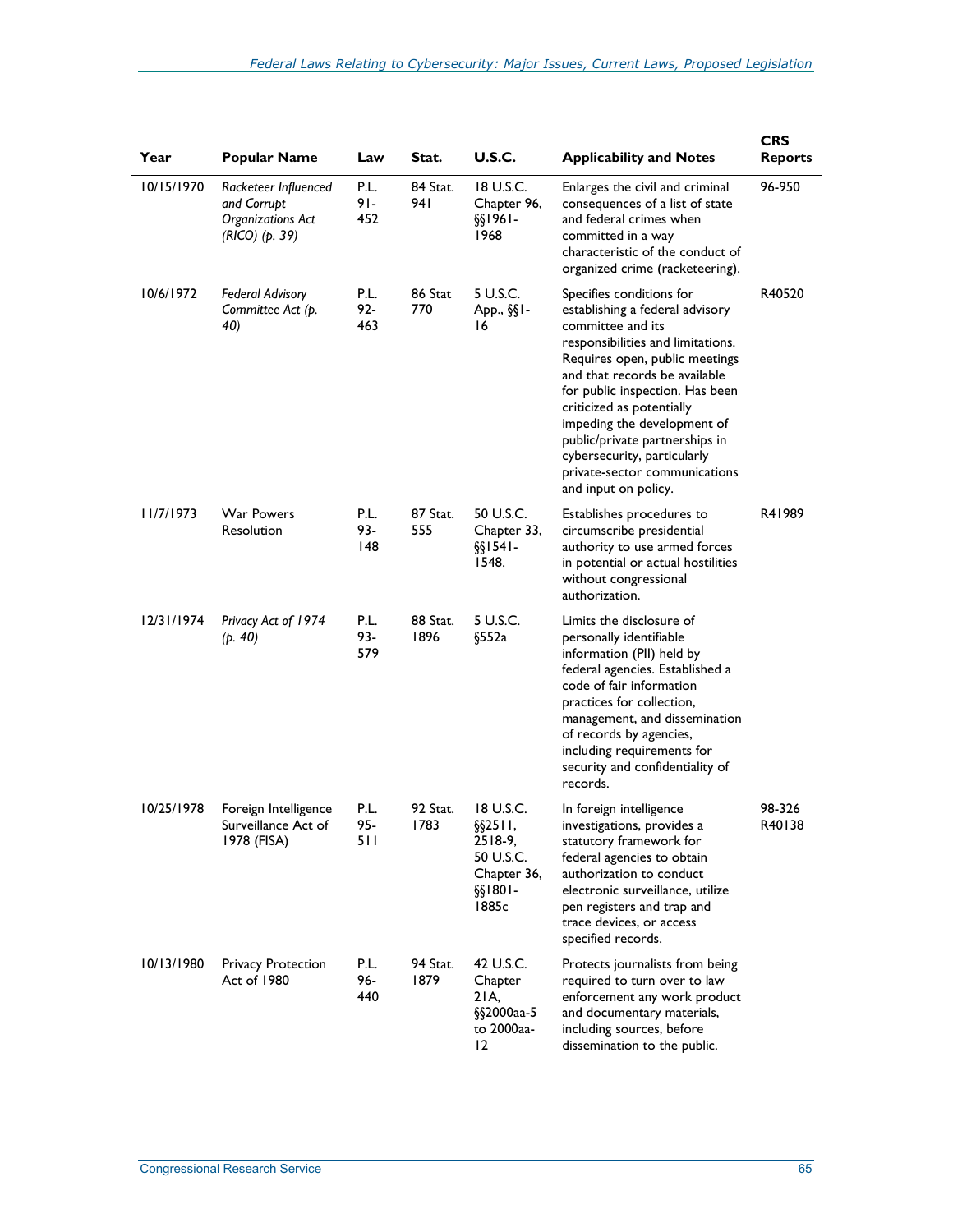| Year       | <b>Popular Name</b>                                                               | Law                   | Stat.            | <b>U.S.C.</b>                                                                              | <b>Applicability and Notes</b>                                                                                                                                                                                                                                                                                                                                                                                    | <b>CRS</b><br><b>Reports</b> |
|------------|-----------------------------------------------------------------------------------|-----------------------|------------------|--------------------------------------------------------------------------------------------|-------------------------------------------------------------------------------------------------------------------------------------------------------------------------------------------------------------------------------------------------------------------------------------------------------------------------------------------------------------------------------------------------------------------|------------------------------|
| 10/15/1970 | Racketeer Influenced<br>and Corrupt<br><b>Organizations Act</b><br>(RICO) (p. 39) | P.L.<br>$91 -$<br>452 | 84 Stat.<br>94 I | 18 U.S.C.<br>Chapter 96,<br>-1961§§<br>1968                                                | Enlarges the civil and criminal<br>consequences of a list of state<br>and federal crimes when<br>committed in a way<br>characteristic of the conduct of<br>organized crime (racketeering).                                                                                                                                                                                                                        | 96-950                       |
| 10/6/1972  | <b>Federal Advisory</b><br>Committee Act (p.<br>40)                               | P.L.<br>$92 -$<br>463 | 86 Stat<br>770   | 5 U.S.C.<br>App., $\S$ $I -$<br>16                                                         | Specifies conditions for<br>establishing a federal advisory<br>committee and its<br>responsibilities and limitations.<br>Requires open, public meetings<br>and that records be available<br>for public inspection. Has been<br>criticized as potentially<br>impeding the development of<br>public/private partnerships in<br>cybersecurity, particularly<br>private-sector communications<br>and input on policy. | R40520                       |
| 11/7/1973  | <b>War Powers</b><br>Resolution                                                   | P.L.<br>93-<br>148    | 87 Stat.<br>555  | 50 U.S.C.<br>Chapter 33,<br>-541§§<br>1548.                                                | Establishes procedures to<br>circumscribe presidential<br>authority to use armed forces<br>in potential or actual hostilities<br>without congressional<br>authorization.                                                                                                                                                                                                                                          | R41989                       |
| 12/31/1974 | Privacy Act of 1974<br>(p. 40)                                                    | P.L.<br>93-<br>579    | 88 Stat.<br>1896 | 5 U.S.C.<br>§552a                                                                          | Limits the disclosure of<br>personally identifiable<br>information (PII) held by<br>federal agencies. Established a<br>code of fair information<br>practices for collection,<br>management, and dissemination<br>of records by agencies,<br>including requirements for<br>security and confidentiality of<br>records.                                                                                             |                              |
| 10/25/1978 | Foreign Intelligence<br>Surveillance Act of<br>1978 (FISA)                        | P.L.<br>$95 -$<br>511 | 92 Stat.<br>1783 | 18 U.S.C.<br>$\S$ \$2511,<br>$2518-9$ ,<br>50 U.S.C.<br>Chapter 36,<br>$§$ si801-<br>1885c | In foreign intelligence<br>investigations, provides a<br>statutory framework for<br>federal agencies to obtain<br>authorization to conduct<br>electronic surveillance, utilize<br>pen registers and trap and<br>trace devices, or access<br>specified records.                                                                                                                                                    | 98-326<br>R40138             |
| 10/13/1980 | <b>Privacy Protection</b><br>Act of 1980                                          | P.L.<br>96-<br>440    | 94 Stat.<br>1879 | 42 U.S.C.<br>Chapter<br>21A,<br>§§2000aa-5<br>to 2000aa-<br>12                             | Protects journalists from being<br>required to turn over to law<br>enforcement any work product<br>and documentary materials,<br>including sources, before<br>dissemination to the public.                                                                                                                                                                                                                        |                              |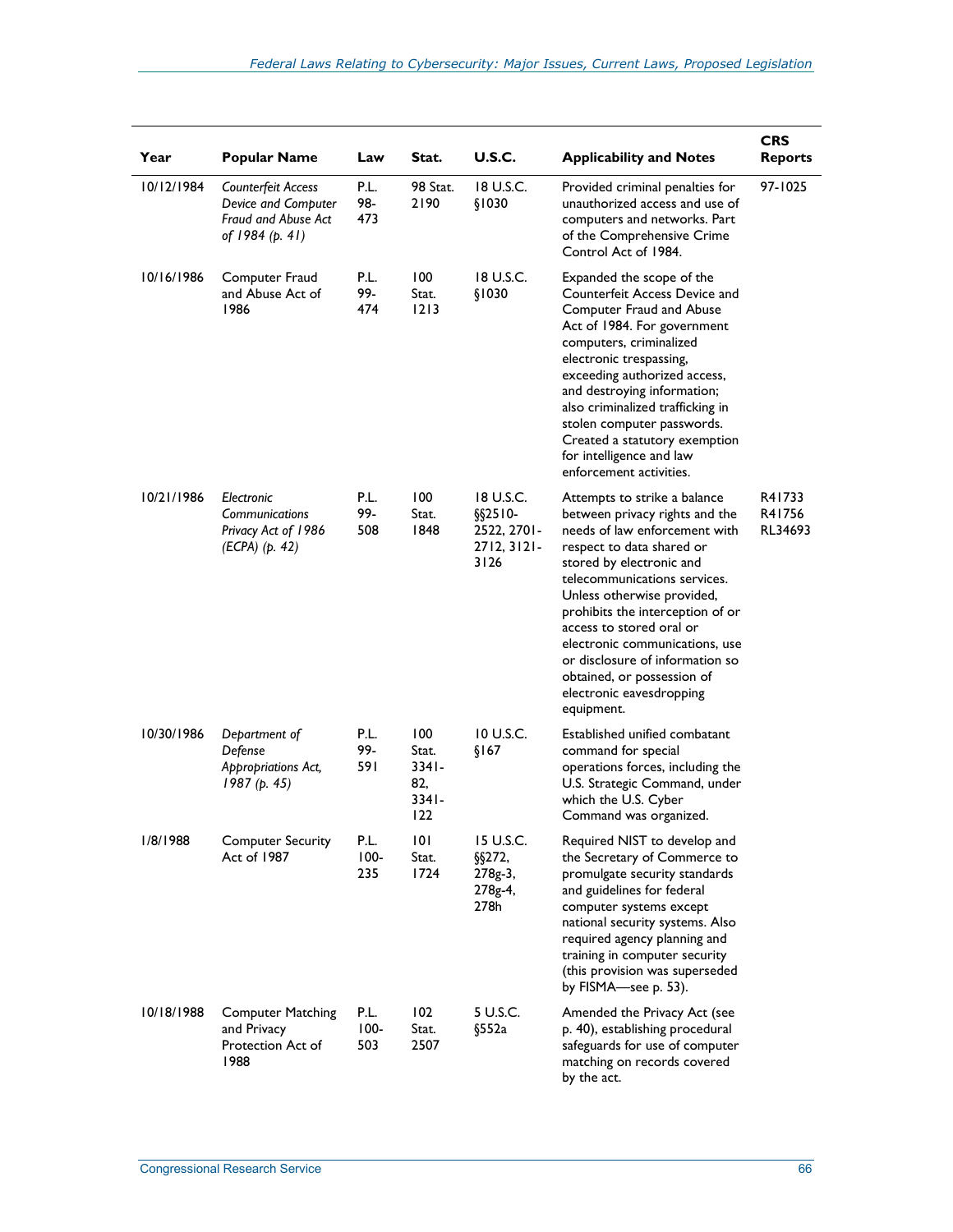| Year       | <b>Popular Name</b>                                                                 | Law                    | Stat.                                              | <b>U.S.C.</b>                                                   | <b>Applicability and Notes</b>                                                                                                                                                                                                                                                                                                                                                                                                      | <b>CRS</b><br><b>Reports</b> |
|------------|-------------------------------------------------------------------------------------|------------------------|----------------------------------------------------|-----------------------------------------------------------------|-------------------------------------------------------------------------------------------------------------------------------------------------------------------------------------------------------------------------------------------------------------------------------------------------------------------------------------------------------------------------------------------------------------------------------------|------------------------------|
| 10/12/1984 | Counterfeit Access<br>Device and Computer<br>Fraud and Abuse Act<br>of 1984 (p. 41) | P.L.<br>98-<br>473     | 98 Stat.<br>2190                                   | 18 U.S.C.<br>\$1030                                             | Provided criminal penalties for<br>unauthorized access and use of<br>computers and networks. Part<br>of the Comprehensive Crime<br>Control Act of 1984.                                                                                                                                                                                                                                                                             | 97-1025                      |
| 10/16/1986 | Computer Fraud<br>and Abuse Act of<br>1986                                          | P.L.<br>99-<br>474     | 100<br>Stat.<br>$1213$                             | 18 U.S.C.<br>\$1030                                             | Expanded the scope of the<br>Counterfeit Access Device and<br>Computer Fraud and Abuse<br>Act of 1984. For government<br>computers, criminalized<br>electronic trespassing,<br>exceeding authorized access,<br>and destroying information;<br>also criminalized trafficking in<br>stolen computer passwords.<br>Created a statutory exemption<br>for intelligence and law<br>enforcement activities.                                |                              |
| 10/21/1986 | Electronic<br>Communications<br>Privacy Act of 1986<br>(ECPA) (p. 42)               | P.L.<br>99-<br>508     | 100<br>Stat.<br>1848                               | 18 U.S.C.<br>$$$2510-$<br>2522, 2701-<br>$2712, 3121$ -<br>3126 | Attempts to strike a balance<br>between privacy rights and the<br>needs of law enforcement with<br>respect to data shared or<br>stored by electronic and<br>telecommunications services.<br>Unless otherwise provided,<br>prohibits the interception of or<br>access to stored oral or<br>electronic communications, use<br>or disclosure of information so<br>obtained, or possession of<br>electronic eavesdropping<br>equipment. | R41733<br>R41756<br>RL34693  |
| 10/30/1986 | Department of<br>Defense<br>Appropriations Act,<br>1987(p. 45)                      | P.L.<br>99-<br>591     | 100<br>Stat.<br>$3341 -$<br>82,<br>$3341 -$<br>122 | 10 U.S.C.<br>\$167                                              | Established unified combatant<br>command for special<br>operations forces, including the<br>U.S. Strategic Command, under<br>which the U.S. Cyber<br>Command was organized.                                                                                                                                                                                                                                                         |                              |
| 1/8/1988   | <b>Computer Security</b><br>Act of 1987                                             | P.L.<br>$100 -$<br>235 | 101<br>Stat.<br>1724                               | 15 U.S.C.<br>§§272,<br>278g-3,<br>278g-4,<br>278h               | Required NIST to develop and<br>the Secretary of Commerce to<br>promulgate security standards<br>and guidelines for federal<br>computer systems except<br>national security systems. Also<br>required agency planning and<br>training in computer security<br>(this provision was superseded<br>by FISMA-see p. 53).                                                                                                                |                              |
| 10/18/1988 | <b>Computer Matching</b><br>and Privacy<br>Protection Act of<br>1988                | P.L.<br>$100 -$<br>503 | 102<br>Stat.<br>2507                               | 5 U.S.C.<br>§552a                                               | Amended the Privacy Act (see<br>p. 40), establishing procedural<br>safeguards for use of computer<br>matching on records covered<br>by the act.                                                                                                                                                                                                                                                                                     |                              |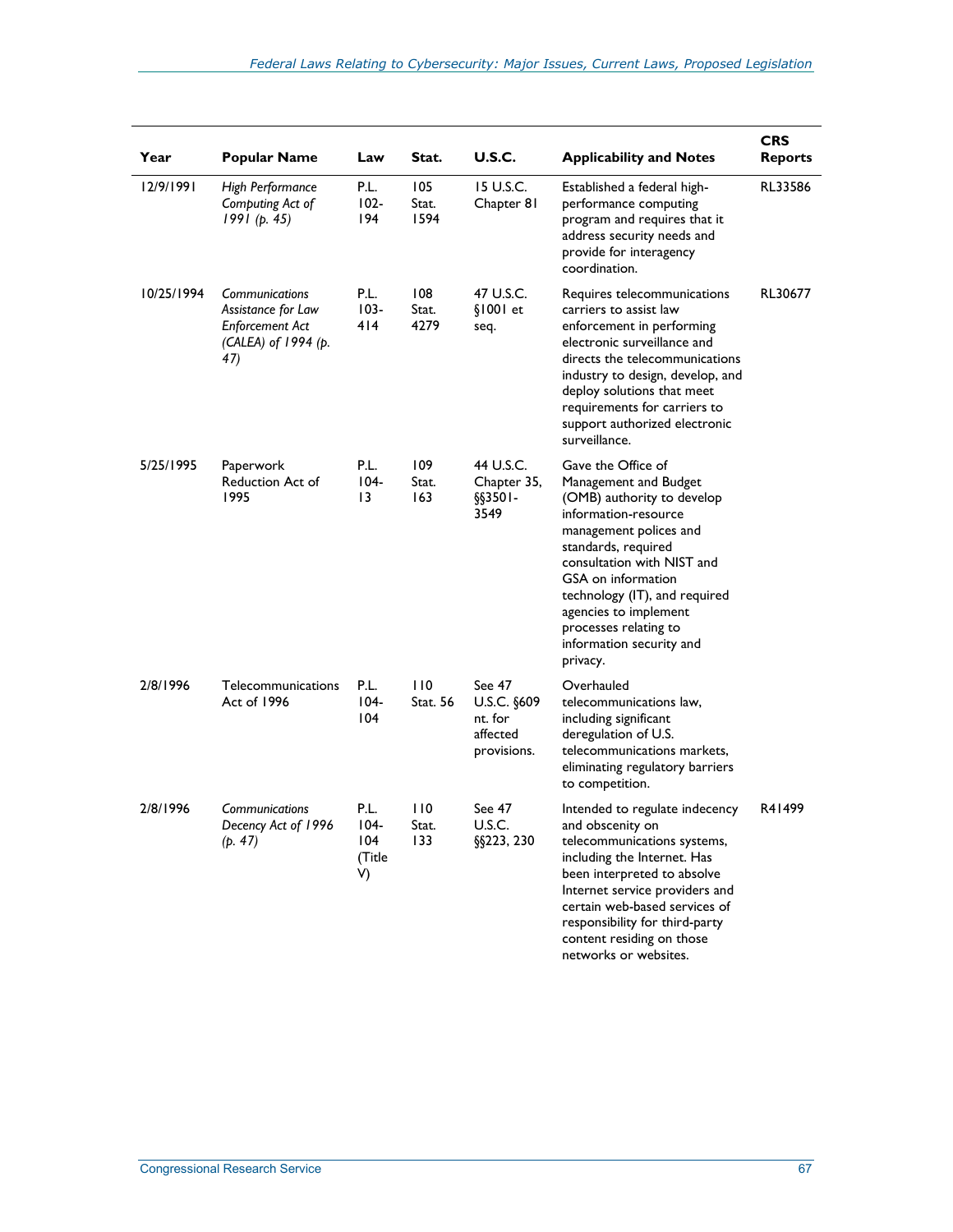| Year       | <b>Popular Name</b>                                                                          | Law                                    | Stat.                | <b>U.S.C.</b>                                               | <b>Applicability and Notes</b>                                                                                                                                                                                                                                                                                                    | <b>CRS</b><br><b>Reports</b> |
|------------|----------------------------------------------------------------------------------------------|----------------------------------------|----------------------|-------------------------------------------------------------|-----------------------------------------------------------------------------------------------------------------------------------------------------------------------------------------------------------------------------------------------------------------------------------------------------------------------------------|------------------------------|
| 12/9/1991  | High Performance<br>Computing Act of<br>1991(p. 45)                                          | P.L.<br>$102 -$<br>194                 | 105<br>Stat.<br>1594 | 15 U.S.C.<br>Chapter 81                                     | Established a federal high-<br>performance computing<br>program and requires that it<br>address security needs and<br>provide for interagency<br>coordination.                                                                                                                                                                    | RL33586                      |
| 10/25/1994 | Communications<br>Assistance for Law<br><b>Enforcement Act</b><br>(CALEA) of 1994 (p.<br>47) | P.L.<br>$103 -$<br>414                 | 108<br>Stat.<br>4279 | 47 U.S.C.<br>$$1001$ et<br>seq.                             | Requires telecommunications<br>carriers to assist law<br>enforcement in performing<br>electronic surveillance and<br>directs the telecommunications<br>industry to design, develop, and<br>deploy solutions that meet<br>requirements for carriers to<br>support authorized electronic<br>surveillance.                           | RL30677                      |
| 5/25/1995  | Paperwork<br>Reduction Act of<br>1995                                                        | P.L.<br>$104 -$<br>13                  | 109<br>Stat.<br>163  | 44 U.S.C.<br>Chapter 35,<br>$\S$ \$3501-<br>3549            | Gave the Office of<br>Management and Budget<br>(OMB) authority to develop<br>information-resource<br>management polices and<br>standards, required<br>consultation with NIST and<br>GSA on information<br>technology (IT), and required<br>agencies to implement<br>processes relating to<br>information security and<br>privacy. |                              |
| 2/8/1996   | Telecommunications<br>Act of 1996                                                            | P.L.<br>$104 -$<br>104                 | 110<br>Stat. 56      | See 47<br>U.S.C. §609<br>nt. for<br>affected<br>provisions. | Overhauled<br>telecommunications law,<br>including significant<br>deregulation of U.S.<br>telecommunications markets.<br>eliminating regulatory barriers<br>to competition.                                                                                                                                                       |                              |
| 2/8/1996   | Communications<br>Decency Act of 1996<br>(p. 47)                                             | P.L.<br>$104 -$<br>104<br>(Title<br>V) | 110<br>Stat.<br>133  | See 47<br>U.S.C.<br>§§223, 230                              | Intended to regulate indecency<br>and obscenity on<br>telecommunications systems,<br>including the Internet. Has<br>been interpreted to absolve<br>Internet service providers and<br>certain web-based services of<br>responsibility for third-party<br>content residing on those<br>networks or websites.                        | R41499                       |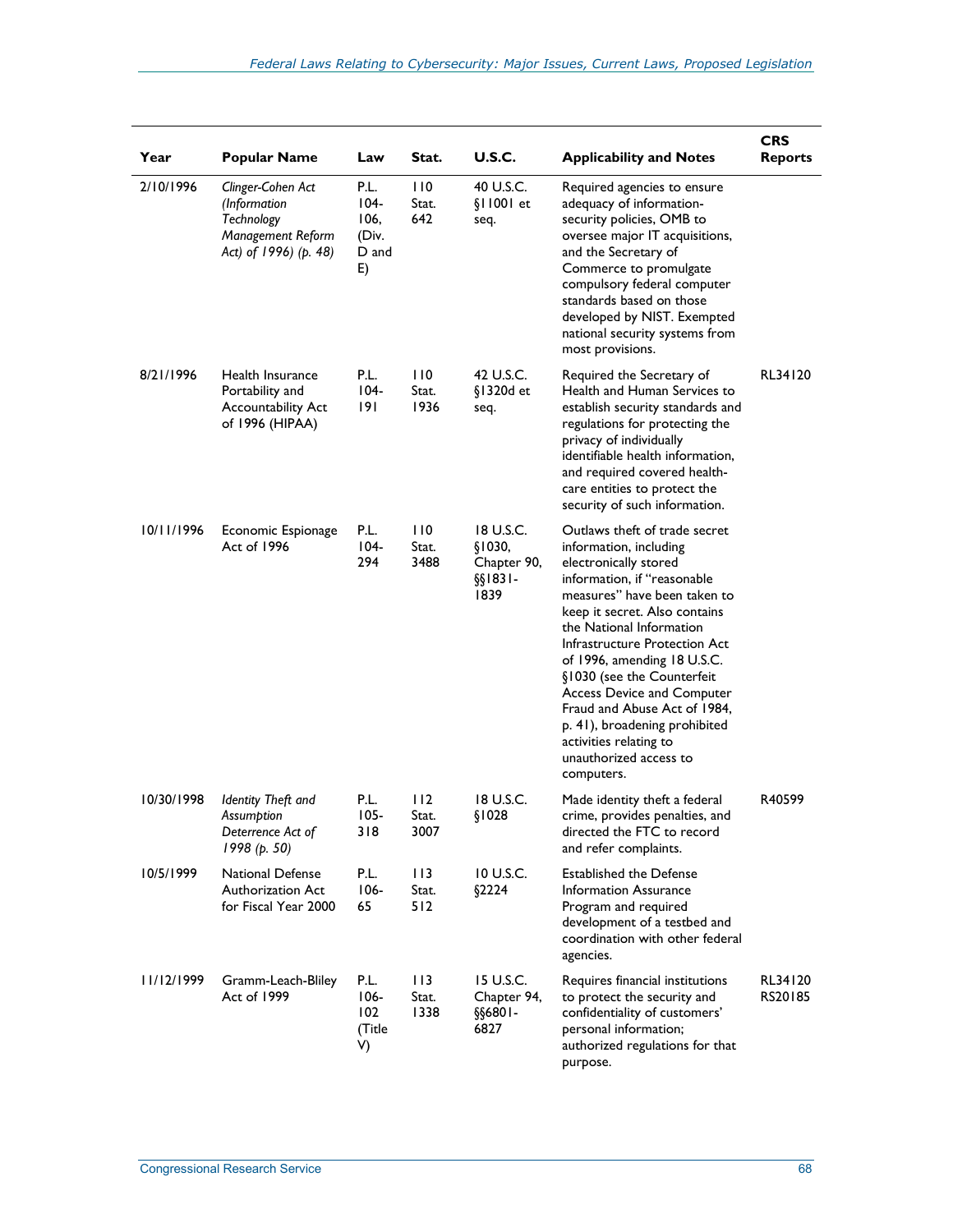| Year       | <b>Popular Name</b>                                                                           | Law                                          | Stat.                | <b>U.S.C.</b>                                         | <b>Applicability and Notes</b>                                                                                                                                                                                                                                                                                                                                                                                                                                              | <b>CRS</b><br><b>Reports</b> |
|------------|-----------------------------------------------------------------------------------------------|----------------------------------------------|----------------------|-------------------------------------------------------|-----------------------------------------------------------------------------------------------------------------------------------------------------------------------------------------------------------------------------------------------------------------------------------------------------------------------------------------------------------------------------------------------------------------------------------------------------------------------------|------------------------------|
| 2/10/1996  | Clinger-Cohen Act<br>(Information<br>Technology<br>Management Reform<br>Act) of 1996) (p. 48) | P.L.<br>104-<br>106,<br>(Div.<br>D and<br>E) | 110<br>Stat.<br>642  | 40 U.S.C.<br>§11001 et<br>seq.                        | Required agencies to ensure<br>adequacy of information-<br>security policies, OMB to<br>oversee major IT acquisitions,<br>and the Secretary of<br>Commerce to promulgate<br>compulsory federal computer<br>standards based on those<br>developed by NIST. Exempted<br>national security systems from<br>most provisions.                                                                                                                                                    |                              |
| 8/21/1996  | Health Insurance<br>Portability and<br>Accountability Act<br>of 1996 (HIPAA)                  | P.L.<br>$104 -$<br>191                       | 110<br>Stat.<br>1936 | 42 U.S.C.<br>§1320d et<br>seq.                        | Required the Secretary of<br>Health and Human Services to<br>establish security standards and<br>regulations for protecting the<br>privacy of individually<br>identifiable health information,<br>and required covered health-<br>care entities to protect the<br>security of such information.                                                                                                                                                                             | RL34120                      |
| 10/11/1996 | Economic Espionage<br>Act of 1996                                                             | P.L.<br>$104 -$<br>294                       | 110<br>Stat.<br>3488 | 18 U.S.C.<br>§1030,<br>Chapter 90,<br>§§1831-<br>1839 | Outlaws theft of trade secret<br>information, including<br>electronically stored<br>information, if "reasonable<br>measures" have been taken to<br>keep it secret. Also contains<br>the National Information<br>Infrastructure Protection Act<br>of 1996, amending 18 U.S.C.<br>§1030 (see the Counterfeit<br>Access Device and Computer<br>Fraud and Abuse Act of 1984,<br>p. 41), broadening prohibited<br>activities relating to<br>unauthorized access to<br>computers. |                              |
| 10/30/1998 | Identity Theft and<br>Assumption<br>Deterrence Act of<br>1998 (p. 50)                         | P.L.<br>$105 -$<br>318                       | 112<br>Stat.<br>3007 | 18 U.S.C.<br>\$1028                                   | Made identity theft a federal<br>crime, provides penalties, and<br>directed the FTC to record<br>and refer complaints.                                                                                                                                                                                                                                                                                                                                                      | R40599                       |
| 10/5/1999  | <b>National Defense</b><br>Authorization Act<br>for Fiscal Year 2000                          | P.L.<br>$106 -$<br>65                        | 113<br>Stat.<br>512  | 10 U.S.C.<br>\$2224                                   | Established the Defense<br>Information Assurance<br>Program and required<br>development of a testbed and<br>coordination with other federal<br>agencies.                                                                                                                                                                                                                                                                                                                    |                              |
| 11/12/1999 | Gramm-Leach-Bliley<br>Act of 1999                                                             | P.L.<br>$106 -$<br>102<br>(Title<br>V)       | 113<br>Stat.<br>1338 | 15 U.S.C.<br>Chapter 94,<br>§§6801-<br>6827           | Requires financial institutions<br>to protect the security and<br>confidentiality of customers'<br>personal information;<br>authorized regulations for that<br>purpose.                                                                                                                                                                                                                                                                                                     | RL34120<br>RS20185           |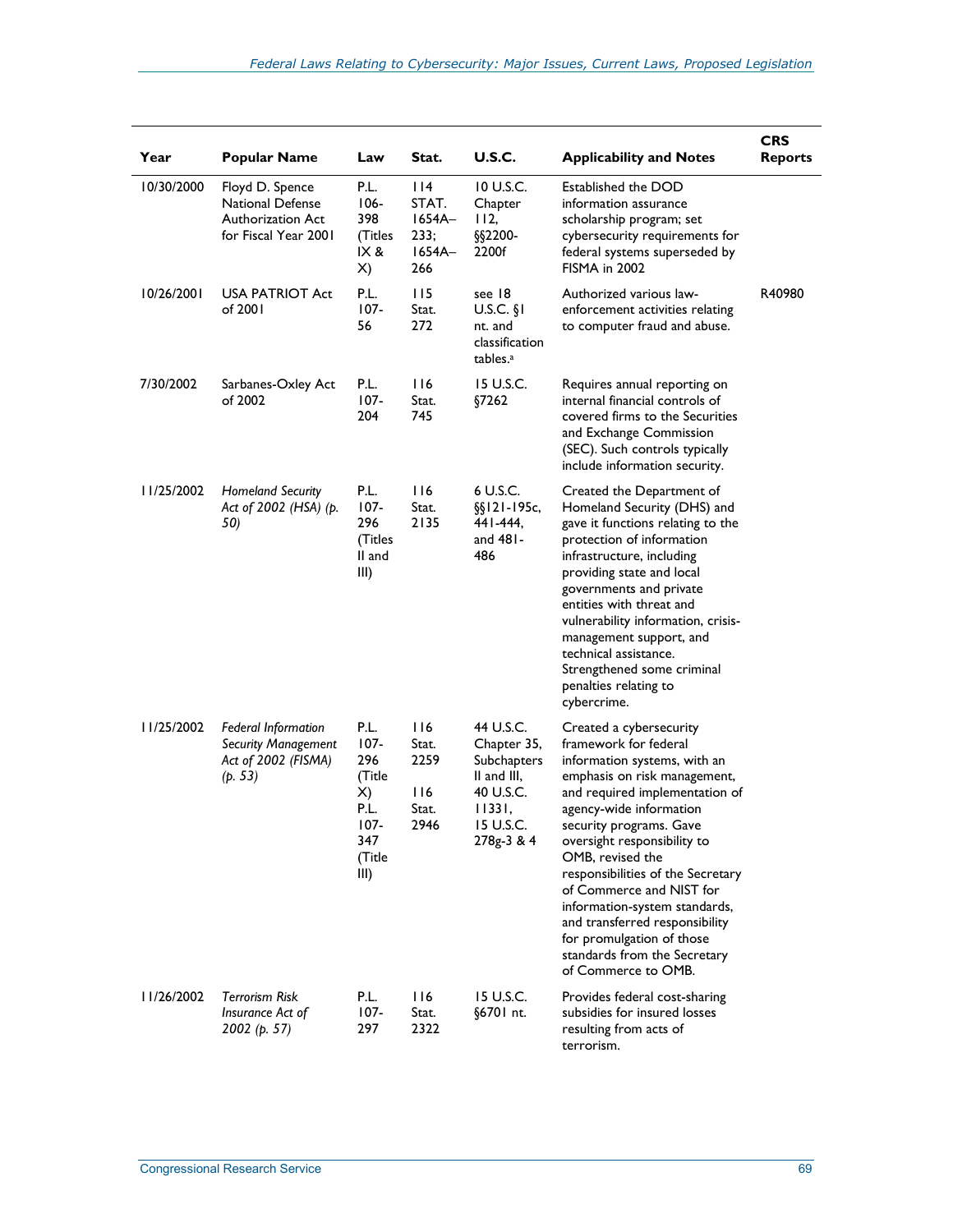| Year       | <b>Popular Name</b>                                                                        | Law                                                                                | Stat.                                               | U.S.C.                                                                                                   | <b>Applicability and Notes</b>                                                                                                                                                                                                                                                                                                                                                                                                                                                      | <b>CRS</b><br><b>Reports</b> |
|------------|--------------------------------------------------------------------------------------------|------------------------------------------------------------------------------------|-----------------------------------------------------|----------------------------------------------------------------------------------------------------------|-------------------------------------------------------------------------------------------------------------------------------------------------------------------------------------------------------------------------------------------------------------------------------------------------------------------------------------------------------------------------------------------------------------------------------------------------------------------------------------|------------------------------|
| 10/30/2000 | Floyd D. Spence<br><b>National Defense</b><br>Authorization Act<br>for Fiscal Year 2001    | P.L.<br>$106 -$<br>398<br>(Titles<br>IX &<br>X)                                    | 114<br>STAT.<br>$1654A-$<br>233;<br>$1654A-$<br>266 | 10 U.S.C.<br>Chapter<br>112,<br>§§2200-<br>2200f                                                         | Established the DOD<br>information assurance<br>scholarship program; set<br>cybersecurity requirements for<br>federal systems superseded by<br><b>FISMA in 2002</b>                                                                                                                                                                                                                                                                                                                 |                              |
| 10/26/2001 | <b>USA PATRIOT Act</b><br>of 2001                                                          | P.L.<br>$107 -$<br>56                                                              | 115<br>Stat.<br>272                                 | see 18<br>$U.S.C.$ §1<br>nt. and<br>classification<br>tables. <sup>a</sup>                               | Authorized various law-<br>enforcement activities relating<br>to computer fraud and abuse.                                                                                                                                                                                                                                                                                                                                                                                          | R40980                       |
| 7/30/2002  | Sarbanes-Oxley Act<br>of 2002                                                              | P.L.<br>$107 -$<br>204                                                             | 116<br>Stat.<br>745                                 | 15 U.S.C.<br>§7262                                                                                       | Requires annual reporting on<br>internal financial controls of<br>covered firms to the Securities<br>and Exchange Commission<br>(SEC). Such controls typically<br>include information security.                                                                                                                                                                                                                                                                                     |                              |
| 11/25/2002 | <b>Homeland Security</b><br>Act of 2002 (HSA) (p.<br>50)                                   | P.L.<br>107-<br>296<br>(Titles<br>ll and<br>III)                                   | 116<br>Stat.<br>2135                                | 6 U.S.C.<br>$\S$ [121-195c,<br>441-444.<br>and 481-<br>486                                               | Created the Department of<br>Homeland Security (DHS) and<br>gave it functions relating to the<br>protection of information<br>infrastructure, including<br>providing state and local<br>governments and private<br>entities with threat and<br>vulnerability information, crisis-<br>management support, and<br>technical assistance.<br>Strengthened some criminal<br>penalties relating to<br>cybercrime.                                                                         |                              |
| 11/25/2002 | <b>Federal Information</b><br><b>Security Management</b><br>Act of 2002 (FISMA)<br>(p. 53) | P.L.<br>$107 -$<br>296<br>(Title<br>X)<br>P.L.<br>$107 -$<br>347<br>(Title<br>III) | 116<br>Stat.<br>2259<br>116<br>Stat.<br>2946        | 44 U.S.C.<br>Chapter 35,<br>Subchapters<br>II and III,<br>40 U.S.C.<br>11331,<br>15 U.S.C.<br>278g-3 & 4 | Created a cybersecurity<br>framework for federal<br>information systems, with an<br>emphasis on risk management,<br>and required implementation of<br>agency-wide information<br>security programs. Gave<br>oversight responsibility to<br>OMB, revised the<br>responsibilities of the Secretary<br>of Commerce and NIST for<br>information-system standards,<br>and transferred responsibility<br>for promulgation of those<br>standards from the Secretary<br>of Commerce to OMB. |                              |
| 11/26/2002 | Terrorism Risk<br>Insurance Act of<br>2002 (p. 57)                                         | P.L.<br>$107 -$<br>297                                                             | 116<br>Stat.<br>2322                                | 15 U.S.C.<br>§6701 nt.                                                                                   | Provides federal cost-sharing<br>subsidies for insured losses<br>resulting from acts of<br>terrorism.                                                                                                                                                                                                                                                                                                                                                                               |                              |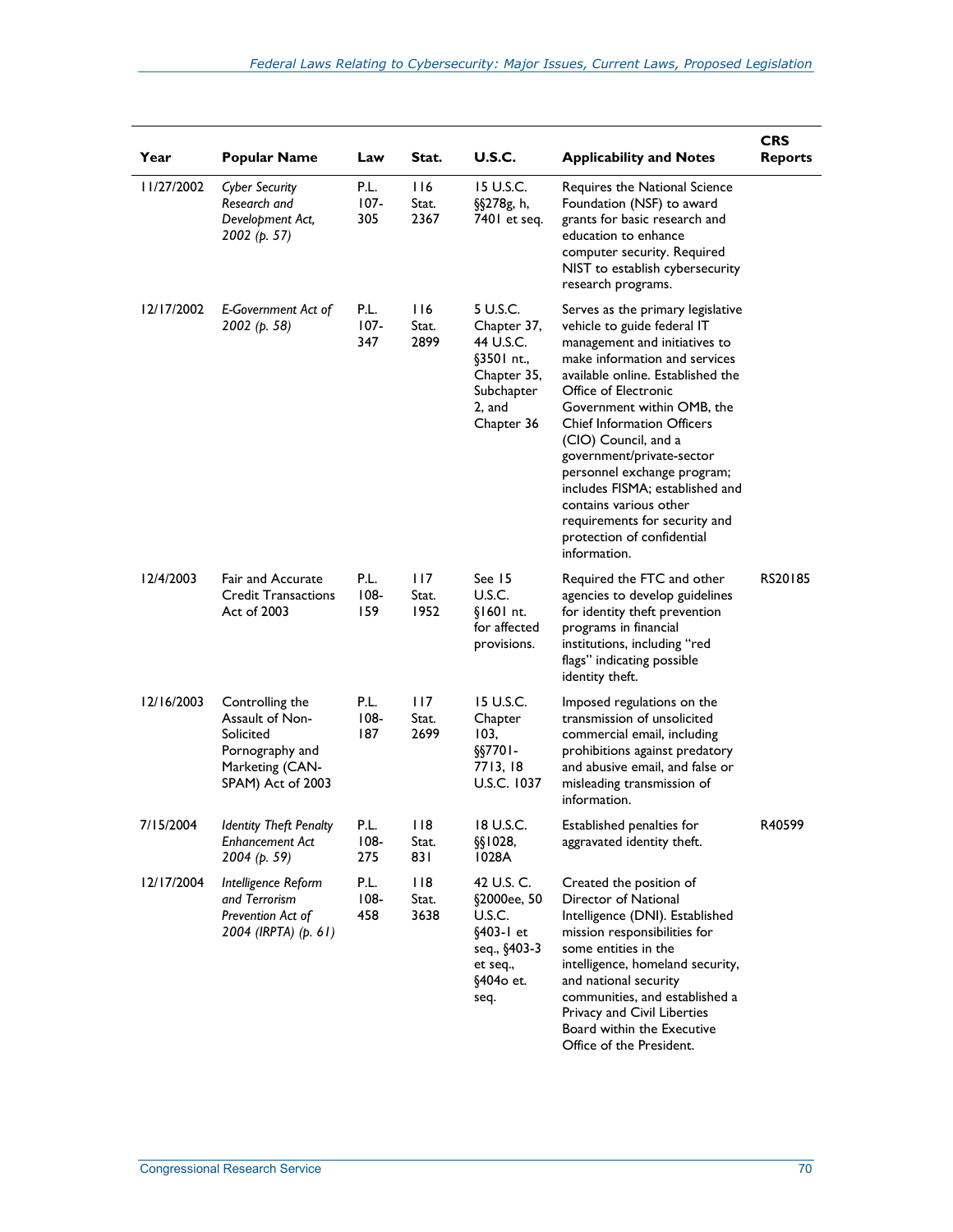| Year       | <b>Popular Name</b>                                                                                        | Law                    | Stat.                | <b>U.S.C.</b>                                                                                           | <b>Applicability and Notes</b>                                                                                                                                                                                                                                                                                                                                                                                                                                                                     | <b>CRS</b><br><b>Reports</b> |
|------------|------------------------------------------------------------------------------------------------------------|------------------------|----------------------|---------------------------------------------------------------------------------------------------------|----------------------------------------------------------------------------------------------------------------------------------------------------------------------------------------------------------------------------------------------------------------------------------------------------------------------------------------------------------------------------------------------------------------------------------------------------------------------------------------------------|------------------------------|
| 1/27/2002  | <b>Cyber Security</b><br>Research and<br>Development Act,<br>2002 (p. 57)                                  | P.L.<br>$107 -$<br>305 | 116<br>Stat.<br>2367 | 15 U.S.C.<br>§§278g, h,<br>7401 et seq.                                                                 | Requires the National Science<br>Foundation (NSF) to award<br>grants for basic research and<br>education to enhance<br>computer security. Required<br>NIST to establish cybersecurity<br>research programs.                                                                                                                                                                                                                                                                                        |                              |
| 12/17/2002 | E-Government Act of<br>2002 (p. 58)                                                                        | P.L.<br>$107 -$<br>347 | 116<br>Stat.<br>2899 | 5 U.S.C.<br>Chapter 37,<br>44 U.S.C.<br>§3501 nt.,<br>Chapter 35,<br>Subchapter<br>2, and<br>Chapter 36 | Serves as the primary legislative<br>vehicle to guide federal IT<br>management and initiatives to<br>make information and services<br>available online. Established the<br>Office of Electronic<br>Government within OMB, the<br><b>Chief Information Officers</b><br>(CIO) Council, and a<br>government/private-sector<br>personnel exchange program;<br>includes FISMA; established and<br>contains various other<br>requirements for security and<br>protection of confidential<br>information. |                              |
| 12/4/2003  | <b>Fair and Accurate</b><br><b>Credit Transactions</b><br>Act of 2003                                      | P.L.<br>$108 -$<br>159 | 117<br>Stat.<br>1952 | See 15<br>U.S.C.<br>§1601 nt.<br>for affected<br>provisions.                                            | Required the FTC and other<br>agencies to develop guidelines<br>for identity theft prevention<br>programs in financial<br>institutions, including "red<br>flags" indicating possible<br>identity theft.                                                                                                                                                                                                                                                                                            | RS20185                      |
| 12/16/2003 | Controlling the<br>Assault of Non-<br>Solicited<br>Pornography and<br>Marketing (CAN-<br>SPAM) Act of 2003 | P.L.<br>$108 -$<br>187 | 117<br>Stat.<br>2699 | 15 U.S.C.<br>Chapter<br>103,<br>$\S$ 57701-<br>7713, 18<br>U.S.C. 1037                                  | Imposed regulations on the<br>transmission of unsolicited<br>commercial email, including<br>prohibitions against predatory<br>and abusive email, and false or<br>misleading transmission of<br>information.                                                                                                                                                                                                                                                                                        |                              |
| 7/15/2004  | <b>Identity Theft Penalty</b><br><b>Enhancement Act</b><br>2004 (p. 59)                                    | P.L.<br>$108 -$<br>275 | 118<br>Stat.<br>831  | 18 U.S.C.<br>$\S$ [1028,<br>1028A                                                                       | Established penalties for<br>aggravated identity theft.                                                                                                                                                                                                                                                                                                                                                                                                                                            | R40599                       |
| 12/17/2004 | Intelligence Reform<br>and Terrorism<br>Prevention Act of<br>2004 (IRPTA) (p. 61)                          | P.L.<br>$108 -$<br>458 | 118<br>Stat.<br>3638 | 42 U.S. C.<br>§2000ee, 50<br>U.S.C.<br>§403-1 et<br>seq., §403-3<br>et seq.,<br>§4040 et.<br>seq.       | Created the position of<br>Director of National<br>Intelligence (DNI). Established<br>mission responsibilities for<br>some entities in the<br>intelligence, homeland security,<br>and national security<br>communities, and established a<br>Privacy and Civil Liberties<br>Board within the Executive<br>Office of the President.                                                                                                                                                                 |                              |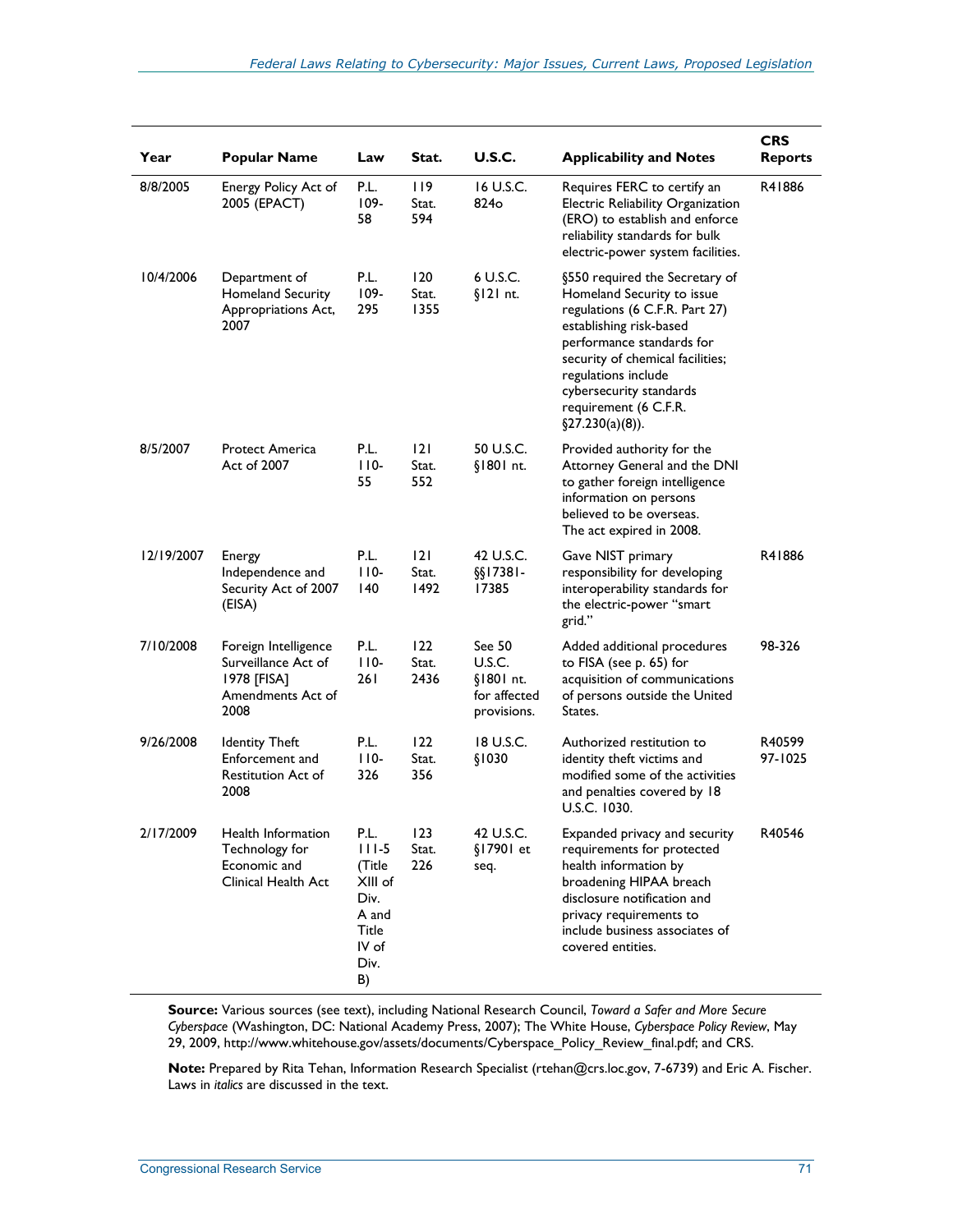| Year       | <b>Popular Name</b>                                                                     | Law                                                                                            | Stat.                | <b>U.S.C.</b>                                                | <b>Applicability and Notes</b>                                                                                                                                                                                                                                                               | <b>CRS</b><br><b>Reports</b> |
|------------|-----------------------------------------------------------------------------------------|------------------------------------------------------------------------------------------------|----------------------|--------------------------------------------------------------|----------------------------------------------------------------------------------------------------------------------------------------------------------------------------------------------------------------------------------------------------------------------------------------------|------------------------------|
| 8/8/2005   | Energy Policy Act of<br>2005 (EPACT)                                                    | P.L.<br>$109 -$<br>58                                                                          | 119<br>Stat.<br>594  | 16 U.S.C.<br>824 <sub>o</sub>                                | Requires FERC to certify an<br>Electric Reliability Organization<br>(ERO) to establish and enforce<br>reliability standards for bulk<br>electric-power system facilities.                                                                                                                    | R41886                       |
| 10/4/2006  | Department of<br>Homeland Security<br>Appropriations Act,<br>2007                       | P.L.<br>$109 -$<br>295                                                                         | 120<br>Stat.<br>1355 | 6 U.S.C.<br>$$121$ nt.                                       | §550 required the Secretary of<br>Homeland Security to issue<br>regulations (6 C.F.R. Part 27)<br>establishing risk-based<br>performance standards for<br>security of chemical facilities;<br>regulations include<br>cybersecurity standards<br>requirement (6 C.F.R.<br>$\S27.230(a)(8)$ ). |                              |
| 8/5/2007   | <b>Protect America</b><br>Act of 2007                                                   | P.L.<br>$110-$<br>55                                                                           | 2 <br>Stat.<br>552   | 50 U.S.C.<br>§1801 nt.                                       | Provided authority for the<br>Attorney General and the DNI<br>to gather foreign intelligence<br>information on persons<br>believed to be overseas.<br>The act expired in 2008.                                                                                                               |                              |
| 12/19/2007 | Energy<br>Independence and<br>Security Act of 2007<br>(EISA)                            | P.L.<br>$110-$<br>140                                                                          | 2 <br>Stat.<br>1492  | 42 U.S.C.<br>$\S$ [17381-<br>17385                           | Gave NIST primary<br>responsibility for developing<br>interoperability standards for<br>the electric-power "smart<br>grid."                                                                                                                                                                  | R41886                       |
| 7/10/2008  | Foreign Intelligence<br>Surveillance Act of<br>1978 [FISA]<br>Amendments Act of<br>2008 | P.L.<br>$110-$<br>26 I                                                                         | 122<br>Stat.<br>2436 | See 50<br>U.S.C.<br>§1801 nt.<br>for affected<br>provisions. | Added additional procedures<br>to FISA (see p. 65) for<br>acquisition of communications<br>of persons outside the United<br>States.                                                                                                                                                          | 98-326                       |
| 9/26/2008  | <b>Identity Theft</b><br>Enforcement and<br>Restitution Act of<br>2008                  | P.L.<br>$110-$<br>326                                                                          | 122<br>Stat.<br>356  | 18 U.S.C.<br>\$1030                                          | Authorized restitution to<br>identity theft victims and<br>modified some of the activities<br>and penalties covered by 18<br>U.S.C. 1030.                                                                                                                                                    | R40599<br>97-1025            |
| 2/17/2009  | Health Information<br>Technology for<br>Economic and<br>Clinical Health Act             | P.L.<br>$111 - 5$<br>(Title<br>XIII of<br>Div.<br>A and<br><b>Title</b><br>IV of<br>Div.<br>B) | 123<br>Stat.<br>226  | 42 U.S.C.<br>§17901 et<br>seq.                               | Expanded privacy and security<br>requirements for protected<br>health information by<br>broadening HIPAA breach<br>disclosure notification and<br>privacy requirements to<br>include business associates of<br>covered entities.                                                             | R40546                       |

**Source:** Various sources (see text), including National Research Council, *Toward a Safer and More Secure Cyberspace* (Washington, DC: National Academy Press, 2007); The White House, *Cyberspace Policy Review*, May 29, 2009, http://www.whitehouse.gov/assets/documents/Cyberspace\_Policy\_Review\_final.pdf; and CRS.

**Note:** Prepared by Rita Tehan, Information Research Specialist (rtehan@crs.loc.gov, 7-6739) and Eric A. Fischer. Laws in *italics* are discussed in the text.